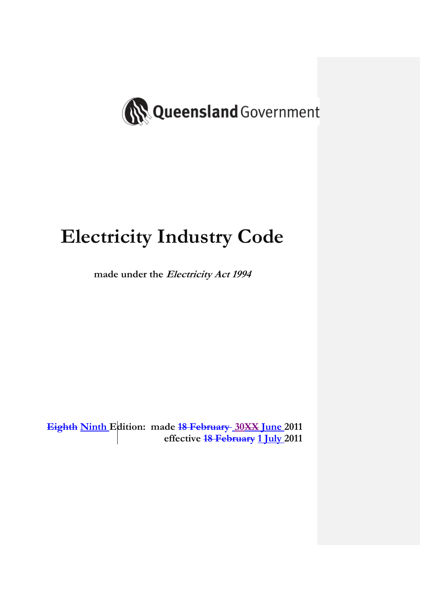

# **Electricity Industry Code**

**made under the Electricity Act 1994** 

**Eighth Ninth Edition: made 18 February 30XX June 2011 effective 18 February 1 July 2011**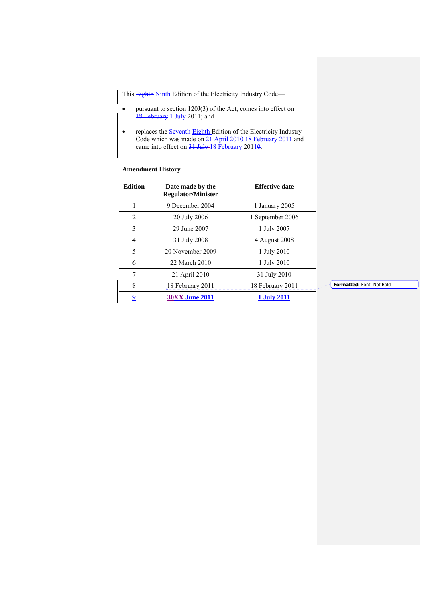This Eighth Ninth Edition of the Electricity Industry Code—

- pursuant to section 120J(3) of the Act, comes into effect on 18 February 1 July 2011; and
- replaces the Seventh Eighth Edition of the Electricity Industry Code which was made on 21 April 2010 18 February 2011 and came into effect on 31 July 18 February 20110.

## **Amendment History**

| <b>Edition</b> | Date made by the<br><b>Regulator/Minister</b> | <b>Effective date</b> |
|----------------|-----------------------------------------------|-----------------------|
| 1              | 9 December 2004                               | 1 January 2005        |
| 2              | 20 July 2006                                  | 1 September 2006      |
| 3              | 29 June 2007                                  | 1 July 2007           |
| 4              | 31 July 2008                                  | 4 August 2008         |
| 5              | 20 November 2009                              | 1 July 2010           |
| 6              | 22 March 2010                                 | 1 July 2010           |
| 7              | 21 April 2010                                 | 31 July 2010          |
| 8              | 18 February 2011                              | 18 February 2011      |
| 9              | <b>30XX June 2011</b>                         | <b>1 July 2011</b>    |

**Formatted:** Font: Not Bold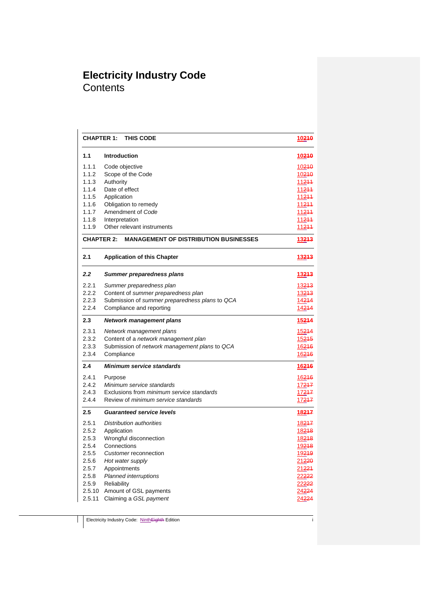# **Electricity Industry Code Contents**

|        | <b>CHAPTER 1:</b><br>THIS CODE<br>10210                           |                           |
|--------|-------------------------------------------------------------------|---------------------------|
| 1.1    | <b>Introduction</b>                                               | <u> 10210 </u>            |
| 1.1.1  | Code objective                                                    | 10210                     |
| 1.1.2  | Scope of the Code                                                 | 10210                     |
| 1.1.3  | Authority                                                         | <u> 11<del>211</del></u>  |
| 1.1.4  | Date of effect                                                    | 11244                     |
| 1.1.5  | Application                                                       | <u> 11<del>2</del></u> 11 |
| 1.1.6  | Obligation to remedy                                              | 11211                     |
| 1.1.7  | Amendment of Code                                                 | 11211                     |
| 1.1.8  | Interpretation                                                    | 11211                     |
| 1.1.9  | Other relevant instruments                                        | 11211                     |
|        | <b>CHAPTER 2:</b><br><b>MANAGEMENT OF DISTRIBUTION BUSINESSES</b> | 13213                     |
| 2.1    | <b>Application of this Chapter</b>                                | <u> 13213 </u>            |
| 2.2    | Summer preparedness plans                                         | <u>13213</u>              |
| 2.2.1  | Summer preparedness plan                                          | 13213                     |
| 2.2.2  | Content of summer preparedness plan                               | <u> 13213 </u>            |
| 2.2.3  | Submission of summer preparedness plans to QCA                    | 14214                     |
| 2.2.4  | Compliance and reporting                                          | 14214                     |
| 2.3    | Network management plans                                          | 15214                     |
| 2.3.1  | Network management plans                                          | 15214                     |
| 2.3.2  | Content of a network management plan                              | 15215                     |
| 2.3.3  | Submission of network management plans to QCA                     | 16216                     |
| 2.3.4  | Compliance                                                        | 16216                     |
| 2.4    | <b>Minimum service standards</b>                                  | 16216                     |
| 2.4.1  | Purpose                                                           | 16216                     |
| 2.4.2  | Minimum service standards                                         | <u>17247</u>              |
| 2.4.3  | Exclusions from <i>minimum</i> service standards                  | <u>17247</u>              |
| 2.4.4  | Review of <i>minimum service standards</i>                        | 17217                     |
| 2.5    | <b>Guaranteed service levels</b>                                  | 18217                     |
| 2.5.1  | <b>Distribution authorities</b>                                   | 18217                     |
| 2.5.2  | Application                                                       | 18218                     |
| 2.5.3  | Wrongful disconnection                                            | 18218                     |
| 2.5.4  | Connections                                                       | 19218                     |
| 2.5.5  | Customer reconnection                                             | <u>19219</u>              |
| 2.5.6  | Hot water supply                                                  | 21 <del>220</del>         |
| 2.5.7  | Appointments                                                      | 21221                     |
| 2.5.8  | <b>Planned interruptions</b>                                      | 22 <del>222</del>         |
| 2.5.9  | Reliability                                                       | 22 <del>222</del>         |
| 2.5.10 | Amount of GSL payments                                            | 24 <del>224</del>         |
| 2.5.11 | Claiming a GSL payment                                            | 24 <del>224</del>         |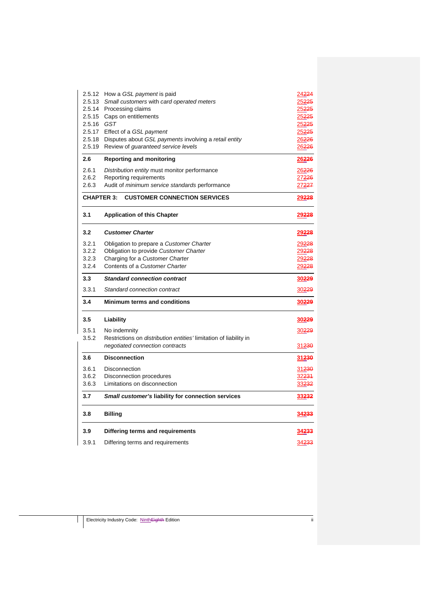|                   | 2.5.12 How a GSL payment is paid                                  | 24224             |
|-------------------|-------------------------------------------------------------------|-------------------|
| 2.5.13            | Small customers with card operated meters                         | 25 <del>225</del> |
|                   | 2.5.14 Processing claims                                          | 25 <del>225</del> |
|                   | 2.5.15 Caps on entitlements                                       | 25 <del>225</del> |
| 2.5.16            | GST                                                               | 25225             |
|                   | 2.5.17 Effect of a GSL payment                                    | 25225             |
|                   | 2.5.18 Disputes about GSL payments involving a retail entity      | 26226             |
| 2.5.19            | Review of <i>guaranteed</i> service levels                        | 26226             |
| 2.6               | <b>Reporting and monitoring</b>                                   | 26226             |
| 2.6.1             | Distribution entity must monitor performance                      | 26226             |
| 2.6.2             | Reporting requirements                                            | 27 <del>226</del> |
| 2.6.3             | Audit of minimum service standards performance                    | 27227             |
| <b>CHAPTER 3:</b> | <b>CUSTOMER CONNECTION SERVICES</b>                               | 29228             |
| 3.1               | <b>Application of this Chapter</b>                                | 29228             |
| 3.2               | <b>Customer Charter</b>                                           | 29228             |
| 3.2.1             | Obligation to prepare a Customer Charter                          | 29228             |
| 3.2.2             | Obligation to provide Customer Charter                            | 29228             |
| 3.2.3             | Charging for a Customer Charter                                   | 29228             |
| 3.2.4             | Contents of a Customer Charter                                    | 29228             |
| 3.3               | <b>Standard connection contract</b>                               | 30229             |
| 3.3.1             | Standard connection contract                                      | 30229             |
| 3.4               | <b>Minimum terms and conditions</b>                               | 30229             |
| 3.5               | Liability                                                         | 30229             |
| 3.5.1             | No indemnity                                                      | 30229             |
| 3.5.2             | Restrictions on distribution entities' limitation of liability in |                   |
|                   | negotiated connection contracts                                   | 31230             |
| 3.6               | <b>Disconnection</b>                                              | 31230             |
| 3.6.1             | Disconnection                                                     | 31 <del>230</del> |
| 3.6.2             | Disconnection procedures                                          | 32 <del>231</del> |
| 3.6.3             | Limitations on disconnection                                      | 33232             |
| 3.7               | Small customer's liability for connection services                | 33232             |
| 3.8               | <b>Billing</b>                                                    | 34233             |
| 3.9               | Differing terms and requirements                                  | <u>34233</u>      |
| 3.9.1             | Differing terms and requirements                                  | 34 <del>233</del> |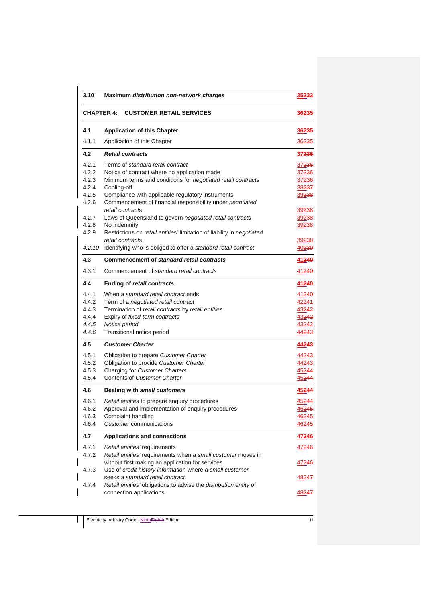| 3.10                                                                          | Maximum distribution non-network charges                                                                                                                                                                                                                                                                                                                                                                                                                                         | 35233                                                                         |
|-------------------------------------------------------------------------------|----------------------------------------------------------------------------------------------------------------------------------------------------------------------------------------------------------------------------------------------------------------------------------------------------------------------------------------------------------------------------------------------------------------------------------------------------------------------------------|-------------------------------------------------------------------------------|
| <b>CHAPTER 4:</b>                                                             | <b>CUSTOMER RETAIL SERVICES</b>                                                                                                                                                                                                                                                                                                                                                                                                                                                  | 36 <del>235</del>                                                             |
| 4.1                                                                           | <b>Application of this Chapter</b>                                                                                                                                                                                                                                                                                                                                                                                                                                               | 36235                                                                         |
| 4.1.1                                                                         | Application of this Chapter                                                                                                                                                                                                                                                                                                                                                                                                                                                      | 36235                                                                         |
| 4.2                                                                           | <b>Retail contracts</b>                                                                                                                                                                                                                                                                                                                                                                                                                                                          | 37236                                                                         |
| 4.2.1<br>4.2.2<br>4.2.3<br>4.2.4<br>4.2.5<br>4.2.6<br>4.2.7<br>4.2.8<br>4.2.9 | Terms of standard retail contract<br>Notice of contract where no application made<br>Minimum terms and conditions for negotiated retail contracts<br>Cooling-off<br>Compliance with applicable regulatory instruments<br>Commencement of financial responsibility under negotiated<br>retail contracts<br>Laws of Queensland to govern negotiated retail contracts<br>No indemnity<br>Restrictions on retail entities' limitation of liability in negotiated<br>retail contracts | 37236<br>37236<br>37236<br>38237<br>39238<br>39238<br>39238<br>39238<br>39238 |
|                                                                               | 4.2.10 Identifying who is obliged to offer a standard retail contract                                                                                                                                                                                                                                                                                                                                                                                                            | 40239                                                                         |
| 4.3                                                                           | <b>Commencement of standard retail contracts</b>                                                                                                                                                                                                                                                                                                                                                                                                                                 | 41240                                                                         |
| 4.3.1                                                                         | Commencement of standard retail contracts                                                                                                                                                                                                                                                                                                                                                                                                                                        | 41240                                                                         |
| 4.4                                                                           | <b>Ending of retail contracts</b>                                                                                                                                                                                                                                                                                                                                                                                                                                                | 41240                                                                         |
| 4.4.1<br>4.4.2<br>4.4.3<br>4.4.4<br>4.4.5<br>4.4.6                            | When a standard retail contract ends<br>Term of a negotiated retail contract<br>Termination of retail contracts by retail entities<br>Expiry of fixed-term contracts<br>Notice period<br>Transitional notice period                                                                                                                                                                                                                                                              | 41240<br>42244<br>43242<br>43242<br>43242<br>44243                            |
| 4.5                                                                           | <b>Customer Charter</b>                                                                                                                                                                                                                                                                                                                                                                                                                                                          | 44243                                                                         |
| 4.5.1<br>4.5.2<br>4.5.3<br>4.5.4                                              | Obligation to prepare Customer Charter<br>Obligation to provide Customer Charter<br>Charging for Customer Charters<br>Contents of Customer Charter                                                                                                                                                                                                                                                                                                                               | 44243<br>44243<br>45244<br>45244                                              |
| 4.6                                                                           | Dealing with small customers                                                                                                                                                                                                                                                                                                                                                                                                                                                     | 45244                                                                         |
| 4.6.1<br>4.6.2<br>4.6.3<br>4.6.4                                              | Retail entities to prepare enquiry procedures<br>Approval and implementation of enquiry procedures<br>Complaint handling<br>Customer communications                                                                                                                                                                                                                                                                                                                              | 45244<br>46245<br>46245<br>46245                                              |
| 4.7                                                                           | <b>Applications and connections</b>                                                                                                                                                                                                                                                                                                                                                                                                                                              | 47246                                                                         |
| 4.7.1<br>4.7.2                                                                | Retail entities' requirements<br>Retail entities' requirements when a small customer moves in<br>without first making an application for services                                                                                                                                                                                                                                                                                                                                | 47246<br>47246                                                                |
| 4.7.3<br>4.7.4                                                                | Use of credit history information where a small customer<br>seeks a standard retail contract<br>Retail entities' obligations to advise the distribution entity of                                                                                                                                                                                                                                                                                                                | 48247                                                                         |
|                                                                               | connection applications                                                                                                                                                                                                                                                                                                                                                                                                                                                          | 48247                                                                         |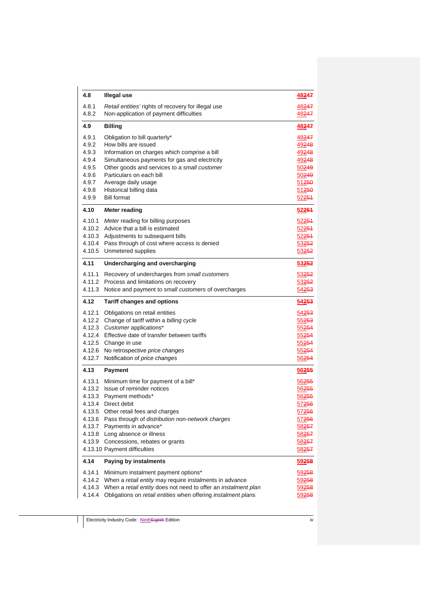| 4.8    | <b>Illegal use</b>                                             | 48247                                                                         |
|--------|----------------------------------------------------------------|-------------------------------------------------------------------------------|
| 4.8.1  | Retail entities' rights of recovery for illegal use            | 48247                                                                         |
| 4.8.2  | Non-application of payment difficulties                        | 48247                                                                         |
| 4.9    | <b>Billing</b>                                                 | 48247                                                                         |
| 4.9.1  | Obligation to bill quarterly*                                  | 48247                                                                         |
| 4.9.2  | How bills are issued                                           | 49248                                                                         |
| 4.9.3  | Information on charges which comprise a bill                   | 49248                                                                         |
| 4.9.4  | Simultaneous payments for gas and electricity                  | 49248                                                                         |
| 4.9.5  | Other goods and services to a small customer                   | 50249                                                                         |
| 4.9.6  | Particulars on each bill                                       | 50249                                                                         |
| 4.9.7  | Average daily usage                                            | 51250                                                                         |
| 4.9.8  | Historical billing data                                        | 51250                                                                         |
| 4.9.9  | <b>Bill format</b>                                             | 52251                                                                         |
| 4.10   | <b>Meter reading</b>                                           | 52251                                                                         |
| 4.10.1 | Meter reading for billing purposes                             | 52254                                                                         |
|        | 4.10.2 Advice that a bill is estimated                         | 52251                                                                         |
| 4.10.3 | Adjustments to subsequent bills                                | 52251                                                                         |
|        | 4.10.4 Pass through of cost where access is denied             | 53252                                                                         |
|        | 4.10.5 Unmetered supplies                                      | 53252                                                                         |
| 4.11   | Undercharging and overcharging                                 | 53252                                                                         |
| 4.11.1 | Recovery of undercharges from small customers                  | 53252                                                                         |
|        | 4.11.2 Process and limitations on recovery                     | 53252                                                                         |
| 4.11.3 | Notice and payment to small customers of overcharges           | 54253                                                                         |
| 4.12   | <b>Tariff changes and options</b>                              | 54253                                                                         |
|        |                                                                |                                                                               |
| 4.12.1 | Obligations on retail entities                                 | 54253                                                                         |
|        | 4.12.2 Change of tariff within a billing cycle                 |                                                                               |
|        | 4.12.3 Customer applications*                                  |                                                                               |
|        | 4.12.4 Effective date of transfer between tariffs              |                                                                               |
|        | 4.12.5 Change in use                                           |                                                                               |
|        | 4.12.6 No retrospective price changes                          |                                                                               |
| 4.12.7 | Notification of price changes                                  |                                                                               |
| 4.13   | <b>Payment</b>                                                 |                                                                               |
| 4.13.1 | Minimum time for payment of a bill*                            |                                                                               |
|        | 4.13.2 Issue of reminder notices                               | 55253<br>55254<br>55254<br>55254<br>55254<br>56254<br>56255<br>56255<br>56255 |
|        | 4.13.3 Payment methods*                                        |                                                                               |
|        | 4.13.4 Direct debit                                            | 57256                                                                         |
|        | 4.13.5 Other retail fees and charges                           | 56255<br>57 <del>256</del>                                                    |
|        | 4.13.6 Pass through of distribution non-network charges        | 57256                                                                         |
|        | 4.13.7 Payments in advance*                                    |                                                                               |
| 4.13.8 | Long absence or illness                                        |                                                                               |
| 4.13.9 | Concessions, rebates or grants                                 | 58257<br>58257<br>58257                                                       |
|        | 4.13.10 Payment difficulties                                   |                                                                               |
| 4.14   | <b>Paying by instalments</b>                                   |                                                                               |
| 4.14.1 | Minimum instalment payment options*                            | 58257<br>59258<br>59258                                                       |
| 4.14.2 | When a retail entity may require instalments in advance        | 59258                                                                         |
| 4.14.3 | When a retail entity does not need to offer an instalment plan | 59258                                                                         |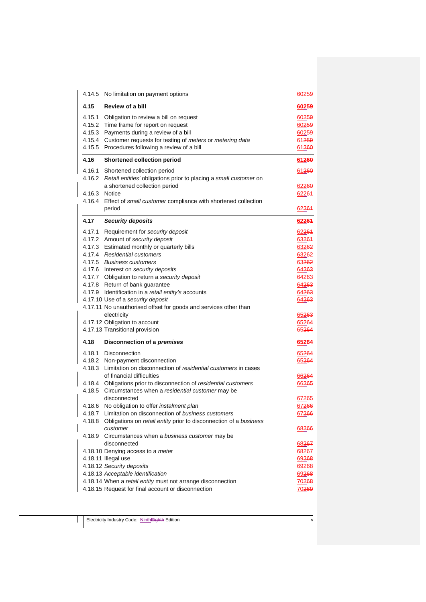|                  | 4.14.5 No limitation on payment options                                                                                                                                                                                                                                                                                                                                                                                                                                                                                                                          | 60 <del>259</del>                                                                                                 |
|------------------|------------------------------------------------------------------------------------------------------------------------------------------------------------------------------------------------------------------------------------------------------------------------------------------------------------------------------------------------------------------------------------------------------------------------------------------------------------------------------------------------------------------------------------------------------------------|-------------------------------------------------------------------------------------------------------------------|
| 4.15             | Review of a bill                                                                                                                                                                                                                                                                                                                                                                                                                                                                                                                                                 | 60259                                                                                                             |
|                  | 4.15.1 Obligation to review a bill on request<br>4.15.2 Time frame for report on request<br>4.15.3 Payments during a review of a bill<br>4.15.4 Customer requests for testing of meters or metering data<br>4.15.5 Procedures following a review of a bill                                                                                                                                                                                                                                                                                                       | 60259<br>60259<br>60259<br>61259<br>61260                                                                         |
| 4.16             | Shortened collection period                                                                                                                                                                                                                                                                                                                                                                                                                                                                                                                                      | 61260                                                                                                             |
| 4.16.1<br>4.16.4 | Shortened collection period<br>4.16.2 Retail entities' obligations prior to placing a small customer on<br>a shortened collection period<br>4.16.3 Notice<br>Effect of small customer compliance with shortened collection<br>period                                                                                                                                                                                                                                                                                                                             | 61260<br>62260<br>62261<br>62261                                                                                  |
| 4.17             | <b>Security deposits</b>                                                                                                                                                                                                                                                                                                                                                                                                                                                                                                                                         | 62261                                                                                                             |
| 4.17.1           | Requirement for security deposit<br>4.17.2 Amount of security deposit<br>4.17.3 Estimated monthly or quarterly bills<br>4.17.4 Residential customers<br>4.17.5 Business customers<br>4.17.6 Interest on security deposits<br>4.17.7 Obligation to return a security deposit<br>4.17.8 Return of bank guarantee<br>4.17.9 Identification in a retail entity's accounts<br>4.17.10 Use of a security deposit<br>4.17.11 No unauthorised offset for goods and services other than<br>electricity<br>4.17.12 Obligation to account<br>4.17.13 Transitional provision | 62261<br>63264<br>63262<br>63262<br>63262<br>64263<br>64263<br>64263<br>64263<br>64263<br>65263<br>65264<br>65264 |
| 4.18             | Disconnection of a premises                                                                                                                                                                                                                                                                                                                                                                                                                                                                                                                                      | 65264                                                                                                             |
| 4.18.3           | 4.18.1 Disconnection<br>4.18.2 Non-payment disconnection<br>Limitation on disconnection of residential customers in cases                                                                                                                                                                                                                                                                                                                                                                                                                                        | 65264<br>65264                                                                                                    |
|                  | of financial difficulties<br>4.18.4 Obligations prior to disconnection of residential customers<br>4.18.5 Circumstances when a residential customer may be<br>disconnected                                                                                                                                                                                                                                                                                                                                                                                       | 66264<br>66265<br>67265                                                                                           |
| 4.18.6           | No obligation to offer instalment plan<br>4.18.7 Limitation on disconnection of business customers<br>4.18.8 Obligations on retail entity prior to disconnection of a business                                                                                                                                                                                                                                                                                                                                                                                   | 67266<br>67266                                                                                                    |
| 4.18.9           | customer<br>Circumstances when a business customer may be<br>disconnected                                                                                                                                                                                                                                                                                                                                                                                                                                                                                        | 68266<br>68267                                                                                                    |
|                  | 4.18.10 Denying access to a meter<br>4.18.11 Illegal use<br>4.18.12 Security deposits<br>4.18.13 Acceptable identification<br>4.18.14 When a retail entity must not arrange disconnection<br>4.18.15 Request for final account or disconnection                                                                                                                                                                                                                                                                                                                  | 68267<br>69268<br>69268<br>69268<br>70268<br>70269                                                                |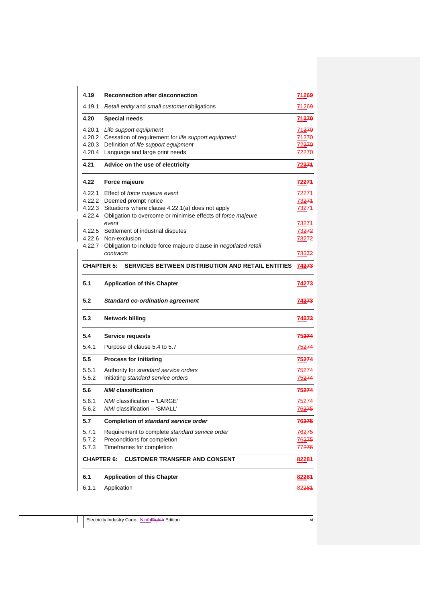| 4.19              | <b>Reconnection after disconnection</b>                                | 71269                                        |
|-------------------|------------------------------------------------------------------------|----------------------------------------------|
| 4.19.1            | Retail entity and small customer obligations                           | 71269                                        |
| 4.20              | <b>Special needs</b>                                                   | 71270                                        |
| 4.20.1            | Life support equipment                                                 | 71270                                        |
| 4.20.2            | Cessation of requirement for life support equipment                    | 71270                                        |
| 4.20.3            | Definition of life support equipment                                   | 72270                                        |
|                   | 4.20.4 Language and large print needs                                  | 72270                                        |
| 4.21              | Advice on the use of electricity                                       | 72274                                        |
| 4.22              | Force majeure                                                          | <u>72274</u>                                 |
| 4.22.1            | Effect of force majeure event                                          | 72274                                        |
|                   | 4.22.2 Deemed prompt notice                                            | 73274                                        |
|                   | 4.22.3 Situations where clause 4.22.1(a) does not apply                | 73274                                        |
|                   | 4.22.4 Obligation to overcome or minimise effects of force majeure     |                                              |
|                   | event                                                                  | 73 <del>271</del>                            |
|                   | 4.22.5 Settlement of industrial disputes                               | 73272                                        |
|                   | 4.22.6 Non-exclusion                                                   | 73272                                        |
|                   | 4.22.7 Obligation to include force majeure clause in negotiated retail |                                              |
|                   | contracts                                                              | 73272                                        |
| <b>CHAPTER 5:</b> | <b>SERVICES BETWEEN DISTRIBUTION AND RETAIL ENTITIES</b>               | 74273                                        |
| 5.1               | <b>Application of this Chapter</b>                                     | 74273                                        |
| 5.2               | <b>Standard co-ordination agreement</b>                                | 74273                                        |
| 5.3               | Network billing                                                        | 74273                                        |
| 5.4               | Service requests                                                       | 75274                                        |
| 5.4.1             | Purpose of clause 5.4 to 5.7                                           | 75274                                        |
| 5.5               | <b>Process for initiating</b>                                          | 75274                                        |
| 5.5.1             | Authority for standard service orders                                  | 75274                                        |
| 5.5.2             | Initiating standard service orders                                     | 75274                                        |
| 5.6               | <b>NMI</b> classification                                              | 75274                                        |
| 5.6.1             | NMI classification - 'LARGE'                                           | 75274                                        |
| 5.6.2             | NMI classification - 'SMALL'                                           | 76275                                        |
| 5.7               | Completion of standard service order                                   | 76275                                        |
| 5.7.1             | Requirement to complete standard service order                         |                                              |
| 5.7.2             | Preconditions for completion                                           | 76275                                        |
|                   |                                                                        | 76 <del>275</del>                            |
|                   |                                                                        |                                              |
| 5.7.3             | Timeframes for completion                                              |                                              |
| <b>CHAPTER 6:</b> | <b>CUSTOMER TRANSFER AND CONSENT</b>                                   |                                              |
| 6.1               | <b>Application of this Chapter</b>                                     |                                              |
| 6.1.1             | Application                                                            | 77 <del>276</del><br>82281<br>82281<br>82284 |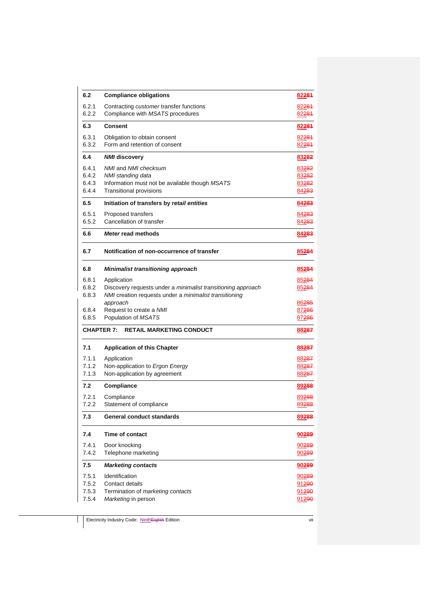| 6.2   | <b>Compliance obligations</b>                                | 82281        |
|-------|--------------------------------------------------------------|--------------|
| 6.2.1 | Contracting customer transfer functions                      | 82281        |
| 6.2.2 | Compliance with MSATS procedures                             | 82281        |
| 6.3   | <b>Consent</b>                                               | 82284        |
| 6.3.1 | Obligation to obtain consent                                 | 82281        |
| 6.3.2 | Form and retention of consent                                | 82281        |
| 6.4   | <b>NMI</b> discovery                                         | 83282        |
| 6.4.1 | NMI and NMI checksum                                         | 83282        |
| 6.4.2 | NMI standing data                                            | 83282        |
| 6.4.3 | Information must not be available though MSATS               | 83282        |
| 6.4.4 | <b>Transitional provisions</b>                               | 84283        |
| 6.5   | Initiation of transfers by retail entities                   | 84283        |
| 6.5.1 | Proposed transfers                                           | 84283        |
| 6.5.2 | Cancellation of transfer                                     | 84283        |
| 6.6   | Meter read methods                                           | 84283        |
| 6.7   | Notification of non-occurrence of transfer                   | 85284        |
| 6.8   | <b>Minimalist transitioning approach</b>                     | 85284        |
| 6.8.1 | Application                                                  | 85284        |
| 6.8.2 | Discovery requests under a minimalist transitioning approach | 85284        |
| 6.8.3 | NMI creation requests under a minimalist transitioning       |              |
|       | approach                                                     | 86285        |
| 6.8.4 | Request to create a NMI                                      | 87286        |
| 6.8.5 | Population of MSATS                                          | 87286        |
|       | <b>CHAPTER 7:</b><br><b>RETAIL MARKETING CONDUCT</b>         | 88287        |
| 7.1   | <b>Application of this Chapter</b>                           | 88287        |
| 7.1.1 | Application                                                  | 88287        |
| 7.1.2 | Non-application to Ergon Energy                              | 88287        |
| 7.1.3 | Non-application by agreement                                 | 88287        |
| 7.2   | <b>Compliance</b>                                            | 89288        |
| 7.2.1 | Compliance                                                   | 89288        |
| 7.2.2 | Statement of compliance                                      | 89288        |
| 7.3   | <b>General conduct standards</b>                             | 89288        |
| 7.4   | Time of contact                                              | 90289        |
| 7.4.1 | Door knocking                                                | 90289        |
| 7.4.2 | Telephone marketing                                          | <u>90289</u> |
| 7.5   | <b>Marketing contacts</b>                                    | 90289        |
| 7.5.1 | Identification                                               | 90289        |
| 7.5.2 | Contact details                                              | 91290        |
| 7.5.3 | Termination of marketing contacts                            | 91290        |
| 7.5.4 | Marketing in person                                          | 91290        |
|       |                                                              |              |

Electricity Industry Code: NinthEighth Edition viii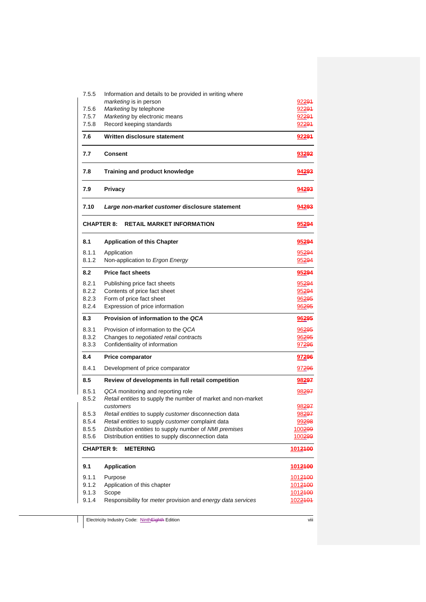| 7.5.5          | Information and details to be provided in writing where                                                     |                |
|----------------|-------------------------------------------------------------------------------------------------------------|----------------|
|                | marketing is in person                                                                                      | 92291          |
| 7.5.6          | Marketing by telephone                                                                                      | 92291          |
| 7.5.7          | Marketing by electronic means                                                                               | 92291          |
| 7.5.8          | Record keeping standards                                                                                    | 92291          |
| 7.6            | Written disclosure statement                                                                                | 92294          |
| 7.7            | <b>Consent</b>                                                                                              | 93292          |
| 7.8            | Training and product knowledge                                                                              | 94293          |
| 7.9            | Privacy                                                                                                     | 94293          |
| 7.10           | Large non-market customer disclosure statement                                                              | 94293          |
|                | <b>CHAPTER 8:</b><br><b>RETAIL MARKET INFORMATION</b>                                                       | 95294          |
| 8.1            | <b>Application of this Chapter</b>                                                                          | 95294          |
| 8.1.1          | Application                                                                                                 | 95294          |
| 8.1.2          | Non-application to Ergon Energy                                                                             | 95294          |
| 8.2            | <b>Price fact sheets</b>                                                                                    | 95294          |
| 8.2.1          | Publishing price fact sheets                                                                                | 95294          |
| 8.2.2          | Contents of price fact sheet                                                                                | 95294          |
| 8.2.3          | Form of price fact sheet                                                                                    | 96295          |
| 8.2.4          | Expression of price information                                                                             | 96295          |
| 8.3            | Provision of information to the QCA                                                                         | 96295          |
| 8.3.1          | Provision of information to the QCA                                                                         | 96295          |
| 8.3.2          | Changes to negotiated retail contracts                                                                      | 96295          |
| 8.3.3          | Confidentiality of information                                                                              | 97296          |
| 8.4            | <b>Price comparator</b>                                                                                     | 97296          |
| 8.4.1          | Development of price comparator                                                                             | 97296          |
| 8.5            | Review of developments in full retail competition                                                           | 98297          |
| 8.5.1          | QCA monitoring and reporting role                                                                           | 98297          |
| 8.5.2          | Retail entities to supply the number of market and non-market                                               |                |
|                | customers                                                                                                   | 98297          |
| 8.5.3          | Retail entities to supply customer disconnection data                                                       | 98297<br>99298 |
| 8.5.4<br>8.5.5 | Retail entities to supply customer complaint data<br>Distribution entities to supply number of NMI premises | 100299         |
| 8.5.6          | Distribution entities to supply disconnection data                                                          | 100299         |
|                |                                                                                                             |                |
|                | <b>CHAPTER 9:</b><br><b>METERING</b>                                                                        | 1012100        |
| 9.1            | <b>Application</b>                                                                                          | 1012100        |
| 9.1.1          | Purpose                                                                                                     | 1012100        |
| 9.1.2          | Application of this chapter                                                                                 | 1012100        |
| 9.1.3          | Scope                                                                                                       | 1012100        |
| 9.1.4          | Responsibility for meter provision and energy data services                                                 | 1022101        |

Electricity Industry Code: NinthEighth Edition viii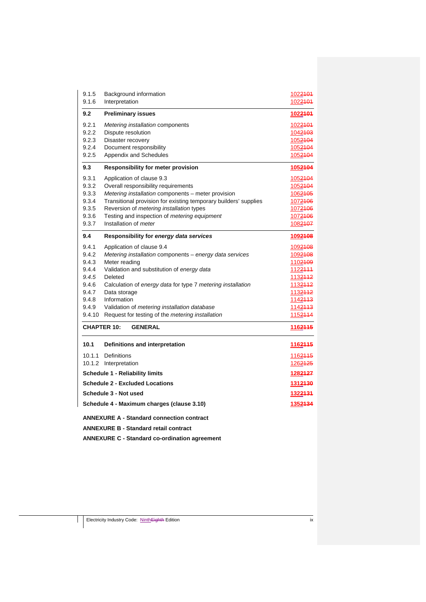| 9.1.5  | Background information                                           | 102 <del>2101</del>  |
|--------|------------------------------------------------------------------|----------------------|
| 9.1.6  | Interpretation                                                   | 1022101              |
| 9.2    | <b>Preliminary issues</b>                                        | 1022401              |
| 9.2.1  | Metering installation components                                 | 102 <del>2101</del>  |
| 9.2.2  | Dispute resolution                                               | 1042103              |
| 9.2.3  | Disaster recovery                                                | 1052104              |
| 9.2.4  | Document responsibility                                          | 1052104              |
| 9.2.5  | Appendix and Schedules                                           | 1052104              |
| 9.3    | <b>Responsibility for meter provision</b>                        | 1052104              |
| 9.3.1  | Application of clause 9.3                                        | 1052104              |
| 9.3.2  | Overall responsibility requirements                              | 1052104              |
| 9.3.3  | Metering installation components - meter provision               | 1062105              |
| 9.3.4  | Transitional provision for existing temporary builders' supplies | 1072106              |
| 9.3.5  | Reversion of metering installation types                         | 1072106              |
| 9.3.6  | Testing and inspection of metering equipment                     | 107 <del>2106</del>  |
| 9.3.7  | Installation of <i>meter</i>                                     | 1082107              |
| 9.4    | Responsibility for energy data services                          | 1092108              |
| 9.4.1  | Application of clause 9.4                                        | 1092108              |
| 9.4.2  | Metering installation components - energy data services          | 1092108              |
| 9.4.3  | Meter reading                                                    | 1102109              |
| 9.4.4  | Validation and substitution of energy data                       | 1122111              |
| 9.4.5  | Deleted                                                          | 1132112              |
| 9.4.6  | Calculation of energy data for type 7 metering installation      | 1132112              |
| 9.4.7  | Data storage                                                     | 1132112              |
| 9.4.8  | Information                                                      | 1142113              |
| 9.4.9  | Validation of metering installation database                     | 1142113              |
|        | 9.4.10 Request for testing of the metering installation          | 1152114              |
|        | <b>CHAPTER 10:</b><br><b>GENERAL</b>                             | 1162115              |
| 10.1   | Definitions and interpretation                                   | 1162115              |
| 10.1.1 | Definitions                                                      | 116 <del>2115</del>  |
|        | 10.1.2 Interpretation                                            | 1262125              |
|        | <b>Schedule 1 - Reliability limits</b>                           | 1282127              |
|        |                                                                  | 1312130              |
|        | <b>Schedule 2 - Excluded Locations</b>                           |                      |
|        | Schedule 3 - Not used<br>1322131                                 |                      |
|        | Schedule 4 - Maximum charges (clause 3.10)                       | 135 <del>213</del> 4 |
|        | <b>ANNEXURE A - Standard connection contract</b>                 |                      |
|        | <b>ANNEXURE B - Standard retail contract</b>                     |                      |
|        | <b>ANNEXURE C - Standard co-ordination agreement</b>             |                      |
|        |                                                                  |                      |
|        |                                                                  |                      |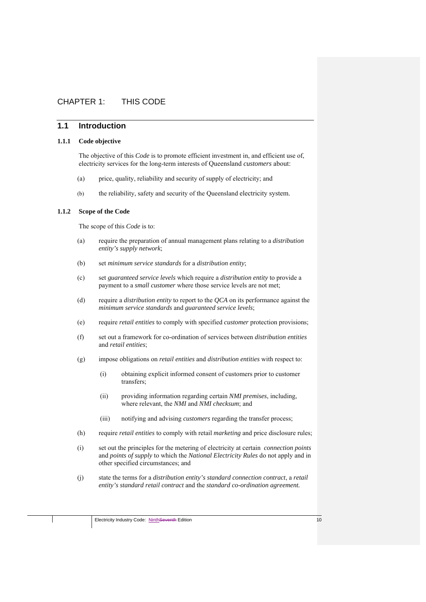# CHAPTER 1: THIS CODE

# **1.1 Introduction**

#### **1.1.1 Code objective**

The objective of this *Code* is to promote efficient investment in, and efficient use of, electricity services for the long-term interests of Queensland *customers* about:

- (a) price, quality, reliability and security of supply of electricity; and
- (b) the reliability, safety and security of the Queensland electricity system.

#### **1.1.2 Scope of the Code**

The scope of this *Code* is to:

- (a) require the preparation of annual management plans relating to a *distribution entity's supply network*;
- (b) set *minimum service standards* for a *distribution entity*;
- (c) set *guaranteed service levels* which require a *distribution entity* to provide a payment to a *small customer* where those service levels are not met;
- (d) require a *distribution entity* to report to the *QCA* on its performance against the *minimum service standards* and *guaranteed service levels*;
- (e) require *retail entities* to comply with specified *customer* protection provisions;
- (f) set out a framework for co-ordination of services between *distribution entities*  and *retail entities*;
- (g) impose obligations on *retail entities* and *distribution entities* with respect to:
	- (i) obtaining explicit informed consent of customers prior to customer transfers;
	- (ii) providing information regarding certain *NMI premises*, including, where relevant, the *NMI* and *NMI checksum*; and
	- (iii) notifying and advising *customers* regarding the transfer process;
- (h) require *retail entities* to comply with retail *marketing* and price disclosure rules;
- (i) set out the principles for the metering of electricity at certain *connection points*  and *points of supply* to which the *National Electricity Rules* do not apply and in other specified circumstances; and
- (j) state the terms for a *distribution entity's standard connection contract*, a *retail entity's standard retail contract* and the *standard co-ordination agreement.*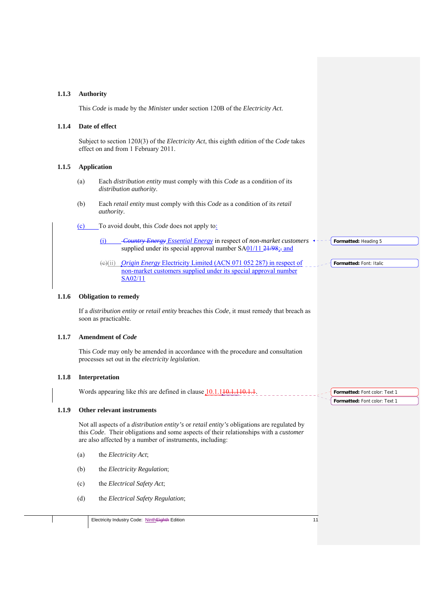#### **1.1.3 Authority**

This *Code* is made by the *Minister* under section 120B of the *Electricity Act*.

#### **1.1.4 Date of effect**

Subject to section 120J(3) of the *Electricity Act*, this eighth edition of the *Code* takes effect on and from 1 February 2011.

#### **1.1.5 Application**

- (a) Each *distribution entity* must comply with this *Code* as a condition of its *distribution authority*.
- (b) Each *retail entity* must comply with this *Code* as a condition of its *retail authority*.
- (c) To avoid doubt, this *Code* does not apply to:
	- (i) *Country Energy Essential Energy* in respect of *non-market customers* supplied under its special approval number  $SA01/11$   $21/98$ ; and
	- (c)(ii) *Origin Energy* Electricity Limited (ACN 071 052 287) in respect of non-market customers supplied under its special approval number SA02/11

#### **1.1.6 Obligation to remedy**

If a *distribution entity* or *retail entity* breaches this *Code*, it must remedy that breach as soon as practicable.

#### **1.1.7 Amendment of** *Code*

This *Code* may only be amended in accordance with the procedure and consultation processes set out in the *electricity legislation*.

#### **1.1.8 Interpretation**

Words appearing like *this* are defined in clause 10.1.110.1

#### **1.1.9 Other relevant instruments**

Not all aspects of a *distribution entity's* or *retail entity's* obligations are regulated by this *Code*. Their obligations and some aspects of their relationships with a *customer* are also affected by a number of instruments, including:

- (a) the *Electricity Act*;
- (b) the *Electricity Regulation*;
- (c) the *Electrical Safety Act*;
- (d) the *Electrical Safety Regulation*;

**Formatted:** Font color: Text 1 **Formatted:** Font color: Text 1

**Formatted:** Heading 5

**Formatted:** Font: Italic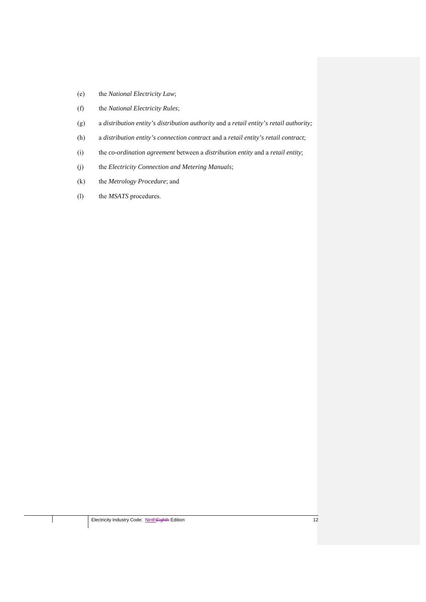- (e) the *National Electricity Law*;
- (f) the *National Electricity Rules*;
- (g) a *distribution entity's distribution authority* and a *retail entity's retail authority;*
- (h) a *distribution entity's connection contract* and a *retail entity's retail contract*;
- (i) the *co-ordination agreement* between a *distribution entity* and a *retail entity*;
- (j) the *Electricity Connection and Metering Manuals*;
- (k) the *Metrology Procedure*; and
- (l) the *MSATS* procedures.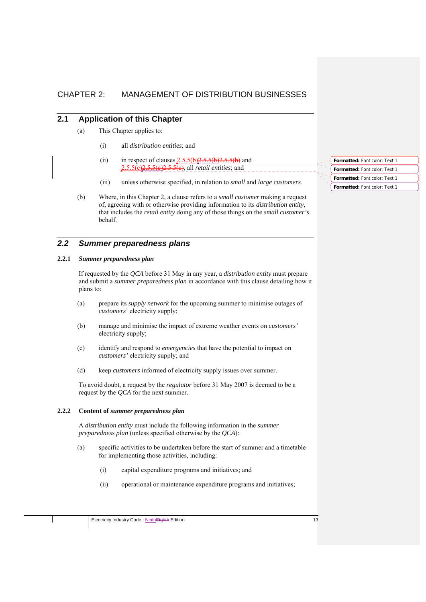# CHAPTER 2: MANAGEMENT OF DISTRIBUTION BUSINESSES

# **2.1 Application of this Chapter**

- (a) This Chapter applies to:
	- (i) all *distribution entities*; and
	- (ii) in respect of clauses  $2.5.5(b)2.5.5(b)2.5.5(b)$  and 2.5.5(c)2.5.5(c)2.5.5(c), all *retail entities*; and
	- (iii) unless otherwise specified, in relation to *small* and *large customers*.
- (b) Where, in this Chapter 2, a clause refers to a *small customer* making a request of, agreeing with or otherwise providing information to its *distribution entity*, that includes the *retail entity* doing any of those things on the *small customer's* behalf.

# *2.2 Summer preparedness plans*

#### **2.2.1** *Summer preparedness plan*

If requested by the *QCA* before 31 May in any year, a *distribution entity* must prepare and submit a *summer preparedness plan* in accordance with this clause detailing how it plans to:

- (a) prepare its *supply network* for the upcoming summer to minimise outages of *customers*' electricity supply;
- (b) manage and minimise the impact of extreme weather events on *customers'* electricity supply;
- (c) identify and respond to *emergencies* that have the potential to impact on *customers'* electricity supply; and
- (d) keep *customers* informed of electricity supply issues over summer.

To avoid doubt, a request by the *regulator* before 31 May 2007 is deemed to be a request by the *QCA* for the next summer.

#### **2.2.2 Content of** *summer preparedness plan*

A *distribution entity* must include the following information in the *summer preparedness plan* (unless specified otherwise by the *QCA*):

- (a) specific activities to be undertaken before the start of summer and a timetable for implementing those activities, including:
	- (i) capital expenditure programs and initiatives; and
	- (ii) operational or maintenance expenditure programs and initiatives;

**Formatted:** Font color: Text 1 **Formatted:** Font color: Text 1 **Formatted:** Font color: Text 1 **Formatted:** Font color: Text 1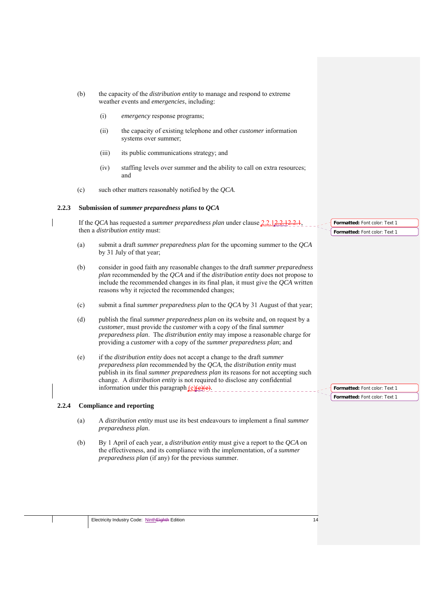- (b) the capacity of the *distribution entity* to manage and respond to extreme weather events and *emergencies*, including:
	- (i) *emergency* response programs;
	- (ii) the capacity of existing telephone and other *customer* information systems over summer;
	- (iii) its public communications strategy; and
	- (iv) staffing levels over summer and the ability to call on extra resources; and
- (c) such other matters reasonably notified by the *QCA*.

#### **2.2.3 Submission of** *summer preparedness plans* **to** *QCA*

If the *QCA* has requested a *summer preparedness plan* under clause 2.2.1<del>2.2.12</del> then a *distribution entity* must:

- (a) submit a draft *summer preparedness plan* for the upcoming summer to the *QCA* by 31 July of that year;
- (b) consider in good faith any reasonable changes to the draft *summer preparedness plan* recommended by the *QCA* and if the *distribution entity* does not propose to include the recommended changes in its final plan, it must give the *QCA* written reasons why it rejected the recommended changes;
- (c) submit a final *summer preparedness plan* to the *QCA* by 31 August of that year;
- (d) publish the final *summer preparedness plan* on its website and, on request by a *customer*, must provide the *customer* with a copy of the final *summer preparedness plan*. The *distribution entity* may impose a reasonable charge for providing a *customer* with a copy of the *summer preparedness plan*; and
- (e) if the *distribution entity* does not accept a change to the draft *summer preparedness plan* recommended by the *QCA*, the *distribution entity* must publish in its final *summer preparedness plan* its reasons for not accepting such change. A *distribution entity* is not required to disclose any confidential information under this paragraph  $(e)(e)(e)$ .

#### **2.2.4 Compliance and reporting**

- (a) A *distribution entity* must use its best endeavours to implement a final *summer preparedness plan*.
- (b) By 1 April of each year, a *distribution entity* must give a report to the *QCA* on the effectiveness, and its compliance with the implementation, of a *summer preparedness plan* (if any) for the previous summer.

**Formatted:** Font color: Text 1 **Formatted:** Font color: Text 1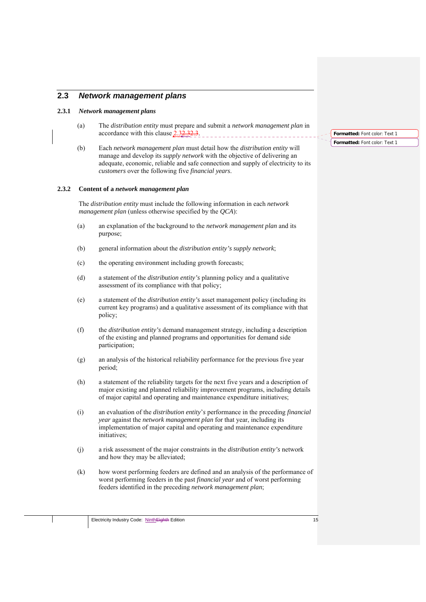# **2.3** *Network management plans*

#### **2.3.1** *Network management plans*

- (a) The *distribution entity* must prepare and submit a *network management plan* in accordance with this clause 2.32.32.3. \_\_\_\_\_\_\_\_\_\_\_\_\_\_\_\_\_\_\_\_\_\_\_
- (b) Each *network management plan* must detail how the *distribution entity* will manage and develop its *supply network* with the objective of delivering an adequate, economic, reliable and safe connection and supply of electricity to its *customers* over the following five *financial years*.

#### **2.3.2 Content of a** *network management plan*

The *distribution entity* must include the following information in each *network management plan* (unless otherwise specified by the *QCA*):

- (a) an explanation of the background to the *network management plan* and its purpose;
- (b) general information about the *distribution entity's supply network*;
- (c) the operating environment including growth forecasts;
- (d) a statement of the *distribution entity's* planning policy and a qualitative assessment of its compliance with that policy;
- (e) a statement of the *distribution entity's* asset management policy (including its current key programs) and a qualitative assessment of its compliance with that policy;
- (f) the *distribution entity's* demand management strategy, including a description of the existing and planned programs and opportunities for demand side participation;
- (g) an analysis of the historical reliability performance for the previous five year period;
- (h) a statement of the reliability targets for the next five years and a description of major existing and planned reliability improvement programs, including details of major capital and operating and maintenance expenditure initiatives;
- (i) an evaluation of the *distribution entity*'*s* performance in the preceding *financial year* against the *network management plan* for that year, including its implementation of major capital and operating and maintenance expenditure initiatives;
- (j) a risk assessment of the major constraints in the *distribution entity's* network and how they may be alleviated;
- (k) how worst performing feeders are defined and an analysis of the performance of worst performing feeders in the past *financial year* and of worst performing feeders identified in the preceding *network management plan*;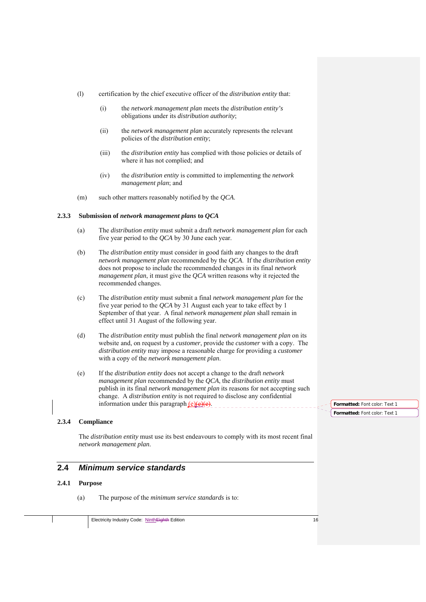- (l) certification by the chief executive officer of the *distribution entity* that:
	- (i) the *network management plan* meets the *distribution entity's* obligations under its *distribution authority*;
	- (ii) the *network management plan* accurately represents the relevant policies of the *distribution entity*;
	- (iii) the *distribution entity* has complied with those policies or details of where it has not complied; and
	- (iv) the *distribution entity* is committed to implementing the *network management plan*; and
- (m) such other matters reasonably notified by the *QCA*.

#### **2.3.3 Submission of** *network management plans* **to** *QCA*

- (a) The *distribution entity* must submit a draft *network management plan* for each five year period to the *QCA* by 30 June each year.
- (b) The *distribution entity* must consider in good faith any changes to the draft *network management plan* recommended by the *QCA*. If the *distribution entity* does not propose to include the recommended changes in its final *network management plan*, it must give the *QCA* written reasons why it rejected the recommended changes.
- (c) The *distribution entity* must submit a final *network management plan* for the five year period to the *QCA* by 31 August each year to take effect by 1 September of that year. A final *network management plan* shall remain in effect until 31 August of the following year.
- (d) The *distribution entity* must publish the final *network management plan* on its website and, on request by a *customer*, provide the *customer* with a copy. The *distribution entity* may impose a reasonable charge for providing a *customer* with a copy of the *network management plan*.
- (e) If the *distribution entity* does not accept a change to the draft *network management plan* recommended by the *QCA*, the *distribution entity* must publish in its final *network management plan* its reasons for not accepting such change. A *distribution entity* is not required to disclose any confidential information under this paragraph  $(e)(e)$ .

#### **2.3.4 Compliance**

The *distribution entity* must use its best endeavours to comply with its most recent final *network management plan*.

# **2.4** *Minimum service standards*

#### **2.4.1 Purpose**

(a) The purpose of the *minimum service standards* is to: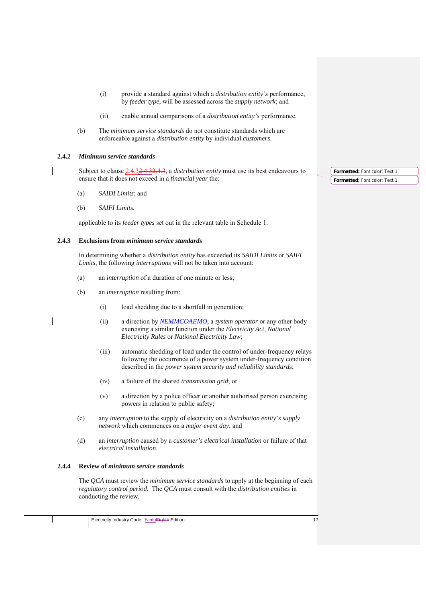- (i) provide a standard against which a *distribution entity's* performance, by *feeder type*, will be assessed across the *supply network*; and
- (ii) enable annual comparisons of a *distribution entity's* performance.
- (b) The *minimum service standards* do not constitute standards which are enforceable against a *distribution entity* by individual *customers*.

#### **2.4.2** *Minimum service standards*

Subject to clause 2.4.32.4.32.4.3, a *distribution entity* must use its best endeavours to ensure that it does not exceed in a *financial year* the:

- (a) *SAIDI Limits*; and
- (b) *SAIFI Limits*,

applicable to its *feeder types* set out in the relevant table in Schedule 1.

#### **2.4.3 Exclusions from** *minimum service standards*

In determining whether a *distribution entity* has exceeded its *SAIDI Limits* or *SAIFI Limits*, the following *interruptions* will not be taken into account:

- (a) an *interruption* of a duration of one minute or less;
- (b) an *interruption* resulting from:
	- (i) load shedding due to a shortfall in generation;
	- (ii) a direction by *NEMMCOAEMO*, a *system operator* or any other body exercising a similar function under the *Electricity Act*, *National Electricity Rules* or *National Electricity Law*;
	- (iii) automatic shedding of load under the control of under-frequency relays following the occurrence of a power system under-frequency condition described in the *power system security and reliability standards*;
	- (iv) a failure of the shared *transmission grid*; or
	- (v) a direction by a police officer or another authorised person exercising powers in relation to public safety;
- (c) any *interruption* to the supply of electricity on a *distribution entity's supply network* which commences on a *major event day*; and
- (d) an *interruption* caused by a *customer's electrical installation* or failure of that *electrical installation*.

#### **2.4.4 Review of** *minimum service standards*

The *QCA* must review the *minimum service standards* to apply at the beginning of each *regulatory control period*. The *QCA* must consult with the *distribution entities* in conducting the review.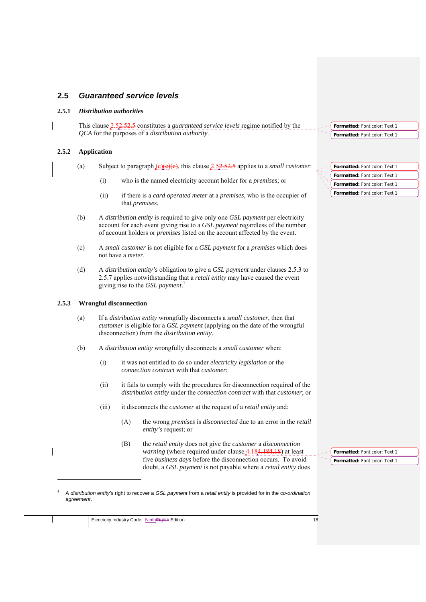# **2.5** *Guaranteed service levels*

#### **2.5.1** *Distribution authorities*

This clause 2.52.52.5 constitutes a *guaranteed service levels* regime notified by the *QCA* for the purposes of a *distribution authority*.

#### **2.5.2 Application**

- (a) Subject to paragraph (c)(e)(e), this clause 2.52.52.5 applies to a *small customer*:
	- (i) who is the named electricity account holder for a *premises*; or
	- (ii) if there is a *card operated meter* at a *premises*, who is the occupier of that *premises*.
- (b) A *distribution entity* is required to give only one *GSL payment* per electricity account for each event giving rise to a *GSL payment* regardless of the number of account holders or *premises* listed on the account affected by the event.
- (c) A *small customer* is not eligible for a *GSL payment* for a *premises* which does not have a *meter*.
- (d) A *distribution entity's* obligation to give a *GSL payment* under clauses 2.5.3 to 2.5.7 applies notwithstanding that a *retail entity* may have caused the event giving rise to the *GSL payment*. 1

#### **2.5.3 Wrongful disconnection**

1 1

- (a) If a *distribution entity* wrongfully disconnects a *small customer*, then that *customer* is eligible for a *GSL payment* (applying on the date of the wrongful disconnection) from the *distribution entity*.
- (b) A *distribution entity* wrongfully disconnects a *small customer* when:
	- (i) it was not entitled to do so under *electricity legislation* or the *connection contract* with that *customer*;
	- (ii) it fails to comply with the procedures for disconnection required of the *distribution entity* under the *connection contract* with that *customer*; or
	- (iii) it disconnects the *customer* at the request of a *retail entity* and:
		- (A) the wrong *premises* is *disconnected* due to an error in the *retail entity's* request; or
		- (B) the *retail entity* does not give the *customer* a *disconnection warning* (where required under clause 4.184.184.18) at least five *business days* before the disconnection occurs. To avoid doubt, a *GSL payment* is not payable where a *retail entity* does

**Formatted:** Font color: Text 1 **Formatted:** Font color: Text 1

**Formatted:** Font color: Text 1 **Formatted:** Font color: Text 1 **Formatted:** Font color: Text 1 **Formatted:** Font color: Text 1

A *distribution entity's* right to recover a *GSL payment* from a *retail entity* is provided for in the c*o-ordination agreement*.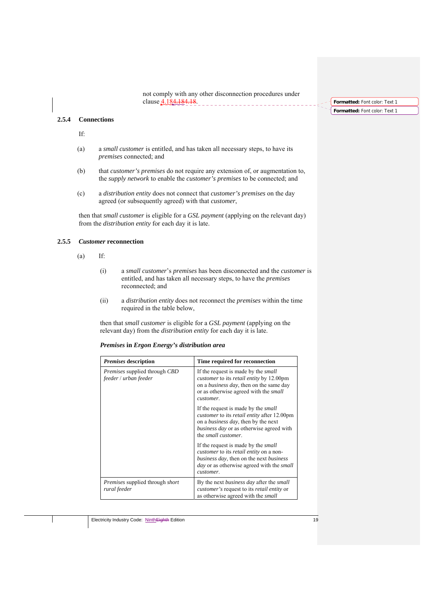not comply with any other disconnection procedures under clause **4.184.184.18** \_\_\_\_\_\_\_\_\_\_\_\_\_\_\_\_\_\_\_\_\_\_\_

If:

**2.5.4 Connections** 

- (a) a *small customer* is entitled, and has taken all necessary steps, to have its *premises* connected; and
- (b) that *customer's premises* do not require any extension of, or augmentation to, the *supply network* to enable the *customer's premises* to be connected; and
- (c) a *distribution entity* does not connect that *customer's premises* on the day agreed (or subsequently agreed) with that *customer*,

then that *small customer* is eligible for a *GSL payment* (applying on the relevant day) from the *distribution entity* for each day it is late.

#### **2.5.5** *Customer* **reconnection**

- $(a)$  If:
	- (i) a *small customer*'s *premises* has been disconnected and the *customer* is entitled, and has taken all necessary steps, to have the *premises* reconnected; and
	- (ii) a *distribution entity* does not reconnect the *premises* within the time required in the table below,

then that *small customer* is eligible for a *GSL payment* (applying on the relevant day) from the *distribution entity* for each day it is late.

#### *Premises* **in** *Ergon Energy's distribution area*

| <i>Premises</i> description                                   | Time required for reconnection                                                                                                                                                                                                          |
|---------------------------------------------------------------|-----------------------------------------------------------------------------------------------------------------------------------------------------------------------------------------------------------------------------------------|
| Premises supplied through CBD<br>feeder / urban feeder        | If the request is made by the <i>small</i><br>customer to its retail entity by 12.00pm<br>on a <i>business day</i> , then on the same day<br>or as otherwise agreed with the <i>small</i><br>customer.                                  |
|                                                               | If the request is made by the <i>small</i><br><i>customer</i> to its <i>retail entity</i> after 12.00pm<br>on a <i>business day</i> , then by the next<br><i>business day</i> or as otherwise agreed with<br>the <i>small</i> customer. |
|                                                               | If the request is made by the <i>small</i><br><i>customer</i> to its <i>retail entity</i> on a non-<br><i>business day</i> , then on the next <i>business</i><br><i>day</i> or as otherwise agreed with the <i>small</i><br>customer.   |
| <i>Premises</i> supplied through <i>short</i><br>rural feeder | By the next <i>business day</i> after the <i>small</i><br><i>customer's</i> request to its <i>retail entity</i> or<br>as otherwise agreed with the <i>small</i>                                                                         |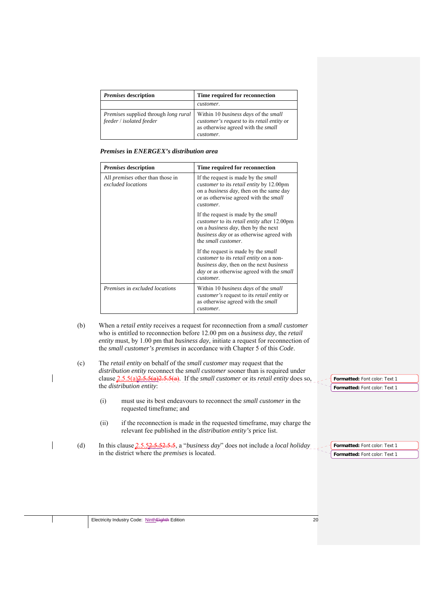| <i>Premises</i> description                                                    | Time required for reconnection                                                                                                        |
|--------------------------------------------------------------------------------|---------------------------------------------------------------------------------------------------------------------------------------|
|                                                                                | customer.                                                                                                                             |
| <i>Premises</i> supplied through <i>long rural</i><br>feeder / isolated feeder | Within 10 business days of the small<br>customer's request to its retail entity or<br>as otherwise agreed with the small<br>customer. |

|  |  | Premises in ENERGEX's distribution area |  |  |
|--|--|-----------------------------------------|--|--|
|--|--|-----------------------------------------|--|--|

| <b>Premises description</b>                                   | Time required for reconnection                                                                                                                                                                                                          |
|---------------------------------------------------------------|-----------------------------------------------------------------------------------------------------------------------------------------------------------------------------------------------------------------------------------------|
| All <i>premises</i> other than those in<br>excluded locations | If the request is made by the <i>small</i><br><i>customer</i> to its <i>retail entity</i> by 12.00pm<br>on a <i>business day</i> , then on the same day<br>or as otherwise agreed with the <i>small</i><br>customer.                    |
|                                                               | If the request is made by the <i>small</i><br><i>customer</i> to its <i>retail entity</i> after 12.00pm<br>on a <i>business day</i> , then by the next<br><i>business day</i> or as otherwise agreed with<br>the <i>small</i> customer. |
|                                                               | If the request is made by the <i>small</i><br><i>customer</i> to its <i>retail entity</i> on a non-<br><i>business day</i> , then on the next <i>business</i><br><i>day</i> or as otherwise agreed with the <i>small</i><br>customer.   |
| <i>Premises</i> in excluded locations                         | Within 10 business days of the small<br><i>customer's</i> request to its <i>retail entity</i> or<br>as otherwise agreed with the <i>small</i><br>customer.                                                                              |

- (b) When a *retail entity* receives a request for reconnection from a *small customer* who is entitled to reconnection before 12.00 pm on a *business day*, the *retail entity* must, by 1.00 pm that *business day*, initiate a request for reconnection of the *small customer's premises* in accordance with Chapter 5 of this *Code*.
- (c) The *retail entity* on behalf of the *small customer* may request that the *distribution entity* reconnect the *small customer* sooner than is required under clause 2.5.5(a)2.5.5(a)2.5.5(a). If the *small customer* or its *retail entity* does so, the *distribution entity*:
	- (i) must use its best endeavours to reconnect the *small customer* in the requested timeframe; and
	- (ii) if the reconnection is made in the requested timeframe, may charge the relevant fee published in the *distribution entity's* price list.
- (d) In this clause 2.5.52.5.52.5.5, a "*business day*" does not include a *local holiday* in the district where the *premises* is located.

**Formatted:** Font color: Text 1 **Formatted:** Font color: Text 1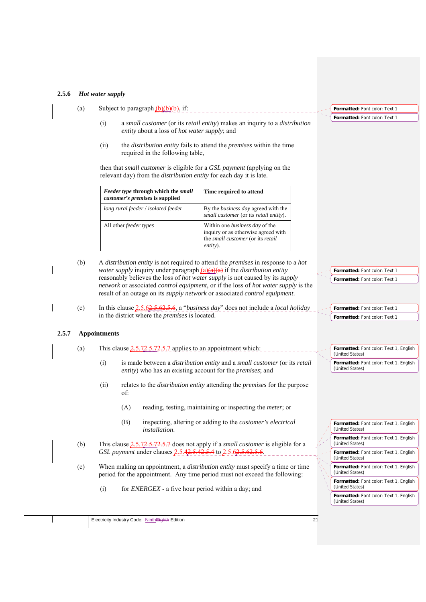#### **2.5.6** *Hot water supply*

- (a) Subject to paragraph  $(b)(b)(b)$ , if:
	- (i) a *small customer* (or its *retail entity*) makes an inquiry to a *distribution entity* about a loss of *hot water supply*; and
	- (ii) the *distribution entity* fails to attend the *premises* within the time required in the following table,

then that *small customer* is eligible for a *GSL payment* (applying on the relevant day) from the *distribution entity* for each day it is late.

| Feeder type through which the small<br>customer's premises is supplied | Time required to attend                                                                                                |
|------------------------------------------------------------------------|------------------------------------------------------------------------------------------------------------------------|
| long rural feeder / isolated feeder                                    | By the <i>business day</i> agreed with the<br>small customer (or its retail entity).                                   |
| All other <i>feeder</i> types                                          | Within one business day of the<br>inquiry or as otherwise agreed with<br>the small customer (or its retail<br>entity). |

- (b) A *distribution entity* is not required to attend the *premises* in response to a *hot water supply* inquiry under paragraph (a)(a) if the *distribution entity* reasonably believes the loss of *hot water supply* is not caused by its *supply network* or associated *control equipment*, or if the loss of *hot water supply* is the result of an outage on its *supply network* or associated *control equipment*.
- (c) In this clause 2.5.62.5.62.5.6, a "*business day*" does not include a *local holiday* in the district where the *premises* is located.

#### **2.5.7 Appointments**

- (a) This clause  $2.5.72.5.72.5.7$  applies to an appointment which:
	- (i) is made between a *distribution entity* and a *small customer* (or its *retail entity*) who has an existing account for the *premises*; and
	- (ii) relates to the *distribution entity* attending the *premises* for the purpose of:
		- (A) reading, testing, maintaining or inspecting the *meter*; or
		- (B) inspecting, altering or adding to the *customer's electrical installation*.
- (b) This clause 2.5.72.5.72.5.7 does not apply if a *small customer* is eligible for a *GSL payment* under clauses 2.5.42.5.42.5.4 to 2.5.62.5.62.5.6.
- (c) When making an appointment, a *distribution entity* must specify a time or time period for the appointment. Any time period must not exceed the following:
	- (i) for *ENERGEX* a five hour period within a day; and

**Formatted:** Font color: Text 1 **Formatted:** Font color: Text 1

**Formatted:** Font color: Text 1 **Formatted:** Font color: Text 1

**Formatted:** Font color: Text 1 **Formatted:** Font color: Text 1

**Formatted:** Font color: Text 1, English (United States) **Formatted:** Font color: Text 1, English (United States)

| Formatted: Font color: Text 1, English<br>(United States) |
|-----------------------------------------------------------|
| Formatted: Font color: Text 1, English<br>(United States) |
| Formatted: Font color: Text 1, English<br>(United States) |
| Formatted: Font color: Text 1, English<br>(United States) |
| Formatted: Font color: Text 1, English<br>(United States) |
| Formatted: Font color: Text 1, English<br>(United States) |

Electricity Industry Code: Ninth Eighth Edition 21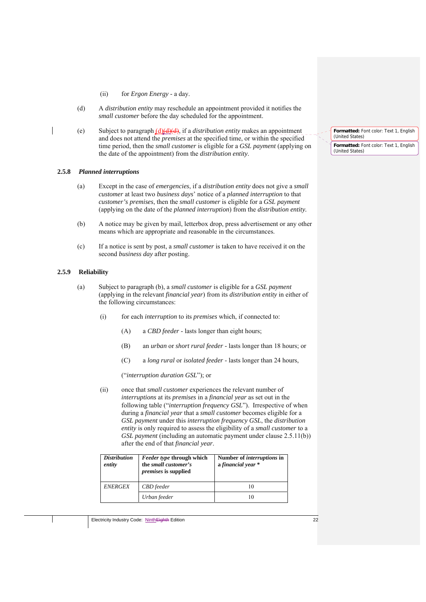- (ii) for *Ergon Energy* a day.
- (d) A *distribution entity* may reschedule an appointment provided it notifies the *small customer* before the day scheduled for the appointment.
- (e) Subject to paragraph (d)(d)(d), if a *distribution entity* makes an appointment and does not attend the *premises* at the specified time, or within the specified time period, then the *small customer* is eligible for a *GSL payment* (applying on the date of the appointment) from the *distribution entity*.

#### **2.5.8** *Planned interruptions*

- (a) Except in the case of *emergencies*, if a *distribution entity* does not give a *small customer* at least two *business days*' notice of a *planned interruption* to that *customer's premises*, then the *small customer* is eligible for a *GSL payment* (applying on the date of the *planned interruption*) from the *distribution entity.*
- (b) A notice may be given by mail, letterbox drop, press advertisement or any other means which are appropriate and reasonable in the circumstances.
- (c) If a notice is sent by post, a *small customer* is taken to have received it on the second *business day* after posting.

#### **2.5.9 Reliability**

- (a) Subject to paragraph (b), a *small customer* is eligible for a *GSL payment* (applying in the relevant *financial year*) from its *distribution entity* in either of the following circumstances:
	- (i) for each *interruption* to its *premises* which, if connected to:
		- (A) a *CBD feeder*  lasts longer than eight hours;
		- (B) an *urban* or *short rural feeder*  lasts longer than 18 hours; or
		- (C) a *long rural* or *isolated feeder*  lasts longer than 24 hours,
		- ("*interruption duration GSL*"); or
	- (ii) once that *small customer* experiences the relevant number of *interruptions* at its *premises* in a *financial year* as set out in the following table ("*interruption frequency GSL*"). Irrespective of when during a *financial year* that a *small customer* becomes eligible for a *GSL payment* under this *interruption frequency GSL*, the *distribution entity* is only required to assess the eligibility of a *small customer* to a *GSL payment* (including an automatic payment under clause 2.5.11(b)) after the end of that *financial year*.

| <i>Distribution</i><br>entity | <b>Feeder type through which</b><br>the small customer's<br><i>premises</i> is supplied | Number of <i>interruptions</i> in<br>a financial year * |  |
|-------------------------------|-----------------------------------------------------------------------------------------|---------------------------------------------------------|--|
| <b>ENERGEX</b>                | <b>CBD</b> feeder                                                                       |                                                         |  |
|                               | Urban feeder                                                                            |                                                         |  |

**Formatted:** Font color: Text 1, English (United States)

**Formatted:** Font color: Text 1, English (United States)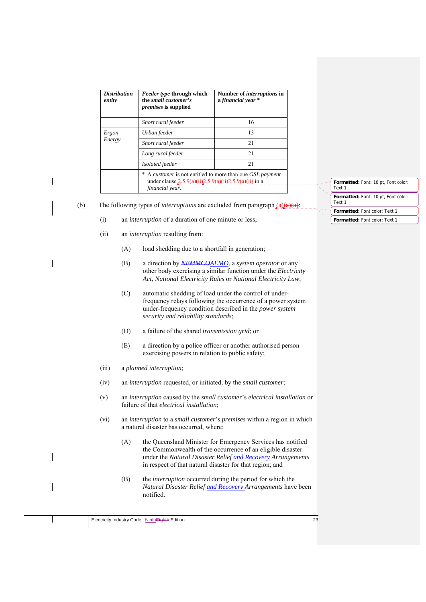| <b>Distribution</b><br>entity | Feeder type through which<br>the small customer's<br><i>premises</i> is supplied                                                                     | Number of <i>interruptions</i> in<br>a financial year * |  |
|-------------------------------|------------------------------------------------------------------------------------------------------------------------------------------------------|---------------------------------------------------------|--|
|                               | Short rural feeder                                                                                                                                   | 16                                                      |  |
| Ergon<br>Energy               | Urban feeder                                                                                                                                         | 13                                                      |  |
|                               | Short rural feeder                                                                                                                                   | 21                                                      |  |
|                               | Long rural feeder                                                                                                                                    | 21                                                      |  |
|                               | Isolated feeder                                                                                                                                      | 21                                                      |  |
|                               | A <i>customer</i> is not entitled to more than one <i>GSL payment</i><br>under clause $2.5.9(a)(ii)2.5.9(a)(ii)2.5.9(a)(ii)$ in a<br>financial year. |                                                         |  |

- (b) The following types of *interruptions* are excluded from paragraph  $(a)(a)(a)$ 
	- (i) an *interruption* of a duration of one minute or less;
	- (ii) an *interruption* resulting from:
		- (A) load shedding due to a shortfall in generation;
		- (B) a direction by *NEMMCOAEMO*, a *system operator* or any other body exercising a similar function under the *Electricity Act*, *National Electricity Rules* or *National Electricity Law*;
		- (C) automatic shedding of load under the control of underfrequency relays following the occurrence of a power system under-frequency condition described in the *power system security and reliability standards*;
		- (D) a failure of the shared *transmission grid*; or
		- (E) a direction by a police officer or another authorised person exercising powers in relation to public safety;
	- (iii) a *planned interruption*;
	- (iv) an *interruption* requested, or initiated, by the *small customer*;
	- (v) an *interruption* caused by the *small customer*'s *electrical installation* or failure of that *electrical installation*;
	- (vi) an *interruption* to a *small customer*'s *premises* within a region in which a natural disaster has occurred, where:
		- (A) the Queensland Minister for Emergency Services has notified the Commonwealth of the occurrence of an eligible disaster under the *Natural Disaster Relief and Recovery Arrangements*  in respect of that natural disaster for that region; and
		- (B) the *interruption* occurred during the period for which the *Natural Disaster Relief and Recovery Arrangements* have been notified.

**Formatted:** Font: 10 pt, Font color: Text 1 **Formatted:** Font: 10 pt, Font color: Text 1 **Formatted:** Font color: Text 1 **Formatted:** Font color: Text 1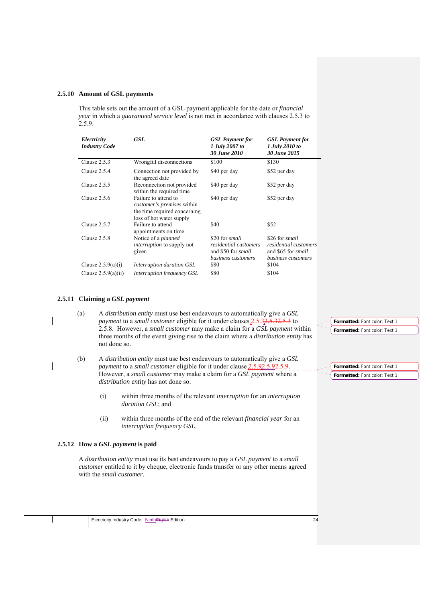#### **2.5.10 Amount of GSL payments**

This table sets out the amount of a GSL payment applicable for the date or *financial year* in which a *guaranteed service level* is not met in accordance with clauses 2.5.3 to 2.5.9.

| Electricity<br><b>Industry Code</b> | GSL                                                                                                                   | <b>GSL</b> Payment for<br>1 July 2007 to<br>30 June 2010                                   | <b>GSL</b> Payment for<br>1 July 2010 to<br>30 June 2015                                   |
|-------------------------------------|-----------------------------------------------------------------------------------------------------------------------|--------------------------------------------------------------------------------------------|--------------------------------------------------------------------------------------------|
| Clause 2.5.3                        | Wrongful disconnections                                                                                               | \$100                                                                                      | \$130                                                                                      |
| Clause $2.5.4$                      | Connection not provided by<br>the agreed date                                                                         | \$40 per day                                                                               | \$52 per day                                                                               |
| Clause $2.5.5$                      | Reconnection not provided<br>within the required time                                                                 | \$40 per day                                                                               | \$52 per day                                                                               |
| Clause $2.5.6$                      | Failure to attend to<br><i>customer's premises</i> within<br>the time required concerning<br>loss of hot water supply | \$40 per day                                                                               | \$52 per day                                                                               |
| Clause $2.5.7$                      | Failure to attend<br>appointments on time                                                                             | \$40                                                                                       | \$52                                                                                       |
| Clause $2.5.8$                      | Notice of a <i>planned</i><br><i>interruption</i> to supply not<br>given                                              | \$20 for <i>small</i><br>residential customers<br>and \$50 for small<br>business customers | \$26 for <i>small</i><br>residential customers<br>and \$65 for small<br>business customers |
| Clause $2.5.9(a)(i)$                | Interruption duration GSL                                                                                             | \$80                                                                                       | \$104                                                                                      |
| Clause $2.5.9(a)(ii)$               | Interruption frequency GSL                                                                                            | \$80                                                                                       | \$104                                                                                      |

#### **2.5.11 Claiming a** *GSL payment*

(a) A *distribution entity* must use best endeavours to automatically give a *GSL payment* to a *small customer* eligible for it under clauses 2.5.32.5.32.5.3 to 2.5.8. However, a *small customer* may make a claim for a *GSL payment* within three months of the event giving rise to the claim where a *distribution entity* has not done so.

- (b) A *distribution entity* must use best endeavours to automatically give a *GSL payment* to a *small customer* eligible for it under clause 2.5.92.5.92.5.9. However, a *small customer* may make a claim for a *GSL payment* where a *distribution entity* has not done so:
	- (i) within three months of the relevant *interruption* for an *interruption duration GSL*; and
	- (ii) within three months of the end of the relevant *financial year* for an *interruption frequency GSL*.

#### **2.5.12 How a** *GSL payment* **is paid**

A *distribution entity* must use its best endeavours to pay a *GSL payment* to a *small customer* entitled to it by cheque, electronic funds transfer or any other means agreed with the *small customer*.

**Formatted:** Font color: Text 1 **Formatted:** Font color: Text 1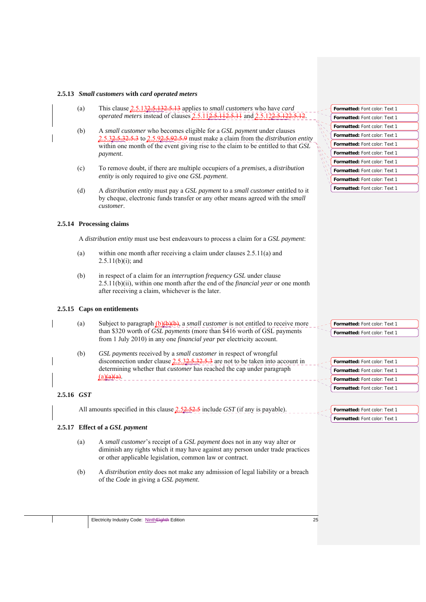#### **2.5.13** *Small customers* **with** *card operated meters*

- (a) This clause 2.5.132.5.132.5.13 applies to *small customers* who have *card operated meters* instead of clauses 2.5.11<del>2.5.112.5.11</del> and 2.5.122.
- (b) A *small customer* who becomes eligible for a *GSL payment* under clauses 2.5.32.5.32.5.3 to 2.5.92.5.92.5.9 must make a claim from the *distribution entity* within one month of the event giving rise to the claim to be entitled to that *GSL payment*.
- (c) To remove doubt, if there are multiple occupiers of a *premises*, a *distribution entity* is only required to give one *GSL payment*.
- (d) A *distribution entity* must pay a *GSL payment* to a *small customer* entitled to it by cheque, electronic funds transfer or any other means agreed with the *small customer*.

#### **2.5.14 Processing claims**

A *distribution entity* must use best endeavours to process a claim for a *GSL payment*:

- (a) within one month after receiving a claim under clauses 2.5.11(a) and  $2.5.11(b)(i)$ ; and
- (b) in respect of a claim for an *interruption frequency GSL* under clause 2.5.11(b)(ii), within one month after the end of the *financial year* or one month after receiving a claim, whichever is the later.

#### **2.5.15 Caps on entitlements**

- (a) Subject to paragraph (b)(b)(b), a *small customer* is not entitled to receive more than \$320 worth of *GSL payments* (more than \$416 worth of GSL payments from 1 July 2010) in any one *financial year* per electricity account.
- (b) *GSL payments* received by a *small customer* in respect of wrongful disconnection under clause 2.5.32.5.32.5.3 are not to be taken into account in determining whether that *customer* has reached the cap under paragraph (a)(a)(a).

#### **2.5.16** *GST*

All amounts specified in this clause 2.52.52.5 include *GST* (if any is payable).

#### **2.5.17 Effect of a** *GSL payment*

- (a) A *small customer*'s receipt of a *GSL payment* does not in any way alter or diminish any rights which it may have against any person under trade practices or other applicable legislation, common law or contract.
- (b) A *distribution entity* does not make any admission of legal liability or a breach of the *Code* in giving a *GSL payment*.

| <b>Formatted:</b> Font color: Text 1 |
|--------------------------------------|
| <b>Formatted: Font color: Text 1</b> |
| Formatted: Font color: Text 1        |
| <b>Formatted: Font color: Text 1</b> |
| <b>Formatted: Font color: Text 1</b> |
| <b>Formatted: Font color: Text 1</b> |
| <b>Formatted: Font color: Text 1</b> |
| <b>Formatted: Font color: Text 1</b> |
| <b>Formatted:</b> Font color: Text 1 |
| <b>Formatted:</b> Font color: Text 1 |

**Formatted:** Font color: Text 1 **Formatted:** Font color: Text 1

| Formatted: Font color: Text 1 |
|-------------------------------|
| Formatted: Font color: Text 1 |
| Formatted: Font color: Text 1 |
| Formatted: Font color: Text 1 |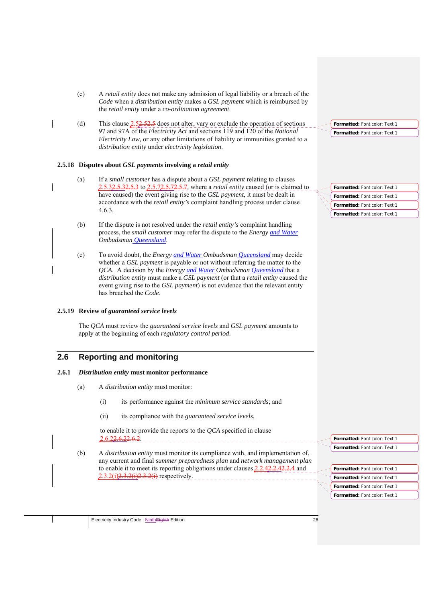- (c) A *retail entity* does not make any admission of legal liability or a breach of the *Code* when a *distribution entity* makes a *GSL payment* which is reimbursed by the *retail entity* under a *co-ordination agreement*.
- (d) This clause  $2.52.52.5$  does not alter, vary or exclude the operation of sections 97 and 97A of the *Electricity Act* and sections 119 and 120 of the *National Electricity Law,* or any other limitations of liability or immunities granted to a *distribution entity* under *electricity legislation*.

#### **2.5.18 Disputes about** *GSL payments* **involving a** *retail entity*

- (a) If a *small customer* has a dispute about a *GSL payment* relating to clauses 2.5.32.5.32.5.3 to 2.5.72.5.72.5.7*,* where a *retail entity* caused (or is claimed to have caused) the event giving rise to the *GSL payment*, it must be dealt in accordance with the *retail entity's* complaint handling process under clause 4.6.3.
- (b) If the dispute is not resolved under the *retail entity's* complaint handling process, the *small customer* may refer the dispute to the *Energy and Water Ombudsman Queensland*.
- (c) To avoid doubt, the *Energy and Water Ombudsman Queensland* may decide whether a *GSL payment* is payable or not without referring the matter to the *QCA*. A decision by the *Energy and Water Ombudsman Queensland* that a *distribution entity* must make a *GSL payment* (or that a *retail entity* caused the event giving rise to the *GSL payment*) is not evidence that the relevant entity has breached the *Code*.

#### **2.5.19 Review of** *guaranteed service levels*

The *QCA* must review the *guaranteed service levels* and *GSL payment* amounts to apply at the beginning of each *regulatory control period*.

# **2.6 Reporting and monitoring**

#### **2.6.1** *Distribution entity* **must monitor performance**

- (a) A *distribution entity* must monitor:
	- (i) its performance against the *minimum service standards*; and
	- (ii) its compliance with the *guaranteed service levels*,

to enable it to provide the reports to the *QCA* specified in clause 2.6.2<del>2.6.22.6.2</del>.

(b) A *distribution entity* must monitor its compliance with, and implementation of, any current and final *summer preparedness plan* and *network management plan* to enable it to meet its reporting obligations under clauses 2.2.42.2.42.2.4 and 3.2(i)2.3.2(i)2.3.2(i) respectively.

**Formatted:** Font color: Text 1 **Formatted:** Font color: Text 1

**Formatted:** Font color: Text 1 **Formatted:** Font color: Text 1 **Formatted:** Font color: Text 1 **Formatted:** Font color: Text 1

**Formatted:** Font color: Text 1 **Formatted:** Font color: Text 1

**Formatted:** Font color: Text 1 **Formatted:** Font color: Text 1 **Formatted:** Font color: Text 1 **Formatted:** Font color: Text 1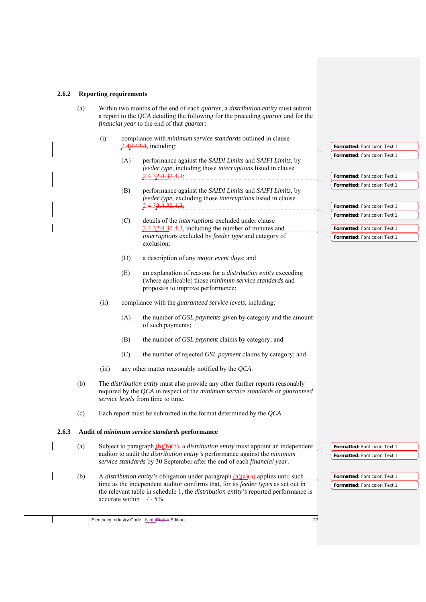#### **2.6.2 Reporting requirements**

- (a) Within two months of the end of each *quarter*, a *distribution entity* must submit a report to the *QCA* detailing the following for the preceding *quarter* and for the *financial year* to the end of that *quarter*:
	- (i) compliance with *minimum service standards* outlined in clause 2.42.42.4, including:
		- (A) performance against the *SAIDI Limits* and *SAIFI Limits*, by *feeder type*, including those *interruptions* listed in clause 2.4.32.4.32.4.3;
		- (B) performance against the *SAIDI Limits* and *SAIFI Limits*, by *feeder type*, excluding those *interruptions* listed in clause 2.4.32.4.32.4.3;
		- (C) details of the *interruptions* excluded under clause 2.4.32.4.32.4.3, including the number of minutes and *interruptions* excluded by *feeder type* and category of exclusion;
		- (D) a description of any *major event days*; and
		- (E) an explanation of reasons for a *distribution entity* exceeding (where applicable) those *minimum service standards* and proposals to improve performance;
	- (ii) compliance with the *guaranteed service levels*, including;
		- (A) the number of *GSL payments* given by category and the amount of such payments;
		- (B) the number of *GSL payment* claims by category; and
		- (C) the number of rejected *GSL payment* claims by category; and
	- (iii) any other matter reasonably notified by the *QCA*.
- (b) The *distribution entity* must also provide any other further reports reasonably required by the *QCA* in respect of the *minimum service standards* or *guaranteed service levels* from time to time.
- (c) Each report must be submitted in the format determined by the *QCA*.

#### **2.6.3 Audit of** *minimum service standards* **performance**

- (a) Subject to paragraph  $(b)(b)(b)$ , a *distribution entity* must appoint an independent auditor to audit the *distribution entity's* performance against the *minimum service standards* by 30 September after the end of each *financial year*.
- (b) A *distribution entity's* obligation under paragraph (a)(a)(a) applies until such time as the independent auditor confirms that, for its *feeder types* as set out in the relevant table in schedule 1, the *distribution entity's* reported performance is accurate within  $+/-5\%$ .

**Formatted:** Font color: Text 1 **Formatted:** Font color: Text 1

**Formatted:** Font color: Text 1 **Formatted:** Font color: Text 1

**Formatted:** Font color: Text 1 **Formatted:** Font color: Text 1

**Formatted:** Font color: Text 1 **Formatted:** Font color: Text 1 **Formatted:** Font color: Text 1 **Formatted:** Font color: Text 1

**Formatted:** Font color: Text 1 **Formatted:** Font color: Text 1

Electricity Industry Code: Ninth Eighth Edition 27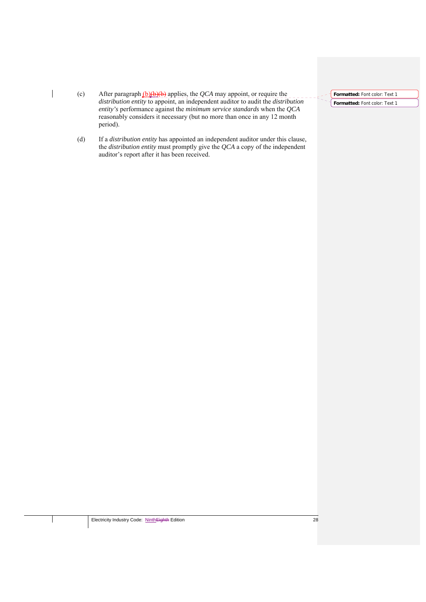(c) After paragraph (b)(b)(b) applies, the *QCA* may appoint, or require the *distribution entity* to appoint, an independent auditor to audit the *distribution entity's* performance against the *minimum service standards* when the *QCA* reasonably considers it necessary (but no more than once in any 12 month period).

 $\overline{\phantom{a}}$ 

(d) If a *distribution entity* has appointed an independent auditor under this clause, the *distribution entity* must promptly give the *QCA* a copy of the independent auditor's report after it has been received.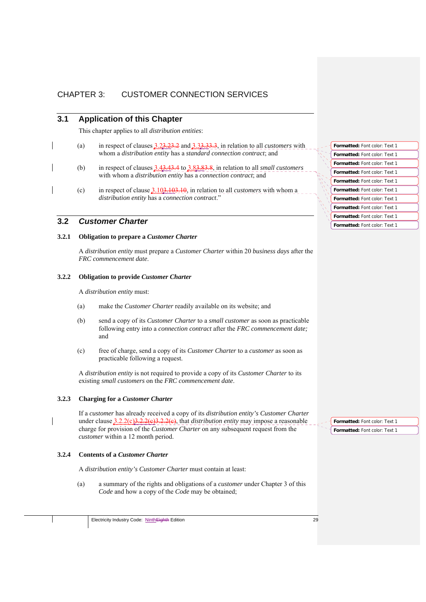# CHAPTER 3: CUSTOMER CONNECTION SERVICES

# **3.1 Application of this Chapter**

This chapter applies to all *distribution entities*:

- (a) in respect of clauses 3.23.23.2 and 3.33.33.3, in relation to all *customers* with whom a *distribution entity* has a *standard connection contract*; and
	- (b) in respect of clauses 3.43.43.4 to 3.83.83.8, in relation to all *small customers* with whom a *distribution entity* has a *connection contract*; and
	- (c) in respect of clause 3.103.103.10, in relation to all *customers* with whom a *distribution entity* has a *connection contract*."

## **3.2** *Customer Charter*

#### **3.2.1 Obligation to prepare a** *Customer Charter*

A *distribution entity* must prepare a *Customer Charter* within 20 *business days* after the *FRC commencement date*.

#### **3.2.2 Obligation to provide** *Customer Charter*

A *distribution entity* must:

- (a) make the *Customer Charter* readily available on its website; and
- (b) send a copy of its *Customer Charter* to a *small customer* as soon as practicable following entry into a *connection contract* after the *FRC commencement date;*  and
- (c) free of charge, send a copy of its *Customer Charter* to a *customer* as soon as practicable following a request.

A *distribution entity* is not required to provide a copy of its *Customer Charter* to its existing *small customers* on the *FRC commencement date*.

#### **3.2.3 Charging for a** *Customer Charter*

If a *customer* has already received a copy of its *distribution entity's Customer Charter*  under clause  $3.2.2(c)3.2.2(e)3.2.2(e)$ , that *distribution entity* may impose a reasonable charge for provision of the *Customer Charter* on any subsequent request from the *customer* within a 12 month period.

#### **3.2.4 Contents of a** *Customer Charter*

A *distribution entity's Customer Charter* must contain at least:

(a) a summary of the rights and obligations of a *customer* under Chapter 3 of this *Code* and how a copy of the *Code* may be obtained;

|  |  | Electricity Industry Code: NinthEighth Edition | no |
|--|--|------------------------------------------------|----|
|--|--|------------------------------------------------|----|

| <b>Formatted: Font color: Text 1</b> |
|--------------------------------------|
| <b>Formatted: Font color: Text 1</b> |
| <b>Formatted: Font color: Text 1</b> |
| Formatted: Font color: Text 1        |
| <b>Formatted: Font color: Text 1</b> |
| <b>Formatted: Font color: Text 1</b> |
| <b>Formatted: Font color: Text 1</b> |
| <b>Formatted: Font color: Text 1</b> |
| <b>Formatted: Font color: Text 1</b> |
| <b>Formatted:</b> Font color: Text 1 |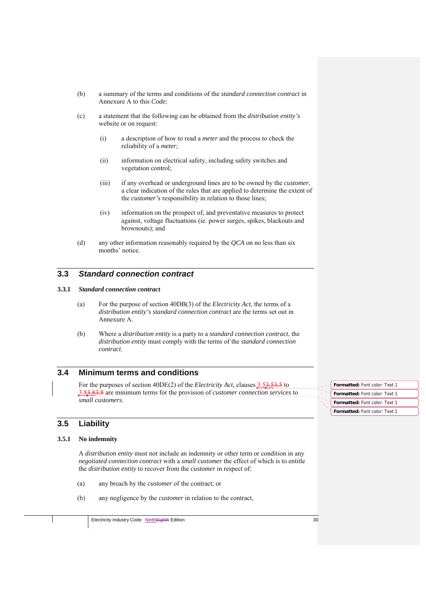- (b) a summary of the terms and conditions of the *standard connection contract* in Annexure A to this *Code*;
- (c) a statement that the following can be obtained from the *distribution entity's*  website or on request:
	- (i) a description of how to read a *meter* and the process to check the reliability of a *meter*;
	- (ii) information on electrical safety, including safety switches and vegetation control;
	- (iii) if any overhead or underground lines are to be owned by the *customer*, a clear indication of the rules that are applied to determine the extent of the *customer's* responsibility in relation to those lines;
	- (iv) information on the prospect of, and preventative measures to protect against, voltage fluctuations (ie. power surges, spikes, blackouts and brownouts); and
- (d) any other information reasonably required by the *QCA* on no less than six months' notice.

# **3.3** *Standard connection contract*

#### **3.3.1** *Standard connection contract*

- (a) For the purpose of section 40DB(3) of the *Electricity Act*, the terms of a *distribution entity's standard connection contract* are the terms set out in Annexure A.
- (b) Where a *distribution entity* is a party to a *standard connection contract*, the *distribution entity* must comply with the terms of the *standard connection contract*.

# **3.4 Minimum terms and conditions**

For the purposes of section 40DE(2) of the *Electricity Act*, clauses 3.53.53.5 to 3.83.83.8 are minimum terms for the provision of *customer connection services* to *small customers*.

#### **3.5 Liability**

#### **3.5.1 No indemnity**

A *distribution entity* must not include an indemnity or other term or condition in any *negotiated connection contract* with a *small customer* the effect of which is to entitle the *distribution entity* to recover from the *customer* in respect of:

- (a) any breach by the *customer* of the contract; or
- (b) any negligence by the *customer* in relation to the contract,

**Formatted:** Font color: Text 1 **Formatted:** Font color: Text 1 **Formatted:** Font color: Text 1 **Formatted:** Font color: Text 1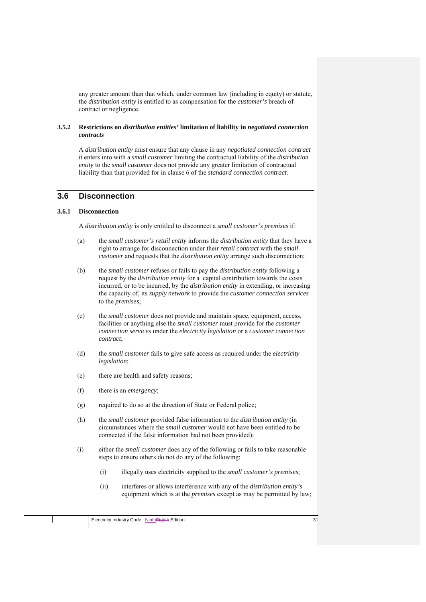any greater amount than that which, under common law (including in equity) or statute, the *distribution entity* is entitled to as compensation for the *customer's* breach of contract or negligence.

#### **3.5.2 Restrictions on** *distribution entities'* **limitation of liability in** *negotiated connection contracts*

A *distribution entity* must ensure that any clause in any *negotiated connection contract* it enters into with a *small customer* limiting the contractual liability of the *distribution entity* to the *small customer* does not provide any greater limitation of contractual liability than that provided for in clause 6 of the *standard connection contract*.

# **3.6 Disconnection**

#### **3.6.1 Disconnection**

A *distribution entity* is only entitled to disconnect a *small customer's premises* if:

- (a) the *small customer's retail entity* informs the *distribution entity* that they have a right to arrange for disconnection under their *retail contract* with the *small customer* and requests that the *distribution entity* arrange such disconnection;
- (b) the *small customer* refuses or fails to pay the *distribution entity* following a request by the *distribution entity* for a capital contribution towards the costs incurred, or to be incurred, by the *distribution entity* in extending, or increasing the capacity of, its *supply network* to provide the *customer connection services* to the *premises*;
- (c) the *small customer* does not provide and maintain space, equipment, access, facilities or anything else the *small customer* must provide for the *customer connection services* under the *electricity legislation* or a *customer connection contract*;
- (d) the *small customer* fails to give safe access as required under the *electricity legislation*;
- (e) there are health and safety reasons;
- (f) there is an *emergency*;
- (g) required to do so at the direction of State or Federal police;
- (h) the *small customer* provided false information to the *distribution entity* (in circumstances where the *small customer* would not have been entitled to be connected if the false information had not been provided);
- (i) either the *small customer* does any of the following or fails to take reasonable steps to ensure others do not do any of the following:
	- (i) illegally uses electricity supplied to the *small customer's premises*;
	- (ii) interferes or allows interference with any of the *distribution entity's* equipment which is at the *premises* except as may be permitted by law;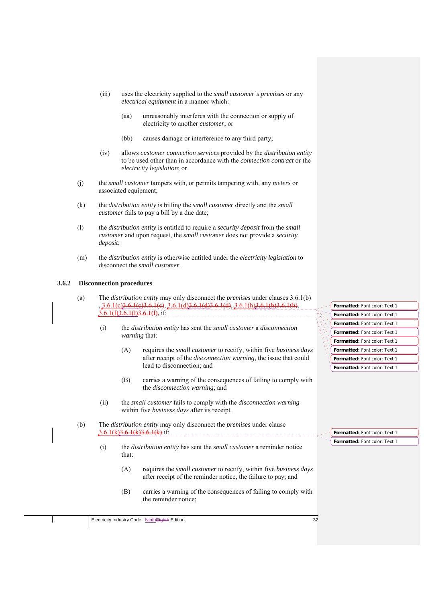- (iii) uses the electricity supplied to the *small customer's premises* or any *electrical equipment* in a manner which:
	- (aa) unreasonably interferes with the connection or supply of electricity to another *customer*; or
	- (bb) causes damage or interference to any third party;
- (iv) allows *customer connection services* provided by the *distribution entity* to be used other than in accordance with the *connection contract* or the *electricity legislation*; or
- (j) the *small customer* tampers with, or permits tampering with, any *meters* or associated equipment;
- (k) the *distribution entity* is billing the *small customer* directly and the *small customer* fails to pay a bill by a due date;
- (l) the *distribution entity* is entitled to require a *security deposit* from the *small customer* and upon request, the *small customer* does not provide a *security deposit*;
- (m) the *distribution entity* is otherwise entitled under the *electricity legislation* to disconnect the *small customer*.

#### **3.6.2 Disconnection procedures**

- (a) The *distribution entity* may only disconnect the *premises* under clauses 3.6.1(b)  $3.6.1(c)3.6.1(e)3.6.1(e), 3.6.1(d)3.6.1(d)3.6.1(d), 3.6.1(h)3.6.1(h),$ 3.6.1(l)3.6.1(l)3.6.1(l), if:
	- (i) the *distribution entity* has sent the *small customer* a *disconnection warning* that:
		- (A) requires the *small customer* to rectify, within five *business days*  after receipt of the *disconnection warning*, the issue that could lead to disconnection; and
		- (B) carries a warning of the consequences of failing to comply with the *disconnection warning*; and
	- (ii) the *small customer* fails to comply with the *disconnection warning* within five *business days* after its receipt.
- (b) The *distribution entity* may only disconnect the *premises* under clause  $3.6.1(k)3.6.1(k)3.6.1(k)$  if:
	- (i) the *distribution entity* has sent the *small customer* a reminder notice that:
		- (A) requires the *small customer* to rectify, within five *business days*  after receipt of the reminder notice, the failure to pay; and
		- (B) carries a warning of the consequences of failing to comply with the reminder notice;

| <b>Formatted:</b> Font color: Text 1 |  |
|--------------------------------------|--|
| <b>Formatted:</b> Font color: Text 1 |  |
| Formatted: Font color: Text 1        |  |
| Formatted: Font color: Text 1        |  |
| <b>Formatted: Font color: Text 1</b> |  |
| Formatted: Font color: Text 1        |  |
| Formatted: Font color: Text 1        |  |
| Formatted: Font color: Text 1        |  |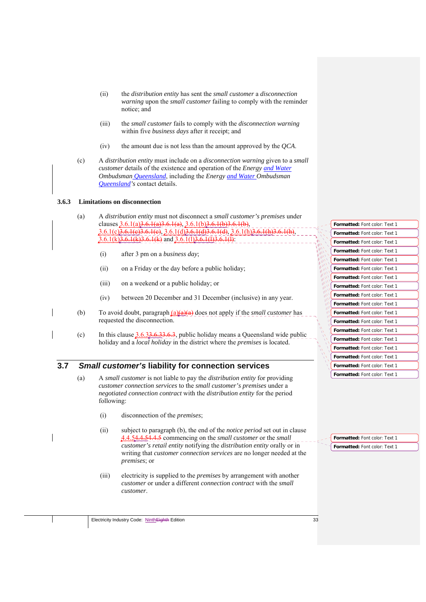- (ii) the *distribution entity* has sent the *small customer* a *disconnection warning* upon the *small customer* failing to comply with the reminder notice; and
- (iii) the *small customer* fails to comply with the *disconnection warning* within five *business days* after it receipt; and
- (iv) the amount due is not less than the amount approved by the *QCA*.
- (c) A *distribution entity* must include on a *disconnection warning* given to a *small customer* details of the existence and operation of the *Energy and Water Ombudsman Queensland*, including the *Energy and Water Ombudsman Queensland's* contact details.

#### **3.6.3 Limitations on disconnection**

- (a) A *distribution entity* must not disconnect a *small customer's premises* under clauses  $3.6.1(a)3.6.1(a)3.6.1(a)$ ,  $3.6.1(b)3.6.1(b)3$  $3.6.1(c)$  $3.6.1(e)$  $3.6.1(e)$ ,  $3.6.1(d)$  $3.6.1(k)$  $3.6.1(k)$  $3.6.1(k)$  and  $3.6.1(l)$ 
	- (i) after 3 pm on a *business day*;
	- (ii) on a Friday or the day before a public holiday;
	- (iii) on a weekend or a public holiday; or
	- (iv) between 20 December and 31 December (inclusive) in any year.
- (b) To avoid doubt, paragraph (a)(a)(a) does not apply if the *small customer* has requested the disconnection.
- (c) In this clause  $3.6.33.6.33.6.3$ , public holiday means a Queensland wide public holiday and a *local holiday* in the district where the *premises* is located.

# **3.7** *Small customer's* **liability for connection services**

- (a) A *small customer* is not liable to pay the *distribution entity* for providing *customer connection services* to the *small customer's premises* under a *negotiated connection contract* with the *distribution entity* for the period following:
	- (i) disconnection of the *premises*;
	- (ii) subject to paragraph (b), the end of the *notice period* set out in clause 4.4.54.4.54.4.5 commencing on the *small customer* or the *small customer's retail entity* notifying the *distribution entity* orally or in writing that *customer connection services* are no longer needed at the *premises*; or
	- (iii) electricity is supplied to the *premises* by arrangement with another *customer* or under a different *connection contract* with the *small customer*.

| <b>Formatted: Font color: Text 1</b> |
|--------------------------------------|
| <b>Formatted: Font color: Text 1</b> |
| <b>Formatted: Font color: Text 1</b> |
| <b>Formatted: Font color: Text 1</b> |
| <b>Formatted: Font color: Text 1</b> |
| <b>Formatted: Font color: Text 1</b> |
| <b>Formatted: Font color: Text 1</b> |
| <b>Formatted: Font color: Text 1</b> |
| <b>Formatted: Font color: Text 1</b> |
| <b>Formatted: Font color: Text 1</b> |
| <b>Formatted: Font color: Text 1</b> |
| <b>Formatted: Font color: Text 1</b> |
| <b>Formatted: Font color: Text 1</b> |
| <b>Formatted: Font color: Text 1</b> |
| <b>Formatted: Font color: Text 1</b> |
| <b>Formatted: Font color: Text 1</b> |
| <b>Formatted:</b> Font color: Text 1 |
| <b>Formatted:</b> Font color: Text 1 |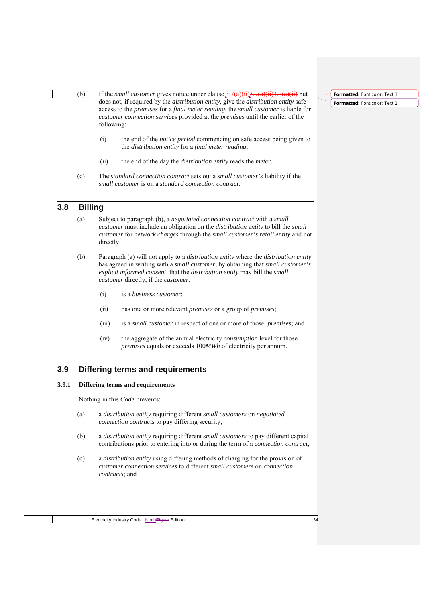(b) If the *small customer* gives notice under clause  $\frac{3.7(a)(ii)3.7(a)(ii)3.7(a)(ii)}{3.7(a)(ii)}$  but does not, if required by the *distribution entity*, give the *distribution entity* safe access to the *premises* for a *final meter reading*, the *small customer* is liable for *customer connection services* provided at the *premises* until the earlier of the following:

- (i) the end of the *notice period* commencing on safe access being given to the *distribution entity* for a *final meter reading*;
- (ii) the end of the day the *distribution entity* reads the *meter*.
- (c) The *standard connection contract* sets out a *small customer's* liability if the *small customer* is on a *standard connection contract*.

# **3.8 Billing**

- (a) Subject to paragraph (b), a *negotiated connection contract* with a *small customer* must include an obligation on the *distribution entity* to bill the *small customer* for *network charges* through the *small customer's retail entity* and not directly.
- (b) Paragraph (a) will not apply to a *distribution entity* where the *distribution entity* has agreed in writing with a *small customer*, by obtaining that *small customer's explicit informed consent*, that the *distribution entity* may bill the *small customer* directly, if the *customer*:
	- (i) is a *business customer*;
	- (ii) has one or more relevant *premises* or a group of *premises*;
	- (iii) is a *small customer* in respect of one or more of those *premises*; and
	- (iv) the aggregate of the annual electricity *consumption* level for those *premises* equals or exceeds 100*MWh* of electricity per annum.

# **3.9 Differing terms and requirements**

#### **3.9.1 Differing terms and requirements**

Nothing in this *Code* prevents:

- (a) a *distribution entity* requiring different *small customers* on *negotiated connection contracts* to pay differing security;
- (b) a *distribution entity* requiring different *small customers* to pay different capital contributions prior to entering into or during the term of a *connection contract*;
- (c) a *distribution entity* using differing methods of charging for the provision of *customer connection services* to different *small customers* on *connection contracts*; and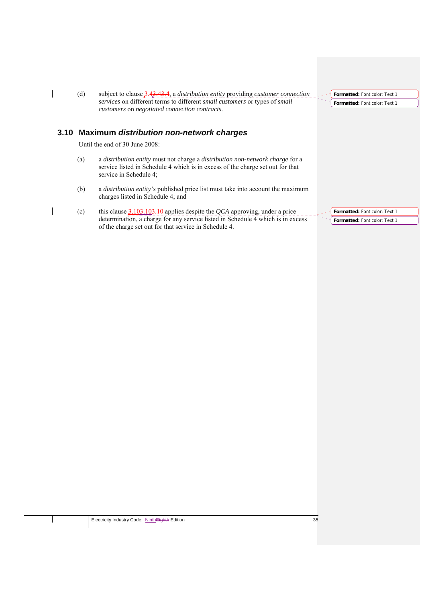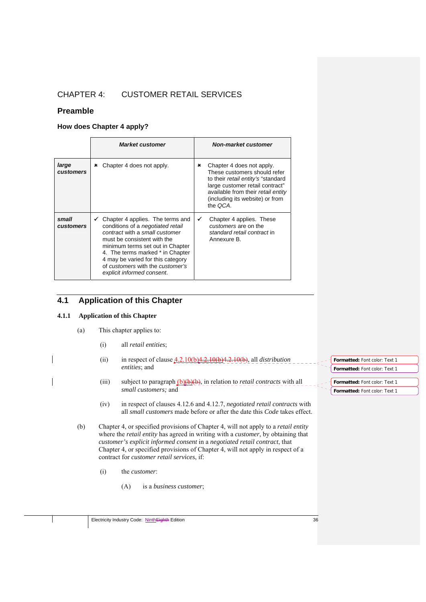# CHAPTER 4: CUSTOMER RETAIL SERVICES

# **Preamble**

# **How does Chapter 4 apply?**

|                           | <b>Market customer</b>                                                                                                                                                                                                                                                                                                       | Non-market customer                                                                                                                                                                                                          |
|---------------------------|------------------------------------------------------------------------------------------------------------------------------------------------------------------------------------------------------------------------------------------------------------------------------------------------------------------------------|------------------------------------------------------------------------------------------------------------------------------------------------------------------------------------------------------------------------------|
| large<br><b>customers</b> | Chapter 4 does not apply.<br>×                                                                                                                                                                                                                                                                                               | Chapter 4 does not apply.<br>×<br>These customers should refer<br>to their retail entity's "standard<br>large customer retail contract"<br>available from their retail entity<br>(including its website) or from<br>the OCA. |
| small<br>customers        | Chapter 4 applies. The terms and<br>conditions of a <i>negotiated</i> retail<br>contract with a small customer<br>must be consistent with the<br>minimum terms set out in Chapter<br>4. The terms marked * in Chapter<br>4 may be varied for this category<br>of customers with the customer's<br>explicit informed consent. | ✓<br>Chapter 4 applies. These<br>customers are on the<br>standard retail contract in<br>Annexure B.                                                                                                                          |

# **4.1 Application of this Chapter**

# **4.1.1 Application of this Chapter**

- (a) This chapter applies to:
	- (i) all *retail entities*;
	- (ii) in respect of clause 4.2.10(b)4.2.10(b)4.2.10(b), all *distribution entities*; and
	- (iii) subject to paragraph (b)(b)(b), in relation to *retail contracts* with all *small customers;* and
	- (iv) in respect of clauses 4.12.6 and 4.12.7, *negotiated retail contracts* with all *small customers* made before or after the date this *Code* takes effect.
- (b) Chapter 4, or specified provisions of Chapter 4, will not apply to a *retail entity* where the *retail entity* has agreed in writing with a *customer*, by obtaining that *customer's explicit informed consent* in a *negotiated retail contract*, that Chapter 4, or specified provisions of Chapter 4, will not apply in respect of a contract for *customer retail services*, if:
	- (i) the *customer*:
		- (A) is a *business customer*;

| Formatted: Font color: Text 1 |  |
|-------------------------------|--|
| Formatted: Font color: Text 1 |  |
|                               |  |
| Formatted: Font color: Text 1 |  |
| Formatted: Font color: Text 1 |  |

 $- - - < 1$ 

 $-\epsilon^{-1}$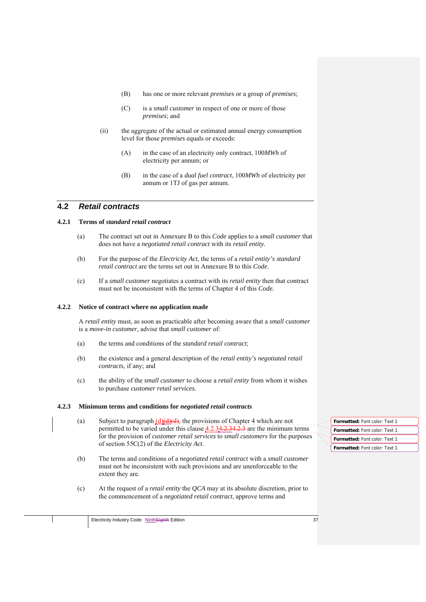- (B) has one or more relevant *premises* or a group of *premises*;
- (C) is a *small customer* in respect of one or more of those *premises*; and
- (ii) the aggregate of the actual or estimated annual energy consumption level for those *premises* equals or exceeds:
	- (A) in the case of an electricity only contract, 100*MWh* of electricity per annum; or
	- (B) in the case of a *dual fuel contract*, 100*MWh* of electricity per annum or 1TJ of gas per annum.

# **4.2** *Retail contracts*

# **4.2.1 Terms of** *standard retail contract*

- (a) The contract set out in Annexure B to this *Code* applies to a s*mall customer* that does not have a *negotiated retail contract* with its *retail entity*.
- (b) For the purpose of the *Electricity Act*, the terms of a *retail entity's standard retail contract* are the terms set out in Annexure B to this *Code*.
- (c) If a *small customer* negotiates a contract with its *retail entity* then that contract must not be inconsistent with the terms of Chapter 4 of this *Code.*

#### **4.2.2 Notice of contract where no application made**

A *retail entity* must, as soon as practicable after becoming aware that a *small customer*  is a *move-in customer*, advise that *small customer* of:

- (a) the terms and conditions of the *standard retail contract*;
- (b) the existence and a general description of the *retail entity's negotiated retail contracts*, if any; and
- (c) the ability of the *small customer* to choose a *retail entity* from whom it wishes to purchase *customer retail services.*

## **4.2.3 Minimum terms and conditions for** *negotiated retail contracts*

- (a) Subject to paragraph  $(d)(d)(d)$ , the provisions of Chapter 4 which are not permitted to be varied under this clause  $4.2.34.2.34.2.3$  are the minimum terms for the provision of *customer retail services* to *small customers* for the purposes of section 55C(2) of the *Electricity Act*.
- (b) The terms and conditions of a *negotiated retail contract* with a *small customer* must not be inconsistent with such provisions and are unenforceable to the extent they are.
- (c) At the request of a *retail entity* the *QCA* may at its absolute discretion, prior to the commencement of a *negotiated retail contract*, approve terms and

**Formatted:** Font color: Text 1 **Formatted:** Font color: Text 1 **Formatted:** Font color: Text 1 **Formatted:** Font color: Text 1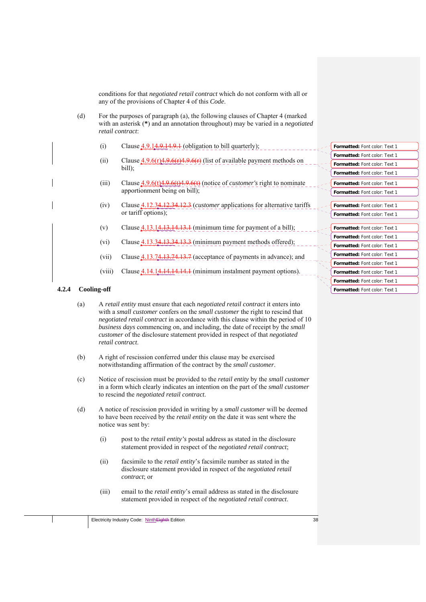conditions for that *negotiated retail contract* which do not conform with all or any of the provisions of Chapter 4 of this *Code*.

- (d) For the purposes of paragraph (a), the following clauses of Chapter 4 (marked with an asterisk (**\***) and an annotation throughout) may be varied in a *negotiated retail contract*:
	- (i) Clause  $4.9.14.9.14.9.1$  (obligation to bill quarterly);
	- (ii) Clause  $4.9.6(r)4.9.6(r)4.9.6(r)$  (list of available payment methods or bill);
	- (iii) Clause 4.9.6(t)4.9.6(t)4.9.6(t) (notice of *customer's* right to nominate apportionment being on bill);
	- (iv) Clause 4.12.34.12.34.12.3 (*customer* applications for alternative tariffs or tariff options);
	- (v) Clause  $4.13.14.13.14.13.1$  (minimum time for payment of a bill);
	- (vi) Clause  $4.13.34.13.34.13.3$  (minimum payment methods offered);
	- (vii) Clause  $4.13.74.13.74.13.7$  (acceptance of payments in advance); and
	- (viii) Clause 4.14.14.14.14.14.1 (minimum instalment payment options).

#### **4.2.4 Cooling-off**

- (a) A *retail entity* must ensure that each *negotiated retail contract* it enters into with a *small customer* confers on the *small customer* the right to rescind that *negotiated retail contract* in accordance with this clause within the period of 10 *business days* commencing on, and including, the date of receipt by the *small customer* of the disclosure statement provided in respect of that *negotiated retail contract*.
- (b) A right of rescission conferred under this clause may be exercised notwithstanding affirmation of the contract by the *small customer*.
- (c) Notice of rescission must be provided to the *retail entity* by the *small customer* in a form which clearly indicates an intention on the part of the *small customer* to rescind the *negotiated retail contract*.
- (d) A notice of rescission provided in writing by a *small customer* will be deemed to have been received by the *retail entity* on the date it was sent where the notice was sent by:
	- (i) post to the *retail entity's* postal address as stated in the disclosure statement provided in respect of the *negotiated retail contract*;
	- (ii) facsimile to the *retail entity*'s facsimile number as stated in the disclosure statement provided in respect of the *negotiated retail contract*; or
	- (iii) email to the *retail entity*'s email address as stated in the disclosure statement provided in respect of the *negotiated retail contract*.

| <b>Formatted: Font color: Text 1</b> |
|--------------------------------------|
| <b>Formatted: Font color: Text 1</b> |
| <b>Formatted: Font color: Text 1</b> |
| <b>Formatted:</b> Font color: Text 1 |
| <b>Formatted:</b> Font color: Text 1 |
| <b>Formatted: Font color: Text 1</b> |
|                                      |
| <b>Formatted:</b> Font color: Text 1 |
| <b>Formatted: Font color: Text 1</b> |
|                                      |
|                                      |
| <b>Formatted:</b> Font color: Text 1 |
| Formatted: Font color: Text 1        |
| <b>Formatted: Font color: Text 1</b> |
| <b>Formatted:</b> Font color: Text 1 |
| <b>Formatted: Font color: Text 1</b> |
| <b>Formatted:</b> Font color: Text 1 |
| <b>Formatted:</b> Font color: Text 1 |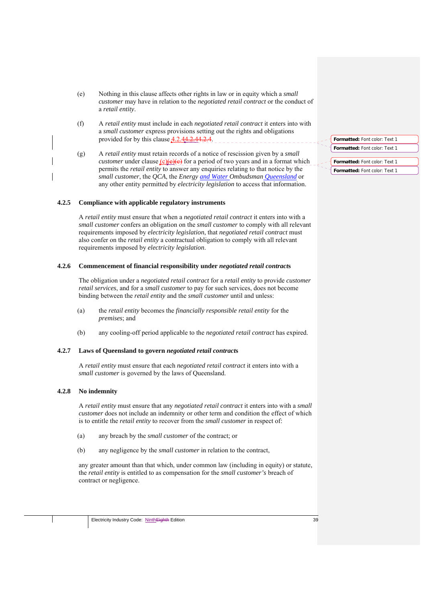- (e) Nothing in this clause affects other rights in law or in equity which a *small customer* may have in relation to the *negotiated retail contract* or the conduct of a *retail entity*.
- (f) A *retail entity* must include in each *negotiated retail contract* it enters into with a *small customer* express provisions setting out the rights and obligations provided for by this clause  $4.2.44.2.44.2.4$ .
- (g) A *retail entity* must retain records of a notice of rescission given by a *small customer* under clause  $(c)(e)(e)$  for a period of two years and in a format which permits the *retail entity* to answer any enquiries relating to that notice by the *small customer*, the *QCA*, the *Energy and Water Ombudsman Queensland* or any other entity permitted by *electricity legislation* to access that information.

#### **4.2.5 Compliance with applicable regulatory instruments**

A *retail entity* must ensure that when a *negotiated retail contract* it enters into with a *small customer* confers an obligation on the *small customer* to comply with all relevant requirements imposed by *electricity legislation*, that *negotiated retail contract* must also confer on the *retail entity* a contractual obligation to comply with all relevant requirements imposed by *electricity legislation*.

#### **4.2.6 Commencement of financial responsibility under** *negotiated retail contract***s**

The obligation under a *negotiated retail contract* for a *retail entity* to provide *customer retail services*, and for a *small customer* to pay for such services, does not become binding between the *retail entity* and the *small customer* until and unless:

- (a) the *retail entity* becomes the *financially responsible retail entity* for the *premises*; and
- (b) any cooling-off period applicable to the *negotiated retail contract* has expired.

#### **4.2.7 Laws of Queensland to govern** *negotiated retail contract***s**

A *retail entity* must ensure that each *negotiated retail contract* it enters into with a *small customer* is governed by the laws of Queensland.

#### **4.2.8 No indemnity**

A *retail entity* must ensure that any *negotiated retail contract* it enters into with a *small customer* does not include an indemnity or other term and condition the effect of which is to entitle the *retail entity* to recover from the *small customer* in respect of:

- (a) any breach by the *small customer* of the contract; or
- (b) any negligence by the *small customer* in relation to the contract,

any greater amount than that which, under common law (including in equity) or statute, the *retail entity* is entitled to as compensation for the *small customer's* breach of contract or negligence.

| Formatted: Font color: Text 1 |
|-------------------------------|
| Formatted: Font color: Text 1 |
| Formatted: Font color: Text 1 |
|                               |
| Formatted: Font color: Text 1 |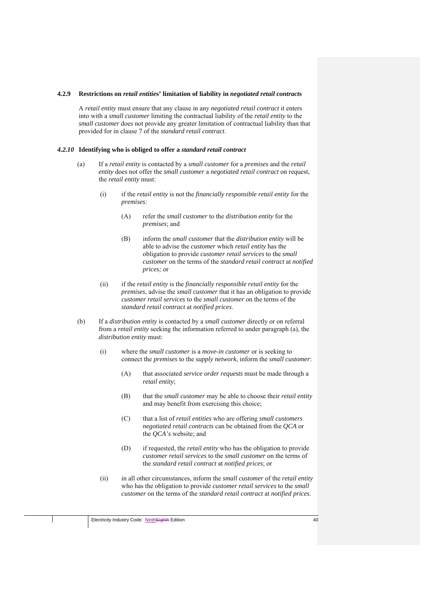#### **4.2.9 Restrictions on** *retail entitie***s' limitation of liability in** *negotiated retail contract***s**

A *retail entity* must ensure that any clause in any *negotiated retail contract* it enters into with a *small customer* limiting the contractual liability of the *retail entity* to the *small customer* does not provide any greater limitation of contractual liability than that provided for in clause 7 of the *standard retail contract*.

#### *4.2.10* **Identifying who is obliged to offer a** *standard retail contract*

- (a) If a *retail entity* is contacted by a *small customer* for a *premises* and the *retail entity* does not offer the *small customer* a *negotiated retail contract* on request, the *retail entity* must:
	- (i) if the *retail entity* is not the *financially responsible retail entity* for the *premises*:
		- (A) refer the *small customer* to the *distribution entity* for the *premises*; and
		- (B) inform the *small customer* that the *distribution entity* will be able to advise the *customer* which *retail entity* has the obligation to provide *customer retail services* to the *small customer* on the terms of the *standard retail contract* at *notified prices;* or
	- (ii) if the *retail entity* is the *financially responsible retail entity* for the *premises*, advise the *small customer* that it has an obligation to provide *customer retail services* to the *small customer* on the terms of the *standard retail contract* at *notified prices*.
- (b) If a *distribution entity* is contacted by a *small customer* directly or on referral from a *retail entity* seeking the information referred to under paragraph (a), the *distribution entity* must:
	- (i) where the *small customer* is a *move-in customer* or is seeking to connect the *premises* to the *supply network*, inform the *small customer*:
		- (A) that associated *service order requests* must be made through a *retail entity*;
		- (B) that the *small customer* may be able to choose their *retail entity* and may benefit from exercising this choice;
		- (C) that a list of *retail entities* who are offering *small customers negotiated retail contracts* can be obtained from the *QCA* or the *QCA's* website; and
		- (D) if requested, the *retail entity* who has the obligation to provide *customer retail services* to the *small customer* on the terms of the *standard retail contract* at *notified prices*; or
	- (ii) in all other circumstances, inform the *small customer* of the *retail entity* who has the obligation to provide *customer retail services* to the *small customer* on the terms of the *standard retail contract* at *notified prices*.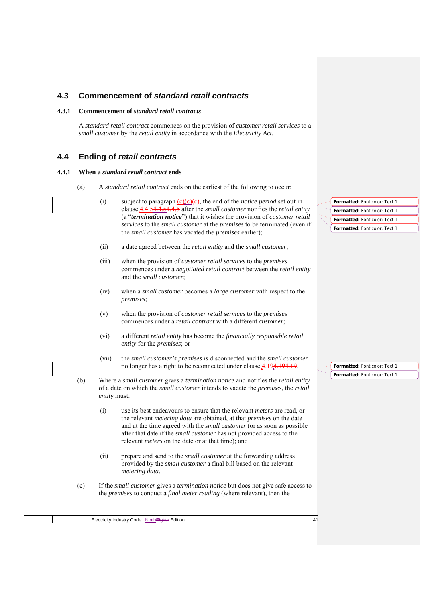# **4.3 Commencement of** *standard retail contracts*

# **4.3.1 Commencement of** *standard retail contracts*

A *standard retail contract* commences on the provision of *customer retail services* to a *small customer* by the *retail entity* in accordance with the *Electricity Act*.

# **4.4 Ending of** *retail contracts*

#### **4.4.1 When a** *standard retail contract* **ends**

- (a) A *standard retail contract* ends on the earliest of the following to occur:
	- (i) subject to paragraph  $(c)(e)(e)$ , the end of the *notice period* set out in clause 4.4.54.4.54.4.5 after the *small customer* notifies the *retail entity*  (a "*termination notice*") that it wishes the provision of *customer retail services* to the *small customer* at the *premises* to be terminated (even if the *small customer* has vacated the *premises* earlier);
	- (ii) a date agreed between the *retail entity* and the *small customer*;
	- (iii) when the provision of *customer retail services* to the *premises* commences under a *negotiated retail contract* between the *retail entity*  and the *small customer*;
	- (iv) when a *small customer* becomes a *large customer* with respect to the *premises*;
	- (v) when the provision of *customer retail services* to the *premises* commences under a *retail contract* with a different *customer*;
	- (vi) a different *retail entity* has become the *financially responsible retail entity* for the *premises*; or
	- (vii) the *small customer's premises* is disconnected and the *small customer*  no longer has a right to be reconnected under clause 4.194.194.19.
- (b) Where a *small customer* gives a *termination notice* and notifies the *retail entity*  of a date on which the *small customer* intends to vacate the *premises*, the *retail entity* must:
	- (i) use its best endeavours to ensure that the relevant *meters* are read, or the relevant *metering data* are obtained, at that *premises* on the date and at the time agreed with the *small customer* (or as soon as possible after that date if the *small customer* has not provided access to the relevant *meters* on the date or at that time); and
	- (ii) prepare and send to the *small customer* at the forwarding address provided by the *small customer* a final bill based on the relevant *metering data*.
- (c) If the *small customer* gives a *termination notice* but does not give safe access to the *premises* to conduct a *final meter reading* (where relevant), then the

**Formatted:** Font color: Text 1 **Formatted:** Font color: Text 1 **Formatted:** Font color: Text 1 **Formatted:** Font color: Text 1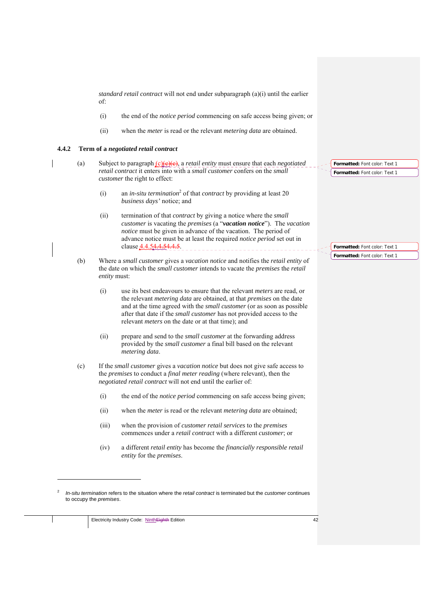*standard retail contract* will not end under subparagraph (a)(i) until the earlier of:

- (i) the end of the *notice period* commencing on safe access being given; or
- (ii) when the *meter* is read or the relevant *metering data* are obtained.

#### **4.4.2 Term of a** *negotiated retail contract*

- (a) Subject to paragraph (c)(e)(e), a *retail entity* must ensure that each *negotiated retail contract* it enters into with a *small customer* confers on the *small customer* the right to effect:
	- (i) an *in-situ termination*<sup>2</sup> of that *contract* by providing at least 20 *business days'* notice; and
	- (ii) termination of that *contract* by giving a notice where the *small customer* is vacating the *premises* (a "*vacation notice*"). The *vacation notice* must be given in advance of the vacation. The period of advance notice must be at least the required *notice period* set out in clause **4.4.54.4.54.4.5**.
	- (b) Where a *small customer* gives a *vacation notice* and notifies the *retail entity* of the date on which the *small customer* intends to vacate the *premises* the *retail entity* must:
		- (i) use its best endeavours to ensure that the relevant *meters* are read, or the relevant *metering data* are obtained, at that *premises* on the date and at the time agreed with the *small customer* (or as soon as possible after that date if the *small customer* has not provided access to the relevant *meters* on the date or at that time); and
		- (ii) prepare and send to the *small customer* at the forwarding address provided by the *small customer* a final bill based on the relevant *metering data*.
	- (c) If the *small customer* gives a *vacation notice* but does not give safe access to the *premises* to conduct a *final meter reading* (where relevant), then the *negotiated retail contract* will not end until the earlier of:
		- (i) the end of the *notice period* commencing on safe access being given;
		- (ii) when the *meter* is read or the relevant *metering data* are obtained;
		- (iii) when the provision of *customer retail services* to the *premises* commences under a *retail contract* with a different *customer*; or
		- (iv) a different *retail entity* has become the *financially responsible retail entity* for the *premises*.

1

**Formatted:** Font color: Text 1 **Formatted:** Font color: Text 1

<sup>2</sup> *In-situ termination* refers to the situation where the *retail contract* is terminated but the *customer* continues to occupy the *premises*.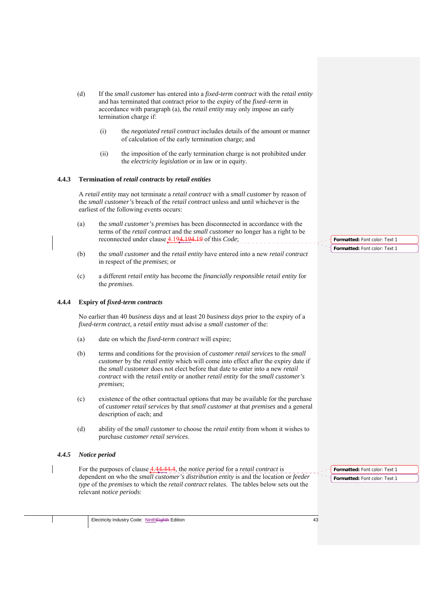- (d) If the *small customer* has entered into a *fixed-term contract* with the *retail entity*  and has terminated that contract prior to the expiry of the *fixed–term* in accordance with paragraph (a), the *retail entity* may only impose an early termination charge if:
	- (i) the *negotiated retail contract* includes details of the amount or manner of calculation of the early termination charge; and
	- (ii) the imposition of the early termination charge is not prohibited under the *electricity legislation* or in law or in equity.

### **4.4.3 Termination of** *retail contracts* **by** *retail entities*

A *retail entity* may not terminate a *retail contract* with a *small customer* by reason of the *small customer's* breach of the *retail contract* unless and until whichever is the earliest of the following events occurs:

- (a) the *small customer's premises* has been disconnected in accordance with the terms of the *retail contract* and the *small customer* no longer has a right to be reconnected under clause 4.194.194.19 of this *Code*;
- (b) the *small customer* and the *retail entity* have entered into a new *retail contract* in respect of the *premises*; or
- (c) a different *retail entity* has become the *financially responsible retail entity* for the *premises*.

### **4.4.4 Expiry of** *fixed-term contracts*

No earlier than 40 *business days* and at least 20 *business days* prior to the expiry of a *fixed-term contract*, a *retail entity* must advise a *small customer* of the:

- (a) date on which the *fixed-term contract* will expire;
- (b) terms and conditions for the provision of *customer retail services* to the *small customer* by the *retail entity* which will come into effect after the expiry date if the *small customer* does not elect before that date to enter into a new *retail contract* with the *retail entity* or another *retail entity* for the *small customer's premises*;
- (c) existence of the other contractual options that may be available for the purchase of *customer retail services* by that *small customer* at that *premises* and a general description of each; and
- (d) ability of the *small customer* to choose the *retail entity* from whom it wishes to purchase *customer retail services*.

#### *4.4.5 Notice period*

For the purposes of clause 4.44.44.4, the *notice period* for a *retail contract* is dependent on who the *small customer's distribution entity* is and the location or *feeder type* of the *premises* to which the *retail contract* relates. The tables below sets out the relevant *notice periods*:

**Formatted:** Font color: Text 1

**Formatted:** Font color: Text 1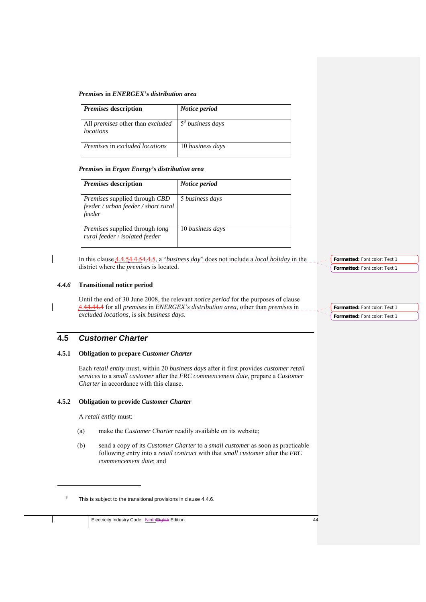#### *Premises* **in** *ENERGEX's distribution area*

| <i>Premises</i> description                                                                    | Notice period    |
|------------------------------------------------------------------------------------------------|------------------|
| All <i>premises</i> other than <i>excluded</i> $\left  5^3 \right $ business days<br>locations |                  |
| Premises in excluded locations                                                                 | 10 business days |

## *Premises* **in** *Ergon Energy's distribution area*

| <i>Premises</i> description                                                                  | Notice period    |
|----------------------------------------------------------------------------------------------|------------------|
| <i>Premises</i> supplied through <i>CBD</i><br>feeder / urban feeder / short rural<br>feeder | 5 business days  |
| <i>Premises</i> supplied through <i>long</i><br>rural feeder / isolated feeder               | 10 business days |

In this clause 4.4.54.4.54.4.5, a "*business day*" does not include a *local holiday* in the district where the *premises* is located.

## *4.4.6* **Transitional notice period**

Until the end of 30 June 2008, the relevant *notice period* for the purposes of clause 4.44.44.4 for all *premises* in *ENERGEX's distribution area*, other than *premises* in *excluded locations*, is six *business days*.

# **4.5** *Customer Charter*

#### **4.5.1 Obligation to prepare** *Customer Charter*

Each *retail entity* must, within 20 *business days* after it first provides *customer retail services* to a *small customer* after the *FRC commencement date*, prepare a *Customer Charter* in accordance with this clause.

## **4.5.2 Obligation to provide** *Customer Charter*

A *retail entity* must:

<u>.</u>

- (a) make the *Customer Charter* readily available on its website;
- (b) send a copy of its *Customer Charter* to a *small customer* as soon as practicable following entry into a *retail contract* with that *small customer* after the *FRC commencement date*; and

**Formatted:** Font color: Text 1 **Formatted:** Font color: Text 1

<sup>3</sup> This is subject to the transitional provisions in clause 4.4.6.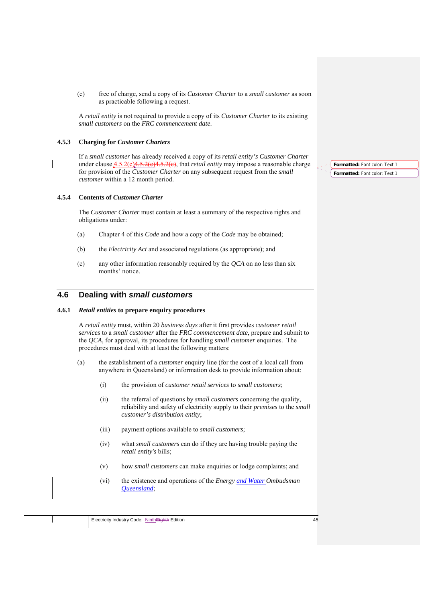(c) free of charge, send a copy of its *Customer Charter* to a *small customer* as soon as practicable following a request.

A *retail entity* is not required to provide a copy of its *Customer Charter* to its existing *small customers* on the *FRC commencement date*.

### **4.5.3 Charging for** *Customer Charters*

If a *small customer* has already received a copy of its *retail entity's Customer Charter*  under clause  $4.5.2$ (c) $4.5.2$ (e) $4.5.2$ (e), that *retail entity* may impose a reasonable charge for provision of the *Customer Charter* on any subsequent request from the *small customer* within a 12 month period.

### **4.5.4 Contents of** *Customer Charter*

The *Customer Charter* must contain at least a summary of the respective rights and obligations under:

- (a) Chapter 4 of this *Code* and how a copy of the *Code* may be obtained;
- (b) the *Electricity Act* and associated regulations (as appropriate); and
- (c) any other information reasonably required by the *QCA* on no less than six months' notice

# **4.6 Dealing with** *small customers*

#### **4.6.1** *Retail entities* **to prepare enquiry procedures**

A *retail entity* must, within 20 *business days* after it first provides *customer retail services* to a *small customer* after the *FRC commencement date*, prepare and submit to the *QCA*, for approval, its procedures for handling *small customer* enquiries. The procedures must deal with at least the following matters:

- (a) the establishment of a *customer* enquiry line (for the cost of a local call from anywhere in Queensland) or information desk to provide information about:
	- (i) the provision of *customer retail services* to *small customers*;
	- (ii) the referral of questions by *small customers* concerning the quality, reliability and safety of electricity supply to their *premises* to the *small customer's distribution entity*;
	- (iii) payment options available to *small customers*;
	- (iv) what *small customers* can do if they are having trouble paying the *retail entity's* bills;
	- (v) how *small customers* can make enquiries or lodge complaints; and
	- (vi) the existence and operations of the *Energy and Water Ombudsman Queensland*;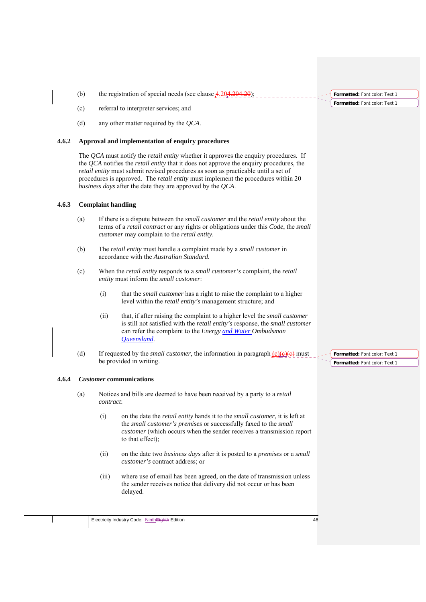- (b) the registration of special needs (see clause  $4.204.204.20$ );
- (c) referral to interpreter services; and
- (d) any other matter required by the *QCA*.

### **4.6.2 Approval and implementation of enquiry procedures**

The *QCA* must notify the *retail entity* whether it approves the enquiry procedures. If the *QCA* notifies the *retail entity* that it does not approve the enquiry procedures, the *retail entity* must submit revised procedures as soon as practicable until a set of procedures is approved. The *retail entity* must implement the procedures within 20 *business days* after the date they are approved by the *QCA*.

### **4.6.3 Complaint handling**

- (a) If there is a dispute between the *small customer* and the *retail entity* about the terms of a *retail contract* or any rights or obligations under this *Code*, the *small customer* may complain to the *retail entity*.
- (b) The *retail entity* must handle a complaint made by a *small customer* in accordance with the *Australian Standard.*
- (c) When the *retail entity* responds to a *small customer's* complaint, the *retail entity* must inform the *small customer*:
	- (i) that the *small customer* has a right to raise the complaint to a higher level within the *retail entity's* management structure; and
	- (ii) that, if after raising the complaint to a higher level the *small customer*  is still not satisfied with the *retail entity's* response, the *small customer*  can refer the complaint to the *Energy and Water Ombudsman Queensland*.
- (d) If requested by the *small customer*, the information in paragraph  $(c)(e)(e)$  must be provided in writing.

#### **4.6.4** *Customer* **communications**

- (a) Notices and bills are deemed to have been received by a party to a *retail contract*:
	- (i) on the date the *retail entity* hands it to the *small customer*, it is left at the *small customer's premises* or successfully faxed to the *small customer* (which occurs when the sender receives a transmission report to that effect);
	- (ii) on the date two *business days* after it is posted to a *premises* or a *small customer's* contract address; or
	- (iii) where use of email has been agreed, on the date of transmission unless the sender receives notice that delivery did not occur or has been delayed.

**Formatted:** Font color: Text 1 **Formatted:** Font color: Text 1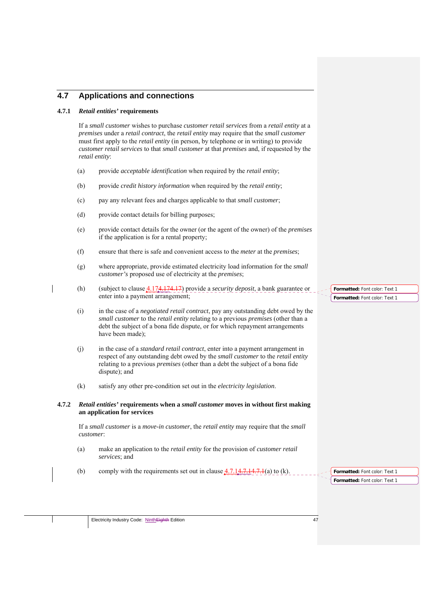# **4.7 Applications and connections**

### **4.7.1** *Retail entities'* **requirements**

If a *small customer* wishes to purchase *customer retail services* from a *retail entity* at a *premises* under a *retail contract*, the *retail entity* may require that the *small customer*  must first apply to the *retail entity* (in person, by telephone or in writing) to provide *customer retail services* to that *small customer* at that *premises* and, if requested by the *retail entity*:

- (a) provide *acceptable identification* when required by the *retail entity*;
- (b) provide *credit history information* when required by the *retail entity*;
- (c) pay any relevant fees and charges applicable to that *small customer*;
- (d) provide contact details for billing purposes;
- (e) provide contact details for the owner (or the agent of the owner) of the *premises* if the application is for a rental property;
- (f) ensure that there is safe and convenient access to the *meter* at the *premises*;
- (g) where appropriate, provide estimated electricity load information for the *small customer's* proposed use of electricity at the *premises*;
- (h) (subject to clause 4.174.174.17) provide a *security deposit*, a bank guarantee or enter into a payment arrangement;
	- (i) in the case of a *negotiated retail contract*, pay any outstanding debt owed by the *small customer* to the *retail entity* relating to a previous *premises* (other than a debt the subject of a bona fide dispute, or for which repayment arrangements have been made);
	- (j) in the case of a *standard retail contract*, enter into a payment arrangement in respect of any outstanding debt owed by the *small customer* to the *retail entity*  relating to a previous *premises* (other than a debt the subject of a bona fide dispute); and
	- (k) satisfy any other pre-condition set out in the *electricity legislation*.
- **4.7.2** *Retail entities'* **requirements when a** *small customer* **moves in without first making an application for services**

If a *small customer* is a *move-in customer*, the *retail entity* may require that the *small customer*:

- (a) make an application to the *retail entity* for the provision of *customer retail services*; and
- (b) comply with the requirements set out in clause  $4.7.147.147.1(a)$  to (k).

**Formatted:** Font color: Text 1 **Formatted:** Font color: Text 1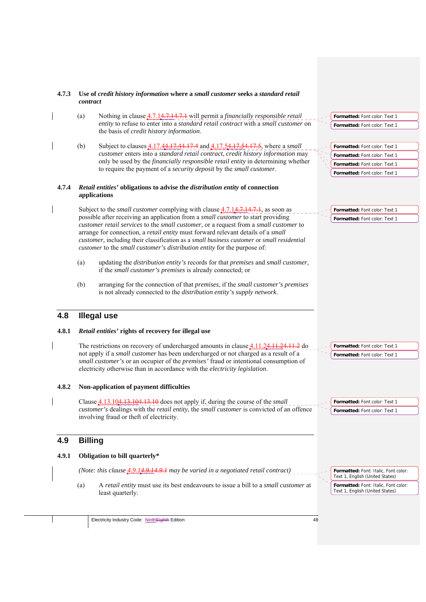# **4.7.3 Use of** *credit history information* **where a** *small customer* **seeks a** *standard retail contract*

- (a) Nothing in clause 4.7.14.7.14.7.1 will permit a *financially responsible retail entity* to refuse to enter into a *standard retail contract* with a *small customer* on the basis of *credit history information*.
- (b) Subject to clauses 4.17.44.17.44.17.4 and 4.17.54.17.54.17.5, where a *small customer* enters into a *standard retail contract*, *credit history information* may only be used by the *financially responsible retail entity* in determining whether to require the payment of a *security deposit* by the *small customer*.

### **4.7.4** *Retail entities'* **obligations to advise the** *distribution entity* **of connection applications**

Subject to the *small customer* complying with clause  $4.7.14.7.14.7.1$ , as soon as possible after receiving an application from a *small customer* to start providing *customer retail services* to the *small customer*, or a request from a *small customer* to arrange for connection, a *retail entity* must forward relevant details of a *small customer,* including their classification as a *small business customer* or *small residential customer* to the *small customer's distribution entity* for the purpose of:

- (a) updating the *distribution entity's* records for that *premises* and *small customer*, if the *small customer's premises* is already connected; or
- (b) arranging for the connection of that *premises*, if the *small customer's premises* is not already connected to the *distribution entity's supply network*.

# **4.8 Illegal use**

# **4.8.1** *Retail entities'* **rights of recovery for illegal use**

The restrictions on recovery of undercharged amounts in clause  $4.11.24.11.24.11.2$  do not apply if a *small customer* has been undercharged or not charged as a result of a *small customer's* or an occupier of the *premises'* fraud or intentional consumption of electricity otherwise than in accordance with the *electricity legislation*.

# **4.8.2 Non-application of payment difficulties**

Clause 4.13.104.13.104.13.10 does not apply if, during the course of the *small customer's* dealings with the *retail entity,* the *small customer* is convicted of an offence involving fraud or theft of electricity.

# **4.9 Billing**

### **4.9.1 Obligation to bill quarterly\***

*(Note: this clause 4.9.14.9.14.9.1 may be varied in a negotiated retail contract)* 

(a) A *retail entity* must use its best endeavours to issue a bill to a *small customer* at least quarterly.

**Formatted:** Font: Italic, Font color: Text 1, English (United States) **Formatted:** Font: Italic, Font color: Text 1, English (United States)

Electricity Industry Code: Ninth Eighth Edition 48

**Formatted:** Font color: Text 1 **Formatted:** Font color: Text 1 **Formatted:** Font color: Text 1

**Formatted:** Font color: Text 1

**Formatted:** Font color: Text 1 **Formatted:** Font color: Text 1

**Formatted:** Font color: Text 1 **Formatted:** Font color: Text 1

**Formatted:** Font color: Text 1 **Formatted:** Font color: Text 1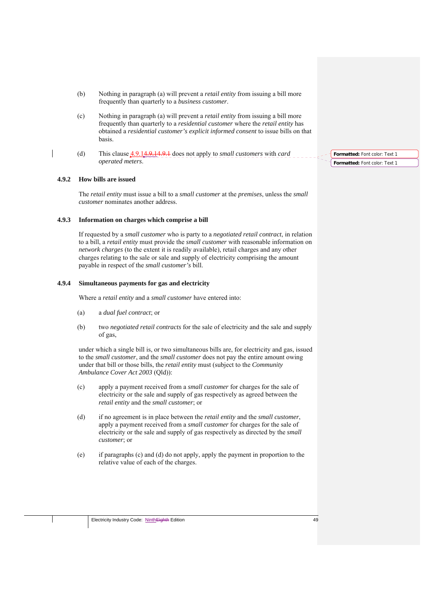- (b) Nothing in paragraph (a) will prevent a *retail entity* from issuing a bill more frequently than quarterly to a *business customer*.
- (c) Nothing in paragraph (a) will prevent a *retail entity* from issuing a bill more frequently than quarterly to a *residential customer* where the *retail entity* has obtained a *residential customer's explicit informed consent* to issue bills on that basis.
- (d) This clause 4.9.14.9.14.9.1 does not apply to *small customers* with *card operated meters*.

## **4.9.2 How bills are issued**

The *retail entity* must issue a bill to a *small customer* at the *premises*, unless the *small customer* nominates another address.

#### **4.9.3 Information on charges which comprise a bill**

If requested by a *small customer* who is party to a *negotiated retail contract*, in relation to a bill, a *retail entity* must provide the *small customer* with reasonable information on *network charges* (to the extent it is readily available), retail charges and any other charges relating to the sale or sale and supply of electricity comprising the amount payable in respect of the *small customer's* bill.

#### **4.9.4 Simultaneous payments for gas and electricity**

Where a *retail entity* and a *small customer* have entered into:

- (a) a *dual fuel contract*; or
- (b) two *negotiated retail contracts* for the sale of electricity and the sale and supply of gas,

under which a single bill is, or two simultaneous bills are, for electricity and gas, issued to the *small customer*, and the *small customer* does not pay the entire amount owing under that bill or those bills, the *retail entity* must (subject to the *Community Ambulance Cover Act 2003* (Qld)):

- (c) apply a payment received from a *small customer* for charges for the sale of electricity or the sale and supply of gas respectively as agreed between the *retail entity* and the *small customer*; or
- (d) if no agreement is in place between the *retail entity* and the *small customer*, apply a payment received from a *small customer* for charges for the sale of electricity or the sale and supply of gas respectively as directed by the *small customer*; or
- (e) if paragraphs (c) and (d) do not apply, apply the payment in proportion to the relative value of each of the charges.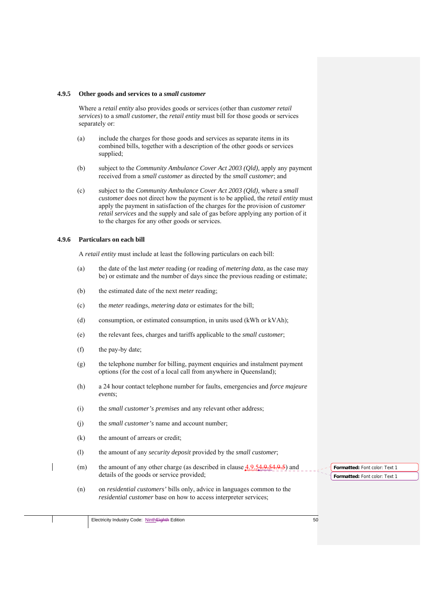#### **4.9.5 Other goods and services to a** *small customer*

Where a *retail entity* also provides goods or services (other than *customer retail services*) to a *small customer*, the *retail entity* must bill for those goods or services separately or:

- (a) include the charges for those goods and services as separate items in its combined bills, together with a description of the other goods or services supplied;
- (b) subject to the *Community Ambulance Cover Act 2003 (Qld),* apply any payment received from a *small customer* as directed by the *small customer*; and
- (c) subject to the *Community Ambulance Cover Act 2003 (Qld),* where a *small customer* does not direct how the payment is to be applied, the *retail entity* must apply the payment in satisfaction of the charges for the provision of *customer retail services* and the supply and sale of gas before applying any portion of it to the charges for any other goods or services.

### **4.9.6 Particulars on each bill**

A *retail entity* must include at least the following particulars on each bill:

- (a) the date of the last *meter* reading (or reading of *metering data*, as the case may be) or estimate and the number of days since the previous reading or estimate;
- (b) the estimated date of the next *meter* reading;
- (c) the *meter* readings, *metering data* or estimates for the bill;
- (d) consumption, or estimated consumption, in units used (kWh or kVAh);
- (e) the relevant fees, charges and tariffs applicable to the *small customer*;
- (f) the pay-by date;
- (g) the telephone number for billing, payment enquiries and instalment payment options (for the cost of a local call from anywhere in Queensland);
- (h) a 24 hour contact telephone number for faults, emergencies and *force majeure events*;
- (i) the *small customer's premises* and any relevant other address;
- (j) the *small customer's* name and account number;
- (k) the amount of arrears or credit;
- (l) the amount of any *security deposit* provided by the *small customer*;
- (m) the amount of any other charge (as described in clause  $4.9.54.9.54.9.5$ ) and details of the goods or service provided;
	- (n) on *residential customers'* bills only, advice in languages common to the *residential customer* base on how to access interpreter services;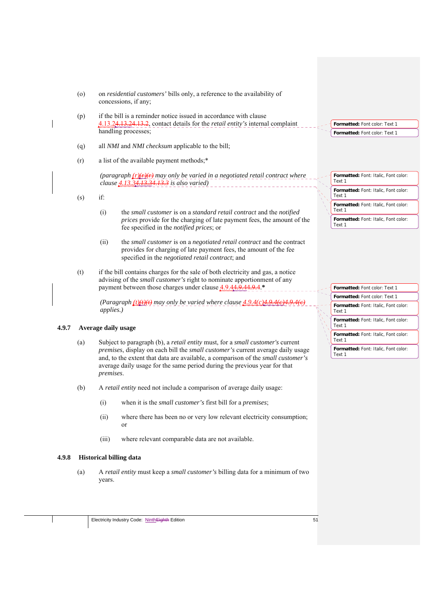- (o) on *residential customers'* bills only, a reference to the availability of concessions, if any; (p) if the bill is a reminder notice issued in accordance with clause 4.13.24.13.24.13.2, contact details for the *retail entity's* internal complaint handling processes; (q) all *NMI* and *NMI checksum* applicable to the bill; (r) a list of the available payment methods;\* *(paragraph (r)(r)(r) may only be varied in a negotiated retail contract where clause 4.13.34.13.34.13.3 is also varied)*   $(s)$  if: (i) the *small customer* is on a *standard retail contract* and the *notified prices* provide for the charging of late payment fees, the amount of the fee specified in the *notified prices*; or (ii) the *small customer* is on a *negotiated retail contract* and the contract provides for charging of late payment fees, the amount of the fee specified in the *negotiated retail contract*; and (t) if the bill contains charges for the sale of both electricity and gas, a notice advising of the *small customer's* right to nominate apportionment of any payment between those charges under clause 4.9.44.9.44.9.4.**\*** *(Paragraph*  $(t)$  $(t)$  $(t)$ *)* may only be varied where clause  $4.9.4(c)$ *applies.)* **4.9.7 Average daily usage**  (a) Subject to paragraph (b), a *retail entity* must, for a *small customer's* current *premises*, display on each bill the *small customer's* current average daily usage and, to the extent that data are available, a comparison of the *small customer's* average daily usage for the same period during the previous year for that *premises*. (b) A *retail entity* need not include a comparison of average daily usage: (i) when it is the *small customer's* first bill for a *premises*; **Formatted:** Font color: Text 1 **Formatted:** Font color: Text 1 **Formatted:** Font: Italic, Font color: Text 1 **Formatted:** Font: Italic, Font color: Text 1 **Formatted:** Font: Italic, Font color: Text 1 **Formatted:** Font: Italic, Font color: Text 1 **Formatted:** Font color: Text 1 **Formatted:** Font color: Text 1 **Formatted:** Font: Italic, Font color: Text 1 **Formatted:** Font: Italic, Font color: Text 1 **Formatted:** Font: Italic, Font color: Text 1 **Formatted:** Font: Italic, Font color: Text 1
	- (ii) where there has been no or very low relevant electricity consumption; or
	- (iii) where relevant comparable data are not available.

# **4.9.8 Historical billing data**

(a) A *retail entity* must keep a *small customer's* billing data for a minimum of two years.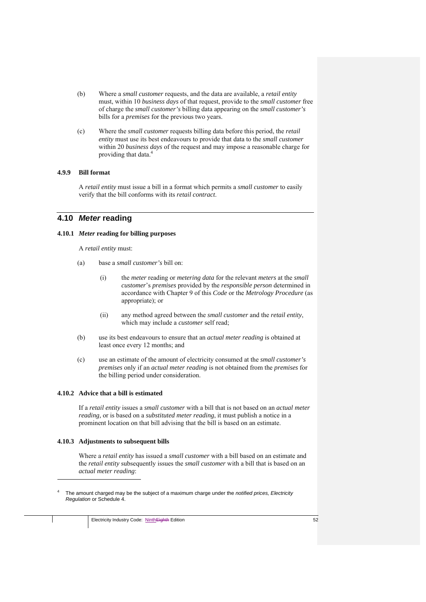- (b) Where a *small customer* requests, and the data are available, a *retail entity*  must, within 10 *business days* of that request, provide to the *small customer* free of charge the *small customer's* billing data appearing on the *small customer's*  bills for a *premises* for the previous two years.
- (c) Where the *small customer* requests billing data before this period, the *retail entity* must use its best endeavours to provide that data to the *small customer*  within 20 *business days* of the request and may impose a reasonable charge for providing that data.4

#### **4.9.9 Bill format**

A *retail entity* must issue a bill in a format which permits a *small customer* to easily verify that the bill conforms with its *retail contract*.

# **4.10** *Meter* **reading**

#### **4.10.1** *Meter* **reading for billing purposes**

A *retail entity* must:

- (a) base a *small customer's* bill on:
	- (i) the *meter* reading or *metering data* for the relevant *meters* at the *small customer*'s *premises* provided by the *responsible person* determined in accordance with Chapter 9 of this *Code* or the *Metrology Procedure* (as appropriate); or
	- (ii) any method agreed between the *small customer* and the *retail entity*, which may include a *customer* self read;
- (b) use its best endeavours to ensure that an *actual meter reading* is obtained at least once every 12 months; and
- (c) use an estimate of the amount of electricity consumed at the *small customer's premises* only if an *actual meter reading* is not obtained from the *premises* for the billing period under consideration.

#### **4.10.2 Advice that a bill is estimated**

If a *retail entity* issues a *small customer* with a bill that is not based on an *actual meter reading,* or is based on a *substituted meter reading*, it must publish a notice in a prominent location on that bill advising that the bill is based on an estimate.

#### **4.10.3 Adjustments to subsequent bills**

1

Where a *retail entity* has issued a *small customer* with a bill based on an estimate and the *retail entity* subsequently issues the *small customer* with a bill that is based on an *actual meter reading*:

<sup>4</sup> The amount charged may be the subject of a maximum charge under the *notified prices, Electricity Regulation* or Schedule 4.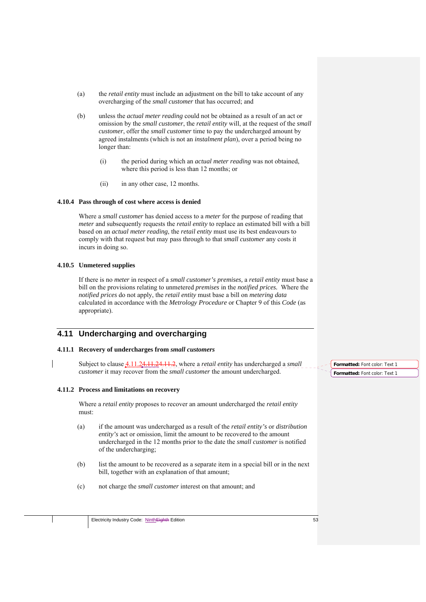- (a) the *retail entity* must include an adjustment on the bill to take account of any overcharging of the *small customer* that has occurred; and
- (b) unless the *actual meter reading* could not be obtained as a result of an act or omission by the *small customer*, the *retail entity* will, at the request of the *small customer*, offer the *small customer* time to pay the undercharged amount by agreed instalments (which is not an *instalment plan*), over a period being no longer than:
	- (i) the period during which an *actual meter reading* was not obtained, where this period is less than 12 months; or
	- (ii) in any other case, 12 months.

### **4.10.4 Pass through of cost where access is denied**

Where a *small customer* has denied access to a *meter* for the purpose of reading that *meter* and subsequently requests the *retail entity* to replace an estimated bill with a bill based on an *actual meter reading*, the *retail entity* must use its best endeavours to comply with that request but may pass through to that *small customer* any costs it incurs in doing so.

# **4.10.5 Unmetered supplies**

If there is no *meter* in respect of a *small customer's premises,* a *retail entity* must base a bill on the provisions relating to unmetered *premises* in the *notified prices.* Where the *notified prices* do not apply, the *retail entity* must base a bill on *metering data*  calculated in accordance with the *Metrology Procedure* or Chapter 9 of this *Code* (as appropriate).

# **4.11 Undercharging and overcharging**

# **4.11.1 Recovery of undercharges from** *small customers*

Subject to clause 4.11.24.11.24.11.2, where a *retail entity* has undercharged a *small customer* it may recover from the *small customer* the amount undercharged.

#### **4.11.2 Process and limitations on recovery**

Where a *retail entity* proposes to recover an amount undercharged the *retail entity*  must:

- (a) if the amount was undercharged as a result of the *retail entity's* or *distribution entity's* act or omission, limit the amount to be recovered to the amount undercharged in the 12 months prior to the date the *small customer* is notified of the undercharging;
- (b) list the amount to be recovered as a separate item in a special bill or in the next bill, together with an explanation of that amount;
- (c) not charge the *small customer* interest on that amount; and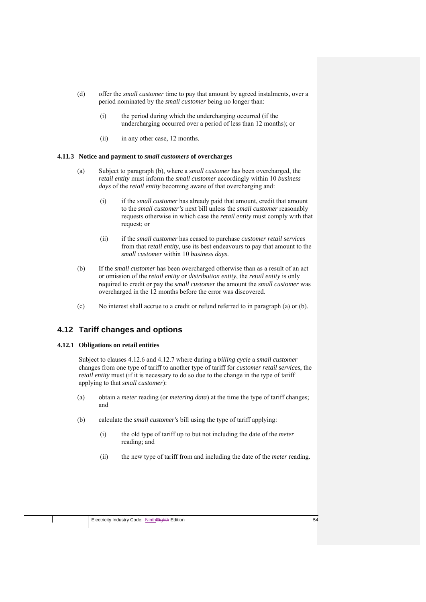- (d) offer the *small customer* time to pay that amount by agreed instalments, over a period nominated by the *small customer* being no longer than:
	- (i) the period during which the undercharging occurred (if the undercharging occurred over a period of less than 12 months); or
	- (ii) in any other case, 12 months.

#### **4.11.3 Notice and payment to** *small customers* **of overcharges**

- (a) Subject to paragraph (b), where a *small customer* has been overcharged, the *retail entity* must inform the *small customer* accordingly within 10 *business days* of the *retail entity* becoming aware of that overcharging and:
	- (i) if the *small customer* has already paid that amount, credit that amount to the *small customer's* next bill unless the *small customer* reasonably requests otherwise in which case the *retail entity* must comply with that request; or
	- (ii) if the *small customer* has ceased to purchase *customer retail services*  from that *retail entity*, use its best endeavours to pay that amount to the *small customer* within 10 *business days*.
- (b) If the *small customer* has been overcharged otherwise than as a result of an act or omission of the *retail entity* or *distribution entity*, the *retail entity* is only required to credit or pay the *small customer* the amount the *small customer* was overcharged in the 12 months before the error was discovered.
- (c) No interest shall accrue to a credit or refund referred to in paragraph (a) or (b).

# **4.12 Tariff changes and options**

#### **4.12.1 Obligations on retail entities**

Subject to clauses 4.12.6 and 4.12.7 where during a *billing cycle* a *small customer* changes from one type of tariff to another type of tariff for *customer retail services*, the *retail entity* must (if it is necessary to do so due to the change in the type of tariff applying to that *small customer*):

- (a) obtain a *meter* reading (or *metering data*) at the time the type of tariff changes; and
- (b) calculate the *small customer's* bill using the type of tariff applying:
	- (i) the old type of tariff up to but not including the date of the *meter* reading; and
	- (ii) the new type of tariff from and including the date of the *meter* reading.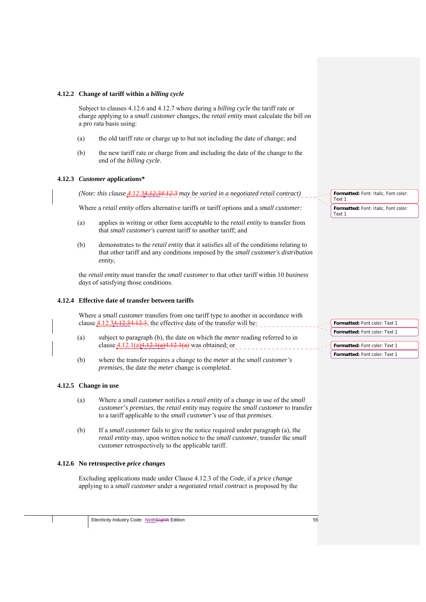#### **4.12.2 Change of tariff within a** *billing cycle*

Subject to clauses 4.12.6 and 4.12.7 where during a *billing cycle* the tariff rate or charge applying to a *small customer* changes, the *retail entity* must calculate the bill on a pro rata basis using:

- (a) the old tariff rate or charge up to but not including the date of change; and
- (b) the new tariff rate or charge from and including the date of the change to the end of the *billing cycle*.

#### **4.12.3** *Customer* **applications\***

*(Note: this clause 4.12.34.12.34.12.3 may be varied in a negotiated retail contract)*

Where a *retail entity* offers alternative tariffs or tariff options and a *small customer:*

- (a) applies in writing or other form acceptable to the *retail entity* to transfer from that *small customer's* current tariff to another tariff; and
- (b) demonstrates to the *retail entity* that it satisfies all of the conditions relating to that other tariff and any conditions imposed by the *small customer's distribution entity*,

the *retail entity* must transfer the *small customer* to that other tariff within 10 *business days* of satisfying those conditions.

#### **4.12.4 Effective date of transfer between tariffs**

Where a *small customer* transfers from one tariff type to another in accordance with clause 4.12.34.12.34.12.3, the effective date of the transfer will be:

- (a) subject to paragraph (b), the date on which the *meter* reading referred to in clause  $4.12.1(a)4.12.1(a)4.12.1(a)$  was obtained; or
- (b) where the transfer requires a change to the *meter* at the *small customer's premises*, the date the *meter* change is completed.

#### **4.12.5 Change in use**

- (a) Where a *small customer* notifies a *retail entity* of a change in use of the *small customer's premises*, the *retail entity* may require the *small customer* to transfer to a tariff applicable to the *small customer's* use of that *premises*.
- (b) If a *small customer* fails to give the notice required under paragraph (a), the *retail entity* may, upon written notice to the *small customer*, transfer the *small customer* retrospectively to the applicable tariff.

#### **4.12.6 No retrospective** *price changes*

Excluding applications made under Clause 4.12.3 of the *Code*, if a *price change* applying to a *small customer* under a *negotiated retail contract* is proposed by the **Formatted:** Font: Italic, Font color: Text 1

**Formatted:** Font: Italic, Font color: Text 1

**Formatted:** Font color: Text 1 **Formatted:** Font color: Text 1 **Formatted:** Font color: Text 1 **Formatted:** Font color: Text 1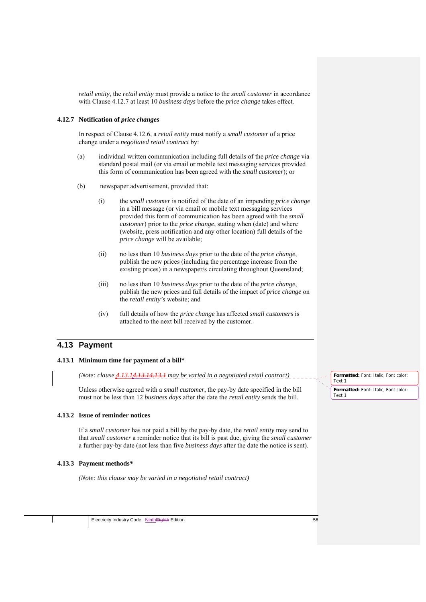*retail entity*, the *retail entity* must provide a notice to the *small customer* in accordance with Clause 4.12.7 at least 10 *business days* before the *price change* takes effect*.* 

## **4.12.7 Notification of** *price changes*

In respect of Clause 4.12.6, a *retail entity* must notify a *small customer* of a price change under a *negotiated retail contract* by:

- (a) individual written communication including full details of the *price change* via standard postal mail (or via email or mobile text messaging services provided this form of communication has been agreed with the *small customer*); or
- (b) newspaper advertisement, provided that:
	- (i) the *small customer* is notified of the date of an impending *price change* in a bill message (or via email or mobile text messaging services provided this form of communication has been agreed with the *small customer*) prior to the *price change*, stating when (date) and where (website, press notification and any other location) full details of the *price change* will be available;
	- (ii) no less than 10 *business days* prior to the date of the *price change*, publish the new prices (including the percentage increase from the existing prices) in a newspaper/s circulating throughout Queensland;
	- (iii) no less than 10 *business days* prior to the date of the *price change*, publish the new prices and full details of the impact of *price change* on the *retail entity's* website; and
	- (iv) full details of how the *price change* has affected *small customers* is attached to the next bill received by the customer.

# **4.13 Payment**

#### **4.13.1 Minimum time for payment of a bill\***

*(Note: clause 4.13.14.13.14.13.1 may be varied in a negotiated retail contract)* 

Unless otherwise agreed with a *small customer*, the pay-by date specified in the bill must not be less than 12 *business days* after the date the *retail entity* sends the bill.

#### **4.13.2 Issue of reminder notices**

If a *small customer* has not paid a bill by the pay-by date, the *retail entity* may send to that *small customer* a reminder notice that its bill is past due, giving the *small customer*  a further pay-by date (not less than five *business days* after the date the notice is sent).

#### **4.13.3 Payment methods***\**

*(Note: this clause may be varied in a negotiated retail contract)* 

**Formatted:** Font: Italic, Font color: Text 1

**Formatted:** Font: Italic, Font color: Text 1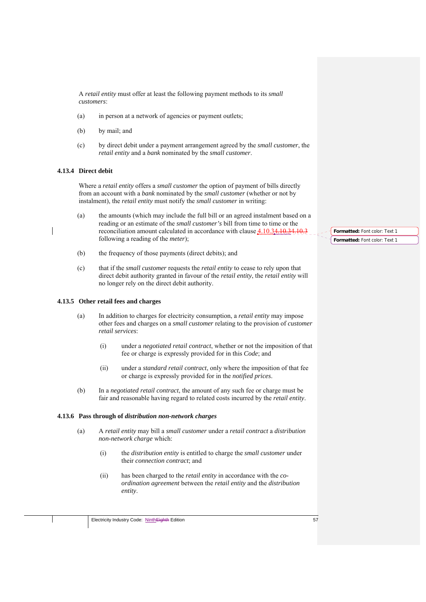A *retail entity* must offer at least the following payment methods to its *small customers*:

- (a) in person at a network of agencies or payment outlets;
- (b) by mail; and
- (c) by direct debit under a payment arrangement agreed by the *small customer*, the *retail entity* and a *bank* nominated by the *small customer*.

# **4.13.4 Direct debit**

Where a *retail entity* offers a *small customer* the option of payment of bills directly from an account with a *bank* nominated by the *small customer* (whether or not by instalment), the *retail entity* must notify the *small customer* in writing:

- (a) the amounts (which may include the full bill or an agreed instalment based on a reading or an estimate of the *small customer's* bill from time to time or the reconciliation amount calculated in accordance with clause 4.10.34.10.34.10.3 following a reading of the *meter*);
- (b) the frequency of those payments (direct debits); and
- (c) that if the *small customer* requests the *retail entity* to cease to rely upon that direct debit authority granted in favour of the *retail entity*, the *retail entity* will no longer rely on the direct debit authority.

## **4.13.5 Other retail fees and charges**

- (a) In addition to charges for electricity consumption, a *retail entity* may impose other fees and charges on a *small customer* relating to the provision of *customer retail services*:
	- (i) under a *negotiated retail contract*, whether or not the imposition of that fee or charge is expressly provided for in this *Code*; and
	- (ii) under a *standard retail contract*, only where the imposition of that fee or charge is expressly provided for in the *notified prices*.
- (b) In a *negotiated retail contract*, the amount of any such fee or charge must be fair and reasonable having regard to related costs incurred by the *retail entity*.

#### **4.13.6 Pass through of** *distribution non-network charges*

- (a) A *retail entity* may bill a *small customer* under a *retail contract* a *distribution non-network charge* which:
	- (i) the *distribution entity* is entitled to charge the *small customer* under their *connection contract*; and
	- (ii) has been charged to the *retail entity* in accordance with the *coordination agreement* between the *retail entity* and the *distribution entity*.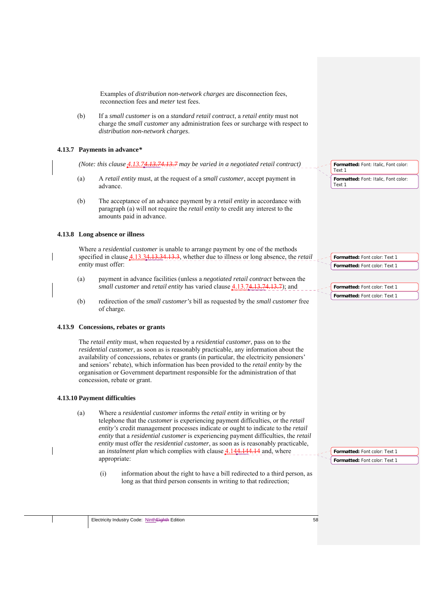Examples of *distribution non-network charges* are disconnection fees, reconnection fees and *meter* test fees.

(b) If a *small customer* is on a *standard retail contract*, a *retail entity* must not charge the *small customer* any administration fees or surcharge with respect to *distribution non-network charges*.

## **4.13.7 Payments in advance***\**

*(Note: this clause 4.13.74.13.74.13.7 may be varied in a negotiated retail contract)* 

- (a) A *retail entity* must, at the request of a *small customer*, accept payment in advance.
- (b) The acceptance of an advance payment by a *retail entity* in accordance with paragraph (a) will not require the *retail entity* to credit any interest to the amounts paid in advance.

#### **4.13.8 Long absence or illness**

Where a *residential customer* is unable to arrange payment by one of the methods specified in clause 4.13.34.13.34.13.3, whether due to illness or long absence, the *retail entity* must offer:

- (a) payment in advance facilities (unless a *negotiated retail contract* between the *small customer* and *retail entity* has varied clause 4.13.74.13.74.13.7); and
- (b) redirection of the *small customer's* bill as requested by the *small customer* free of charge.

#### **4.13.9 Concessions, rebates or grants**

The *retail entity* must, when requested by a *residential customer*, pass on to the *residential customer*, as soon as is reasonably practicable, any information about the availability of concessions, rebates or grants (in particular, the electricity pensioners' and seniors' rebate), which information has been provided to the *retail entity* by the organisation or Government department responsible for the administration of that concession, rebate or grant.

#### **4.13.10 Payment difficulties**

(a) Where a *residential customer* informs the *retail entity* in writing or by telephone that the *customer* is experiencing payment difficulties, or the *retail entity's* credit management processes indicate or ought to indicate to the *retail entity* that a *residential customer* is experiencing payment difficulties, the *retail entity* must offer the *residential customer*, as soon as is reasonably practicable, an *instalment plan* which complies with clause 4.144.144.14 and, where appropriate:

(i) information about the right to have a bill redirected to a third person, as long as that third person consents in writing to that redirection;

**Formatted:** Font: Italic, Font color: Text 1 **Formatted:** Font: Italic, Font color:

Text 1

**Formatted:** Font color: Text 1

**Formatted:** Font color: Text 1

**Formatted:** Font color: Text 1 **Formatted:** Font color: Text 1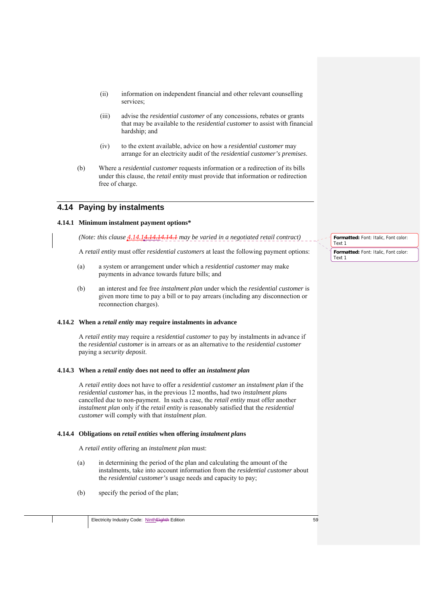- (ii) information on independent financial and other relevant counselling services;
- (iii) advise the *residential customer* of any concessions, rebates or grants that may be available to the *residential customer* to assist with financial hardship; and
- (iv) to the extent available, advice on how a *residential customer* may arrange for an electricity audit of the *residential customer's premises*.
- (b) Where a *residential customer* requests information or a redirection of its bills under this clause, the *retail entity* must provide that information or redirection free of charge.

# **4.14 Paying by instalments**

#### **4.14.1 Minimum instalment payment options\***

*(Note: this clause 4.14.14.14.14.14.1 may be varied in a negotiated retail contract)* 

A *retail entity* must offer *residential customers* at least the following payment options:

- (a) a system or arrangement under which a *residential customer* may make payments in advance towards future bills; and
- (b) an interest and fee free *instalment plan* under which the *residential customer* is given more time to pay a bill or to pay arrears (including any disconnection or reconnection charges).

#### **4.14.2 When a** *retail entity* **may require instalments in advance**

A *retail entity* may require a *residential customer* to pay by instalments in advance if the *residential customer* is in arrears or as an alternative to the *residential customer*  paying a *security deposit*.

#### **4.14.3 When a** *retail entity* **does not need to offer an** *instalment plan*

A *retail entity* does not have to offer a *residential customer* an *instalment plan* if the *residential customer* has, in the previous 12 months, had two *instalment plan*s cancelled due to non-payment. In such a case, the *retail entity* must offer another *instalment plan* only if the *retail entity* is reasonably satisfied that the *residential customer* will comply with that *instalment plan*.

#### **4.14.4 Obligations on** *retail entities* **when offering** *instalment plan***s**

A *retail entity* offering an *instalment plan* must:

- (a) in determining the period of the plan and calculating the amount of the instalments, take into account information from the *residential customer* about the *residential customer's* usage needs and capacity to pay;
- (b) specify the period of the plan;

**Formatted:** Font: Italic, Font color: Text 1 **Formatted:** Font: Italic, Font color: Text 1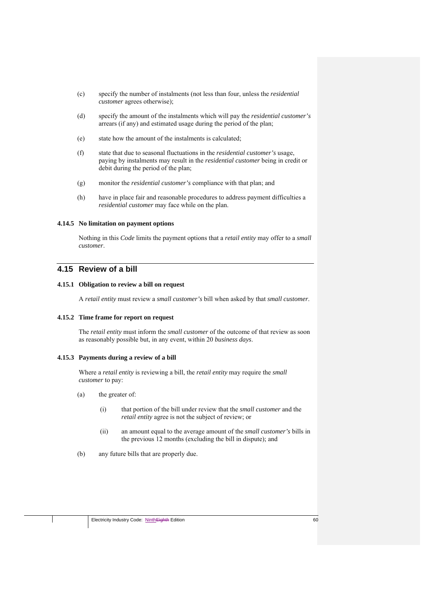- (c) specify the number of instalments (not less than four, unless the *residential customer* agrees otherwise);
- (d) specify the amount of the instalments which will pay the *residential customer's*  arrears (if any) and estimated usage during the period of the plan;
- (e) state how the amount of the instalments is calculated;
- (f) state that due to seasonal fluctuations in the *residential customer's* usage, paying by instalments may result in the *residential customer* being in credit or debit during the period of the plan;
- (g) monitor the *residential customer's* compliance with that plan; and
- (h) have in place fair and reasonable procedures to address payment difficulties a *residential customer* may face while on the plan.

## **4.14.5 No limitation on payment options**

Nothing in this *Code* limits the payment options that a *retail entity* may offer to a *small customer*.

# **4.15 Review of a bill**

#### **4.15.1 Obligation to review a bill on request**

A *retail entity* must review a *small customer's* bill when asked by that *small customer*.

# **4.15.2 Time frame for report on request**

The *retail entity* must inform the *small customer* of the outcome of that review as soon as reasonably possible but, in any event, within 20 *business days*.

# **4.15.3 Payments during a review of a bill**

Where a *retail entity* is reviewing a bill, the *retail entity* may require the *small customer* to pay:

- (a) the greater of:
	- (i) that portion of the bill under review that the *small customer* and the *retail entity* agree is not the subject of review; or
	- (ii) an amount equal to the average amount of the *small customer's* bills in the previous 12 months (excluding the bill in dispute); and
- (b) any future bills that are properly due.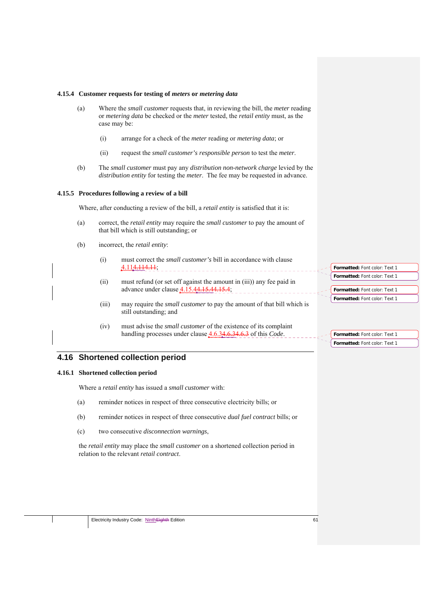#### **4.15.4 Customer requests for testing of** *meters* **or** *metering data*

- (a) Where the *small customer* requests that, in reviewing the bill, the *meter* reading or *metering data* be checked or the *meter* tested, the *retail entity* must, as the case may be:
	- (i) arrange for a check of the *meter* reading or *metering data*; or
	- (ii) request the *small customer's responsible person* to test the *meter*.
- (b) The *small customer* must pay any *distribution non-network charge* levied by the *distribution entity* for testing the *meter*. The fee may be requested in advance.

#### **4.15.5 Procedures following a review of a bill**

Where, after conducting a review of the bill, a *retail entity* is satisfied that it is:

- (a) correct, the *retail entity* may require the *small customer* to pay the amount of that bill which is still outstanding; or
- (b) incorrect, the *retail entity*:
	- (i) must correct the *small customer's* bill in accordance with clause 4.114.114.11;
	- (ii) must refund (or set off against the amount in (iii)) any fee paid in advance under clause  $4.15.44.15.44$ ;
	- (iii) may require the *small customer* to pay the amount of that bill which is still outstanding; and
	- (iv) must advise the *small customer* of the existence of its complaint handling processes under clause 4.6.34.6.34.6.3 of this *Code*.

# **4.16 Shortened collection period**

### **4.16.1 Shortened collection period**

Where a *retail entity* has issued a *small customer* with:

- (a) reminder notices in respect of three consecutive electricity bills; or
- (b) reminder notices in respect of three consecutive *dual fuel contract* bills; or
- (c) two consecutive *disconnection warnings*,

the *retail entity* may place the *small customer* on a shortened collection period in relation to the relevant *retail contract*.

**Formatted:** Font color: Text 1 **Formatted:** Font color: Text 1

**Formatted:** Font color: Text 1 **Formatted:** Font color: Text 1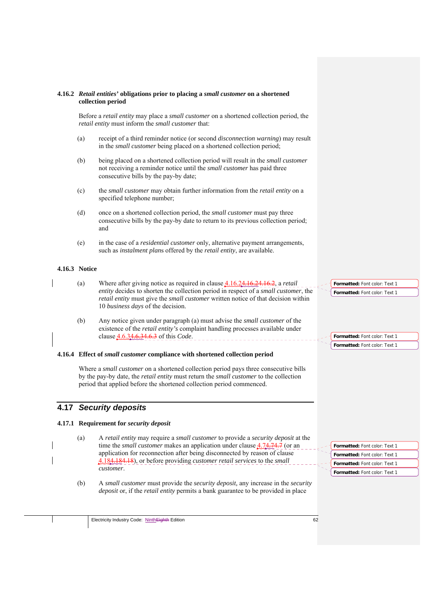#### **4.16.2** *Retail entities'* **obligations prior to placing a** *small customer* **on a shortened collection period**

Before a *retail entity* may place a *small customer* on a shortened collection period, the *retail entity* must inform the *small customer* that:

- (a) receipt of a third reminder notice (or second *disconnection warning*) may result in the *small customer* being placed on a shortened collection period;
- (b) being placed on a shortened collection period will result in the *small customer*  not receiving a reminder notice until the *small customer* has paid three consecutive bills by the pay-by date;
- (c) the *small customer* may obtain further information from the *retail entity* on a specified telephone number;
- (d) once on a shortened collection period, the *small customer* must pay three consecutive bills by the pay-by date to return to its previous collection period; and
- (e) in the case of a *residential customer* only, alternative payment arrangements, such as *instalment plan*s offered by the *retail entity*, are available.

# **4.16.3 Notice**

- (a) Where after giving notice as required in clause 4.16.24.16.24.16.2, a *retail entity* decides to shorten the collection period in respect of a *small customer*, the *retail entity* must give the *small customer* written notice of that decision within 10 *business days* of the decision.
- (b) Any notice given under paragraph (a) must advise the *small customer* of the existence of the *retail entity's* complaint handling processes available under clause 4.6.34.6.34.6.3 of this *Code*.

#### **4.16.4 Effect of** *small customer* **compliance with shortened collection period**

Where a *small customer* on a shortened collection period pays three consecutive bills by the pay-by date, the *retail entity* must return the *small customer* to the collection period that applied before the shortened collection period commenced.

# **4.17** *Security deposits*

#### **4.17.1 Requirement for** *security deposit*

(a) A *retail entity* may require a *small customer* to provide a *security deposit* at the time the *small customer* makes an application under clause  $4.74.74.7$  (or an application for reconnection after being disconnected by reason of clause 4.184.184.18), or before providing *customer retail services* to the *small customer*.

(b) A *small customer* must provide the *security deposit,* any increase in the *security deposit* or, if the *retail entity* permits a bank guarantee to be provided in place

**Formatted:** Font color: Text 1 **Formatted:** Font color: Text 1

| Formatted: Font color: Text 1 |
|-------------------------------|
| Formatted: Font color: Text 1 |
| Formatted: Font color: Text 1 |
| Formatted: Font color: Text 1 |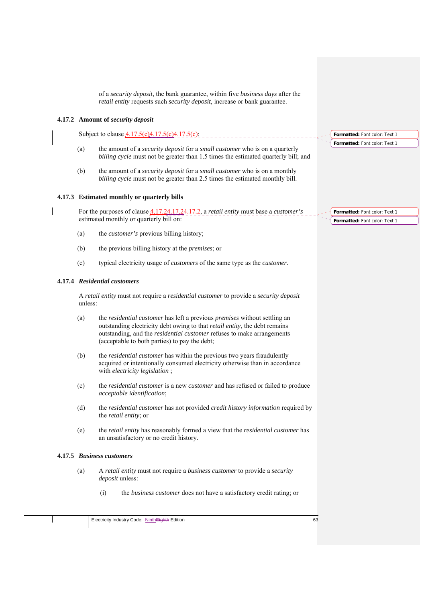of a *security deposit*, the bank guarantee, within five *business days* after the *retail entity* requests such *security deposit*, increase or bank guarantee.

#### **4.17.2 Amount of** *security deposit*

Subject to clause  $4.17.5(c)$  $4.17.5(e)4$ 

- (a) the amount of a *security deposit* for a *small customer* who is on a quarterly *billing cycle* must not be greater than 1.5 times the estimated quarterly bill; and
- (b) the amount of a *security deposit* for a *small customer* who is on a monthly *billing cycle* must not be greater than 2.5 times the estimated monthly bill.

#### **4.17.3 Estimated monthly or quarterly bills**

For the purposes of clause 4.17.24.17.24.17.2, a *retail entity* must base a *customer's* estimated monthly or quarterly bill on:

- (a) the *customer's* previous billing history;
- (b) the previous billing history at the *premises*; or
- (c) typical electricity usage of *customers* of the same type as the *customer*.

## **4.17.4** *Residential customers*

A *retail entity* must not require a *residential customer* to provide a *security deposit* unless:

- (a) the *residential customer* has left a previous *premises* without settling an outstanding electricity debt owing to that *retail entity*, the debt remains outstanding, and the *residential customer* refuses to make arrangements (acceptable to both parties) to pay the debt;
- (b) the *residential customer* has within the previous two years fraudulently acquired or intentionally consumed electricity otherwise than in accordance with *electricity legislation* ;
- (c) the *residential customer* is a new *customer* and has refused or failed to produce *acceptable identification*;
- (d) the *residential customer* has not provided *credit history information* required by the *retail entity*; or
- (e) the *retail entity* has reasonably formed a view that the *residential customer* has an unsatisfactory or no credit history.

#### **4.17.5** *Business customers*

- (a) A *retail entity* must not require a *business customer* to provide a *security deposit* unless:
	- (i) the *business customer* does not have a satisfactory credit rating; or

**Formatted:** Font color: Text 1 **Formatted:** Font color: Text 1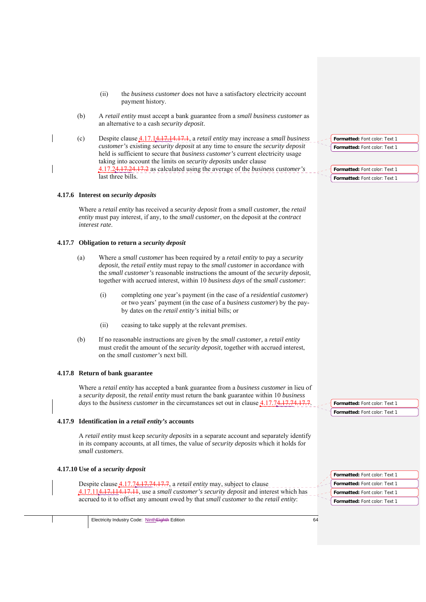- (ii) the *business customer* does not have a satisfactory electricity account payment history.
- (b) A *retail entity* must accept a bank guarantee from a *small business customer* as an alternative to a cash *security deposit*.
- (c) Despite clause 4.17.14.17.14.17.1, a *retail entity* may increase a *small business customer's* existing *security deposit* at any time to ensure the *security deposit*  held is sufficient to secure that *business customer's* current electricity usage taking into account the limits on *security deposits* under clause 4.17.24.17.24.17.2 as calculated using the average of the *business customer's*  last three bills.

#### **4.17.6 Interest on** *security deposits*

Where a *retail entity* has received a *security deposit* from a *small customer*, the *retail entity* must pay interest, if any, to the *small customer*, on the deposit at the *contract interest rate*.

#### **4.17.7 Obligation to return a** *security deposit*

- (a) Where a *small customer* has been required by a *retail entity* to pay a *security deposit*, the *retail entity* must repay to the *small customer* in accordance with the *small customer's* reasonable instructions the amount of the *security deposit*, together with accrued interest, within 10 *business days* of the *small customer*:
	- (i) completing one year's payment (in the case of a *residential customer*) or two years' payment (in the case of a *business customer*) by the payby dates on the *retail entity's* initial bills; or
	- (ii) ceasing to take supply at the relevant *premises*.
- (b) If no reasonable instructions are given by the *small customer,* a *retail entity*  must credit the amount of the *security deposit*, together with accrued interest, on the *small customer's* next bill.

#### **4.17.8 Return of bank guarantee**

Where a *retail entity* has accepted a bank guarantee from a *business customer* in lieu of a *security deposit*, the *retail entity* must return the bank guarantee within 10 *business*  days to the *business customer* in the circumstances set out in clause  $4.17.74.17.74.17$ 

#### **4.17.9 Identification in a** *retail entity's* **accounts**

A *retail entity* must keep *security deposits* in a separate account and separately identify in its company accounts, at all times, the value of *security deposits* which it holds for *small customers*.

#### **4.17.10 Use of a** *security deposit*

Despite clause 4.17.74.17.74.17.7, a *retail entity* may, subject to clause 4.17.114.17.114.17.11, use a *small customer's security deposit* and interest which has accrued to it to offset any amount owed by that *small customer* to the *retail entity*:

**Formatted:** Font color: Text 1 **Formatted:** Font color: Text 1

**Formatted:** Font color: Text 1 **Formatted:** Font color: Text 1

| Formatted: Font color: Text 1 |
|-------------------------------|
| Formatted: Font color: Text 1 |
| Formatted: Font color: Text 1 |
| Formatted: Font color: Text 1 |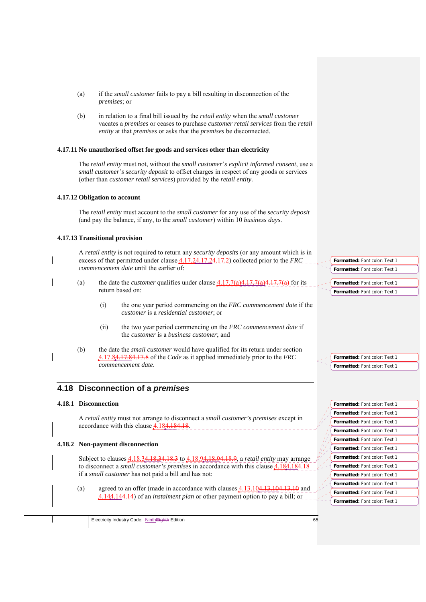- (a) if the *small customer* fails to pay a bill resulting in disconnection of the *premises*; or
- (b) in relation to a final bill issued by the *retail entity* when the *small customer*  vacates a *premises* or ceases to purchase *customer retail services* from the *retail entity* at that *premises* or asks that the *premises* be disconnected.

### **4.17.11 No unauthorised offset for goods and services other than electricity**

The *retail entity* must not, without the *small customer*'*s explicit informed consent*, use a *small customer's security deposit* to offset charges in respect of any goods or services (other than *customer retail services*) provided by the *retail entity.*

### **4.17.12 Obligation to account**

The *retail entity* must account to the *small customer* for any use of the *security deposit*  (and pay the balance, if any, to the *small customer*) within 10 *business days*.

# **4.17.13 Transitional provision**

A *retail entity* is not required to return any *security deposits* (or any amount which is in excess of that permitted under clause 4.17.24.17.24.17.2) collected prior to the *FRC commencement date* until the earlier of:

- (a) the date the *customer* qualifies under clause  $4.17.7(a)4.17.7(a)4.17.7(a)$  for its return based on:
	- (i) the one year period commencing on the *FRC commencement date* if the *customer* is a *residential customer*; or
	- (ii) the two year period commencing on the *FRC commencement date* if the *customer* is a *business customer*; and
	- (b) the date the *small customer* would have qualified for its return under section 4.17.84.17.84.17.8 of the *Code* as it applied immediately prior to the *FRC commencement date*.

# **4.18 Disconnection of a** *premises*

# **4.18.1 Disconnection**

A *retail entity* must not arrange to disconnect a *small customer's premises* except in accordance with this clause  $4.184.184.18$ .

# **4.18.2 Non-payment disconnection**

Subject to clauses 4.18.34.18.34.18.3 to 4.18.94.18.94.18.9, a *retail entity* may arrange to disconnect a *small customer's premises* in accordance with this clause  $\frac{4.184}{1.184}$ if a *small customer* has not paid a bill and has not:

(a) agreed to an offer (made in accordance with clauses 4.13.104.13.104.13.10 and 4.144.144.14) of an *instalment plan* or other payment option to pay a bill; or

**Formatted:** Font color: Text 1 **Formatted:** Font color: Text 1

**Formatted:** Font color: Text 1 **Formatted:** Font color: Text 1

| <b>Formatted:</b> Font color: Text 1 |
|--------------------------------------|
| Formatted: Font color: Text 1        |
| <b>Formatted:</b> Font color: Text 1 |
| <b>Formatted:</b> Font color: Text 1 |
| <b>Formatted:</b> Font color: Text 1 |
| <b>Formatted:</b> Font color: Text 1 |
| <b>Formatted:</b> Font color: Text 1 |
| <b>Formatted:</b> Font color: Text 1 |
| <b>Formatted:</b> Font color: Text 1 |
| <b>Formatted:</b> Font color: Text 1 |
| <b>Formatted:</b> Font color: Text 1 |
| <b>Formatted:</b> Font color: Text 1 |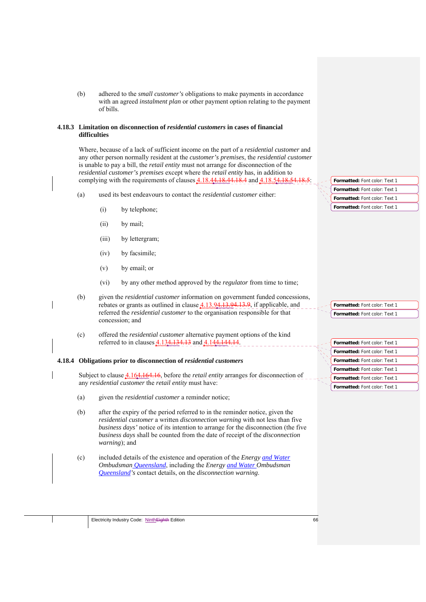(b) adhered to the *small customer's* obligations to make payments in accordance with an agreed *instalment plan* or other payment option relating to the payment of bills.

#### **4.18.3 Limitation on disconnection of** *residential customers* **in cases of financial difficulties**

Where, because of a lack of sufficient income on the part of a *residential customer* and any other person normally resident at the *customer's premises*, the *residential customer*  is unable to pay a bill, the *retail entity* must not arrange for disconnection of the *residential customer's premises* except where the *retail entity* has, in addition to complying with the requirements of clauses  $4.18.44.18.44.18.4$  and  $4.18.54.18$ .

- (a) used its best endeavours to contact the *residential customer* either:
	- (i) by telephone;
	- (ii) by mail;
	- (iii) by lettergram;
	- (iv) by facsimile;
	- (v) by email; or
	- (vi) by any other method approved by the *regulator* from time to time;
- (b) given the *residential customer* information on government funded concessions, rebates or grants as outlined in clause 4.13.94.13.94.13.9, if applicable, and referred the *residential customer* to the organisation responsible for that concession; and
- (c) offered the *residential customer* alternative payment options of the kind referred to in clauses  $4.134.134.13$  and  $4.144.144.14$ .

#### **4.18.4 Obligations prior to disconnection of** *residential customers*

Subject to clause 4.164.164.16, before the *retail entity* arranges for disconnection of any *residential customer* the *retail entity* must have:

- (a) given the *residential customer* a reminder notice;
- (b) after the expiry of the period referred to in the reminder notice, given the *residential customer* a written *disconnection warning* with not less than five *business days'* notice of its intention to arrange for the disconnection (the five *business days* shall be counted from the date of receipt of the *disconnection warning*); and
- (c) included details of the existence and operation of the *Energy and Water Ombudsman Queensland*, including the *Energy and Water Ombudsman Queensland's* contact details, on the *disconnection warning*.

**Formatted:** Font color: Text 1 **Formatted:** Font color: Text 1 **Formatted:** Font color: Text 1 **Formatted:** Font color: Text 1

| Formatted: Font color: Text 1 |
|-------------------------------|
| Formatted: Font color: Text 1 |
| Formatted: Font color: Text 1 |
| Formatted: Font color: Text 1 |
| Formatted: Font color: Text 1 |
| Formatted: Font color: Text 1 |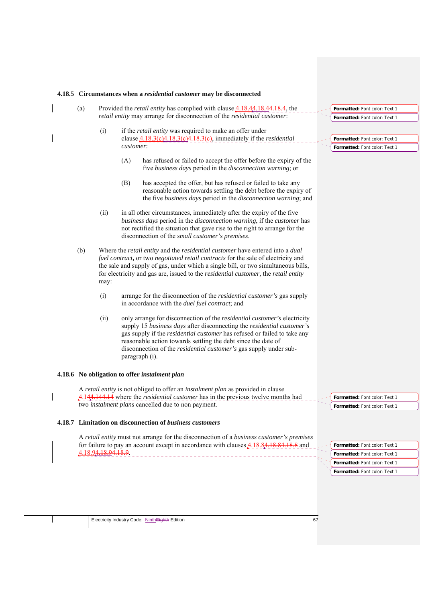#### **4.18.5 Circumstances when a** *residential customer* **may be disconnected**

- (a) Provided the *retail entity* has complied with clause 4.18.44.18.44.18.4, the *retail entity* may arrange for disconnection of the *residential customer*:
	- (i) if the *retail entity* was required to make an offer under clause 4.18.3(c)4.18.3(c)4.18.3(c), immediately if the *residential customer*:
		- (A) has refused or failed to accept the offer before the expiry of the five *business days* period in the *disconnection warning*; or
		- (B) has accepted the offer, but has refused or failed to take any reasonable action towards settling the debt before the expiry of the five *business days* period in the *disconnection warning*; and
	- (ii) in all other circumstances, immediately after the expiry of the five *business days* period in the *disconnection warning*, if the *customer* has not rectified the situation that gave rise to the right to arrange for the disconnection of the *small customer's premises*.
	- (b) Where the *retail entity* and the *residential customer* have entered into a *dual fuel contract***,** or two *negotiated retail contracts* for the sale of electricity and the sale and supply of gas, under which a single bill, or two simultaneous bills, for electricity and gas are, issued to the *residential customer,* the *retail entity*  may:
		- (i) arrange for the disconnection of the *residential customer's* gas supply in accordance with the *duel fuel contract*; and
		- (ii) only arrange for disconnection of the *residential customer's* electricity supply 15 *business days* after disconnecting the *residential customer's*  gas supply if the *residential customer* has refused or failed to take any reasonable action towards settling the debt since the date of disconnection of the *residential customer's* gas supply under subparagraph (i).

#### **4.18.6 No obligation to offer** *instalment plan*

A *retail entity* is not obliged to offer an *instalment plan* as provided in clause 4.144.144.14 where the *residential customer* has in the previous twelve months had two *instalment plan*s cancelled due to non payment.

#### **4.18.7 Limitation on disconnection of** *business customers*

A *retail entity* must not arrange for the disconnection of a *business customer's premises*  for failure to pay an account except in accordance with clauses 4.18.84.18.84.18.8 and 4.18.94.18.94.18.9.

| Formatted: Font color: Text 1 |  |
|-------------------------------|--|

**Formatted:** Font color: Text 1

**Formatted:** Font color: Text 1 **Formatted:** Font color: Text 1

| Formatted: Font color: Text 1 |
|-------------------------------|
| Formatted: Font color: Text 1 |
| Formatted: Font color: Text 1 |
| Formatted: Font color: Text 1 |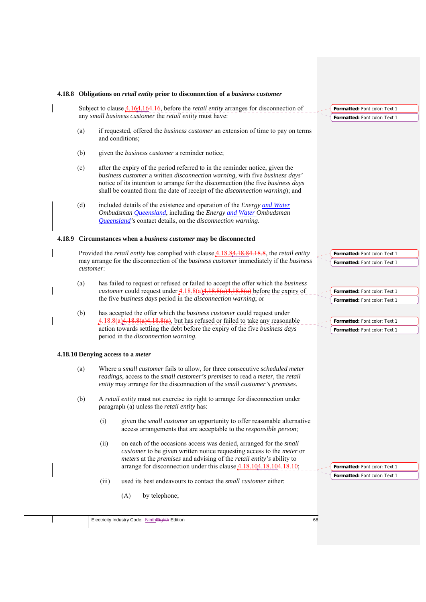|     | Subject to clause <b>4.164.164.16</b> , before the <i>retail entity</i> arranges for disconnection of                                                                                                                                                                                                                                   | Formatted: Font color: Text 1                                  |
|-----|-----------------------------------------------------------------------------------------------------------------------------------------------------------------------------------------------------------------------------------------------------------------------------------------------------------------------------------------|----------------------------------------------------------------|
|     | any small business customer the retail entity must have:                                                                                                                                                                                                                                                                                | Formatted: Font color: Text 1                                  |
| (a) | if requested, offered the <i>business customer</i> an extension of time to pay on terms<br>and conditions;                                                                                                                                                                                                                              |                                                                |
| (b) | given the <i>business customer</i> a reminder notice;                                                                                                                                                                                                                                                                                   |                                                                |
| (c) | after the expiry of the period referred to in the reminder notice, given the<br>business customer a written disconnection warning, with five business days'<br>notice of its intention to arrange for the disconnection (the five business days<br>shall be counted from the date of receipt of the <i>disconnection warning</i> ); and |                                                                |
| (d) | included details of the existence and operation of the <i>Energy and Water</i><br>Ombudsman Oueensland, including the Energy and Water Ombudsman<br><b>Queensland's</b> contact details, on the disconnection warning.                                                                                                                  |                                                                |
|     | 4.18.9 Circumstances when a business customer may be disconnected                                                                                                                                                                                                                                                                       |                                                                |
|     | Provided the <i>retail entity</i> has complied with clause <b>4.18.84.18.84.18.8</b> , the <i>retail entity</i><br>may arrange for the disconnection of the <i>business customer</i> immediately if the <i>business</i><br>customer:                                                                                                    | Formatted: Font color: Text 1<br>Formatted: Font color: Text 1 |
| (a) | has failed to request or refused or failed to accept the offer which the business<br>customer could request under $4.18.8(a)4.18.8(a)4.18.8(a)$ before the expiry of<br>the five business days period in the disconnection warning; or                                                                                                  | Formatted: Font color: Text 1<br>Formatted: Font color: Text 1 |
| (b) | has accepted the offer which the business customer could request under<br>$4.18.8(a)4.18.8(a)4.18.8(a)$ , but has refused or failed to take any reasonable<br>action towards settling the debt before the expiry of the five business days<br>period in the disconnection warning.                                                      | Formatted: Font color: Text 1<br>Formatted: Font color: Text 1 |
|     | 4.18.10 Denying access to a meter                                                                                                                                                                                                                                                                                                       |                                                                |
| (a) | Where a small customer fails to allow, for three consecutive scheduled meter<br>readings, access to the small customer's premises to read a meter, the retail<br>entity may arrange for the disconnection of the small customer's premises.                                                                                             |                                                                |
| (b) | A retail entity must not exercise its right to arrange for disconnection under<br>paragraph (a) unless the <i>retail entity</i> has:                                                                                                                                                                                                    |                                                                |
|     | (i)<br>given the <i>small customer</i> an opportunity to offer reasonable alternative<br>access arrangements that are acceptable to the <i>responsible person</i> ;                                                                                                                                                                     |                                                                |
|     | on each of the occasions access was denied, arranged for the small<br>(ii)<br>customer to be given written notice requesting access to the meter or<br>meters at the premises and advising of the retail entity's ability to<br>arrange for disconnection under this clause 4.18.104.18.104.18.10;                                      | Formatted: Font color: Text 1                                  |
|     | used its best endeavours to contact the small customer either:<br>(iii)                                                                                                                                                                                                                                                                 | Formatted: Font color: Text 1                                  |
|     | (A)<br>by telephone;                                                                                                                                                                                                                                                                                                                    |                                                                |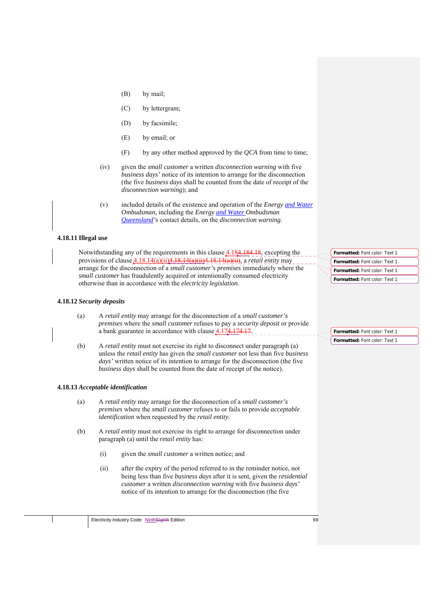- (B) by mail;
- (C) by lettergram;
- (D) by facsimile;
- (E) by email; or
- (F) by any other method approved by the *QCA* from time to time;
- (iv) given the *small customer* a written *disconnection warning* with five *business days'* notice of its intention to arrange for the disconnection (the five *business days* shall be counted from the date of receipt of the *disconnection warning*); and
- (v) included details of the existence and operation of the *Energy and Water Ombudsman*, including the *Energy and Water Ombudsman Queensland's* contact details, on the *disconnection warning*.

# **4.18.11 Illegal use**

Notwithstanding any of the requirements in this clause 4.184.184.18, excepting the provisions of clause 4.18.14(a)(ii)4.18.14(a)(ii)4.18.14(a)(ii), a *retail entity* may arrange for the disconnection of a *small customer's premises* immediately where the *small customer* has fraudulently acquired or intentionally consumed electricity otherwise than in accordance with the *electricity legislation*.

### **4.18.12** *Security deposits*

- (a) A *retail entity* may arrange for the disconnection of a *small customer's premises* where the *small customer* refuses to pay a *security deposit* or provide a bank guarantee in accordance with clause  $4.174.174.17$ .
- (b) A *retail entity* must not exercise its right to disconnect under paragraph (a) unless the *retail entity* has given the *small customer* not less than five *business days'* written notice of its intention to arrange for the disconnection (the five *business days* shall be counted from the date of receipt of the notice).

#### **4.18.13** *Acceptable identification*

- (a) A *retail entity* may arrange for the disconnection of a *small customer's premises* where the *small customer* refuses to or fails to provide *acceptable identification* when requested by the *retail entity*.
- (b) A *retail entity* must not exercise its right to arrange for disconnection under paragraph (a) until the *retail entity* has:
	- (i) given the *small customer* a written notice; and
	- (ii) after the expiry of the period referred to in the reminder notice, not being less than five *business days* after it is sent*,* given the *residential customer* a written *disconnection warning* with five *business days'*  notice of its intention to arrange for the disconnection (the five

**Formatted:** Font color: Text 1 **Formatted:** Font color: Text 1 **Formatted:** Font color: Text 1 **Formatted:** Font color: Text 1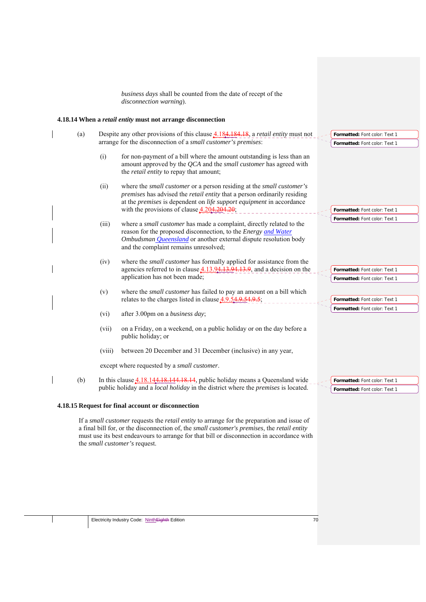*business days* shall be counted from the date of recept of the *disconnection warning*).

# **4.18.14 When a** *retail entity* **must not arrange disconnection**

|  | (a)                                                                                                                                                                                              | Despite any other provisions of this clause <b>4.184.184.18</b> , a <i>retail entity</i> must not<br>Formatted: Font color: Text 1 |                                                                                                                                                                                                                                                                                           |  |                                                                |  |  |
|--|--------------------------------------------------------------------------------------------------------------------------------------------------------------------------------------------------|------------------------------------------------------------------------------------------------------------------------------------|-------------------------------------------------------------------------------------------------------------------------------------------------------------------------------------------------------------------------------------------------------------------------------------------|--|----------------------------------------------------------------|--|--|
|  |                                                                                                                                                                                                  | arrange for the disconnection of a small customer's premises:<br>Formatted: Font color: Text 1                                     |                                                                                                                                                                                                                                                                                           |  |                                                                |  |  |
|  |                                                                                                                                                                                                  | (i)                                                                                                                                | for non-payment of a bill where the amount outstanding is less than an<br>amount approved by the QCA and the small customer has agreed with<br>the retail entity to repay that amount;                                                                                                    |  |                                                                |  |  |
|  |                                                                                                                                                                                                  | (ii)                                                                                                                               | where the <i>small customer</i> or a person residing at the <i>small customer's</i><br>premises has advised the retail entity that a person ordinarily residing<br>at the premises is dependent on life support equipment in accordance<br>with the provisions of clause $4.204.204.20$ ; |  | Formatted: Font color: Text 1                                  |  |  |
|  |                                                                                                                                                                                                  | (iii)                                                                                                                              | where a small customer has made a complaint, directly related to the<br>reason for the proposed disconnection, to the <i>Energy and Water</i><br>Ombudsman <i>Queensland</i> or another external dispute resolution body<br>and the complaint remains unresolved;                         |  | Formatted: Font color: Text 1                                  |  |  |
|  |                                                                                                                                                                                                  | (iv)                                                                                                                               | where the <i>small customer</i> has formally applied for assistance from the<br>agencies referred to in clause 4.13.94.13.94.13.9, and a decision on the<br>application has not been made;                                                                                                |  | Formatted: Font color: Text 1<br>Formatted: Font color: Text 1 |  |  |
|  |                                                                                                                                                                                                  | (v)                                                                                                                                | where the small customer has failed to pay an amount on a bill which<br>relates to the charges listed in clause $4.9.54.9.54.9.5$ ;                                                                                                                                                       |  | Formatted: Font color: Text 1                                  |  |  |
|  |                                                                                                                                                                                                  | (vi)                                                                                                                               | after 3.00pm on a business day;                                                                                                                                                                                                                                                           |  | Formatted: Font color: Text 1                                  |  |  |
|  |                                                                                                                                                                                                  | (vii)                                                                                                                              | on a Friday, on a weekend, on a public holiday or on the day before a<br>public holiday; or                                                                                                                                                                                               |  |                                                                |  |  |
|  |                                                                                                                                                                                                  | (viii)                                                                                                                             | between 20 December and 31 December (inclusive) in any year,                                                                                                                                                                                                                              |  |                                                                |  |  |
|  |                                                                                                                                                                                                  |                                                                                                                                    | except where requested by a small customer.                                                                                                                                                                                                                                               |  |                                                                |  |  |
|  | (b)                                                                                                                                                                                              |                                                                                                                                    | In this clause $4.18.144.18.144.18.14$ , public holiday means a Queensland wide<br>public holiday and a <i>local holiday</i> in the district where the <i>premises</i> is located.                                                                                                        |  | Formatted: Font color: Text 1<br>Formatted: Font color: Text 1 |  |  |
|  |                                                                                                                                                                                                  |                                                                                                                                    | 4.18.15 Request for final account or disconnection                                                                                                                                                                                                                                        |  |                                                                |  |  |
|  | If a small customer requests the <i>retail entity</i> to arrange for the preparation and issue of<br>a final bill for, or the disconnection of, the small customer's premises, the retail entity |                                                                                                                                    |                                                                                                                                                                                                                                                                                           |  |                                                                |  |  |

must use its best endeavours to arrange for that bill or disconnection in accordance with

Electricity Industry Code: Ninth Eighth Edition 70

the *small customer's* request.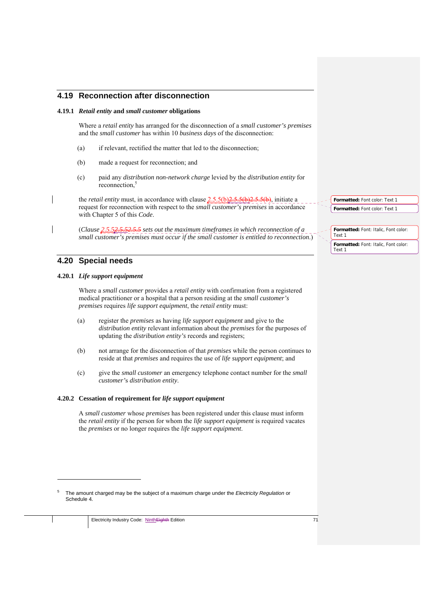# **4.19 Reconnection after disconnection**

### **4.19.1** *Retail entity* **and** *small customer* **obligations**

Where a *retail entity* has arranged for the disconnection of a *small customer's premises* and the *small customer* has within 10 *business days* of the disconnection:

- (a) if relevant, rectified the matter that led to the disconnection;
- (b) made a request for reconnection; and
- (c) paid any *distribution non-network charge* levied by the *distribution entity* for reconnection,<sup>5</sup>

the *retail entity* must, in accordance with clause 2.5.5(b) 2.5.5(b) 2.5.5(b), initiate a request for reconnection with respect to the *small customer's premises* in accordance with Chapter 5 of this *Code*.

(*Clause 2.5.52.5.52.5.5 sets out the maximum timeframes in which reconnection of a small customer's premises must occur if the small customer is entitled to reconnection*.)

# **4.20 Special needs**

1

#### **4.20.1** *Life support equipment*

Where a *small customer* provides a *retail entity* with confirmation from a registered medical practitioner or a hospital that a person residing at the *small customer's premises* requires *life support equipment*, the *retail entity* must:

- (a) register the *premises* as having *life support equipment* and give to the *distribution entity* relevant information about the *premises* for the purposes of updating the *distribution entity's* records and registers;
- (b) not arrange for the disconnection of that *premises* while the person continues to reside at that *premises* and requires the use of *life support equipment*; and
- (c) give the *small customer* an emergency telephone contact number for the *small customer'*s *distribution entity*.

### **4.20.2 Cessation of requirement for** *life support equipment*

A *small customer* whose *premises* has been registered under this clause must inform the *retail entity* if the person for whom the *life support equipment* is required vacates the *premises* or no longer requires the *life support equipment*.

**Formatted:** Font color: Text 1

**Formatted:** Font color: Text 1

**Formatted:** Font: Italic, Font color: Text 1 **Formatted:** Font: Italic, Font color: Text 1

<sup>5</sup> The amount charged may be the subject of a maximum charge under the *Electricity Regulation* or Schedule 4.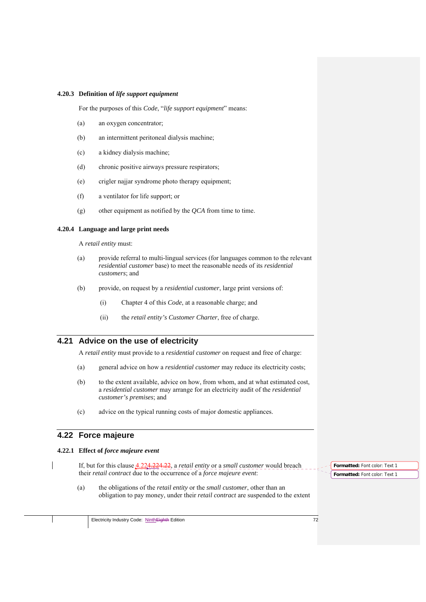#### **4.20.3 Definition of** *life support equipment*

For the purposes of this *Code*, "*life support equipment*" means:

- (a) an oxygen concentrator;
- (b) an intermittent peritoneal dialysis machine;
- (c) a kidney dialysis machine;
- (d) chronic positive airways pressure respirators;
- (e) crigler najjar syndrome photo therapy equipment;
- (f) a ventilator for life support; or
- (g) other equipment as notified by the *QCA* from time to time.

### **4.20.4 Language and large print needs**

A *retail entity* must:

- (a) provide referral to multi-lingual services (for languages common to the relevant *residential customer* base) to meet the reasonable needs of its *residential customers*; and
- (b) provide, on request by a *residential customer*, large print versions of:
	- (i) Chapter 4 of this *Code*, at a reasonable charge; and
	- (ii) the *retail entity's Customer Charter*, free of charge.

# **4.21 Advice on the use of electricity**

A *retail entity* must provide to a *residential customer* on request and free of charge:

- (a) general advice on how a *residential customer* may reduce its electricity costs;
- (b) to the extent available, advice on how, from whom, and at what estimated cost, a *residential customer* may arrange for an electricity audit of the *residential customer's premises*; and
- (c) advice on the typical running costs of major domestic appliances.

## **4.22 Force majeure**

### **4.22.1 Effect of** *force majeure event*

If, but for this clause 4.224.224.22, a *retail entity* or a *small customer* would breach their *retail contract* due to the occurrence of a *force majeure event*:

(a) the obligations of the *retail entity* or the *small customer*, other than an obligation to pay money, under their *retail contract* are suspended to the extent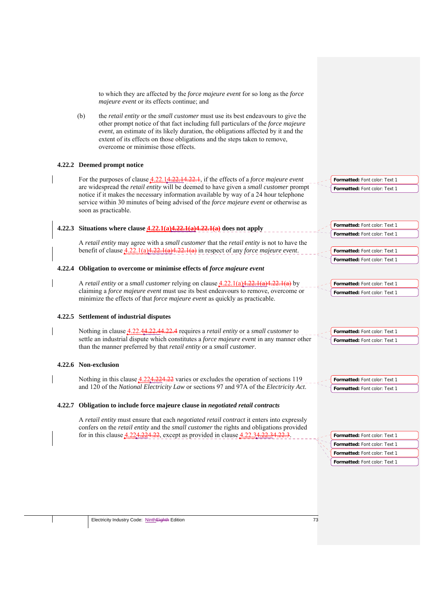to which they are affected by the *force majeure event* for so long as the *force majeure event* or its effects continue; and

(b) the *retail entity* or the *small customer* must use its best endeavours to give the other prompt notice of that fact including full particulars of the *force majeure event*, an estimate of its likely duration, the obligations affected by it and the extent of its effects on those obligations and the steps taken to remove, overcome or minimise those effects.

### **4.22.2 Deemed prompt notice**

For the purposes of clause 4.22.14.22.14.22.1, if the effects of a *force majeure event*  are widespread the *retail entity* will be deemed to have given a *small customer* prompt notice if it makes the necessary information available by way of a 24 hour telephone service within 30 minutes of being advised of the *force majeure event* or otherwise as soon as practicable.

#### **4.22.3 Situations where clause 4.22.1(a)4.22.1(a)4.22.1(a) does not apply**

A *retail entity* may agree with a *small customer* that the *retail entity* is not to have the benefit of clause 4.22.1(a)4.22.1(a)4.22.1(a) in respect of any *force majeure event*.

#### **4.22.4 Obligation to overcome or minimise effects of** *force majeure event*

A *retail entity* or a *small customer* relying on clause 4.22.1(a)4.22.1(a)4.22.1(a) by claiming a *force majeure event* must use its best endeavours to remove, overcome or minimize the effects of that *force majeure event* as quickly as practicable.

### **4.22.5 Settlement of industrial disputes**

Nothing in clause 4.22.44.22.44.22.4 requires a *retail entity* or a *small customer* to settle an industrial dispute which constitutes a *force majeure event* in any manner other than the manner preferred by that *retail entity* or a *small customer*.

### **4.22.6 Non-exclusion**

Nothing in this clause  $4.224.224.22$  varies or excludes the operation of sections 119 and 120 of the *National Electricity Law* or sections 97 and 97A of the *Electricity Act*.

#### **4.22.7 Obligation to include force majeure clause in** *negotiated retail contracts*

A *retail entity* must ensure that each *negotiated retail contract* it enters into expressly confers on the *retail entity* and the *small customer* the rights and obligations provided for in this clause  $4.224.224.22$ , except as provided in clause  $4.22.34.22.34.22.3$ 

**Formatted:** Font color: Text 1 **Formatted:** Font color: Text 1 **Formatted:** Font color: Text 1 **Formatted:** Font color: Text 1

**Formatted:** Font color: Text 1 **Formatted:** Font color: Text 1

**Formatted:** Font color: Text 1 **Formatted:** Font color: Text 1

**Formatted:** Font color: Text 1 **Formatted:** Font color: Text 1

**Formatted:** Font color: Text 1 **Formatted:** Font color: Text 1

**Formatted:** Font color: Text 1 **Formatted:** Font color: Text 1

**Formatted:** Font color: Text 1 **Formatted:** Font color: Text 1

Electricity Industry Code: Ninth Eighth Edition 73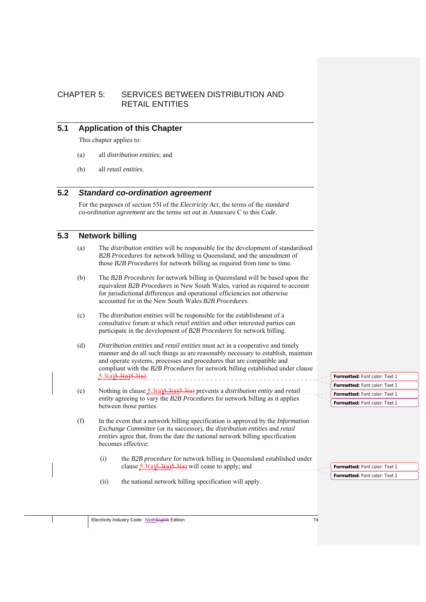# CHAPTER 5: SERVICES BETWEEN DISTRIBUTION AND RETAIL ENTITIES

# **5.1 Application of this Chapter**

This chapter applies to:

- (a) all *distribution entities*; and
- (b) all *retail entities*.

# **5.2** *Standard co-ordination agreement*

For the purposes of section 55I of the *Electricity Act*, the terms of the *standard co-ordination agreement* are the terms set out in Annexure C to this *Code*.

# **5.3 Network billing**

- (a) The *distribution entities* will be responsible for the development of standardised *B2B Procedures* for network billing in Queensland, and the amendment of those *B2B Procedures* for network billing as required from time to time.
- (b) The *B2B Procedures* for network billing in Queensland will be based upon the equivalent *B2B Procedures* in New South Wales, varied as required to account for jurisdictional differences and operational efficiencies not otherwise accounted for in the New South Wales *B2B Procedures.*
- (c) The *distribution entities* will be responsible for the establishment of a consultative forum at which *retail entities* and other interested parties can participate in the development of *B2B Procedures* for network billing.
- (d) *Distribution entities* and *retail entities* must act in a cooperative and timely manner and do all such things as are reasonably necessary to establish, maintain and operate systems, processes and procedures that are compatible and compliant with the *B2B Procedures* for network billing established under clause  $5.3(a)$  $5.3(a)$  $5.3(a)$ .
- (e) Nothing in clause 5.3(a)5.3(a)5.3(a) prevents a *distribution entity* and *retail entity* agreeing to vary the *B2B Procedures* for network billing as it applies between those parties.
- (f) In the event that a network billing specification is approved by the *Information Exchange Committee* (or its successor), the *distribution entities* and *retail entities* agree that, from the date the national network billing specification becomes effective:
	- (i) the *B2B procedure* for network billing in Queensland established under clause  $5.3(a)5.3(a)5.3(a)$  will cease to apply; and
	- (ii) the national network billing specification will apply.

**Formatted:** Font color: Text 1 **Formatted:** Font color: Text 1 **Formatted:** Font color: Text 1 **Formatted:** Font color: Text 1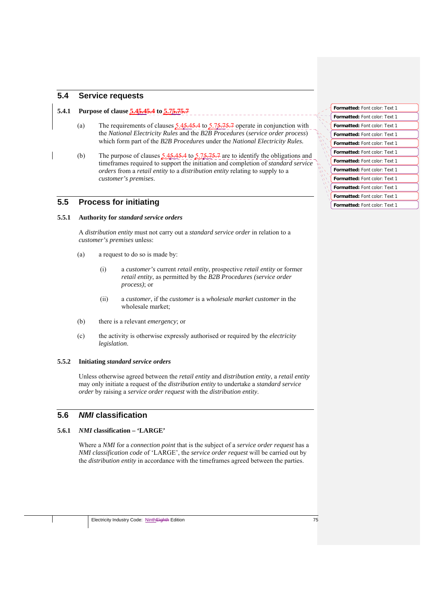## **5.4 Service requests**

# **5.4.1 Purpose of clause 5.45.45.4 to 5.75.75.7**

- (a) The requirements of clauses  $5.45.45.4$  to  $5.75.75.7$  operate in conjunction with the *National Electricity Rules* and the *B2B Procedures* (*service order process*) which form part of the *B2B Procedures* under the *National Electricity Rules.*
- (b) The purpose of clauses  $\frac{5.45.45.4}{5.75.75.7}$  are to identify the obligations and timeframes required to support the initiation and completion of *standard service orders* from a *retail entity* to a *distribution entity* relating to supply to a *customer's premises*.

# **5.5 Process for initiating**

### **5.5.1 Authority for** *standard service orders*

A *distribution entity* must not carry out a *standard service order* in relation to a *customer's premises* unless:

- (a) a request to do so is made by:
	- (i) a *customer's* current *retail entity*, prospective *retail entity* or former *retail entity*, as permitted by the *B2B Procedures (service order process)*; or
	- (ii) a *customer*, if the *customer* is a *wholesale market customer* in the wholesale market;
- (b) there is a relevant *emergency*; or
- (c) the activity is otherwise expressly authorised or required by the *electricity legislation*.

## **5.5.2 Initiating** *standard service orders*

Unless otherwise agreed between the *retail entity* and *distribution entity*, a *retail entity* may only initiate a request of the *distribution entity* to undertake a *standard service order* by raising a *service order request* with the *distribution entity*.

# **5.6** *NMI* **classification**

## **5.6.1** *NMI* **classification – 'LARGE'**

Where a *NMI* for a *connection point* that is the subject of a *service order request* has a *NMI classification code* of 'LARGE', the *service order request* will be carried out by the *distribution entity* in accordance with the timeframes agreed between the parties.

| Formatted: Font color: Text 1        |
|--------------------------------------|
| <b>Formatted:</b> Font color: Text 1 |
| <b>Formatted:</b> Font color: Text 1 |
| <b>Formatted:</b> Font color: Text 1 |
| <b>Formatted:</b> Font color: Text 1 |
| <b>Formatted:</b> Font color: Text 1 |
| <b>Formatted: Font color: Text 1</b> |
| <b>Formatted:</b> Font color: Text 1 |
| Formatted: Font color: Text 1        |
| <b>Formatted:</b> Font color: Text 1 |
| <b>Formatted:</b> Font color: Text 1 |
| <b>Formatted:</b> Font color: Text 1 |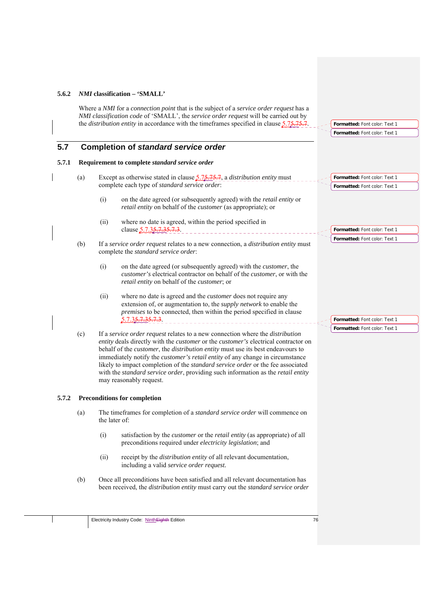### **5.6.2** *NMI* **classification – 'SMALL'**

Where a *NMI* for a *connection point* that is the subject of a *service order request* has a *NMI classification code* of 'SMALL', the *service order request* will be carried out by the *distribution entity* in accordance with the timeframes specified in clause 5.75.75.7

# **5.7 Completion of** *standard service order*

### **5.7.1 Requirement to complete** *standard service order*

- (a) Except as otherwise stated in clause 5.75.75.7, a *distribution entity* must complete each type of *standard service order*:
	- (i) on the date agreed (or subsequently agreed) with the *retail entity* or *retail entity* on behalf of the *customer* (as appropriate); or
	- (ii) where no date is agreed, within the period specified in clause  $5.7.35.7.35.7.3$ .
- (b) If a *service order request* relates to a new connection, a *distribution entity* must complete the *standard service order*:
	- (i) on the date agreed (or subsequently agreed) with the *customer*, the *customer's* electrical contractor on behalf of the *customer*, or with the *retail entity* on behalf of the *customer*; or
	- (ii) where no date is agreed and the *customer* does not require any extension of, or augmentation to, the *supply network* to enable the *premises* to be connected, then within the period specified in clause 5.7.35.7.35.7.3. \_\_\_\_\_\_\_\_\_\_\_\_\_\_\_\_\_\_\_\_\_\_\_\_\_\_\_\_\_\_\_
- (c) If a *service order request* relates to a new connection where the *distribution entity* deals directly with the *customer* or the *customer's* electrical contractor on behalf of the *customer*, the *distribution entity* must use its best endeavours to immediately notify the *customer's retail entity* of any change in circumstance likely to impact completion of the *standard service order* or the fee associated with the *standard service order*, providing such information as the *retail entity* may reasonably request.

### **5.7.2 Preconditions for completion**

- (a) The timeframes for completion of a *standard service order* will commence on the later of:
	- (i) satisfaction by the *customer* or the *retail entity* (as appropriate) of all preconditions required under *electricity legislation*; and
	- (ii) receipt by the *distribution entity* of all relevant documentation, including a valid *service order request.*
- (b) Once all preconditions have been satisfied and all relevant documentation has been received, the *distribution entity* must carry out the *standard service order*

**Formatted:** Font color: Text 1 **Formatted:** Font color: Text 1

**Formatted:** Font color: Text 1 **Formatted:** Font color: Text 1

**Formatted:** Font color: Text 1 **Formatted:** Font color: Text 1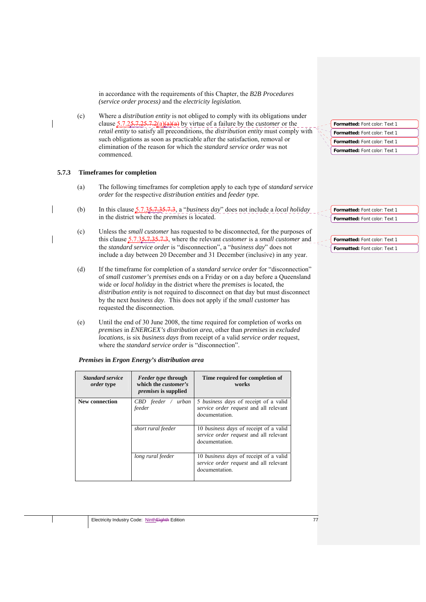in accordance with the requirements of this Chapter, the *B2B Procedures (service order process)* and the *electricity legislation.*

(c) Where a *distribution entity* is not obliged to comply with its obligations under clause 5.7.25.7.25.7.2(a)(a)(a) by virtue of a failure by the *customer* or the *retail entity* to satisfy all preconditions, the *distribution entity* must comply with such obligations as soon as practicable after the satisfaction, removal or elimination of the reason for which the *standard service order* was not commenced.

### **5.7.3 Timeframes for completion**

- (a) The following timeframes for completion apply to each type of *standard service order* for the respective *distribution entities* and *feeder type.*
- (b) In this clause 5.7.35.7.35.7.3, a "*business day*" does not include a *local holiday* in the district where the *premises* is located.
- (c) Unless the *small customer* has requested to be disconnected, for the purposes of this clause 5.7.35.7.35.7.3, where the relevant *customer* is a *small customer* and the *standard service order* is "disconnection", a "*business day*" does not include a day between 20 December and 31 December (inclusive) in any year.
- (d) If the timeframe for completion of a *standard service order* for "disconnection" of *small customer's premises* ends on a Friday or on a day before a Queensland wide or *local holiday* in the district where the *premises* is located, the *distribution entity* is not required to disconnect on that day but must disconnect by the next *business day*. This does not apply if the *small customer* has requested the disconnection.
- (e) Until the end of 30 June 2008, the time required for completion of works on *premises* in *ENERGEX's distribution area*, other than *premises* in *excluded locations*, is six *business days* from receipt of a valid *service order* request, where the *standard service order* is "disconnection".

### *Premises* **in** *Ergon Energy's distribution area*

| <b>Standard service</b><br><i>order</i> type | <i>Feeder type through</i><br>which the <i>customer's</i><br><i>premises</i> is supplied | Time required for completion of<br>works                                                                  |
|----------------------------------------------|------------------------------------------------------------------------------------------|-----------------------------------------------------------------------------------------------------------|
| New connection                               | $CBD$ feeder / urban<br>feeder                                                           | 5 business days of receipt of a valid<br>service order request and all relevant<br>documentation.         |
|                                              | short rural feeder                                                                       | 10 <i>business days</i> of receipt of a valid<br>service order request and all relevant<br>documentation. |
|                                              | long rural feeder                                                                        | 10 <i>business days</i> of receipt of a valid<br>service order request and all relevant<br>documentation. |

| Formatted: Font color: Text 1        |
|--------------------------------------|
| <b>Formatted: Font color: Text 1</b> |
| Formatted: Font color: Text 1        |
| <b>Formatted: Font color: Text 1</b> |

**Formatted:** Font color: Text 1 **Formatted:** Font color: Text 1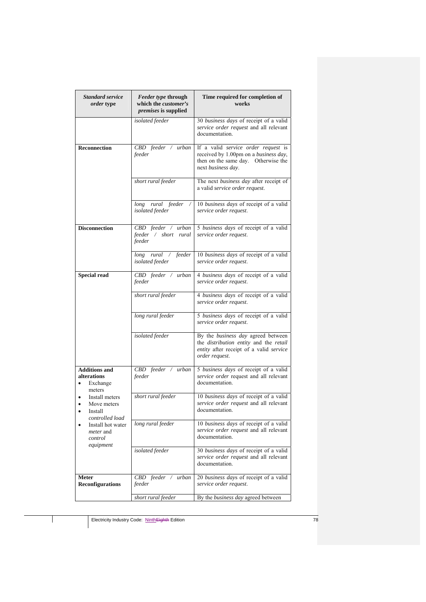| <b>Standard service</b><br><i>order</i> type                     | <i>Feeder type through</i><br>which the <i>customer's</i><br><i>premises</i> is supplied | Time required for completion of<br>works                                                                                                  |
|------------------------------------------------------------------|------------------------------------------------------------------------------------------|-------------------------------------------------------------------------------------------------------------------------------------------|
|                                                                  | isolated feeder                                                                          | 30 business days of receipt of a valid<br>service order request and all relevant<br>documentation.                                        |
| <b>Reconnection</b>                                              | $CBD$ feeder / urban<br>feeder                                                           | If a valid service order request is<br>received by 1.00pm on a business day,<br>then on the same day. Otherwise the<br>next business day. |
|                                                                  | short rural feeder                                                                       | The next business day after receipt of<br>a valid service order request.                                                                  |
|                                                                  | rural feeder<br>long<br>isolated feeder                                                  | 10 business days of receipt of a valid<br>service order request.                                                                          |
| <b>Disconnection</b>                                             | CBD feeder / urban<br>feeder / short rural<br>feeder                                     | 5 business days of receipt of a valid<br>service order request.                                                                           |
|                                                                  | feeder<br>long rural /<br>isolated feeder                                                | 10 business days of receipt of a valid<br>service order request.                                                                          |
| Special read                                                     | CBD feeder / urban<br>feeder                                                             | 4 business days of receipt of a valid<br>service order request.                                                                           |
|                                                                  | short rural feeder                                                                       | 4 business days of receipt of a valid<br>service order request.                                                                           |
|                                                                  | long rural feeder                                                                        | 5 business days of receipt of a valid<br>service order request.                                                                           |
|                                                                  | isolated feeder                                                                          | By the business day agreed between<br>the distribution entity and the retail<br>entity after receipt of a valid service<br>order request. |
| <b>Additions and</b><br>alterations<br>Exchange<br>meters        | $CBD$ feeder / urban<br>feeder                                                           | 5 business days of receipt of a valid<br>service order request and all relevant<br>documentation.                                         |
| Install meters<br>Move meters<br>Install<br>٠<br>controlled load | short rural feeder                                                                       | 10 business days of receipt of a valid<br>service order request and all relevant<br>documentation.                                        |
| Install hot water<br><i>meter</i> and<br>control<br>equipment    | long rural feeder                                                                        | 10 business days of receipt of a valid<br>service order request and all relevant<br>documentation                                         |
|                                                                  | isolated feeder                                                                          | 30 business days of receipt of a valid<br>service order request and all relevant<br>documentation.                                        |
| Meter<br><b>Reconfigurations</b>                                 | $CBD$ feeder / $urban$<br>feeder                                                         | 20 business days of receipt of a valid<br>service order request.                                                                          |
|                                                                  | short rural feeder                                                                       | By the business day agreed between                                                                                                        |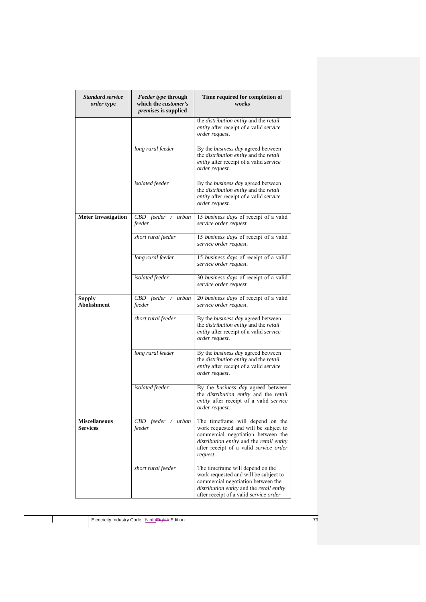| <b>Standard service</b><br>Feeder type through<br>which the <i>customer's</i><br><i>order</i> type<br><i>premises</i> is supplied |                                  | Time required for completion of<br>works                                                                                                                                                                           |
|-----------------------------------------------------------------------------------------------------------------------------------|----------------------------------|--------------------------------------------------------------------------------------------------------------------------------------------------------------------------------------------------------------------|
|                                                                                                                                   |                                  | the distribution entity and the retail<br>entity after receipt of a valid service<br>order request.                                                                                                                |
|                                                                                                                                   | long rural feeder                | By the business day agreed between<br>the distribution entity and the retail<br>entity after receipt of a valid service<br>order request.                                                                          |
|                                                                                                                                   | isolated feeder                  | By the business day agreed between<br>the distribution entity and the retail<br>entity after receipt of a valid service<br>order request.                                                                          |
| <b>Meter Investigation</b>                                                                                                        | CBD feeder / urban<br>feeder     | 15 business days of receipt of a valid<br>service order request.                                                                                                                                                   |
|                                                                                                                                   | short rural feeder               | 15 business days of receipt of a valid<br>service order request.                                                                                                                                                   |
|                                                                                                                                   | long rural feeder                | 15 business days of receipt of a valid<br>service order request.                                                                                                                                                   |
|                                                                                                                                   | isolated feeder                  | 30 business days of receipt of a valid<br>service order request.                                                                                                                                                   |
| <b>Supply</b><br><b>Abolishment</b>                                                                                               | CBD feeder / urban<br>feeder     | 20 business days of receipt of a valid<br>service order request.                                                                                                                                                   |
|                                                                                                                                   | short rural feeder               | By the business day agreed between<br>the distribution entity and the retail<br>entity after receipt of a valid service<br>order request.                                                                          |
|                                                                                                                                   | long rural feeder                | By the business day agreed between<br>the distribution entity and the retail<br>entity after receipt of a valid service<br>order request.                                                                          |
|                                                                                                                                   | isolated feeder                  | By the business day agreed between<br>the <i>distribution</i> entity and the retail<br>entity after receipt of a valid service<br>order request.                                                                   |
| <b>Miscellaneous</b><br><b>Services</b>                                                                                           | $CBD$ feeder / $urban$<br>feeder | The timeframe will depend on the<br>work requested and will be subject to<br>commercial negotiation between the<br>distribution entity and the retail entity<br>after receipt of a valid service order<br>request. |
|                                                                                                                                   | short rural feeder               | The timeframe will depend on the<br>work requested and will be subject to<br>commercial negotiation between the<br>distribution entity and the retail entity<br>after receipt of a valid service order             |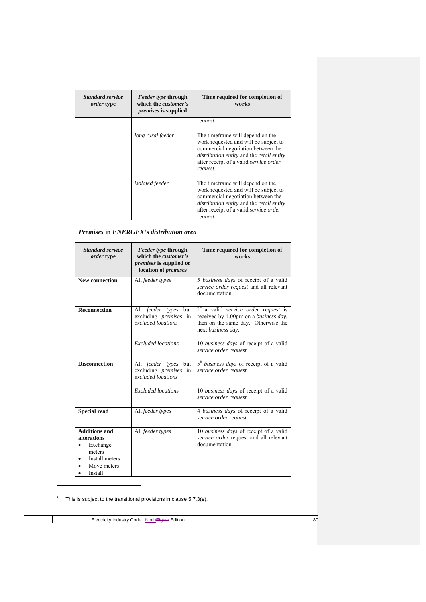| <b>Standard service</b><br><i>order</i> type | <i>Feeder type through</i><br>which the <i>customer's</i><br><i>premises</i> is supplied | Time required for completion of<br>works                                                                                                                                                                                         |
|----------------------------------------------|------------------------------------------------------------------------------------------|----------------------------------------------------------------------------------------------------------------------------------------------------------------------------------------------------------------------------------|
|                                              |                                                                                          | request.                                                                                                                                                                                                                         |
|                                              | long rural feeder                                                                        | The timeframe will depend on the<br>work requested and will be subject to<br>commercial negotiation between the<br><i>distribution entity</i> and the <i>retail entity</i><br>after receipt of a valid service order<br>request. |
|                                              | <i>isolated</i> feeder                                                                   | The timeframe will depend on the<br>work requested and will be subject to<br>commercial negotiation between the<br>distribution entity and the retail entity<br>after receipt of a valid service order<br>request.               |

# *Premises* **in** *ENERGEX's distribution area*

| <b>Standard service</b><br><i>order</i> type                                                          | <b>Feeder type through</b><br>which the <i>customer's</i><br><i>premises</i> is supplied or<br>location of <i>premises</i> | Time required for completion of<br>works                                                                                                         |
|-------------------------------------------------------------------------------------------------------|----------------------------------------------------------------------------------------------------------------------------|--------------------------------------------------------------------------------------------------------------------------------------------------|
| <b>New connection</b>                                                                                 | All feeder types                                                                                                           | 5 business days of receipt of a valid<br>service order request and all relevant<br>documentation.                                                |
| <b>Reconnection</b>                                                                                   | All feeder types but<br>excluding <i>premises</i> in<br>excluded locations                                                 | If a valid <i>service order request</i> is<br>received by 1.00pm on a business day,<br>then on the same day. Otherwise the<br>next business day. |
|                                                                                                       | <b>Excluded</b> locations                                                                                                  | 10 business days of receipt of a valid<br>service order request.                                                                                 |
| <b>Disconnection</b>                                                                                  | All feeder types<br>but<br>excluding <i>premises</i> in<br>excluded locations                                              | 5 <sup>6</sup> business days of receipt of a valid<br>service order request.                                                                     |
|                                                                                                       | <b>Excluded</b> locations                                                                                                  | 10 business days of receipt of a valid<br>service order request.                                                                                 |
| <b>Special read</b>                                                                                   | All feeder types                                                                                                           | 4 business days of receipt of a valid<br>service order request.                                                                                  |
| <b>Additions and</b><br>alterations<br>Exchange<br>meters<br>Install meters<br>Move meters<br>Install | All feeder types                                                                                                           | 10 business days of receipt of a valid<br>service order request and all relevant<br>documentation.                                               |

 $6$  This is subject to the transitional provisions in clause 5.7.3(e).

<u>.</u>

Electricity Industry Code: NinthEighth Edition 80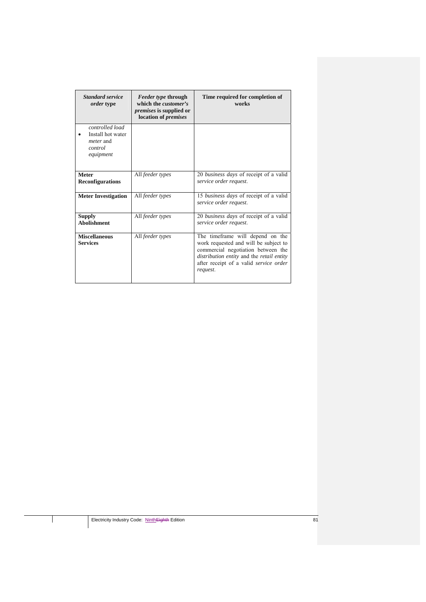| <b>Standard service</b><br><i>order</i> type                                     | <i>Feeder type through</i><br>which the <i>customer's</i><br><i>premises</i> is supplied or<br>location of <i>premises</i> | Time required for completion of<br>works                                                                                                                                                                           |
|----------------------------------------------------------------------------------|----------------------------------------------------------------------------------------------------------------------------|--------------------------------------------------------------------------------------------------------------------------------------------------------------------------------------------------------------------|
| controlled load<br>Install hot water<br><i>meter</i> and<br>control<br>equipment |                                                                                                                            |                                                                                                                                                                                                                    |
| <b>Meter</b><br><b>Reconfigurations</b>                                          | All feeder types                                                                                                           | 20 business days of receipt of a valid<br>service order request.                                                                                                                                                   |
| <b>Meter Investigation</b>                                                       | All feeder types                                                                                                           | 15 business days of receipt of a valid<br>service order request.                                                                                                                                                   |
| <b>Supply</b><br><b>Abolishment</b>                                              | All feeder types                                                                                                           | 20 business days of receipt of a valid<br>service order request.                                                                                                                                                   |
| <b>Miscellaneous</b><br><b>Services</b>                                          | All feeder types                                                                                                           | The timeframe will depend on the<br>work requested and will be subject to<br>commercial negotiation between the<br>distribution entity and the retail entity<br>after receipt of a valid service order<br>request. |

Electricity Industry Code: NinthEighth Edition 81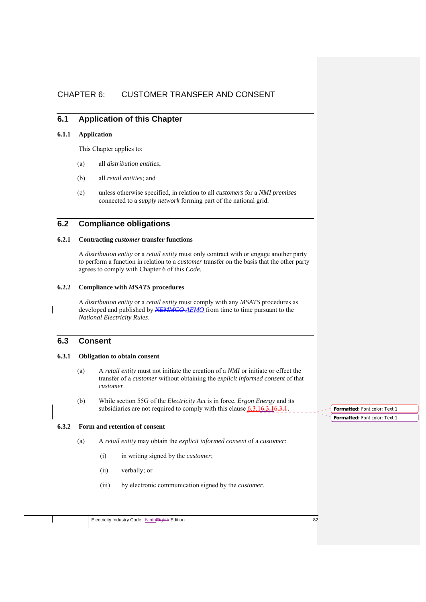# CHAPTER 6: CUSTOMER TRANSFER AND CONSENT

# **6.1 Application of this Chapter**

### **6.1.1 Application**

This Chapter applies to:

- (a) all *distribution entities*;
- (b) all *retail entities*; and
- (c) unless otherwise specified, in relation to all *customers* for a *NMI premises*  connected to a *supply network* forming part of the national grid.

# **6.2 Compliance obligations**

## **6.2.1 Contracting** *customer* **transfer functions**

A *distribution entity* or a *retail entity* must only contract with or engage another party to perform a function in relation to a *customer* transfer on the basis that the other party agrees to comply with Chapter 6 of this *Code*.

## **6.2.2 Compliance with** *MSATS* **procedures**

A *distribution entity* or a *retail entity* must comply with any *MSATS* procedures as developed and published by *NEMMCO AEMO* from time to time pursuant to the *National Electricity Rules*.

# **6.3 Consent**

## **6.3.1 Obligation to obtain consent**

- (a) A *retail entity* must not initiate the creation of a *NMI* or initiate or effect the transfer of a *customer* without obtaining the *explicit informed consent* of that *customer*.
- (b) While section 55G of the *Electricity Act* is in force, *Ergon Energy* and its subsidiaries are not required to comply with this clause  $6.3.16.3.16.3.1$ .

### **6.3.2 Form and retention of consent**

- (a) A *retail entity* may obtain the *explicit informed consent* of a *customer*:
	- (i) in writing signed by the *customer*;
	- (ii) verbally; or
	- (iii) by electronic communication signed by the *customer*.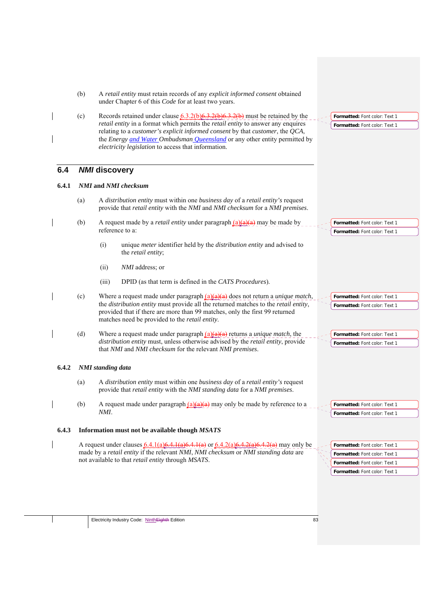|       | (b) | A retail entity must retain records of any explicit informed consent obtained<br>under Chapter 6 of this Code for at least two years.                                                                                                                                                                                                                 |
|-------|-----|-------------------------------------------------------------------------------------------------------------------------------------------------------------------------------------------------------------------------------------------------------------------------------------------------------------------------------------------------------|
|       | (c) | Records retained under clause $6.3.2(b)6.3.2(b)6.3.2(b)$ must be retained by the<br>Formatted: Font color: Text 1                                                                                                                                                                                                                                     |
|       |     | <i>retail entity</i> in a format which permits the <i>retail entity</i> to answer any enquires<br>Formatted: Font color: Text 1<br>relating to a customer's explicit informed consent by that customer, the QCA,<br>the Energy and Water Ombudsman Oueensland or any other entity permitted by<br>electricity legislation to access that information. |
| 6.4   |     | <b>NMI discovery</b>                                                                                                                                                                                                                                                                                                                                  |
| 6.4.1 |     | <b>NMI</b> and <b>NMI</b> checksum                                                                                                                                                                                                                                                                                                                    |
|       | (a) | A distribution entity must within one business day of a retail entity's request<br>provide that retail entity with the NMI and NMI checksum for a NMI premises.                                                                                                                                                                                       |
|       | (b) | A request made by a <i>retail entity</i> under paragraph $(a)(a)(a)$ may be made by<br>Formatted: Font color: Text 1                                                                                                                                                                                                                                  |
|       |     | reference to a:<br>Formatted: Font color: Text 1                                                                                                                                                                                                                                                                                                      |
|       |     | (i)<br>unique <i>meter</i> identifier held by the <i>distribution entity</i> and advised to<br>the retail entity;                                                                                                                                                                                                                                     |
|       |     | <i>NMI</i> address; or<br>(ii)                                                                                                                                                                                                                                                                                                                        |
|       |     | DPID (as that term is defined in the CATS Procedures).<br>(iii)                                                                                                                                                                                                                                                                                       |
|       | (c) | Where a request made under paragraph $(a)(a)(a)$ does not return a <i>unique match</i> ,<br>Formatted: Font color: Text 1                                                                                                                                                                                                                             |
|       |     | the distribution entity must provide all the returned matches to the retail entity,<br>Formatted: Font color: Text 1<br>provided that if there are more than 99 matches, only the first 99 returned<br>matches need be provided to the retail entity.                                                                                                 |
|       | (d) | Where a request made under paragraph $(a)(a)(a)$ returns a <i>unique match</i> , the<br>Formatted: Font color: Text 1                                                                                                                                                                                                                                 |
|       |     | distribution entity must, unless otherwise advised by the retail entity, provide<br>Formatted: Font color: Text 1<br>that NMI and NMI checksum for the relevant NMI premises.                                                                                                                                                                         |
| 6.4.2 |     | <b>NMI</b> standing data                                                                                                                                                                                                                                                                                                                              |
|       | (a) | A distribution entity must within one business day of a retail entity's request<br>provide that retail entity with the NMI standing data for a NMI premises.                                                                                                                                                                                          |
|       | (b) | A request made under paragraph $(a)(a)(a)$ may only be made by reference to a<br>Formatted: Font color: Text 1                                                                                                                                                                                                                                        |
|       |     | NMI.<br>Formatted: Font color: Text 1                                                                                                                                                                                                                                                                                                                 |
| 6.4.3 |     | Information must not be available though MSATS                                                                                                                                                                                                                                                                                                        |
|       |     | A request under clauses $\frac{6.4.1(a)6.4.1(a)6.4.1(a)}{6.4.1(a)6.4.1(a)}$ or $\frac{6.4.2(a)6.4.2(a)6.4.2(a)}{6.4.1(a)6.4.1(a)6.4.1(a)}$<br>Formatted: Font color: Text 1                                                                                                                                                                           |
|       |     | made by a retail entity if the relevant NMI, NMI checksum or NMI standing data are<br>Formatted: Font color: Text 1                                                                                                                                                                                                                                   |
|       |     | not available to that retail entity through MSATS.<br>Formatted: Font color: Text 1                                                                                                                                                                                                                                                                   |
|       |     | Formatted: Font color: Text 1                                                                                                                                                                                                                                                                                                                         |
|       |     |                                                                                                                                                                                                                                                                                                                                                       |

Electricity Industry Code: NinthEighth Edition 83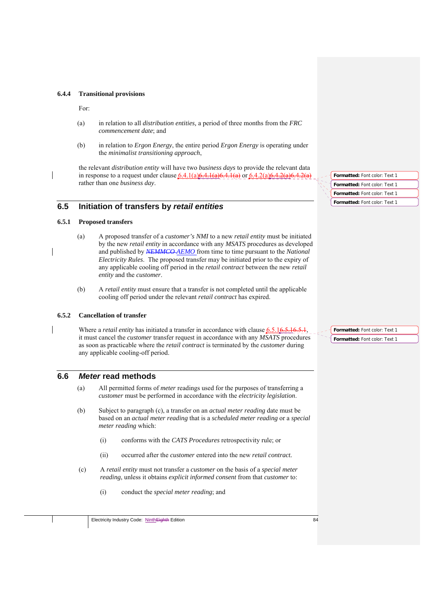### **6.4.4 Transitional provisions**

For:

- (a) in relation to all *distribution entities,* a period of three months from the *FRC commencement date*; and
- (b) in relation to *Ergon Energy*, the entire period *Ergon Energy* is operating under the *minimalist transitioning approach*,

the relevant *distribution entity* will have two *business days* to provide the relevant data in response to a request under clause  $6.4.1(a)6.4.1(a)6.4.1(a)$  or  $6.4.2(a)6.4$ . rather than one *business day*.

# **6.5 Initiation of transfers by** *retail entities*

### **6.5.1 Proposed transfers**

- (a) A proposed transfer of a *customer's NMI* to a new *retail entity* must be initiated by the new *retail entity* in accordance with any *MSATS* procedures as developed and published by *NEMMCO AEMO* from time to time pursuant to the *National Electricity Rules*. The proposed transfer may be initiated prior to the expiry of any applicable cooling off period in the *retail contract* between the new *retail entity* and the *customer*.
- (b) A *retail entity* must ensure that a transfer is not completed until the applicable cooling off period under the relevant *retail contract* has expired.

### **6.5.2 Cancellation of transfer**

Where a *retail entity* has initiated a transfer in accordance with clause  $6.5.16.5$ it must cancel the *customer* transfer request in accordance with any *MSATS* procedures as soon as practicable where the *retail contract* is terminated by the *customer* during any applicable cooling-off period.

# **6.6** *Meter* **read methods**

- (a) All permitted forms of *meter* readings used for the purposes of transferring a *customer* must be performed in accordance with the *electricity legislation*.
- (b) Subject to paragraph (c), a transfer on an *actual meter reading* date must be based on an *actual meter reading* that is a *scheduled meter reading* or a *special meter reading* which:
	- (i) conforms with the *CATS Procedures* retrospectivity rule; or
	- (ii) occurred after the *customer* entered into the new *retail contract.*
- (c) A *retail entity* must not transfer a *customer* on the basis of a *special meter reading*, unless it obtains *explicit informed consent* from that *customer* to:
	- (i) conduct the *special meter reading*; and

**Formatted:** Font color: Text 1 **Formatted:** Font color: Text 1 **Formatted:** Font color: Text 1 **Formatted:** Font color: Text 1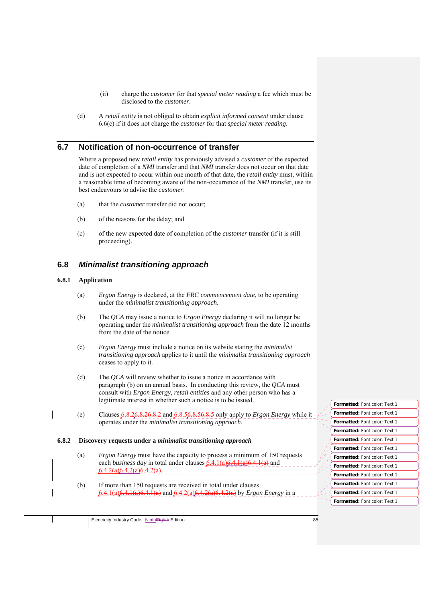- (ii) charge the *customer* for that *special meter reading* a fee which must be disclosed to the *customer*.
- (d) A *retail entity* is not obliged to obtain *explicit informed consent* under clause 6.6(c) if it does not charge the *customer* for that *special meter reading*.

## **6.7 Notification of non-occurrence of transfer**

Where a proposed new *retail entity* has previously advised a *customer* of the expected date of completion of a *NMI* transfer and that *NMI* transfer does not occur on that date and is not expected to occur within one month of that date, the *retail entity* must, within a reasonable time of becoming aware of the non-occurrence of the *NMI* transfer, use its best endeavours to advise the *customer*:

- (a) that the *customer* transfer did not occur;
- (b) of the reasons for the delay; and
- (c) of the new expected date of completion of the *customer* transfer (if it is still proceeding).

# **6.8** *Minimalist transitioning approach*

### **6.8.1 Application**

- (a) *Ergon Energy* is declared, at the *FRC commencement date*, to be operating under the *minimalist transitioning approach*.
- (b) The *QCA* may issue a notice to *Ergon Energy* declaring it will no longer be operating under the *minimalist transitioning approach* from the date 12 months from the date of the notice.
- (c) *Ergon Energy* must include a notice on its website stating the *minimalist transitioning approach* applies to it until the *minimalist transitioning approach* ceases to apply to it.
- (d) The *QCA* will review whether to issue a notice in accordance with paragraph (b) on an annual basis. In conducting this review, the *QCA* must consult with *Ergon Energy*, *retail entities* and any other person who has a legitimate interest in whether such a notice is to be issued.
- (e) Clauses 6.8.26.8.26.8.2 and 6.8.56.8.56.8.5 only apply to *Ergon Energy* while it operates under the *minimalist transitioning approach*.

#### **6.8.2 Discovery requests under a** *minimalist transitioning approach*

- (a) *Ergon Energy* must have the capacity to process a minimum of 150 requests each *business day* in total under clauses 6.4.1(a) 6.4.1(a) 6.4.1(a) and  $(6.4.2(a)6.4.2(a)6.$
- (b) If more than 150 requests are received in total under clauses 6.4.1(a)6.4.1(a)6.4.1(a) and 6.4.2(a)6.4.2(a)6.4.2(a) by *Ergon Energy* in a

| <b>Formatted: Font color: Text 1</b> |
|--------------------------------------|
| <b>Formatted:</b> Font color: Text 1 |
| <b>Formatted:</b> Font color: Text 1 |
| <b>Formatted:</b> Font color: Text 1 |
| <b>Formatted:</b> Font color: Text 1 |
| <b>Formatted:</b> Font color: Text 1 |
| <b>Formatted:</b> Font color: Text 1 |
| <b>Formatted:</b> Font color: Text 1 |
| <b>Formatted:</b> Font color: Text 1 |
| <b>Formatted:</b> Font color: Text 1 |
| <b>Formatted:</b> Font color: Text 1 |
| <b>Formatted:</b> Font color: Text 1 |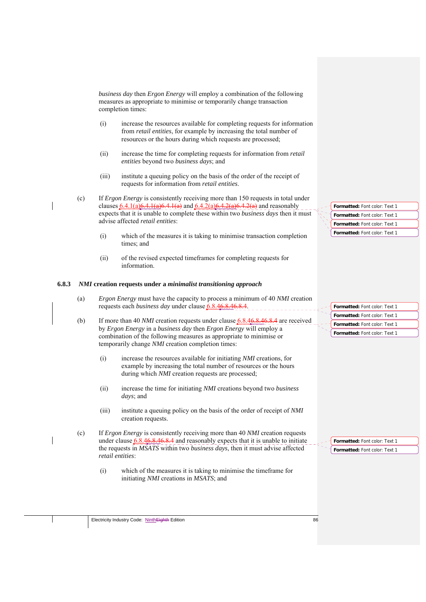*business day* then *Ergon Energy* will employ a combination of the following measures as appropriate to minimise or temporarily change transaction completion times:

- (i) increase the resources available for completing requests for information from *retail entities*, for example by increasing the total number of resources or the hours during which requests are processed;
- (ii) increase the time for completing requests for information from *retail entities* beyond two *business days*; and
- (iii) institute a queuing policy on the basis of the order of the receipt of requests for information from *retail entities*.
- (c) If *Ergon Energy* is consistently receiving more than 150 requests in total under clauses  $6.4.1(a)6.4.1(a)6.4.1(a)$  and  $6.4.2(a)6.4.2(a)6.4.2(a)$  and reasonably expects that it is unable to complete these within two *business days* then it must advise affected *retail entities*:
	- (i) which of the measures it is taking to minimise transaction completion times; and
	- (ii) of the revised expected timeframes for completing requests for information.

### **6.8.3** *NMI* **creation requests under a** *minimalist transitioning approach*

- (a) *Ergon Energy* must have the capacity to process a minimum of 40 *NMI* creation requests each *business day* under clause 6.8.46.8.46.8.4.
- (b) If more than 40 *NMI* creation requests under clause  $6.8.46.8.4$  are received by *Ergon Energy* in a *business day* then *Ergon Energy* will employ a combination of the following measures as appropriate to minimise or temporarily change *NMI* creation completion times:
	- (i) increase the resources available for initiating *NMI* creations, for example by increasing the total number of resources or the hours during which *NMI* creation requests are processed;
	- (ii) increase the time for initiating *NMI* creations beyond two *business days*; and
	- (iii) institute a queuing policy on the basis of the order of receipt of *NMI* creation requests.
- (c) If *Ergon Energy* is consistently receiving more than 40 *NMI* creation requests under clause 6.8.46.8.46.8.4 and reasonably expects that it is unable to initiate the requests in *MSATS* within two *business days*, then it must advise affected *retail entities*:
	- (i) which of the measures it is taking to minimise the timeframe for initiating *NMI* creations in *MSATS*; and



| Formatted: Font color: Text 1 |
|-------------------------------|
| Formatted: Font color: Text 1 |
| Formatted: Font color: Text 1 |
| Formatted: Font color: Text 1 |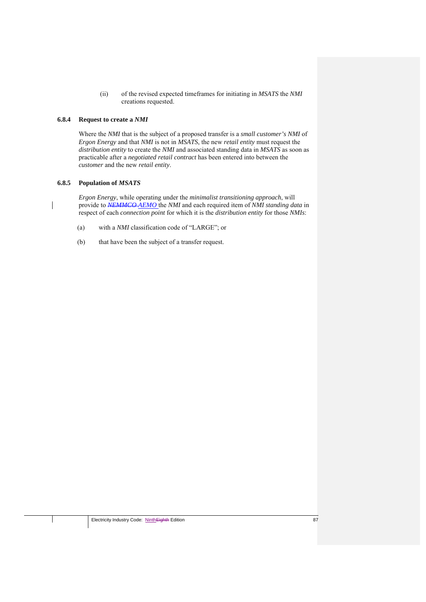(ii) of the revised expected timeframes for initiating in *MSATS* the *NMI* creations requested.

### **6.8.4 Request to create a** *NMI*

Where the *NMI* that is the subject of a proposed transfer is a *small customer's NMI* of *Ergon Energy* and that *NMI* is not in *MSATS*, the new *retail entity* must request the *distribution entity* to create the *NMI* and associated standing data in *MSATS* as soon as practicable after a *negotiated retail contract* has been entered into between the *customer* and the new *retail entity*.

### **6.8.5 Population of** *MSATS*

*Ergon Energy*, while operating under the *minimalist transitioning approach*, will provide to *NEMMCO AEMO* the *NMI* and each required item of *NMI standing data* in respect of each *connection point* for which it is the *distribution entity* for those *NMIs*:

- (a) with a *NMI* classification code of "LARGE"; or
- (b) that have been the subject of a transfer request.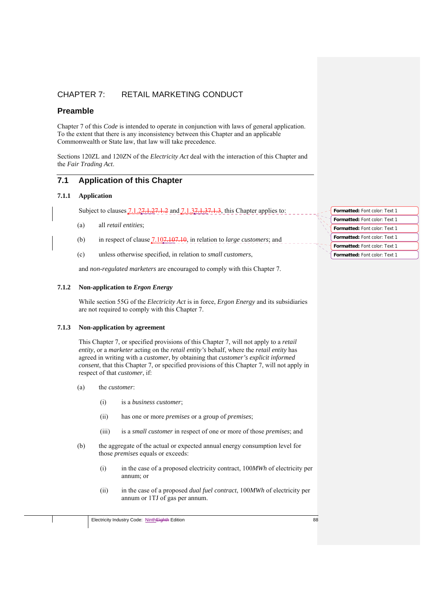# CHAPTER 7: RETAIL MARKETING CONDUCT

## **Preamble**

Chapter 7 of this *Code* is intended to operate in conjunction with laws of general application. To the extent that there is any inconsistency between this Chapter and an applicable Commonwealth or State law, that law will take precedence.

Sections 120ZL and 120ZN of the *Electricity Act* deal with the interaction of this Chapter and the *Fair Trading Act*.

# **7.1 Application of this Chapter**

### **7.1.1 Application**

Subject to clauses  $7.1.27.1.27.1.2$  and  $7.1.37.1.37.1.3$ , this Chapter applies to:

- (a) all *retail entities*;
- (b) in respect of clause 7.107.107.10, in relation to *large customers*; and
- (c) unless otherwise specified, in relation to *small customers*,

and *non-regulated marketers* are encouraged to comply with this Chapter 7.

## **7.1.2 Non-application to** *Ergon Energy*

While section 55G of the *Electricity Act* is in force, *Ergon Energy* and its subsidiaries are not required to comply with this Chapter 7.

### **7.1.3 Non-application by agreement**

This Chapter 7, or specified provisions of this Chapter 7, will not apply to a *retail entity*, or a *marketer* acting on the *retail entity's* behalf, where the *retail entity* has agreed in writing with a *customer*, by obtaining that *customer's explicit informed consent*, that this Chapter 7, or specified provisions of this Chapter 7, will not apply in respect of that *customer*, if:

- (a) the *customer*:
	- (i) is a *business customer*;
	- (ii) has one or more *premises* or a group of *premises*;
	- (iii) is a *small customer* in respect of one or more of those *premises*; and
- (b) the aggregate of the actual or expected annual energy consumption level for those *premises* equals or exceeds:
	- (i) in the case of a proposed electricity contract, 100*MWh* of electricity per annum; or
	- (ii) in the case of a proposed *dual fuel contract*, 100*MWh* of electricity per annum or 1TJ of gas per annum.

**Formatted:** Font color: Text 1 **Formatted:** Font color: Text 1 **Formatted:** Font color: Text 1 **Formatted:** Font color: Text 1 **Formatted:** Font color: Text 1 **Formatted:** Font color: Text 1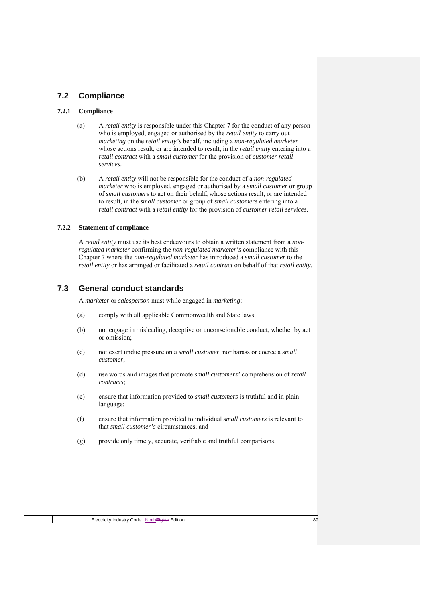# **7.2 Compliance**

## **7.2.1 Compliance**

- (a) A *retail entity* is responsible under this Chapter 7 for the conduct of any person who is employed, engaged or authorised by the *retail entity* to carry out *marketing* on the *retail entity's* behalf, including a *non-regulated marketer* whose actions result, or are intended to result, in the *retail entity* entering into a *retail contract* with a *small customer* for the provision of *customer retail services*.
- (b) A *retail entity* will not be responsible for the conduct of a *non-regulated marketer* who is employed, engaged or authorised by a *small customer* or group of *small customers* to act on their behalf, whose actions result, or are intended to result, in the *small customer* or group of *small customers* entering into a *retail contract* with a *retail entity* for the provision of *customer retail services*.

#### **7.2.2 Statement of compliance**

A *retail entity* must use its best endeavours to obtain a written statement from a *nonregulated marketer* confirming the *non-regulated marketer's* compliance with this Chapter 7 where the *non-regulated marketer* has introduced a *small customer* to the *retail entity* or has arranged or facilitated a *retail contract* on behalf of that *retail entity*.

# **7.3 General conduct standards**

A *marketer* or *salesperson* must while engaged in *marketing*:

- (a) comply with all applicable Commonwealth and State laws;
- (b) not engage in misleading, deceptive or unconscionable conduct, whether by act or omission;
- (c) not exert undue pressure on a *small customer*, nor harass or coerce a *small customer*;
- (d) use words and images that promote *small customers'* comprehension of *retail contracts*;
- (e) ensure that information provided to *small customers* is truthful and in plain language;
- (f) ensure that information provided to individual *small customers* is relevant to that *small customer's* circumstances; and
- (g) provide only timely, accurate, verifiable and truthful comparisons.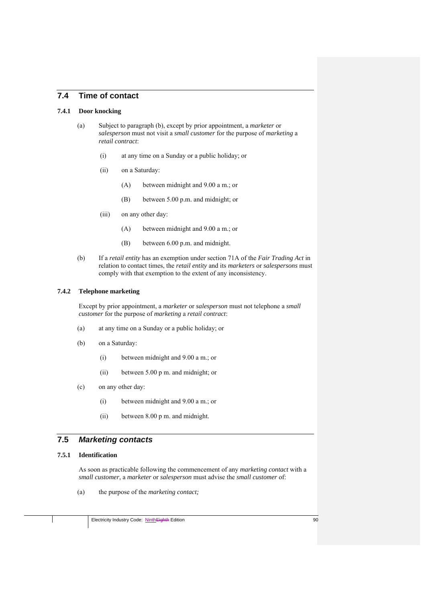# **7.4 Time of contact**

## **7.4.1 Door knocking**

- (a) Subject to paragraph (b), except by prior appointment, a *marketer* or *salesperson* must not visit a *small customer* for the purpose of *marketing* a *retail contract*:
	- (i) at any time on a Sunday or a public holiday; or
	- (ii) on a Saturday:
		- (A) between midnight and 9.00 a m.; or
		- (B) between 5.00 p.m. and midnight; or
	- (iii) on any other day:
		- (A) between midnight and 9.00 a m.; or
		- (B) between 6.00 p.m. and midnight.
- (b) If a *retail entity* has an exemption under section 71A of the *Fair Trading Act* in relation to contact times, the *retail entity* and its *marketers* or *salespersons* must comply with that exemption to the extent of any inconsistency.

#### **7.4.2 Telephone marketing**

Except by prior appointment, a *marketer* or *salesperson* must not telephone a *small customer* for the purpose of *marketing* a *retail contract*:

- (a) at any time on a Sunday or a public holiday; or
- (b) on a Saturday:
	- (i) between midnight and 9.00 a m.; or
	- (ii) between 5.00 p m. and midnight; or
- (c) on any other day:
	- (i) between midnight and 9.00 a m.; or
	- (ii) between 8.00 p m. and midnight.

# **7.5** *Marketing contacts*

#### **7.5.1 Identification**

As soon as practicable following the commencement of any *marketing contact* with a *small customer*, a *marketer* or *salesperson* must advise the *small customer* of:

(a) the purpose of the *marketing contact;*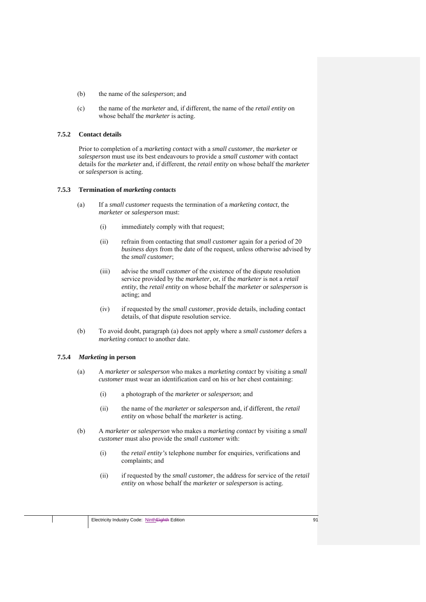- (b) the name of the *salesperson*; and
- (c) the name of the *marketer* and, if different, the name of the *retail entity* on whose behalf the *marketer* is acting.

### **7.5.2 Contact details**

Prior to completion of a *marketing contact* with a *small customer*, the *marketer* or *salesperson* must use its best endeavours to provide a *small customer* with contact details for the *marketer* and, if different, the *retail entity* on whose behalf the *marketer* or *salesperson* is acting.

#### **7.5.3 Termination of** *marketing contacts*

- (a) If a *small customer* requests the termination of a *marketing contact*, the *marketer* or *salesperson* must:
	- (i) immediately comply with that request;
	- (ii) refrain from contacting that *small customer* again for a period of 20 *business days* from the date of the request, unless otherwise advised by the *small customer*;
	- (iii) advise the *small customer* of the existence of the dispute resolution service provided by the *marketer*, or, if the *marketer* is not a *retail entity*, the *retail entity* on whose behalf the *marketer* or *salesperson* is acting; and
	- (iv) if requested by the *small customer*, provide details, including contact details, of that dispute resolution service.
- (b) To avoid doubt, paragraph (a) does not apply where a *small customer* defers a *marketing contact* to another date.

### **7.5.4** *Marketing* **in person**

- (a) A *marketer* or *salesperson* who makes a *marketing contact* by visiting a *small customer* must wear an identification card on his or her chest containing:
	- (i) a photograph of the *marketer* or *salesperson*; and
	- (ii) the name of the *marketer* or *salesperson* and, if different, the *retail entity* on whose behalf the *marketer* is acting.
- (b) A *marketer* or *salesperson* who makes a *marketing contact* by visiting a *small customer* must also provide the *small customer* with:
	- (i) the *retail entity's* telephone number for enquiries, verifications and complaints; and
	- (ii) if requested by the *small customer*, the address for service of the *retail entity* on whose behalf the *marketer* or *salesperson* is acting.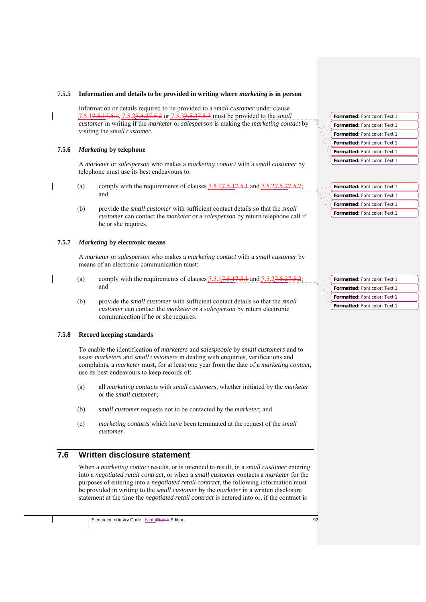### **7.5.5 Information and details to be provided in writing where** *marketing* **is in person**

Information or details required to be provided to a *small customer* under clause 7.5.17.5.17.5.1, 7.5.27.5.27.5.2 or 7.5.37.5.37.5.3 must be provided to the *small customer* in writing if the *marketer* or *salesperson* is making the *marketing contact* by visiting the *small customer*.

### **7.5.6** *Marketing* **by telephone**

A *marketer* or *salesperson* who makes a *marketing contact* with a *small customer* by telephone must use its best endeavours to:

- (a) comply with the requirements of clauses  $7.5.17.5.17.5.1$  and  $7.5.27.5.2$ and
- (b) provide the *small customer* with sufficient contact details so that the *small customer* can contact the *marketer* or a *salesperson* by return telephone call if he or she requires.

### **7.5.7** *Marketing* **by electronic means**

A *marketer* or *salesperson* who makes a *marketing contact* with a *small customer* by means of an electronic communication must:

- (a) comply with the requirements of clauses  $7.5.17.5.17.5.1$  and  $T<sub>1</sub>$ and
- (b) provide the *small customer* with sufficient contact details so that the *small customer* can contact the *marketer* or a *salesperson* by return electronic communication if he or she requires.

## **7.5.8 Record keeping standards**

To enable the identification of *marketers* and *salespeople* by *small customers* and to assist *marketers* and *small customers* in dealing with enquiries, verifications and complaints, a *marketer* must, for at least one year from the date of a *marketing contact,* use its best endeavours to keep records of:

- (a) all *marketing contacts* with *small customers*, whether initiated by the *marketer* or the *small customer*;
- (b) *small customer* requests not to be contacted by the *marketer*; and
- (c) *marketing contacts* which have been terminated at the request of the *small customer*.

# **7.6 Written disclosure statement**

When a *marketing contact* results, or is intended to result, in a *small customer* entering into a *negotiated retail contract*, or when a *small customer* contacts a *marketer* for the purposes of entering into a *negotiated retail contract*, the following information must be provided in writing to the *small customer* by the *marketer* in a written disclosure statement at the time the *negotiated retail contract* is entered into or, if the contract is

| Formatted: Font color: Text 1        |
|--------------------------------------|
| Formatted: Font color: Text 1        |
| Formatted: Font color: Text 1        |
| Formatted: Font color: Text 1        |
| Formatted: Font color: Text 1        |
| <b>Formatted: Font color: Text 1</b> |

**Formatted:** Font color: Text 1 **Formatted:** Font color: Text 1 **Formatted:** Font color: Text 1 **Formatted:** Font color: Text 1

**Formatted:** Font color: Text 1 **Formatted:** Font color: Text 1 **Formatted:** Font color: Text 1 **Formatted:** Font color: Text 1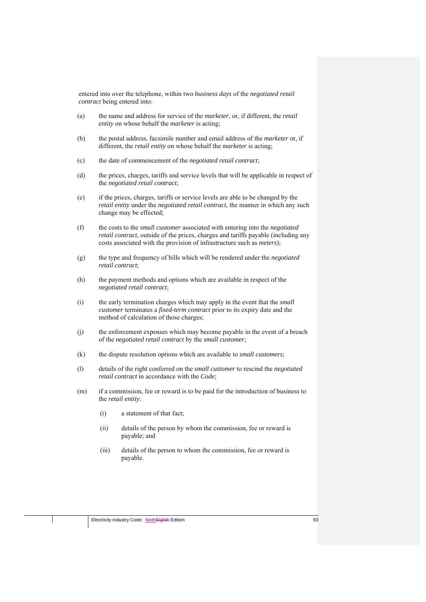entered into over the telephone, within two *business days* of the *negotiated retail contract* being entered into:

- (a) the name and address for service of the *marketer*, or, if different, the *retail entity* on whose behalf the *marketer* is acting;
- (b) the postal address, facsimile number and email address of the *marketer* or, if different, the *retail entity* on whose behalf the *marketer* is acting;
- (c) the date of commencement of the *negotiated retail contract*;
- (d) the prices, charges, tariffs and service levels that will be applicable in respect of the *negotiated retail contract*;
- (e) if the prices, charges, tariffs or service levels are able to be changed by the *retail entity* under the *negotiated retail contract*, the manner in which any such change may be effected;
- (f) the costs to the *small customer* associated with entering into the *negotiated retail contract*, outside of the prices, charges and tariffs payable (including any costs associated with the provision of infrastructure such as *meters*);
- (g) the type and frequency of bills which will be rendered under the *negotiated retail contract*;
- (h) the payment methods and options which are available in respect of the *negotiated retail contract*;
- (i) the early termination charges which may apply in the event that the *small customer* terminates a *fixed-term contract* prior to its expiry date and the method of calculation of those charges;
- (j) the enforcement expenses which may become payable in the event of a breach of the *negotiated retail contract* by the *small customer*;
- (k) the dispute resolution options which are available to *small customers*;
- (l) details of the right conferred on the *small customer* to rescind the *negotiated retail contract* in accordance with the *Code*;
- (m) if a commission, fee or reward is to be paid for the introduction of business to the *retail entity*:
	- (i) a statement of that fact;
	- (ii) details of the person by whom the commission, fee or reward is payable; and
	- (iii) details of the person to whom the commission, fee or reward is payable.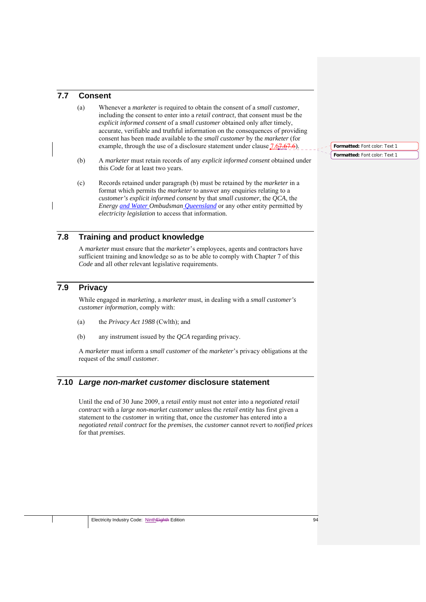# **7.7 Consent**

- (a) Whenever a *marketer* is required to obtain the consent of a *small customer*, including the consent to enter into a *retail contract*, that consent must be the *explicit informed consent* of a *small customer* obtained only after timely, accurate, verifiable and truthful information on the consequences of providing consent has been made available to the *small customer* by the *marketer* (for example, through the use of a disclosure statement under clause  $(7.67.67.6)$ .
- (b) A *marketer* must retain records of any *explicit informed consent* obtained under this *Code* for at least two years.
- (c) Records retained under paragraph (b) must be retained by the *marketer* in a format which permits the *marketer* to answer any enquiries relating to a *customer's explicit informed consent* by that *small customer*, the *QCA*, the *Energy and Water Ombudsman Queensland* or any other entity permitted by *electricity legislation* to access that information.

# **7.8 Training and product knowledge**

A *marketer* must ensure that the *marketer*'s employees, agents and contractors have sufficient training and knowledge so as to be able to comply with Chapter 7 of this *Code* and all other relevant legislative requirements.

# **7.9 Privacy**

While engaged in *marketing*, a *marketer* must, in dealing with a *small customer's customer information*, comply with:

- (a) the *Privacy Act 1988* (Cwlth); and
- (b) any instrument issued by the *QCA* regarding privacy.

A *marketer* must inform a *small customer* of the *marketer*'s privacy obligations at the request of the *small customer*.

# **7.10** *Large non-market customer* **disclosure statement**

Until the end of 30 June 2009, a *retail entity* must not enter into a *negotiated retail contract* with a *large non-market customer* unless the *retail entity* has first given a statement to the *customer* in writing that, once the *customer* has entered into a *negotiated retail contract* for the *premises*, the *customer* cannot revert to *notified prices* for that *premises*.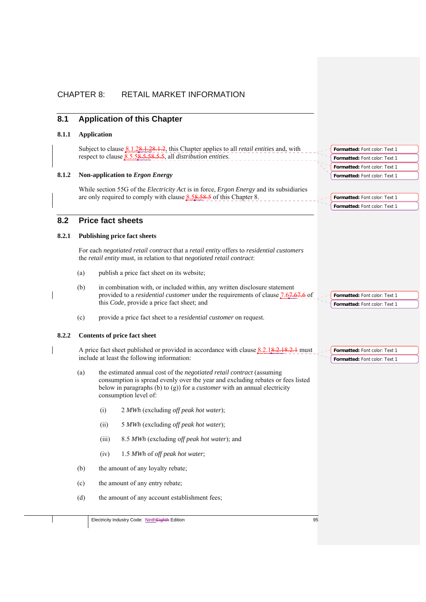# CHAPTER 8: RETAIL MARKET INFORMATION

# **8.1 Application of this Chapter**

### **8.1.1 Application**

Subject to clause 8.1.28.1.28.1.2, this Chapter applies to all *retail entities* and, with respect to clause 8.5.58.5.58.5.5, all *distribution entities*.

### **8.1.2 Non-application to** *Ergon Energy*

While section 55G of the *Electricity Act* is in force, *Ergon Energy* and its subsidiaries are only required to comply with clause 8.58.58.5 of this Chapter 8.

# **8.2 Price fact sheets**

### **8.2.1 Publishing price fact sheets**

For each *negotiated retail contract* that a *retail entity* offers to *residential customers* the *retail entity* must, in relation to that *negotiated retail contract*:

- (a) publish a price fact sheet on its website;
- (b) in combination with, or included within, any written disclosure statement provided to a *residential customer* under the requirements of clause 7.67.67.6 of this *Code,* provide a price fact sheet; and
- (c) provide a price fact sheet to a *residential customer* on request.

### **8.2.2 Contents of price fact sheet**

A price fact sheet published or provided in accordance with clause  $8.2.18.2.18.2.1$  must include at least the following information:

- (a) the estimated annual cost of the *negotiated retail contract* (assuming consumption is spread evenly over the year and excluding rebates or fees listed below in paragraphs (b) to (g)) for a *customer* with an annual electricity consumption level of:
	- (i) 2 *MWh* (excluding *off peak hot water*);
	- (ii) 5 *MWh* (excluding *off peak hot water*);
	- (iii) 8.5 *MWh* (excluding *off peak hot water*); and
	- (iv) 1.5 *MWh* of *off peak hot water*;
- (b) the amount of any loyalty rebate;
- (c) the amount of any entry rebate;
- (d) the amount of any account establishment fees;





**Formatted:** Font color: Text 1 **Formatted:** Font color: Text 1

**Formatted:** Font color: Text 1 **Formatted:** Font color: Text 1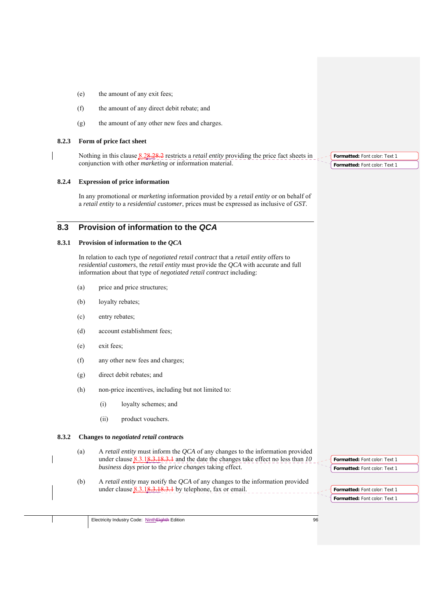- (e) the amount of any exit fees;
- (f) the amount of any direct debit rebate; and
- (g) the amount of any other new fees and charges.

### **8.2.3 Form of price fact sheet**

Nothing in this clause 8.28.28.2 restricts a *retail entity* providing the price fact sheets in conjunction with other *marketing* or information material.

#### **8.2.4 Expression of price information**

In any promotional or *marketing* information provided by a *retail entity* or on behalf of a *retail entity* to a *residential customer*, prices must be expressed as inclusive of *GST*.

# **8.3 Provision of information to the** *QCA*

### **8.3.1 Provision of information to the** *QCA*

In relation to each type of *negotiated retail contract* that a *retail entity* offers to *residential customers*, the *retail entity* must provide the *QCA* with accurate and full information about that type of *negotiated retail contract* including:

- (a) price and price structures;
- (b) loyalty rebates;
- (c) entry rebates;
- (d) account establishment fees;
- (e) exit fees;
- (f) any other new fees and charges;
- (g) direct debit rebates; and
- (h) non-price incentives, including but not limited to:
	- (i) loyalty schemes; and
	- (ii) product vouchers.

#### **8.3.2 Changes to** *negotiated retail contract***s**

- (a) A *retail entity* must inform the *QCA* of any changes to the information provided under clause  $8.3.18.3.18.3.1$  and the date the changes take effect no less than 10 *business days* prior to the *price changes* taking effect.
- (b) A *retail entity* may notify the *QCA* of any changes to the information provided under clause  $8.3.18.3.18.3.1$  by telephone, fax or email.

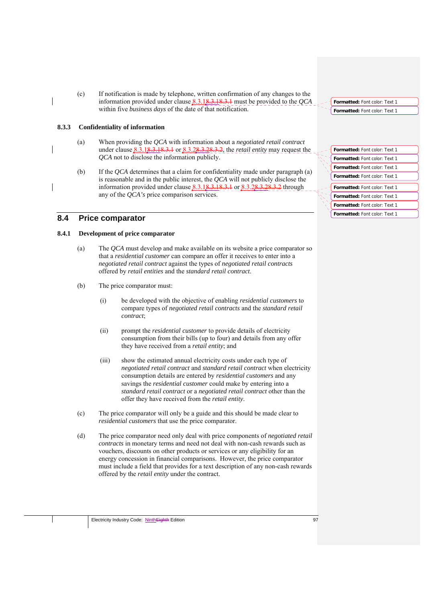(c) If notification is made by telephone, written confirmation of any changes to the information provided under clause 8.3.18.3.18.3.1 must be provided to the *QCA* within five *business days* of the date of that notification.

### **8.3.3 Confidentiality of information**

- (a) When providing the *QCA* with information about a *negotiated retail contract* under clause 8.3.18.3.18.3.1 or 8.3.28.3.28.3.2, the *retail entity* may request the *QCA* not to disclose the information publicly.
- (b) If the *QCA* determines that a claim for confidentiality made under paragraph (a) is reasonable and in the public interest, the *QCA* will not publicly disclose the information provided under clause  $8.3.18.3.18.3.1$  or  $8.3.28.3.28.3.2$  through any of the *QCA's* price comparison services.

# **8.4 Price comparator**

### **8.4.1 Development of price comparator**

- (a) The *QCA* must develop and make available on its website a price comparator so that a *residential customer* can compare an offer it receives to enter into a *negotiated retail contract* against the types of *negotiated retail contracts* offered by *retail entities* and the *standard retail contract*.
- (b) The price comparator must:
	- (i) be developed with the objective of enabling *residential customers* to compare types of *negotiated retail contracts* and the *standard retail contract*;
	- (ii) prompt the *residential customer* to provide details of electricity consumption from their bills (up to four) and details from any offer they have received from a *retail entity*; and
	- (iii) show the estimated annual electricity costs under each type of *negotiated retail contract* and *standard retail contract* when electricity consumption details are entered by *residential customers* and any savings the *residential customer* could make by entering into a *standard retail contract* or a *negotiated retail contract* other than the offer they have received from the *retail entity*.
- (c) The price comparator will only be a guide and this should be made clear to *residential customers* that use the price comparator.
- (d) The price comparator need only deal with price components of *negotiated retail contracts* in monetary terms and need not deal with non-cash rewards such as vouchers, discounts on other products or services or any eligibility for an energy concession in financial comparisons. However, the price comparator must include a field that provides for a text description of any non-cash rewards offered by the *retail entity* under the contract.

| Formatted: Font color: Text 1 |  |
|-------------------------------|--|
|                               |  |
|                               |  |

**Formatted:** Font color: Text 1

| <b>Formatted: Font color: Text 1</b> |
|--------------------------------------|
| Formatted: Font color: Text 1        |
| Formatted: Font color: Text 1        |
| Formatted: Font color: Text 1        |
| <b>Formatted: Font color: Text 1</b> |
| <b>Formatted: Font color: Text 1</b> |
|                                      |
| Formatted: Font color: Text 1        |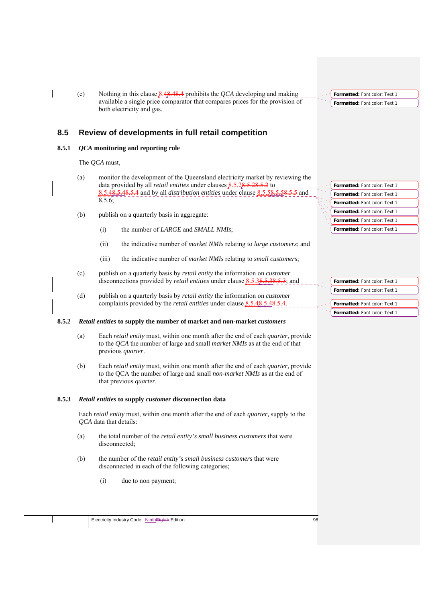(e) Nothing in this clause 8.48.48.4 prohibits the *QCA* developing and making available a single price comparator that compares prices for the provision of both electricity and gas.

# **8.5 Review of developments in full retail competition**

## **8.5.1** *QCA* **monitoring and reporting role**

The *QCA* must,

- (a) monitor the development of the Queensland electricity market by reviewing the data provided by all *retail entities* under clauses 8.5.28.5.28.5.2 to 8.5.48.5.48.5.4 and by all *distribution entities* under clause 8.5.58.5.58.5.5 and 8.5.6;
- (b) publish on a quarterly basis in aggregate:
	- (i) the number of *LARGE* and *SMALL NMIs*;
	- (ii) the indicative number of *market NMIs* relating to *large customers*; and
	- (iii) the indicative number of *market NMIs* relating to *small customers*;
- (c) publish on a quarterly basis by *retail entity* the information on *customer* disconnections provided by *retail entities* under clause 8.5.38.5.38.5.3; and
- (d) publish on a quarterly basis by *retail entity* the information on *customer* complaints provided by the *retail entities* under clause 8.5.48.

### **8.5.2** *Retail entities* **to supply the number of market and non-market** *customers*

- (a) Each *retail entity* must, within one month after the end of each *quarter,* provide to the *QCA* the number of large and small *market NMIs* as at the end of that previous *quarter*.
- (b) Each *retail entity* must, within one month after the end of each *quarter,* provide to the QCA the number of large and small *non-market NMIs* as at the end of that previous *quarter*.

### **8.5.3** *Retail entities* **to supply** *customer* **disconnection data**

Each *retail entity* must, within one month after the end of each *quarter,* supply to the *QCA* data that details:

- (a) the total number of the *retail entity's small business customers* that were disconnected;
- (b) the number of the *retail entity's small business customers* that were disconnected in each of the following categories;
	- (i) due to non payment;

| Formatted: Font color: Text 1 |
|-------------------------------|
| Formatted: Font color: Text 1 |
| Formatted: Font color: Text 1 |
| Formatted: Font color: Text 1 |
| Formatted: Font color: Text 1 |
| Formatted: Font color: Text 1 |

| Formatted: Font color: Text 1 |
|-------------------------------|
| Formatted: Font color: Text 1 |
|                               |

| <b>Formatted: Font color: Text 1</b> |
|--------------------------------------|
| <b>Formatted:</b> Font color: Text 1 |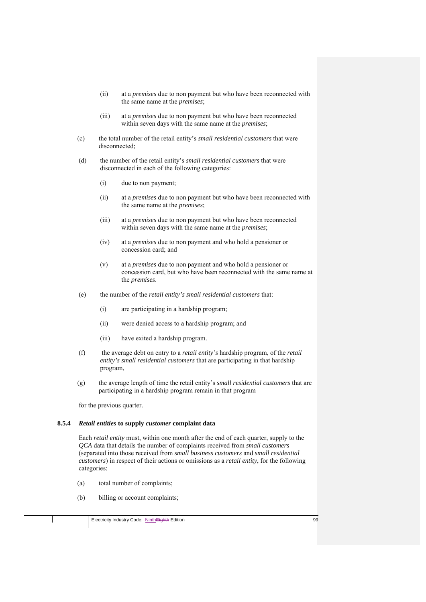- (ii) at a *premises* due to non payment but who have been reconnected with the same name at the *premises*;
- (iii) at a *premises* due to non payment but who have been reconnected within seven days with the same name at the *premises*;
- (c) the total number of the retail entity's *small residential customers* that were disconnected;
- (d) the number of the retail entity's *small residential customers* that were disconnected in each of the following categories:
	- (i) due to non payment;
	- (ii) at a *premises* due to non payment but who have been reconnected with the same name at the *premises*;
	- (iii) at a *premises* due to non payment but who have been reconnected within seven days with the same name at the *premises*;
	- (iv) at a *premises* due to non payment and who hold a pensioner or concession card; and
	- (v) at a *premises* due to non payment and who hold a pensioner or concession card, but who have been reconnected with the same name at the *premises*.
- (e) the number of the *retail entity's small residential customers* that:
	- (i) are participating in a hardship program;
	- (ii) were denied access to a hardship program; and
	- (iii) have exited a hardship program.
- (f) the average debt on entry to a *retail entity's* hardship program, of the *retail entity's small residential customers* that are participating in that hardship program,
- (g) the average length of time the retail entity's *small residential customers* that are participating in a hardship program remain in that program

for the previous quarter.

#### **8.5.4** *Retail entities* **to supply** *customer* **complaint data**

Each *retail entity* must, within one month after the end of each quarter, supply to the *QCA* data that details the number of complaints received from *small customers* (separated into those received from *small business customers* and *small residential customers*) in respect of their actions or omissions as a *retail entity*, for the following categories:

- (a) total number of complaints;
- (b) billing or account complaints;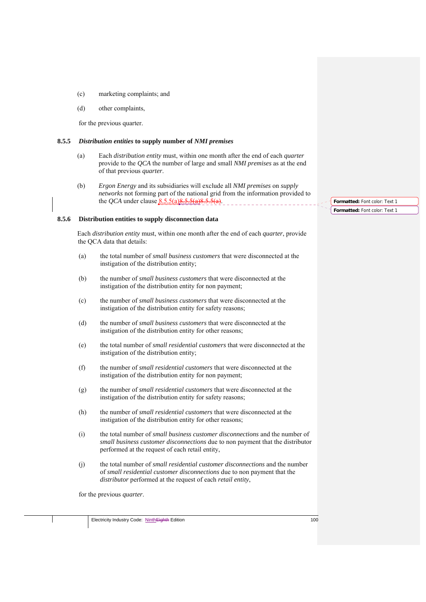- (c) marketing complaints; and
- (d) other complaints,

for the previous quarter.

#### **8.5.5** *Distribution entities* **to supply number of** *NMI premises*

- (a) Each *distribution entity* must, within one month after the end of each *quarter* provide to the *QCA* the number of large and small *NMI premises* as at the end of that previous *quarter*.
- (b) *Ergon Energy* and its subsidiaries will exclude all *NMI premises* on *supply networks* not forming part of the national grid from the information provided to the *QCA* under clause  $8.5.5(a)8.5.5(a)8.5.5(a)$ .

#### **8.5.6 Distribution entities to supply disconnection data**

Each *distribution entity* must, within one month after the end of each *quarter*, provide the QCA data that details:

- (a) the total number of *small business customers* that were disconnected at the instigation of the distribution entity;
- (b) the number of *small business customers* that were disconnected at the instigation of the distribution entity for non payment;
- (c) the number of *small business customers* that were disconnected at the instigation of the distribution entity for safety reasons;
- (d) the number of *small business customers* that were disconnected at the instigation of the distribution entity for other reasons;
- (e) the total number of *small residential customers* that were disconnected at the instigation of the distribution entity;
- (f) the number of *small residential customers* that were disconnected at the instigation of the distribution entity for non payment;
- (g) the number of *small residential customers* that were disconnected at the instigation of the distribution entity for safety reasons;
- (h) the number of *small residential customers* that were disconnected at the instigation of the distribution entity for other reasons;
- (i) the total number of *small business customer disconnections* and the number of *small business customer disconnections* due to non payment that the distributor performed at the request of each retail entity,
- (j) the total number of *small residential customer disconnections* and the number of *small residential customer disconnections* due to non payment that the *distributor* performed at the request of each *retail entity*,

for the previous *quarter*.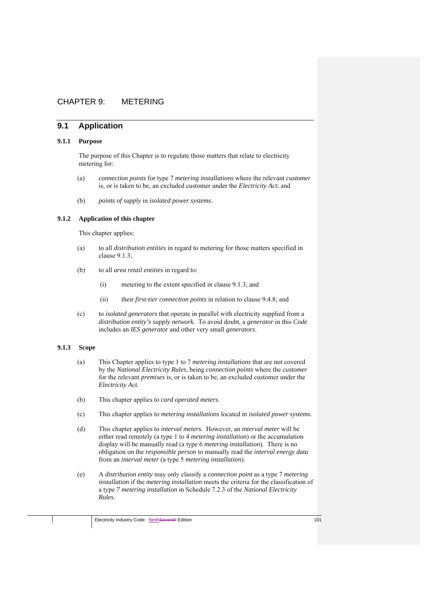# CHAPTER 9: METERING

## **9.1 Application**

### **9.1.1 Purpose**

The purpose of this Chapter is to regulate those matters that relate to electricity metering for:

- (a) *connection points* for type 7 *metering installations* where the relevant *customer*  is, or is taken to be, an excluded customer under the *Electricity Act*; and
- (b) *points of supply* in *isolated power systems*.

### **9.1.2 Application of this chapter**

This chapter applies:

- (a) to all *distribution entities* in regard to metering for those matters specified in clause 9.1.3;
- (b) to all *area retail entities* in regard to:
	- (i) metering to the extent specified in clause 9.1.3; and
	- (ii) their *first-tier connection points* in relation to clause 9.4.8; and
- (c) to *isolated generators* that operate in parallel with electricity supplied from a *distribution entity's supply network.* To avoid doubt, a *generator* in this *Code* includes an *IES generator* and other very small *generators*.

## **9.1.3 Scope**

- (a) This Chapter applies to type 1 to 7 *metering installations* that are not covered by the *National Electricity Rules*, being *connection points* where the *customer* for the relevant *premises* is, or is taken to be, an excluded customer under the *Electricity Act.*
- (b) This chapter applies to *card operated meters*.
- (c) This chapter applies to *metering installations* located in *isolated power systems*.
- (d) This chapter applies to *interval meters.* However, an *interval meter* will be either read remotely (a type 1 to 4 *metering installation*) or the accumulation display will be manually read (a type 6 *metering installation*). There is no obligation on the *responsible person* to manually read the *interval energy data* from an *interval meter* (a type 5 *metering installation*).
- (e) A *distribution entity* may only classify a *connection point* as a type 7 *metering installation* if the *metering installation* meets the criteria for the classification of a type *7 metering installation* in Schedule 7.2.3 of the *National Electricity Rules*.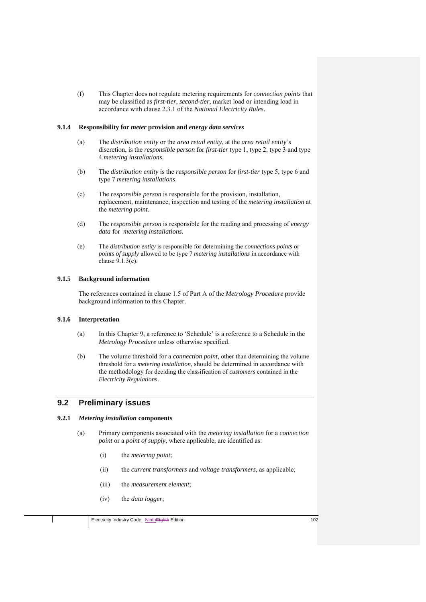(f) This Chapter does not regulate metering requirements for *connection points* that may be classified as *first-tier*, *second-tier*, market load or intending load in accordance with clause 2.3.1 of the *National Electricity Rules*.

### **9.1.4 Responsibility for** *meter* **provision and** *energy data services*

- (a) The *distribution entity* or the *area retail entity*, at the *area retail entity's* discretion, is the *responsible person* for *first-tier* type 1, type 2, type 3 and type 4 *metering installations*.
- (b) The *distribution entity* is the *responsible person* for *first-tier* type 5, type 6 and type 7 *metering installations*.
- (c) The *responsible person* is responsible for the provision, installation, replacement, maintenance, inspection and testing of the *metering installation* at the *metering point*.
- (d) The *responsible person* is responsible for the reading and processing of *energy data* for *metering installations*.
- (e) The *distribution entity* is responsible for determining the *connections points* or *points of supply* allowed to be type 7 *metering installations* in accordance with clause 9.1.3(e).

### **9.1.5 Background information**

The references contained in clause 1.5 of Part A of the *Metrology Procedure* provide background information to this Chapter.

## **9.1.6 Interpretation**

- (a) In this Chapter 9, a reference to 'Schedule' is a reference to a Schedule in the *Metrology Procedure* unless otherwise specified.
- (b) The volume threshold for a *connection point*, other than determining the volume threshold for a *metering installation*, should be determined in accordance with the methodology for deciding the classification of *customers* contained in the *Electricity Regulations*.

# **9.2 Preliminary issues**

### **9.2.1** *Metering installation* **components**

- (a) Primary components associated with the *metering installation* for a *connection point* or a *point of supply*, where applicable, are identified as:
	- (i) the *metering point*;
	- (ii) the *current transformers* and *voltage transformers*, as applicable;
	- (iii) the *measurement element*;
	- (iv) the *data logger*;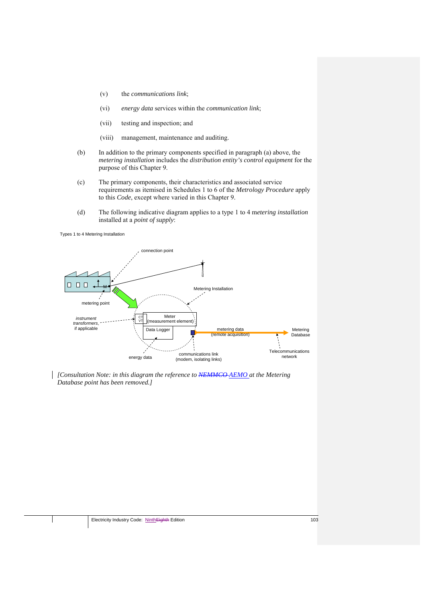- (v) the *communications link*;
- (vi) *energy data* services within the *communication link*;
- (vii) testing and inspection; and
- (viii) management, maintenance and auditing.
- (b) In addition to the primary components specified in paragraph (a) above, the *metering installation* includes the *distribution entity's control equipment* for the purpose of this Chapter 9.
- (c) The primary components, their characteristics and associated service requirements as itemised in Schedules 1 to 6 of the *Metrology Procedure* apply to this *Code*, except where varied in this Chapter 9.
- (d) The following indicative diagram applies to a type 1 to 4 m*etering installation* installed at a *point of supply*:

Types 1 to 4 Metering Installation



*[Consultation Note: in this diagram the reference to NEMMCO AEMO at the Metering Database point has been removed.]*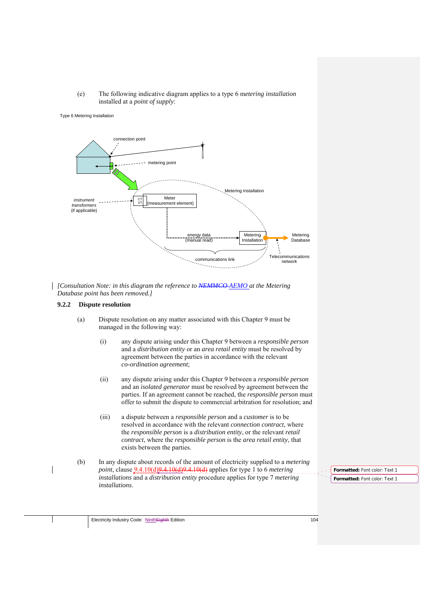### (e) The following indicative diagram applies to a type 6 m*etering installation*  installed at a *point of supply*:

#### Type 6 Metering Installation



*[Consultation Note: in this diagram the reference to NEMMCO AEMO at the Metering Database point has been removed.]* 

### **9.2.2 Dispute resolution**

- (a) Dispute resolution on any matter associated with this Chapter 9 must be managed in the following way:
	- (i) any dispute arising under this Chapter 9 between a *responsible person* and a *distribution entity* or an *area retail entity* must be resolved by agreement between the parties in accordance with the relevant *co-ordination agreement*;
	- (ii) any dispute arising under this Chapter 9 between a *responsible person* and an *isolated generator* must be resolved by agreement between the parties. If an agreement cannot be reached, the *responsible person* must offer to submit the dispute to commercial arbitration for resolution; and
	- (iii) a dispute between a *responsible person* and a *customer* is to be resolved in accordance with the relevant *connection contract*, where the *responsible person* is a *distribution entity*, or the relevant *retail contract*, where the *responsible person* is the *area retail entity*, that exists between the parties.
- (b) In any dispute about records of the amount of electricity supplied to a *metering point*, clause **9.4.10(d)**9.4.10(d)9.4.10(d) applies for type 1 to 6 *metering installations* and a *distribution entity* procedure applies for type 7 *metering installations*.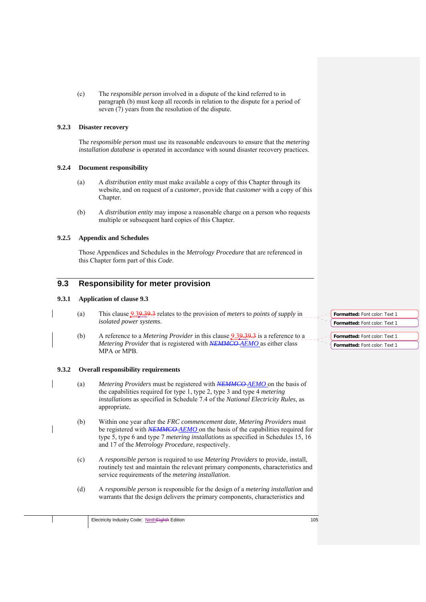(c) The *responsible person* involved in a dispute of the kind referred to in paragraph (b) must keep all records in relation to the dispute for a period of seven (7) years from the resolution of the dispute.

## **9.2.3 Disaster recovery**

The *responsible person* must use its reasonable endeavours to ensure that the *metering installation database* is operated in accordance with sound disaster recovery practices.

### **9.2.4 Document responsibility**

- (a) A *distribution entity* must make available a copy of this Chapter through its website, and on request of a *customer*, provide that *customer* with a copy of this Chapter.
- (b) A *distribution entity* may impose a reasonable charge on a person who requests multiple or subsequent hard copies of this Chapter.

## **9.2.5 Appendix and Schedules**

Those Appendices and Schedules in the *Metrology Procedure* that are referenced in this Chapter form part of this *Code*.

# **9.3 Responsibility for meter provision**

### **9.3.1 Application of clause 9.3**

- (a) This clause 9.39.39.3 relates to the provision of *meters* to *points of supply* in *isolated power systems*.
- (b) A reference to a *Metering Provider* in this clause 9.39.39.3 is a reference to a *Metering Provider* that is registered with *NEMMCO AEMO* as either class MPA or MPB.

### **9.3.2 Overall responsibility requirements**

- (a) *Metering Providers* must be registered with *NEMMCO AEMO* on the basis of the capabilities required for type 1, type 2, type 3 and type 4 *metering installations* as specified in Schedule 7.4 of the *National Electricity Rules*, as appropriate*.*
	- (b) Within one year after the *FRC commencement date*, *Metering Providers* must be registered with *NEMMCO-AEMO* on the basis of the capabilities required for type 5, type 6 and type 7 *metering installations* as specified in Schedules 15, 16 and 17 of the *Metrology Procedure*, respectively.
	- (c) A *responsible person* is required to use *Metering Providers* to provide, install, routinely test and maintain the relevant primary components, characteristics and service requirements of the *metering installation*.
	- (d) A *responsible person* is responsible for the design of a *metering installation* and warrants that the design delivers the primary components, characteristics and

**Formatted:** Font color: Text 1 **Formatted:** Font color: Text 1 **Formatted:** Font color: Text 1

**Formatted:** Font color: Text 1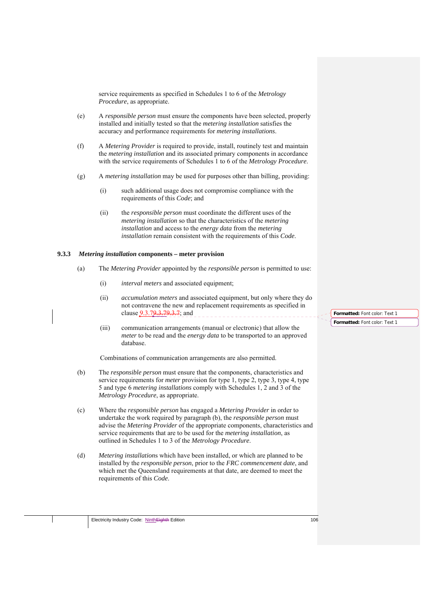service requirements as specified in Schedules 1 to 6 of the *Metrology Procedure*, as appropriate.

- (e) A *responsible person* must ensure the components have been selected, properly installed and initially tested so that the *metering installation* satisfies the accuracy and performance requirements for *metering installations*.
- (f) A *Metering Provider* is required to provide, install, routinely test and maintain the *metering installation* and its associated primary components in accordance with the service requirements of Schedules 1 to 6 of the *Metrology Procedure*.
- (g) A *metering installation* may be used for purposes other than billing, providing:
	- (i) such additional usage does not compromise compliance with the requirements of this *Code*; and
	- (ii) the *responsible person* must coordinate the different uses of the *metering installation* so that the characteristics of the *metering installation* and access to the *energy data* from the *metering installation* remain consistent with the requirements of this *Code*.

### **9.3.3** *Metering installation* **components – meter provision**

- (a) The *Metering Provider* appointed by the *responsible person* is permitted to use:
	- (i) *interval meters* and associated equipment;
	- (ii) *accumulation meters* and associated equipment, but only where they do not contravene the new and replacement requirements as specified in clause  $2.3.79.3.79.3.7$ ; and
	- (iii) communication arrangements (manual or electronic) that allow the *meter* to be read and the *energy data* to be transported to an approved database.

Combinations of communication arrangements are also permitted.

- (b) The *responsible person* must ensure that the components, characteristics and service requirements for *meter* provision for type 1, type 2, type 3, type 4, type 5 and type 6 *metering installations* comply with Schedules 1, 2 and 3 of the *Metrology Procedure*, as appropriate.
- (c) Where the *responsible person* has engaged a *Metering Provider* in order to undertake the work required by paragraph (b), the *responsible person* must advise the *Metering Provider* of the appropriate components, characteristics and service requirements that are to be used for the *metering installation*, as outlined in Schedules 1 to 3 of the *Metrology Procedure*.
- (d) *Metering installation*s which have been installed, or which are planned to be installed by the *responsible person*, prior to the *FRC commencement date*, and which met the Queensland requirements at that date, are deemed to meet the requirements of this *Code*.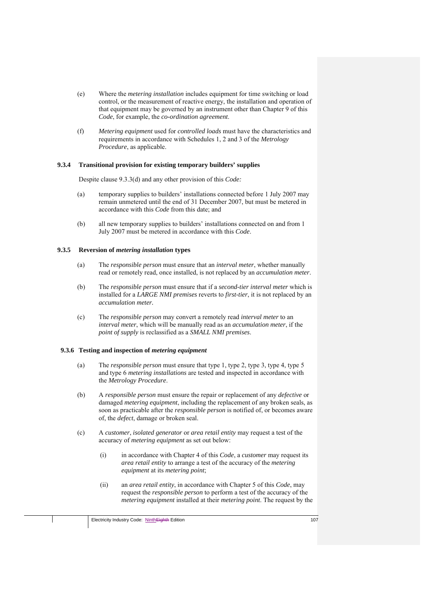- (e) Where the *metering installation* includes equipment for time switching or load control, or the measurement of reactive energy, the installation and operation of that equipment may be governed by an instrument other than Chapter 9 of this *Code*, for example, the *co-ordination agreement*.
- (f) *Metering equipment* used for *controlled loads* must have the characteristics and requirements in accordance with Schedules 1, 2 and 3 of the *Metrology Procedure*, as applicable.

## **9.3.4 Transitional provision for existing temporary builders' supplies**

Despite clause 9.3.3(d) and any other provision of this *Code:* 

- (a) temporary supplies to builders' installations connected before 1 July 2007 may remain unmetered until the end of 31 December 2007, but must be metered in accordance with this *Code* from this date; and
- (b) all new temporary supplies to builders' installations connected on and from 1 July 2007 must be metered in accordance with this *Code*.

## **9.3.5 Reversion of** *metering installation* **types**

- (a) The *responsible person* must ensure that an *interval meter*, whether manually read or remotely read, once installed, is not replaced by an *accumulation meter*.
- (b) The *responsible person* must ensure that if a *second-tier interval meter* which is installed for a *LARGE NMI premises* reverts to *first-tier*, it is not replaced by an *accumulation meter.*
- (c) The *responsible person* may convert a remotely read *interval meter* to an *interval meter*, which will be manually read as an *accumulation meter*, if the *point of supply* is reclassified as a *SMALL NMI premises*.

### **9.3.6 Testing and inspection of** *metering equipment*

- (a) The *responsible person* must ensure that type 1, type 2, type 3, type 4, type 5 and type 6 *metering installations* are tested and inspected in accordance with the *Metrology Procedure*.
- (b) A *responsible person* must ensure the repair or replacement of any *defective* or damaged *metering equipment*, including the replacement of any broken seals, as soon as practicable after the *responsible person* is notified of, or becomes aware of, the *defect*, damage or broken seal.
- (c) A *customer*, *isolated generator* or *area retail entity* may request a test of the accuracy of *metering equipment* as set out below:
	- (i) in accordance with Chapter 4 of this *Code*, a *customer* may request its *area retail entity* to arrange a test of the accuracy of the *metering equipment* at its *metering point*;
	- (ii) an *area retail entity*, in accordance with Chapter 5 of this *Code*, may request the *responsible person* to perform a test of the accuracy of the *metering equipment* installed at their *metering point*. The request by the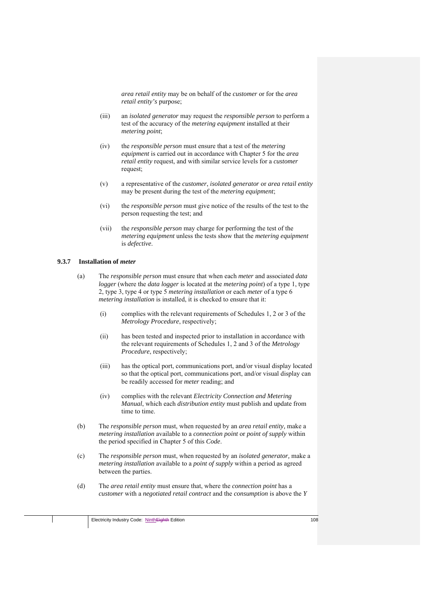*area retail entity* may be on behalf of the *customer* or for the *area retail entity's* purpose;

- (iii) an *isolated generator* may request the *responsible person* to perform a test of the accuracy of the *metering equipment* installed at their *metering point*;
- (iv) the *responsible person* must ensure that a test of the *metering equipment* is carried out in accordance with Chapter 5 for the *area retail entity* request, and with similar service levels for a *customer* request;
- (v) a representative of the *customer*, *isolated generator* or *area retail entity*  may be present during the test of the *metering equipment*;
- (vi) the *responsible person* must give notice of the results of the test to the person requesting the test; and
- (vii) the *responsible person* may charge for performing the test of the *metering equipment* unless the tests show that the *metering equipment* is *defective*.

## **9.3.7 Installation of** *meter*

- (a) The *responsible person* must ensure that when each *meter* and associated *data logger* (where the *data logger* is located at the *metering point*) of a type 1, type 2, type 3, type 4 or type 5 *metering installation* or each *meter* of a type 6 *metering installation* is installed, it is checked to ensure that it:
	- (i) complies with the relevant requirements of Schedules 1, 2 or 3 of the *Metrology Procedure*, respectively;
	- (ii) has been tested and inspected prior to installation in accordance with the relevant requirements of Schedules 1, 2 and 3 of the *Metrology Procedure*, respectively;
	- (iii) has the optical port, communications port, and/or visual display located so that the optical port, communications port, and/or visual display can be readily accessed for *meter* reading; and
	- (iv) complies with the relevant *Electricity Connection and Metering Manual*, which each *distribution entity* must publish and update from time to time.
- (b) The *responsible person* must, when requested by an *area retail entity,* make a *metering installation* available to a *connection point* or *point of supply* within the period specified in Chapter 5 of this *Code*.
- (c) The *responsible person* must, when requested by an *isolated generator,* make a *metering installation* available to a *point of supply* within a period as agreed between the parties.
- (d) The *area retail entity* must ensure that, where the *connection point* has a *customer* with a *negotiated retail contract* and the *consumption* is above the *Y*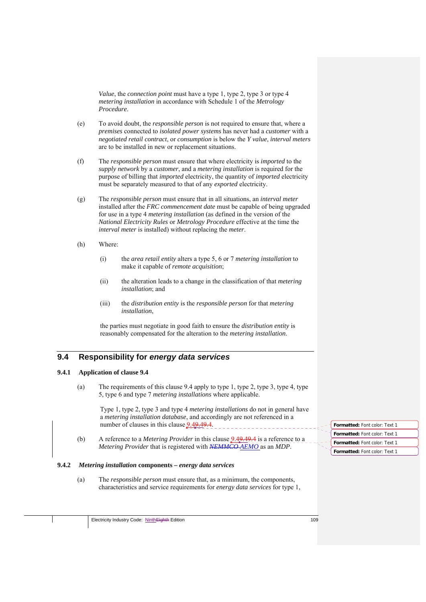*Value*, the *connection point* must have a type 1, type 2, type 3 or type 4 *metering installation* in accordance with Schedule 1 of the *Metrology Procedure*.

- (e) To avoid doubt, the *responsible person* is not required to ensure that, where a *premises* connected to *isolated power systems* has never had a *customer* with a *negotiated retail contract*, or *consumption* is below the *Y value*, *interval meters* are to be installed in new or replacement situations.
- (f) The *responsible person* must ensure that where electricity is *imported* to the *supply network* by a *customer*, and a *metering installation* is required for the purpose of billing that *imported* electricity, the quantity of *imported* electricity must be separately measured to that of any *exported* electricity.
- (g) The *responsible person* must ensure that in all situations, an *interval meter* installed after the *FRC commencement date* must be capable of being upgraded for use in a type 4 *metering installation* (as defined in the version of the *National Electricity Rules* or *Metrology Procedure* effective at the time the *interval meter* is installed) without replacing the *meter*.
- (h) Where:
	- (i) the *area retail entity* alters a type 5, 6 or 7 *metering installation* to make it capable of *remote acquisition*;
	- (ii) the alteration leads to a change in the classification of that *metering installation*; and
	- (iii) the *distribution entity* is the *responsible person* for that *metering installation*,

the parties must negotiate in good faith to ensure the *distribution entity* is reasonably compensated for the alteration to the *metering installation*.

# **9.4 Responsibility for** *energy data services*

#### **9.4.1 Application of clause 9.4**

(a) The requirements of this clause 9.4 apply to type 1, type 2, type 3, type 4, type 5, type 6 and type 7 *metering installations* where applicable.

Type 1, type 2, type 3 and type 4 *metering installations* do not in general have a *metering installation database*, and accordingly are not referenced in a number of clauses in this clause  $9.49.49.4$ .

(b) A reference to a *Metering Provider* in this clause 9.49.49.4 is a reference to a *Metering Provider* that is registered with *NEMMCO AEMO* as an *MDP*.

### **9.4.2** *Metering installation* **components –** *energy data services*

(a) The *responsible person* must ensure that, as a minimum, the components, characteristics and service requirements for *energy data services* for type 1,

| Formatted: Font color: Text 1        |
|--------------------------------------|
| <b>Formatted: Font color: Text 1</b> |
| Formatted: Font color: Text 1        |
| Formatted: Font color: Text 1        |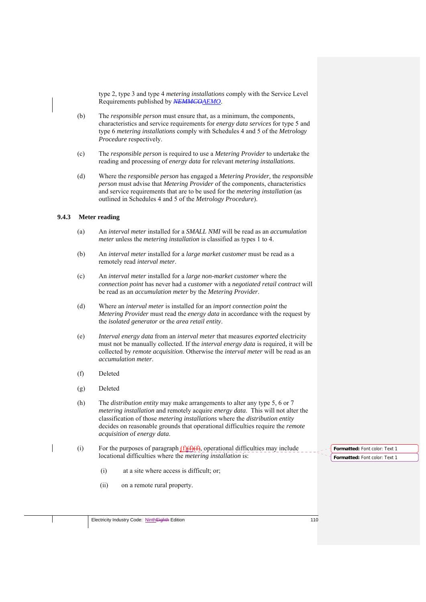type 2, type 3 and type 4 *metering installations* comply with the Service Level Requirements published by *NEMMCOAEMO*.

- (b) The *responsible person* must ensure that, as a minimum, the components, characteristics and service requirements for *energy data services* for type 5 and type 6 *metering installations* comply with Schedules 4 and 5 of the *Metrology Procedure* respectively.
- (c) The *responsible person* is required to use a *Metering Provider* to undertake the reading and processing of *energy data* for relevant *metering installations*.
- (d) Where the *responsible person* has engaged a *Metering Provider,* the *responsible person* must advise that *Metering Provider* of the components, characteristics and service requirements that are to be used for the *metering installation* (as outlined in Schedules 4 and 5 of the *Metrology Procedure*).

## **9.4.3 Meter reading**

- (a) An *interval meter* installed for a *SMALL NMI* will be read as an *accumulation meter* unless the *metering installation* is classified as types 1 to 4.
- (b) An *interval meter* installed for a *large market customer* must be read as a remotely read *interval meter*.
- (c) An *interval meter* installed for a *large non-market customer* where the *connection point* has never had a *customer* with a *negotiated retail contract* will be read as an *accumulation meter* by the *Metering Provider*.
- (d) Where an *interval meter* is installed for an *import connection point* the *Metering Provider* must read the *energy data* in accordance with the request by the *isolated generator* or the *area retail entity*.
- (e) *Interval energy data* from an *interval meter* that measures *exported* electricity must not be manually collected. If the *interval energy data* is required, it will be collected by *remote acquisition*. Otherwise the *interval meter* will be read as an *accumulation meter*.
- (f) Deleted
- (g) Deleted
- (h) The *distribution entity* may make arrangements to alter any type 5, 6 or 7 *metering installation* and remotely acquire *energy data*. This will not alter the classification of those *metering installations* where the *distribution entity* decides on reasonable grounds that operational difficulties require the *remote acquisition* of *energy data*.
- (i) For the purposes of paragraph  $(f)(f)(f)(f)$ , operational difficulties may include locational difficulties where the *metering installation* is:
	- (i) at a site where access is difficult; or;
	- (ii) on a remote rural property.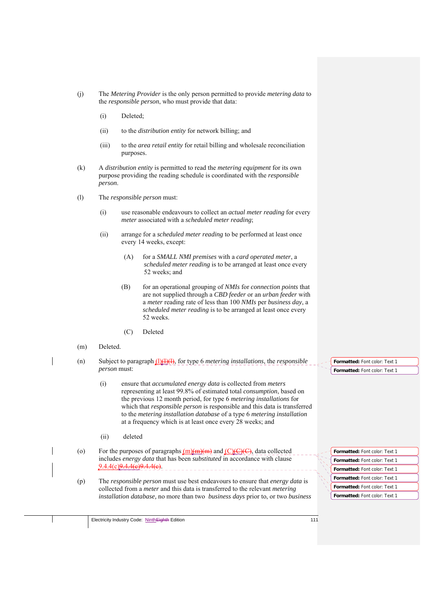- (j) The *Metering Provider* is the only person permitted to provide *metering data* to the *responsible person*, who must provide that data:
	- (i) Deleted;
	- (ii) to the *distribution entity* for network billing; and
	- (iii) to the *area retail entity* for retail billing and wholesale reconciliation purposes.
- (k) A *distribution entity* is permitted to read the *metering equipment* for its own purpose providing the reading schedule is coordinated with the *responsible person*.
- (l) The *responsible person* must:
	- (i) use reasonable endeavours to collect an *actual meter reading* for every *meter* associated with a *scheduled meter reading*;
	- (ii) arrange for a *scheduled meter reading* to be performed at least once every 14 weeks, except:
		- (A) for a *SMALL NMI premises* with a *card operated meter*, a *scheduled meter reading* is to be arranged at least once every 52 weeks; and
		- (B) for an operational grouping of *NMIs* for *connection points* that are not supplied through a *CBD feeder* or an *urban feeder* with a *meter* reading rate of less than 100 *NMIs* per *business day*, a *scheduled meter reading* is to be arranged at least once every 52 weeks.
		- (C) Deleted
- (m) Deleted.
- (n) Subject to paragraph  $\left(\frac{\gamma}{\gamma}\right)$ , for type 6 *metering installations*, the *responsible person* must:
	- (i) ensure that *accumulated energy data* is collected from *meters*  representing at least 99.8% of estimated total *consumption*, based on the previous 12 month period, for type 6 *metering installations* for which that *responsible person* is responsible and this data is transferred to the *metering installation database* of a type 6 *metering installation* at a frequency which is at least once every 28 weeks; and
	- (ii) deleted
- (o) For the purposes of paragraphs  $(m)(m)(m)$  and  $(C)(C)(C)$ , data collected includes *energy data* that has been *substituted* in accordance with clause 9.4.4(c) 9.4.4(e) 9.4.4(e).
	- (p) The *responsible person* must use best endeavours to ensure that *energy data* is collected from a *meter* and this data is transferred to the relevant *metering installation database,* no more than two *business days* prior to, or two *business*

**Formatted:** Font color: Text 1 **Formatted:** Font color: Text 1

**Formatted:** Font color: Text 1 **Formatted:** Font color: Text 1 **Formatted:** Font color: Text 1 **Formatted:** Font color: Text 1 **Formatted:** Font color: Text 1 **Formatted:** Font color: Text 1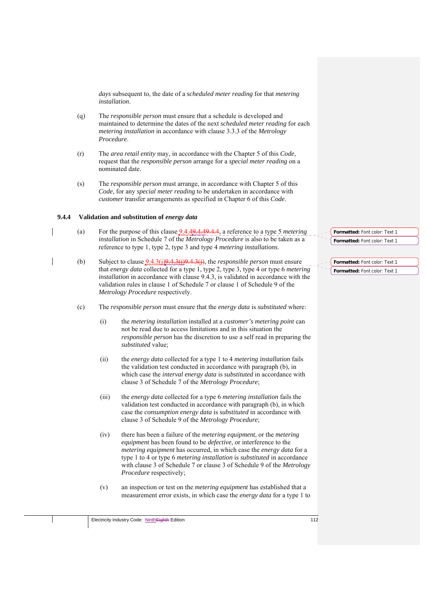*days* subsequent to, the date of a *scheduled meter reading* for that *metering installation*.

- (q) The *responsible person* must ensure that a schedule is developed and maintained to determine the dates of the next *scheduled meter reading* for each *metering installation* in accordance with clause 3.3.3 of the *Metrology Procedure*.
- (r) The *area retail entity* may, in accordance with the Chapter 5 of this *Code*, request that the *responsible person* arrange for a *special meter reading* on a nominated date.
- (s) The *responsible person* must arrange, in accordance with Chapter 5 of this *Code*, for any *special meter reading* to be undertaken in accordance with *customer* transfer arrangements as specified in Chapter 6 of this *Code*.

## **9.4.4 Validation and substitution of** *energy data*

- (a) For the purpose of this clause 9.4.49.4.49.4.4, a reference to a type 5 *metering installation* in Schedule 7 of the *Metrology Procedure* is also to be taken as a reference to type 1, type 2, type 3 and type 4 *metering installations*.
	- (b) Subject to clause 9.4.3(j)9.4.3(j)9.4.3(j), the *responsible person* must ensure that *energy data* collected for a type 1, type 2, type 3, type 4 or type 6 *metering installation* in accordance with clause 9.4.3, is validated in accordance with the validation rules in clause 1 of Schedule 7 or clause 1 of Schedule 9 of the *Metrology Procedure* respectively.
	- (c) The *responsible person* must ensure that the *energy data* is *substituted* where:
		- (i) the *metering installation* installed at a *customer's metering point* can not be read due to access limitations and in this situation the *responsible person* has the discretion to use a self read in preparing the *substituted* value;
		- (ii) the *energy data* collected for a type 1 to 4 *metering installation* fails the validation test conducted in accordance with paragraph (b), in which case the *interval energy data* is *substituted* in accordance with clause 3 of Schedule 7 of the *Metrology Procedure*;
		- (iii) the *energy data* collected for a type 6 *metering installation* fails the validation test conducted in accordance with paragraph (b), in which case the *consumption energy data* is *substituted* in accordance with clause 3 of Schedule 9 of the *Metrology Procedure*;
		- (iv) there has been a failure of the *metering equipment*, or the *metering equipment* has been found to be *defective*, or interference to the *metering equipment* has occurred, in which case the *energy data* for a type 1 to 4 or type 6 *metering installation* is *substituted* in accordance with clause 3 of Schedule 7 or clause 3 of Schedule 9 of the *Metrology Procedure* respectively;
		- (v) an inspection or test on the *metering equipment* has established that a measurement error exists, in which case the *energy data* for a type 1 to

**Formatted:** Font color: Text 1 **Formatted:** Font color: Text 1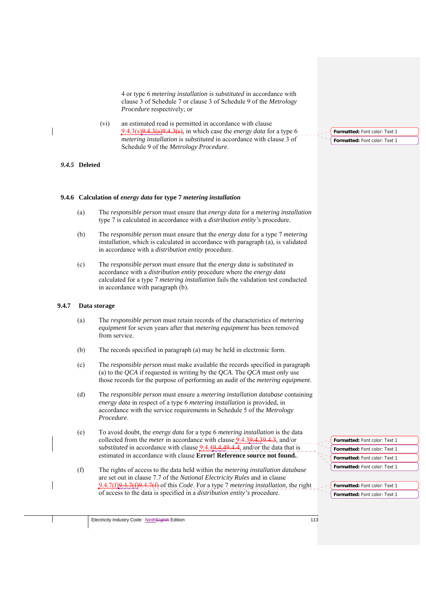4 or type 6 *metering installation* is *substituted* in accordance with clause 3 of Schedule 7 or clause 3 of Schedule 9 of the *Metrology Procedure* respectively; or

(vi) an estimated read is permitted in accordance with clause 9.4.3(s)9.4.3(s)9.4.3(s), in which case the *energy data* for a type 6 *metering installation* is *substituted* in accordance with clause 3 of Schedule 9 of the *Metrology Procedure*.

## *9.4.5* **Deleted**

#### **9.4.6 Calculation of** *energy data* **for type 7** *metering installation*

- (a) The *responsible person* must ensure that *energy data* for a *metering installation* type 7 is calculated in accordance with a *distribution entity's* procedure.
- (b) The *responsible person* must ensure that the *energy data* for a type 7 *metering installation*, which is calculated in accordance with paragraph (a), is validated in accordance with a *distribution entity* procedure.
- (c) The *responsible person* must ensure that the *energy data* is *substituted* in accordance with a *distribution entity* procedure where the *energy data* calculated for a type 7 *metering installation* fails the validation test conducted in accordance with paragraph (b).

#### **9.4.7 Data storage**

- (a) The *responsible person* must retain records of the characteristics of *metering equipment* for seven years after that *metering equipment* has been removed from service.
- (b) The records specified in paragraph (a) may be held in electronic form.
- (c) The *responsible person* must make available the records specified in paragraph (a) to the *QCA* if requested in writing by the *QCA*. The *QCA* must only use those records for the purpose of performing an audit of the *metering equipment*.
- (d) The *responsible person* must ensure a *metering installation database* containing *energy data* in respect of a type 6 *metering installation* is provided, in accordance with the service requirements in Schedule 5 of the *Metrology Procedure*.
- (e) To avoid doubt, the *energy data* for a type 6 *metering installation* is the data collected from the *meter* in accordance with clause  $9.4.39.4.39.4.3$ , and/or *substituted* in accordance with clause 9.4.49.4.49.4.4, and/or the data that is estimated in accordance with clause **Error! Reference source not found.**.
- (f) The rights of access to the data held within the *metering installation database*  are set out in clause 7.7 of the *National Electricity Rules* and in clause 9.4.7(f)9.4.7(f)9.4.7(f) of this *Code*. For a type 7 *metering installation*, the right of access to the data is specified in a *distribution entity's* procedure.

**Formatted:** Font color: Text 1 **Formatted:** Font color: Text 1

**Formatted:** Font color: Text 1 **Formatted:** Font color: Text 1 **Formatted:** Font color: Text 1 **Formatted:** Font color: Text 1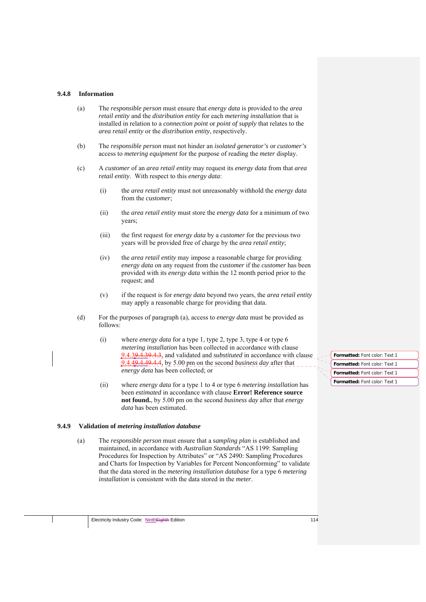## **9.4.8 Information**

- (a) The *responsible person* must ensure that *energy data* is provided to the *area retail entity* and the *distribution entity* for each *metering installation* that is installed in relation to a *connection point* or *point of supply* that relates to the *area retail entity* or the *distribution entity*, respectively.
- (b) The *responsible person* must not hinder an *isolated generator's* or *customer's* access to *metering equipment* for the purpose of reading the *meter* display.
- (c) A *customer* of an *area retail entity* may request its *energy data* from that *area retail entity*. With respect to this *energy data*:
	- (i) the *area retail entity* must not unreasonably withhold the *energy data* from the *customer*;
	- (ii) the *area retail entity* must store the *energy data* for a minimum of two years;
	- (iii) the first request for *energy data* by a *customer* for the previous two years will be provided free of charge by the *area retail entity*;
	- (iv) the *area retail entity* may impose a reasonable charge for providing *energy data* on any request from the *customer* if the *customer* has been provided with its *energy data* within the 12 month period prior to the request; and
	- (v) if the request is for *energy data* beyond two years, the *area retail entity* may apply a reasonable charge for providing that data.
- (d) For the purposes of paragraph (a), access to *energy data* must be provided as follows:
	- (i) where *energy data* for a type 1, type 2, type 3, type 4 or type 6 *metering installation* has been collected in accordance with clause 9.4.39.4.39.4.3, and validated and *substituted* in accordance with clause 9.4.49.4.49.4.4, by 5.00 pm on the second *business day* after that *energy data* has been collected; or
	- (ii) where *energy data* for a type 1 to 4 or type 6 *metering installation* has been *estimated* in accordance with clause **Error! Reference source not found.**, by 5.00 pm on the second *business day* after that *energy data* has been estimated.

### **9.4.9 Validation of** *metering installation database*

(a) The *responsible person* must ensure that a *sampling plan* is established and maintained, in accordance with *Australian Standards* "AS 1199: Sampling Procedures for Inspection by Attributes" or "AS 2490: Sampling Procedures and Charts for Inspection by Variables for Percent Nonconforming" to validate that the data stored in the *metering installation database* for a type 6 *metering installation* is consistent with the data stored in the *meter*.

**Formatted:** Font color: Text 1 **Formatted:** Font color: Text 1 **Formatted:** Font color: Text 1 **Formatted:** Font color: Text 1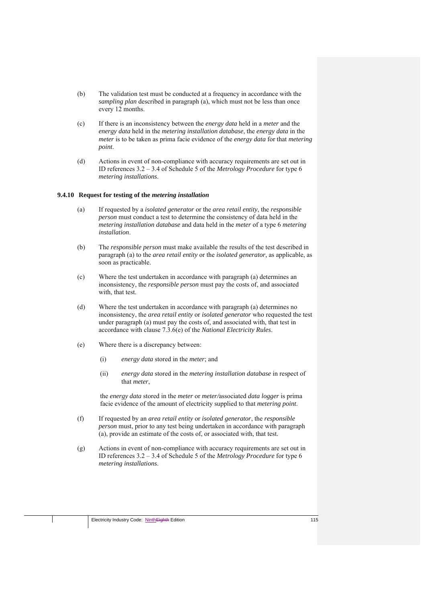- (b) The validation test must be conducted at a frequency in accordance with the *sampling plan* described in paragraph (a), which must not be less than once every 12 months.
- (c) If there is an inconsistency between the *energy data* held in a *meter* and the *energy data* held in the *metering installation database*, the *energy data* in the *meter* is to be taken as prima facie evidence of the *energy data* for that *metering point*.
- (d) Actions in event of non-compliance with accuracy requirements are set out in ID references 3.2 – 3.4 of Schedule 5 of the *Metrology Procedure* for type 6 *metering installations*.

### **9.4.10 Request for testing of the** *metering installation*

- (a) If requested by a *isolated generator* or the *area retail entity*, the *responsible person* must conduct a test to determine the consistency of data held in the *metering installation database* and data held in the *meter* of a type 6 *metering installation*.
- (b) The *responsible person* must make available the results of the test described in paragraph (a) to the *area retail entity* or the *isolated generator*, as applicable, as soon as practicable.
- (c) Where the test undertaken in accordance with paragraph (a) determines an inconsistency, the *responsible person* must pay the costs of, and associated with, that test.
- (d) Where the test undertaken in accordance with paragraph (a) determines no inconsistency, the *area retail entity* or *isolated generator* who requested the test under paragraph (a) must pay the costs of, and associated with, that test in accordance with clause 7.3.6(e) of the *National Electricity Rules*.
- (e) Where there is a discrepancy between:
	- (i) *energy data* stored in the *meter*; and
	- (ii) *energy data* stored in the *metering installation database* in respect of that *meter*,

the *energy data* stored in the *meter* or *meter/*associated *data logger* is prima facie evidence of the amount of electricity supplied to that *metering point*.

- (f) If requested by an *area retail entity* or *isolated generator*, the *responsible person* must, prior to any test being undertaken in accordance with paragraph (a), provide an estimate of the costs of, or associated with, that test.
- (g) Actions in event of non-compliance with accuracy requirements are set out in ID references 3.2 – 3.4 of Schedule 5 of the *Metrology Procedure* for type 6 *metering installations*.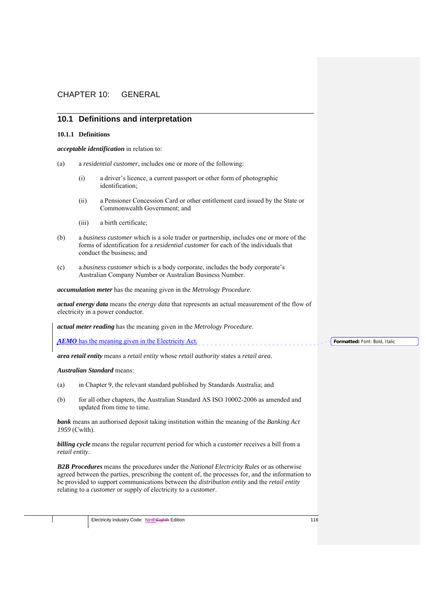# CHAPTER 10: GENERAL

# **10.1 Definitions and interpretation**

#### **10.1.1 Definitions**

*acceptable identification* in relation to:

- (a) a *residential customer*, includes one or more of the following:
	- (i) a driver's licence, a current passport or other form of photographic identification;
	- (ii) a Pensioner Concession Card or other entitlement card issued by the State or Commonwealth Government; and
	- (iii) a birth certificate;
- (b) a *business customer* which is a sole trader or partnership, includes one or more of the forms of identification for a *residential customer* for each of the individuals that conduct the business; and
- (c) a *business customer* which is a body corporate, includes the body corporate's Australian Company Number or Australian Business Number.

*accumulation meter* has the meaning given in the *Metrology Procedure*.

*actual energy data* means the *energy data* that represents an actual measurement of the flow of electricity in a power conductor.

*actual meter reading* has the meaning given in the *Metrology Procedure*.

*AEMO* has the meaning given in the Electricity Act.

*area retail entity* means a *retail entity* whose *retail authority* states a *retail area*.

*Australian Standard* means:

- (a) in Chapter 9, the relevant standard published by Standards Australia; and
- (b) for all other chapters, the Australian Standard AS ISO 10002-2006 as amended and updated from time to time.

*bank* means an authorised deposit taking institution within the meaning of the *Banking Act 1959* (Cwlth).

*billing cycle* means the regular recurrent period for which a *customer* receives a bill from a *retail entity*.

*B2B Procedures* means the procedures under the *National Electricity Rules* or as otherwise agreed between the parties, prescribing the content of, the processes for, and the information to be provided to support communications between the *distribution entity* and the *retail entity* relating to a *customer* or supply of electricity to a *customer*.

**Formatted:** Font: Bold, Italic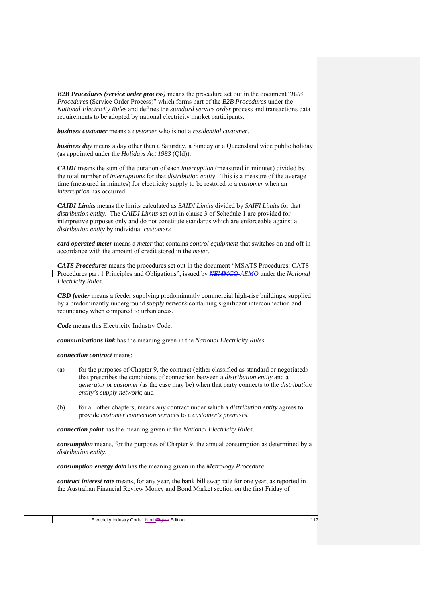*B2B Procedures (service order process)* means the procedure set out in the document "*B2B Procedures* (Service Order Process)" which forms part of the *B2B Procedures* under the *National Electricity Rules* and defines the *standard service order* process and transactions data requirements to be adopted by national electricity market participants.

*business customer* means a *customer* who is not a *residential customer*.

*business day* means a day other than a Saturday, a Sunday or a Queensland wide public holiday (as appointed under the *Holidays Act 1983* (Qld)).

*CAIDI* means the sum of the duration of each *interruption* (measured in minutes) divided by the total number of *interruptions* for that *distribution entity*. This is a measure of the average time (measured in minutes) for electricity supply to be restored to a *customer* when an *interruption* has occurred.

*CAIDI Limits* means the limits calculated as *SAIDI Limits* divided by *SAIFI Limits* for that *distribution entity*. The *CAIDI Limits* set out in clause 3 of Schedule 1 are provided for interpretive purposes only and do not constitute standards which are enforceable against a *distribution entity* by individual *customers*

*card operated meter* means a *meter* that contains *control equipment* that switches on and off in accordance with the amount of credit stored in the *meter*.

*CATS Procedures* means the procedures set out in the document "MSATS Procedures: CATS Procedures part 1 Principles and Obligations", issued by *NEMMCO AEMO* under the *National Electricity Rules*.

*CBD feeder* means a feeder supplying predominantly commercial high-rise buildings, supplied by a predominantly underground *supply network* containing significant interconnection and redundancy when compared to urban areas.

*Code* means this Electricity Industry Code.

*communications link* has the meaning given in the *National Electricity Rules.*

*connection contract* means:

- (a) for the purposes of Chapter 9, the contract (either classified as standard or negotiated) that prescribes the conditions of connection between a *distribution entity* and a *generator* or *customer* (as the case may be) when that party connects to the *distribution entity's supply network*; and
- (b) for all other chapters, means any contract under which a *distribution entity* agrees to provide *customer connection services* to a *customer's premises*.

*connection point* has the meaning given in the *National Electricity Rules*.

*consumption* means, for the purposes of Chapter 9, the annual consumption as determined by a *distribution entity*.

*consumption energy data* has the meaning given in the *Metrology Procedure*.

*contract interest rate* means, for any year, the bank bill swap rate for one year, as reported in the Australian Financial Review Money and Bond Market section on the first Friday of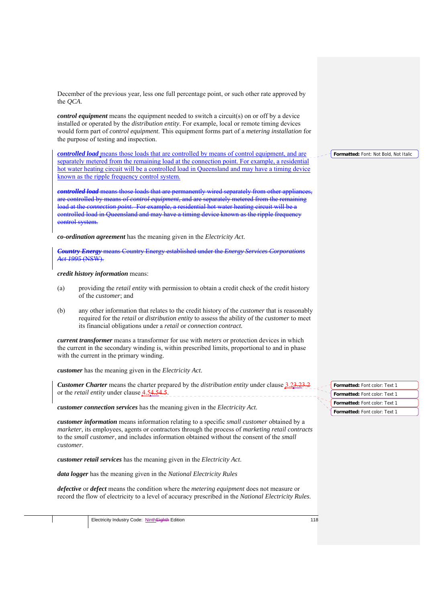December of the previous year, less one full percentage point, or such other rate approved by the *QCA*.

*control equipment* means the equipment needed to switch a circuit(s) on or off by a device installed or operated by the *distribution entity*. For example, local or remote timing devices would form part of *control equipment*. This equipment forms part of a *metering installation* for the purpose of testing and inspection.

*controlled load* means those loads that are controlled by means of control equipment, and are separately metered from the remaining load at the connection point. For example, a residential hot water heating circuit will be a controlled load in Queensland and may have a timing device known as the ripple frequency control system.

*controlled load* means those loads that are permanently wired separately from other appliances, are controlled by means of *control equipment*, and are separately metered from the remaining load at the *connection point*. For example, a residential hot water heating circuit will be a controlled load in Queensland and may have a timing device known as the ripple frequency control system.

*co-ordination agreement* has the meaning given in the *Electricity Act*.

*Country Energy* means Country Energy established under the *Energy Services Corporations Act 1995* (NSW).

*credit history information* means:

- (a) providing the *retail entity* with permission to obtain a credit check of the credit history of the *customer*; and
- (b) any other information that relates to the credit history of the *customer* that is reasonably required for the *retail* or *distribution entity* to assess the ability of the *customer* to meet its financial obligations under a *retail* or *connection contract.*

*current transformer* means a transformer for use with *meters* or protection devices in which the current in the secondary winding is, within prescribed limits, proportional to and in phase with the current in the primary winding.

*customer* has the meaning given in the *Electricity Act*.

*Customer Charter* means the charter prepared by the *distribution entity* under clause 3.23.23.2 or the *retail entity* under clause 4.54.54.5.

*customer connection services* has the meaning given in the *Electricity Act*.

*customer information* means information relating to a specific *small customer* obtained by a *marketer*, its employees, agents or contractors through the process of *marketing retail contracts* to the *small customer*, and includes information obtained without the consent of the *small customer*.

*customer retail services* has the meaning given in the *Electricity Act*.

*data logger* has the meaning given in the *National Electricity Rules*

*defective* or *defect* means the condition where the *metering equipment* does not measure or record the flow of electricity to a level of accuracy prescribed in the *National Electricity Rules*.

Electricity Industry Code: Ninth Eighth Edition 118

**Formatted:** Font: Not Bold, Not Italic

**Formatted:** Font color: Text 1 **Formatted:** Font color: Text 1 **Formatted:** Font color: Text 1 **Formatted:** Font color: Text 1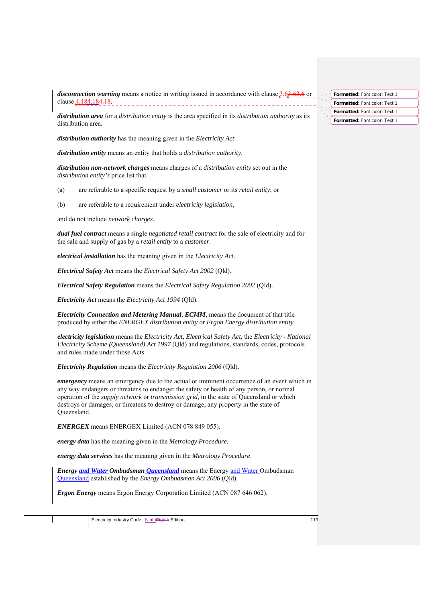*disconnection warning* means a notice in writing issued in accordance with clause 3.63.63.6 or clause 4.184.184.18. \_\_\_\_\_\_\_\_\_\_\_\_\_\_\_\_\_\_\_\_\_\_\_\_

*distribution area* for a *distribution entity* is the area specified in its *distribution authority* as its distribution area.

*distribution authority* has the meaning given in the *Electricity Act*.

*distribution entity* means an entity that holds a *distribution authority*.

*distribution non-network charges* means charges of a *distribution entity* set out in the *distribution entity's* price list that:

- (a) are referable to a specific request by a *small customer* or its *retail entity*; or
- (b) are referable to a requirement under *electricity legislation*,

and do not include *network charges*.

*dual fuel contract* means a single *negotiated retail contract* for the sale of electricity and for the sale and supply of gas by a *retail entity* to a *customer*.

*electrical installation* has the meaning given in the *Electricity Act*.

*Electrical Safety Act* means the *Electrical Safety Act 2002* (Qld).

*Electrical Safety Regulation* means the *Electrical Safety Regulation 2002* (Qld).

*Electricity Act* means the *Electricity Act 1994* (Qld).

*Electricity Connection and Metering Manual, ECMM*, means the document of that title produced by either the *ENERGEX distribution entity* or *Ergon Energy distribution entity*.

*electricity legislation* means the *Electricity Act*, *Electrical Safety Act*, the *Electricity - National Electricity Scheme (Queensland) Act 1997* (Qld) and regulations, standards, codes, protocols and rules made under those Acts.

*Electricity Regulation* means the *Electricity Regulation 2006* (Qld).

*emergency* means an emergency due to the actual or imminent occurrence of an event which in any way endangers or threatens to endanger the safety or health of any person, or normal operation of the *supply network* or *transmission grid*, in the state of Queensland or which destroys or damages, or threatens to destroy or damage, any property in the state of Queensland.

*ENERGEX* means ENERGEX Limited (ACN 078 849 055).

*energy data* has the meaning given in the *Metrology Procedure.*

*energy data services* has the meaning given in the *Metrology Procedure*.

*Energy and Water Ombudsman Queensland* means the Energy and Water Ombudsman Queensland established by the *Energy Ombudsman Act 2006* (Qld).

*Ergon Energy* means Ergon Energy Corporation Limited (ACN 087 646 062).

**Formatted:** Font color: Text 1 **Formatted:** Font color: Text 1 **Formatted:** Font color: Text 1 **Formatted:** Font color: Text 1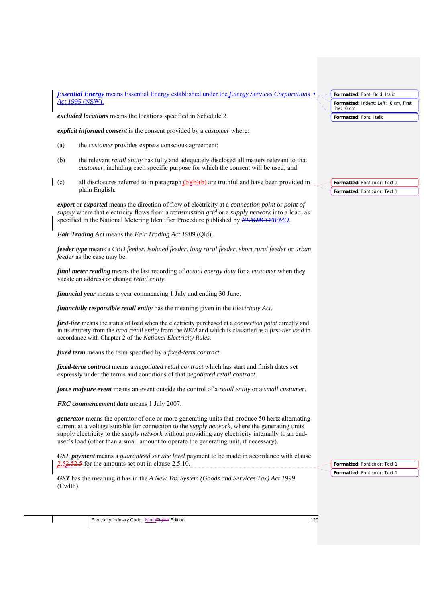*Essential Energy* means Essential Energy established under the *Energy Services Corporations Act 1995* (NSW).

*excluded locations* means the locations specified in Schedule 2.

*explicit informed consent* is the consent provided by a *customer* where:

- (a) the *customer* provides express conscious agreement;
- (b) the relevant *retail entity* has fully and adequately disclosed all matters relevant to that *customer*, including each specific purpose for which the consent will be used; and
- (c) all disclosures referred to in paragraph  $(b)(b)(b)$  are truthful and have been provided in plain English.

*export* or *exported* means the direction of flow of electricity at a *connection point* or *point of supply* where that electricity flows from a *transmission grid* or a *supply network* into a load, as specified in the National Metering Identifier Procedure published by *NEMMCOAEMO*.

*Fair Trading Act* means the *Fair Trading Act 1989* (Qld).

*feeder type* means a *CBD feeder*, *isolated feeder*, *long rural feeder*, *short rural feeder* or *urban feeder* as the case may be.

*final meter reading* means the last recording of *actual energy data* for a *customer* when they vacate an address or change *retail entity*.

*financial year* means a year commencing 1 July and ending 30 June.

*financially responsible retail entity* has the meaning given in the *Electricity Act*.

*first-tier* means the status of load when the electricity purchased at a *connection point* directly and in its entirety from the *area retail entity* from the *NEM* and which is classified as a *first-tier load* in accordance with Chapter 2 of the *National Electricity Rules*.

*fixed term* means the term specified by a *fixed-term contract*.

*fixed-term contract* means a *negotiated retail contract* which has start and finish dates set expressly under the terms and conditions of that *negotiated retail contract*.

*force majeure event* means an event outside the control of a *retail entity* or a *small customer*.

*FRC commencement date* means 1 July 2007.

*generator* means the operator of one or more generating units that produce 50 hertz alternating current at a voltage suitable for connection to the *supply network*, where the generating units supply electricity to the *supply network* without providing any electricity internally to an enduser's load (other than a small amount to operate the generating unit, if necessary).

*GSL payment* means a *guaranteed service level* payment to be made in accordance with clause  $\frac{2.52.5}{2.5}$  for the amounts set out in clause 2.5.10. \_\_\_\_\_\_\_\_\_\_\_\_\_\_\_\_\_\_\_\_\_

*GST* has the meaning it has in the *A New Tax System (Goods and Services Tax) Act 1999*  (Cwlth).

**Formatted:** Font: Bold, Italic **Formatted:** Indent: Left: 0 cm, First line: 0 cm

**Formatted:** Font: Italic

**Formatted:** Font color: Text 1 **Formatted:** Font color: Text 1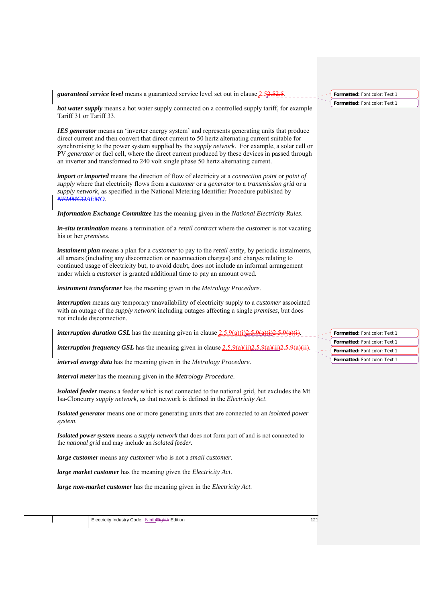*guaranteed service level* means a guaranteed service level set out in clause 2.52.52.5.

*hot water supply* means a hot water supply connected on a controlled supply tariff, for example Tariff 31 or Tariff 33.

*IES generator* means an 'inverter energy system' and represents generating units that produce direct current and then convert that direct current to 50 hertz alternating current suitable for synchronising to the power system supplied by the *supply network*. For example, a solar cell or PV *generator* or fuel cell, where the direct current produced by these devices in passed through an inverter and transformed to 240 volt single phase 50 hertz alternating current.

*import* or *imported* means the direction of flow of electricity at a *connection point* or *point of supply* where that electricity flows from a *customer* or a *generator* to a *transmission grid* or a *supply network*, as specified in the National Metering Identifier Procedure published by *NEMMCOAEMO*.

*Information Exchange Committee* has the meaning given in the *National Electricity Rules*.

*in-situ termination* means a termination of a *retail contract* where the *customer* is not vacating his or her *premises*.

*instalment plan* means a plan for a *customer* to pay to the *retail entity*, by periodic instalments, all arrears (including any disconnection or reconnection charges) and charges relating to continued usage of electricity but, to avoid doubt, does not include an informal arrangement under which a *customer* is granted additional time to pay an amount owed.

*instrument transformer* has the meaning given in the *Metrology Procedure*.

*interruption* means any temporary unavailability of electricity supply to a *customer* associated with an outage of the *supply network* including outages affecting a single *premises*, but does not include disconnection.

|  | <i>interruption duration GSL</i> has the meaning given in clause $2.5.9(a)(i)2.5.9(a)(i)2.5.9(a)(i)$ . |  |  |  |
|--|--------------------------------------------------------------------------------------------------------|--|--|--|
|  |                                                                                                        |  |  |  |

*interruption frequency GSL* has the meaning given in clause  $2.5.9(a)(ii)$ .

*interval energy data* has the meaning given in the *Metrology Procedure*.

*interval meter* has the meaning given in the *Metrology Procedure*.

*isolated feeder* means a feeder which is not connected to the national grid, but excludes the Mt Isa-Cloncurry *supply network*, as that network is defined in the *Electricity Act*.

*Isolated generator* means one or more generating units that are connected to an *isolated power system*.

*Isolated power system* means a *supply network* that does not form part of and is not connected to the *national grid* and may include an *isolated feeder.*

*large customer* means any *customer* who is not a *small customer*.

*large market customer* has the meaning given the *Electricity Act*.

*large non-market customer* has the meaning given in the *Electricity Act*.

| Formatted: Font color: Text 1 |  |
|-------------------------------|--|
| Formatted: Font color: Text 1 |  |
| Formatted: Font color: Text 1 |  |
| Formatted: Font color: Text 1 |  |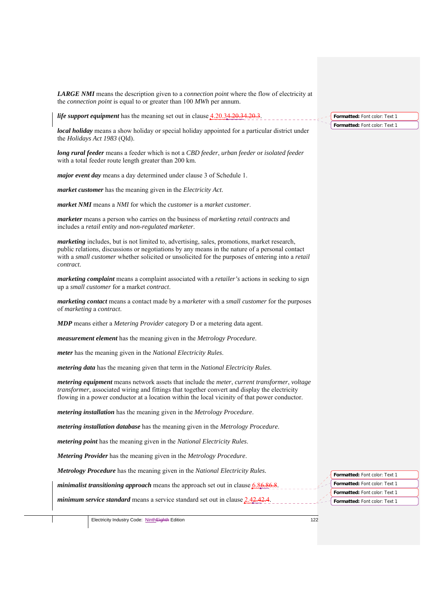*LARGE NMI* means the description given to a *connection point* where the flow of electricity at the *connection point* is equal to or greater than 100 *MWh* per annum.

*life support equipment* has the meaning set out in clause  $4.20.34.20.3$ 

*local holiday* means a show holiday or special holiday appointed for a particular district under the *Holidays Act 1983* (Qld).

*long rural feeder* means a feeder which is not a *CBD feeder*, *urban feeder* or *isolated feeder* with a total feeder route length greater than 200 km.

*major event day* means a day determined under clause 3 of Schedule 1.

*market customer* has the meaning given in the *Electricity Act*.

*market NMI* means a *NMI* for which the *customer* is a *market customer*.

*marketer* means a person who carries on the business of *marketing retail contracts* and includes a *retail entity* and *non-regulated marketer*.

*marketing* includes, but is not limited to, advertising, sales, promotions, market research, public relations, discussions or negotiations by any means in the nature of a personal contact with a *small customer* whether solicited or unsolicited for the purposes of entering into a *retail contract*.

*marketing complaint* means a complaint associated with a *retailer's* actions in seeking to sign up a *small customer* for a market *contract*.

*marketing contact* means a contact made by a *marketer* with a *small customer* for the purposes of *marketing* a *contract*.

*MDP* means either a *Metering Provider* category D or a metering data agent.

*measurement element* has the meaning given in the *Metrology Procedure*.

*meter* has the meaning given in the *National Electricity Rules*.

*metering data* has the meaning given that term in the *National Electricity Rules*.

*metering equipment* means network assets that include the *meter*, *current transformer*, *voltage transformer*, associated wiring and fittings that together convert and display the electricity flowing in a power conductor at a location within the local vicinity of that power conductor.

*metering installation* has the meaning given in the *Metrology Procedure*.

*metering installation database* has the meaning given in the *Metrology Procedure*.

*metering point* has the meaning given in the *National Electricity Rules*.

*Metering Provider* has the meaning given in the *Metrology Procedure*.

*Metrology Procedure* has the meaning given in the *National Electricity Rules.*

*minimalist transitioning approach* means the approach set out in clause 6.86.86.8

*minimum service standard* means a service standard set out in clause 2.42.42.4

**Formatted:** Font color: Text 1 **Formatted:** Font color: Text 1 **Formatted:** Font color: Text 1 **Formatted:** Font color: Text 1

Electricity Industry Code: Ninth Eighth Edition 122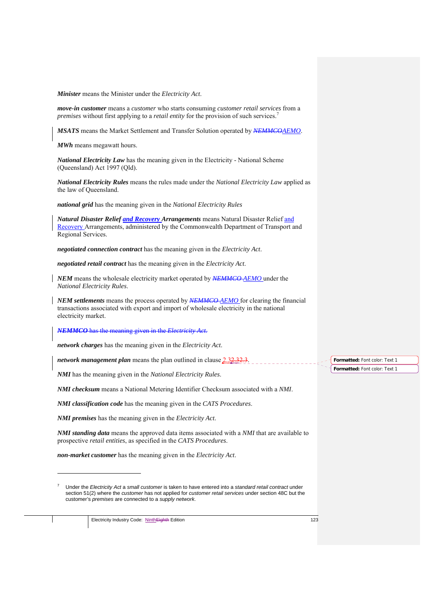*Minister* means the Minister under the *Electricity Act*.

*move-in customer* means a *customer* who starts consuming *customer retail services* from a *premises* without first applying to a *retail entity* for the provision of such services.<sup>7</sup>

*MSATS* means the Market Settlement and Transfer Solution operated by *NEMMCOAEMO*.

*MWh* means megawatt hours.

*National Electricity Law* has the meaning given in the Electricity - National Scheme (Queensland) Act 1997 (Qld).

*National Electricity Rules* means the rules made under the *National Electricity Law* applied as the law of Queensland.

*national grid* has the meaning given in the *National Electricity Rules*

*Natural Disaster Relief and Recovery Arrangements* means Natural Disaster Relief and Recovery Arrangements, administered by the Commonwealth Department of Transport and Regional Services.

*negotiated connection contract* has the meaning given in the *Electricity Act*.

*negotiated retail contract* has the meaning given in the *Electricity Act*.

*NEM* means the wholesale electricity market operated by *NEMMCO AEMO* under the *National Electricity Rules*.

*NEM settlements* means the process operated by *NEMMCO AEMO* for clearing the financial transactions associated with export and import of wholesale electricity in the national electricity market.

*NEMMCO* has the meaning given in the *Electricity Act.*

*network charges* has the meaning given in the *Electricity Act*.

*network management plan* means the plan outlined in clause 2.32.32.3.

*NMI* has the meaning given in the *National Electricity Rules*.

*NMI checksum* means a National Metering Identifier Checksum associated with a *NMI*.

*NMI classification code* has the meaning given in the *CATS Procedures*.

*NMI premises* has the meaning given in the *Electricity Act*.

1

*NMI standing data* means the approved data items associated with a *NMI* that are available to prospective *retail entities*, as specified in the *CATS Procedures*.

*non-market customer* has the meaning given in the *Electricity Act*.

<sup>7</sup> Under the *Electricity Act* a *small customer* is taken to have entered into a *standard retail contract* under section 51(2) where the *customer* has not applied for *customer retail services* under section 48C but the customer's *premises* are connected to a *supply network*.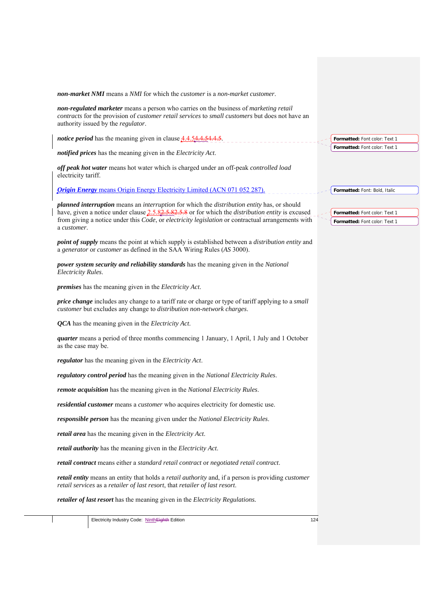| <b>non-market NMI</b> means a NMI for which the <i>customer</i> is a non-market customer.                                                                                                                                      |                               |
|--------------------------------------------------------------------------------------------------------------------------------------------------------------------------------------------------------------------------------|-------------------------------|
| non-regulated marketer means a person who carries on the business of marketing retail<br>contracts for the provision of customer retail services to small customers but does not have an<br>authority issued by the regulator. |                               |
| notice period has the meaning given in clause 4.4.54.4.54.4.5.                                                                                                                                                                 | Formatted: Font color: Text 1 |
| notified prices has the meaning given in the Electricity Act.                                                                                                                                                                  | Formatted: Font color: Text 1 |
| off peak hot water means hot water which is charged under an off-peak controlled load<br>electricity tariff.                                                                                                                   |                               |
| <b>Origin Energy</b> means Origin Energy Electricity Limited (ACN 071 052 287).                                                                                                                                                | Formatted: Font: Bold, Italic |
| planned interruption means an interruption for which the distribution entity has, or should<br>have, given a notice under clause 2.5.82.5.82.5.8 or for which the <i>distribution entity</i> is excused                        | Formatted: Font color: Text 1 |
| from giving a notice under this <i>Code</i> , or <i>electricity legislation</i> or contractual arrangements with<br>a customer.                                                                                                | Formatted: Font color: Text 1 |
| <i>point of supply</i> means the point at which supply is established between a <i>distribution entity</i> and<br>a generator or customer as defined in the SAA Wiring Rules (AS 3000).                                        |                               |
| power system security and reliability standards has the meaning given in the National<br><b>Electricity Rules.</b>                                                                                                             |                               |
| <i>premises</i> has the meaning given in the <i>Electricity Act</i> .                                                                                                                                                          |                               |
| <i>price change</i> includes any change to a tariff rate or charge or type of tariff applying to a <i>small</i><br>customer but excludes any change to distribution non-network charges.                                       |                               |
| <b>QCA</b> has the meaning given in the Electricity Act.                                                                                                                                                                       |                               |
| <i>quarter</i> means a period of three months commencing 1 January, 1 April, 1 July and 1 October<br>as the case may be.                                                                                                       |                               |
| regulator has the meaning given in the Electricity Act.                                                                                                                                                                        |                               |
| regulatory control period has the meaning given in the National Electricity Rules.                                                                                                                                             |                               |
| remote acquisition has the meaning given in the National Electricity Rules.                                                                                                                                                    |                               |
| <i>residential customer</i> means a <i>customer</i> who acquires electricity for domestic use.                                                                                                                                 |                               |
| responsible person has the meaning given under the National Electricity Rules.                                                                                                                                                 |                               |
| retail area has the meaning given in the Electricity Act.                                                                                                                                                                      |                               |
| <i>retail authority</i> has the meaning given in the <i>Electricity Act.</i>                                                                                                                                                   |                               |
| retail contract means either a standard retail contract or negotiated retail contract.                                                                                                                                         |                               |
| <i>retail entity</i> means an entity that holds a <i>retail authority</i> and, if a person is providing <i>customer</i><br>retail services as a retailer of last resort, that retailer of last resort.                         |                               |
| retailer of last resort has the meaning given in the Electricity Regulations.                                                                                                                                                  |                               |
| Flectricity Industry Code: NinthEighth Edition<br>124                                                                                                                                                                          |                               |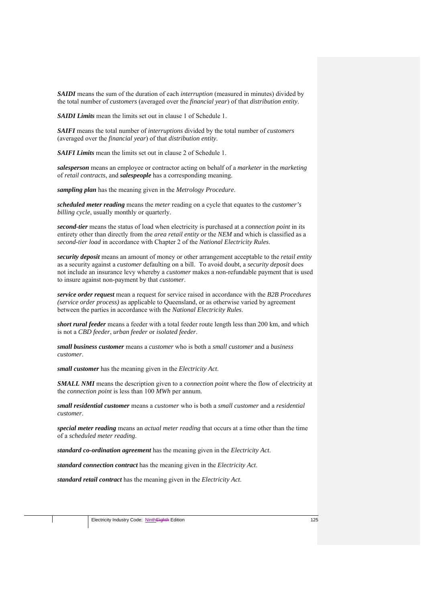*SAIDI* means the sum of the duration of each *interruption* (measured in minutes) divided by the total number of *customers* (averaged over the *financial year*) of that *distribution entity*.

*SAIDI Limits* mean the limits set out in clause 1 of Schedule 1.

*SAIFI* means the total number of *interruptions* divided by the total number of *customers* (averaged over the *financial year*) of that *distribution entity*.

*SAIFI Limits* mean the limits set out in clause 2 of Schedule 1.

*salesperson* means an employee or contractor acting on behalf of a *marketer* in the *marketing* of *retail contracts*, and *salespeople* has a corresponding meaning.

*sampling plan* has the meaning given in the *Metrology Procedure*.

*scheduled meter reading* means the *meter* reading on a cycle that equates to the *customer's billing cycle*, usually monthly or quarterly.

*second-tier* means the status of load when electricity is purchased at a *connection point* in its entirety other than directly from the *area retail entity* or the *NEM* and which is classified as a *second-tier load* in accordance with Chapter 2 of the *National Electricity Rules*.

*security deposit* means an amount of money or other arrangement acceptable to the *retail entity*  as a security against a *customer* defaulting on a bill. To avoid doubt, a *security deposit* does not include an insurance levy whereby a *customer* makes a non-refundable payment that is used to insure against non-payment by that *customer*.

*service order request* mean a request for service raised in accordance with the *B2B Procedures (service order process)* as applicable to Queensland, or as otherwise varied by agreement between the parties in accordance with the *National Electricity Rules*.

*short rural feeder* means a feeder with a total feeder route length less than 200 km, and which is not a *CBD feeder*, *urban feeder* or *isolated feeder*.

*small business customer* means a *customer* who is both a *small customer* and a *business customer*.

*small customer* has the meaning given in the *Electricity Act*.

*SMALL NMI* means the description given to a *connection point* where the flow of electricity at the *connection point* is less than 100 *MWh* per annum.

*small residential customer* means a *customer* who is both a *small customer* and a *residential customer*.

*special meter reading* means an *actual meter reading* that occurs at a time other than the time of a *scheduled meter reading*.

*standard co-ordination agreement* has the meaning given in the *Electricity Act*.

*standard connection contract* has the meaning given in the *Electricity Act*.

*standard retail contract* has the meaning given in the *Electricity Act*.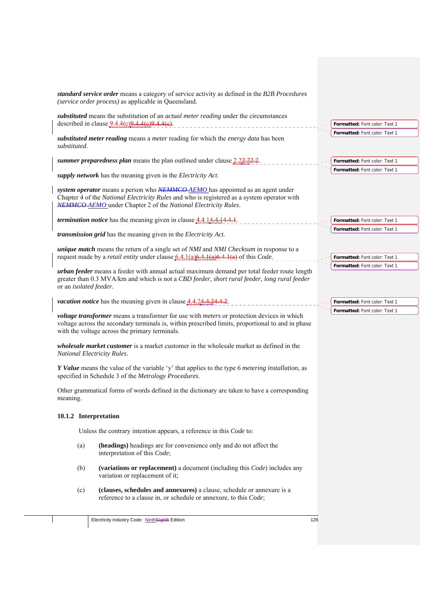|                        | standard service order means a category of service activity as defined in the B2B Procedures<br>(service order process) as applicable in Queensland.                                                                                                   |                               |
|------------------------|--------------------------------------------------------------------------------------------------------------------------------------------------------------------------------------------------------------------------------------------------------|-------------------------------|
|                        | substituted means the substitution of an <i>actual meter reading</i> under the circumstances<br>described in clause $9.4.4(c)9.4.4(e)9.4.4(e)$ .                                                                                                       | Formatted: Font color: Text 1 |
| substituted.           | substituted meter reading means a meter reading for which the energy data has been                                                                                                                                                                     | Formatted: Font color: Text 1 |
|                        | summer preparedness plan means the plan outlined under clause $2.22.22.2$ .                                                                                                                                                                            | Formatted: Font color: Text 1 |
|                        | supply network has the meaning given in the Electricity Act.                                                                                                                                                                                           | Formatted: Font color: Text 1 |
|                        | system operator means a person who NEMMCO-AEMO has appointed as an agent under<br>Chapter 4 of the <i>National Electricity Rules</i> and who is registered as a system operator with<br>NEMMCO-AEMO under Chapter 2 of the National Electricity Rules. |                               |
|                        | <i>termination notice</i> has the meaning given in clause 4.4.14.4.14.4.14.4.1.                                                                                                                                                                        | Formatted: Font color: Text 1 |
|                        | transmission grid has the meaning given in the Electricity Act.                                                                                                                                                                                        | Formatted: Font color: Text 1 |
|                        | <i>unique match</i> means the return of a single set of <i>NMI</i> and <i>NMI</i> Checksum in response to a                                                                                                                                            |                               |
|                        | request made by a <i>retail entity</i> under clause $6.4.1(a)6.4.1(a)6.4.1(a)$ of this <i>Code</i> .                                                                                                                                                   | Formatted: Font color: Text 1 |
| or an isolated feeder. | urban feeder means a feeder with annual actual maximum demand per total feeder route length<br>greater than 0.3 MVA/km and which is not a CBD feeder, short rural feeder, long rural feeder                                                            | Formatted: Font color: Text 1 |
|                        | <i>vacation notice</i> has the meaning given in clause 4.4.24.4.24.4.2.                                                                                                                                                                                | Formatted: Font color: Text 1 |
|                        | <i>voltage transformer</i> means a transformer for use with <i>meters</i> or protection devices in which                                                                                                                                               | Formatted: Font color: Text 1 |
|                        | voltage across the secondary terminals is, within prescribed limits, proportional to and in phase<br>with the voltage across the primary terminals.                                                                                                    |                               |
|                        | <i>wholesale market customer</i> is a market customer in the wholesale market as defined in the<br>National Electricity Rules.                                                                                                                         |                               |
|                        | Y Value means the value of the variable 'y' that applies to the type 6 metering installation, as<br>specified in Schedule 3 of the Metrology Procedures.                                                                                               |                               |
| meaning.               | Other grammatical forms of words defined in the dictionary are taken to have a corresponding                                                                                                                                                           |                               |
| 10.1.2 Interpretation  |                                                                                                                                                                                                                                                        |                               |
|                        | Unless the contrary intention appears, a reference in this Code to:                                                                                                                                                                                    |                               |
| (a)                    | (headings) headings are for convenience only and do not affect the<br>interpretation of this Code;                                                                                                                                                     |                               |
| (b)                    | (variations or replacement) a document (including this <i>Code</i> ) includes any<br>variation or replacement of it;                                                                                                                                   |                               |
| (c)                    | (clauses, schedules and annexures) a clause, schedule or annexure is a<br>reference to a clause in, or schedule or annexure, to this Code;                                                                                                             |                               |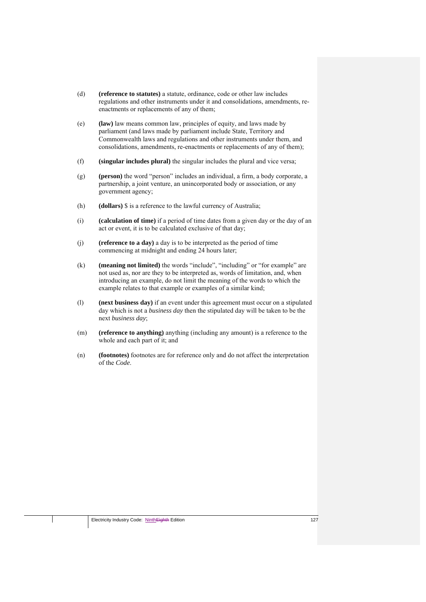- (d) **(reference to statutes)** a statute, ordinance, code or other law includes regulations and other instruments under it and consolidations, amendments, reenactments or replacements of any of them;
- (e) **(law)** law means common law, principles of equity, and laws made by parliament (and laws made by parliament include State, Territory and Commonwealth laws and regulations and other instruments under them, and consolidations, amendments, re-enactments or replacements of any of them);
- (f) **(singular includes plural)** the singular includes the plural and vice versa;
- (g) **(person)** the word "person" includes an individual, a firm, a body corporate, a partnership, a joint venture, an unincorporated body or association, or any government agency;
- (h) **(dollars)** \$ is a reference to the lawful currency of Australia;
- (i) **(calculation of time)** if a period of time dates from a given day or the day of an act or event, it is to be calculated exclusive of that day;
- (j) **(reference to a day)** a day is to be interpreted as the period of time commencing at midnight and ending 24 hours later;
- (k) **(meaning not limited)** the words "include", "including" or "for example" are not used as, nor are they to be interpreted as, words of limitation, and, when introducing an example, do not limit the meaning of the words to which the example relates to that example or examples of a similar kind;
- (l) **(next business day)** if an event under this agreement must occur on a stipulated day which is not a *business day* then the stipulated day will be taken to be the next *business day*;
- (m) **(reference to anything)** anything (including any amount) is a reference to the whole and each part of it; and
- (n) **(footnotes)** footnotes are for reference only and do not affect the interpretation of the *Code*.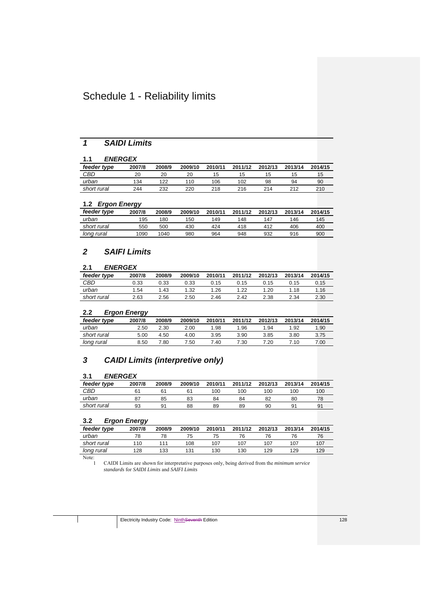# Schedule 1 - Reliability limits

# *1 SAIDI Limits*

## **1.1** *ENERGEX*

| feeder type | 2007/8 | 2008/9 | 2009/10 | 2010/11 | 2011/12 | 2012/13 | 2013/14 | 2014/15 |
|-------------|--------|--------|---------|---------|---------|---------|---------|---------|
| CBD         | 20     | 20     | 20      | 15      | כ ו     | 15      | 15      | 15      |
| urban       | 134    | 122    | 110     | 106     | 102     | 98      | 94      | 90      |
| short rural | 244    | 232    | 220     | 218     | 216     | 214     | 212     | 210     |

## **1.2** *Ergon Energy*

|             | --     |        |         |         |         |         |         |         |
|-------------|--------|--------|---------|---------|---------|---------|---------|---------|
| feeder type | 2007/8 | 2008/9 | 2009/10 | 2010/11 | 2011/12 | 2012/13 | 2013/14 | 2014/15 |
| urban       | 195    | 180    | 150     | 149     | 148     | 147     | 146     | 145     |
| short rural | 550    | 500    | 430     | 424     | 418     | 412     | 406     | 400     |
| long rural  | 1090   | 1040   | 980     | 964     | 948     | 932     | 916     | 900     |

# *2 SAIFI Limits*

# **2.1** *ENERGEX*

| feeder type | 2007/8 | 2008/9 | 2009/10 | 2010/11 | 2011/12 | 2012/13 | 2013/14 | 2014/15 |
|-------------|--------|--------|---------|---------|---------|---------|---------|---------|
| CBD         | 0.33   | ა.ვვ   | 0.33    | 0.15    | .15     | 0.15    | 0.15    | 0.15    |
| urban       | 1.54   | 1.43   | 1.32    | .26     | 1.22    | .20     | 1.18    | .16     |
| short rural | 2.63   | 2.56   | 2.50    | 2.46    | 2.42    | 2.38    | 2.34    | 2.30    |

## **2.2** *Ergon Energy*

|             | --     |        |         |         |         |         |         |         |
|-------------|--------|--------|---------|---------|---------|---------|---------|---------|
| feeder type | 2007/8 | 2008/9 | 2009/10 | 2010/11 | 2011/12 | 2012/13 | 2013/14 | 2014/15 |
| urban       | 2.50   | 2.30   | 2.00    | 1.98    | 1.96    | 1.94    | 1.92    | 1.90    |
| short rural | 5.00   | 4.50   | 4.00    | 3.95    | 3.90    | 3.85    | 3.80    | 3.75    |
| long rural  | 8.50   | 7.80   | 7.50    | 7.40    | 7.30    | 7.20    | 7.10    | 7.00    |

# *3 CAIDI Limits (interpretive only)*

## **3.1** *ENERGEX*

| feeder type | 2007/8 | 2008/9 | 2009/10 | 2010/11 | 2011/12 | 2012/13 | 2013/14 | 2014/15 |
|-------------|--------|--------|---------|---------|---------|---------|---------|---------|
| CBD         |        | 6'     | 6'      | 100     | 100     | 100     | 100     | 100     |
| urban       |        | 85     | 83      | 84      | 84      | 82      | 80      | 78      |
| short rural | 93     | 91     | 88      | 89      | 89      | 90      | 91      | 91      |

## **3.2** *Ergon Energy*

| feeder type | 2007/8 | 2008/9 | 2009/10 | 2010/11 | 2011/12 | 2012/13 | 2013/14 | 2014/15 |
|-------------|--------|--------|---------|---------|---------|---------|---------|---------|
| urban       | 78     |        |         | 75      | 76      | 76      | 76      | 76      |
| short rural | 110    | 111    | 108     | 107     | 107     | 107     | 107     | 107     |
| long rural  | 128    | 133    | 131     | 130     | 130     | 129     | 129     | 129     |
|             |        |        |         |         |         |         |         |         |

Note:<br>1

1 CAIDI Limits are shown for interpretative purposes only, being derived from the *minimum service standards* for *SAIDI Limits* and *SAIFI Limits*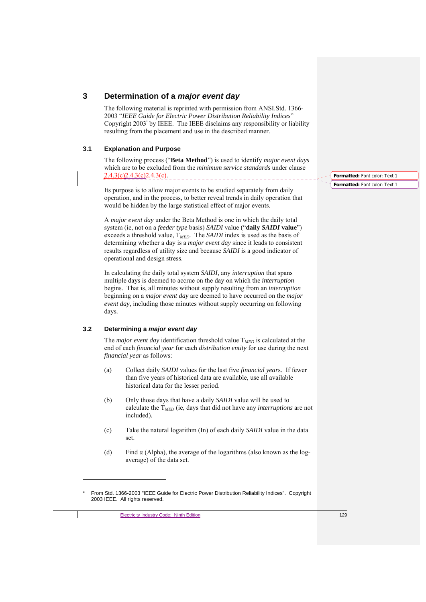## **3 Determination of a** *major event day*

The following material is reprinted with permission from ANSI.Std. 1366- 2003 "*IEEE Guide for Electric Power Distribution Reliability Indices*" Copyright 2003\* by IEEE. The IEEE disclaims any responsibility or liability resulting from the placement and use in the described manner.

### **3.1 Explanation and Purpose**

The following process ("**Beta Method**") is used to identify *major event days*  which are to be excluded from the *minimum service standards* under clause 2.4.3(c)<del>2.4.3(c)2.4.3(c)</del>.

Its purpose is to allow major events to be studied separately from daily operation, and in the process, to better reveal trends in daily operation that would be hidden by the large statistical effect of major events.

A *major event day* under the Beta Method is one in which the daily total system (ie, not on a *feeder type* basis) *SAIDI* value ("**daily** *SAIDI* **value**") exceeds a threshold value, T*MED*. The *SAIDI* index is used as the basis of determining whether a day is a *major event day* since it leads to consistent results regardless of utility size and because *SAIDI* is a good indicator of operational and design stress.

In calculating the daily total system *SAIDI*, any *interruption* that spans multiple days is deemed to accrue on the day on which the *interruption* begins. That is, all minutes without supply resulting from an *interruption*  beginning on a *major event day* are deemed to have occurred on the *major event day,* including those minutes without supply occurring on following days*.*

## **3.2 Determining a** *major event day*

The *major event day* identification threshold value T*MED* is calculated at the end of each *financial year* for each *distribution entity* for use during the next *financial year* as follows:

- (a) Collect daily *SAIDI* values for the last five *financial year*s. If fewer than five years of historical data are available, use all available historical data for the lesser period.
- (b) Only those days that have a daily *SAIDI* value will be used to calculate the T*MED* (ie, days that did not have any *interruptions* are not included).
- (c) Take the natural logarithm (In) of each daily *SAIDI* value in the data set.
- (d) Find  $\alpha$  (Alpha), the average of the logarithms (also known as the logaverage) of the data set.

**Formatted:** Font color: Text 1 **Formatted:** Font color: Text 1

1

From Std. 1366-2003 "IEEE Guide for Electric Power Distribution Reliability Indices". Copyright 2003 IEEE. All rights reserved.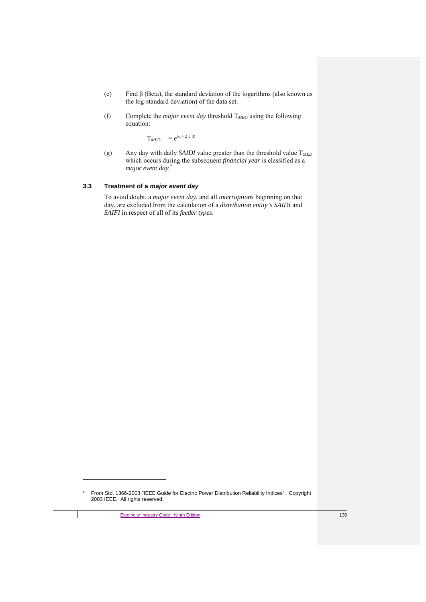- (e) Find β (Beta), the standard deviation of the logarithms (also known as the log-standard deviation) of the data set.
- (f) Complete the *major event day* threshold  $T_{MED}$  using the following equation:

 $T_{MED}$  =  $e^{(\alpha + 2.5 \beta)}$ 

(g) Any day with daily *SAIDI* value greater than the threshold value T*MED* which occurs during the subsequent *financial year* is classified as a *major event day*. \*

## **3.3 Treatment of a** *major event day*

To avoid doubt, a *major event day*, and all *interruptions* beginning on that day, are excluded from the calculation of a *distribution entity's SAIDI* and *SAIFI* in respect of all of its *feeder types*.

1

<sup>\*</sup> From Std. 1366-2003 "IEEE Guide for Electric Power Distribution Reliability Indices". Copyright 2003 IEEE. All rights reserved.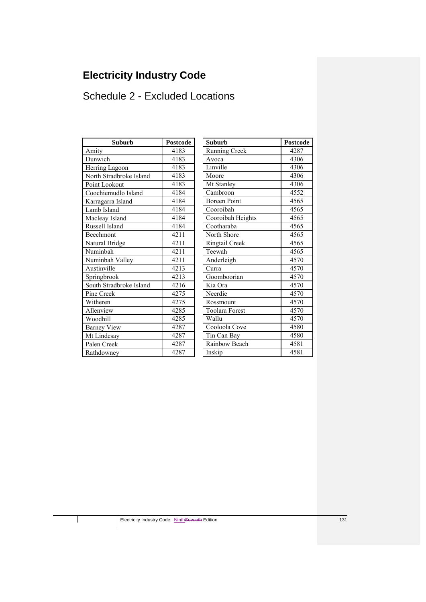# **Electricity Industry Code**

# Schedule 2 - Excluded Locations

| <b>Suburb</b>           | <b>Postcode</b> | <b>Suburb</b>         | Postcod |
|-------------------------|-----------------|-----------------------|---------|
| Amity                   | 4183            | <b>Running Creek</b>  | 4287    |
| Dunwich                 | 4183            | Avoca                 | 4306    |
| Herring Lagoon          | 4183            | Linville              | 4306    |
| North Stradbroke Island | 4183            | Moore                 | 4306    |
| Point Lookout           | 4183            | Mt Stanley            | 4306    |
| Coochiemudlo Island     | 4184            | Cambroon              | 4552    |
| Karragarra Island       | 4184            | <b>Boreen Point</b>   | 4565    |
| Lamb Island             | 4184            | Cooroibah             | 4565    |
| Macleay Island          | 4184            | Cooroibah Heights     | 4565    |
| Russell Island          | 4184            | Cootharaba            | 4565    |
| Beechmont               | 4211            | North Shore           | 4565    |
| Natural Bridge          | 4211            | Ringtail Creek        | 4565    |
| Numinbah                | 4211            | Teewah                | 4565    |
| Numinbah Valley         | 4211            | Anderleigh            | 4570    |
| Austinville             | 4213            | Curra                 | 4570    |
| Springbrook             | 4213            | Goomboorian           | 4570    |
| South Stradbroke Island | 4216            | Kia Ora               | 4570    |
| Pine Creek              | 4275            | Neerdie               | 4570    |
| Witheren                | 4275            | Rossmount             | 4570    |
| Allenview               | 4285            | <b>Toolara Forest</b> | 4570    |
| Woodhill                | 4285            | Wallu                 | 4570    |
| <b>Barney View</b>      | 4287            | Cooloola Cove         | 4580    |
| Mt Lindesay             | 4287            | Tin Can Bay           | 4580    |
| Palen Creek             | 4287            | Rainbow Beach         | 4581    |
| Rathdowney              | 4287            | Inskip                | 4581    |

| Suburb                   | <b>Postcode</b> | Suburb                | Postcode |
|--------------------------|-----------------|-----------------------|----------|
|                          | 4183            | <b>Running Creek</b>  | 4287     |
|                          | 4183            | Avoca                 | 4306     |
| agoon                    | 4183            | Linville              | 4306     |
| adbroke Island           | 4183            | Moore                 | 4306     |
| kout                     | 4183            | Mt Stanley            | 4306     |
| udlo Island              | 4184            | Cambroon              | 4552     |
| a Island                 | 4184            | <b>Boreen Point</b>   | 4565     |
| nd                       | 4184            | Cooroibah             | 4565     |
| sland                    | 4184            | Cooroibah Heights     | 4565     |
| land                     | 4184            | Cootharaba            | 4565     |
| ıt                       | 4211            | North Shore           | 4565     |
| ridge                    | 4211            | Ringtail Creek        | 4565     |
| ı                        | 4211            | Teewah                | 4565     |
| n Valley                 | 4211            | Anderleigh            | 4570     |
| e                        | 4213            | Curra                 | 4570     |
| $\overline{\mathrm{ok}}$ | 4213            | Goomboorian           | 4570     |
| adbroke Island           | 4216            | Kia Ora               | 4570     |
| k                        | 4275            | Neerdie               | 4570     |
|                          | 4275            | Rossmount             | 4570     |
| Ī.                       | 4285            | <b>Toolara Forest</b> | 4570     |
|                          | 4285            | Wallu                 | 4570     |
| iew                      | 4287            | Cooloola Cove         | 4580     |
| say                      | 4287            | Tin Can Bay           | 4580     |
| ek                       | 4287            | Rainbow Beach         | 4581     |
| ev                       | 4287            | Inskip                | 4581     |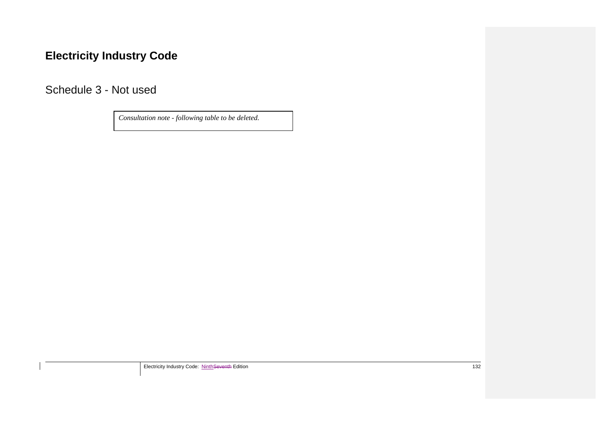# **Electricity Industry Code**

Schedule 3 - Not used

*Consultation note - following table to be deleted.*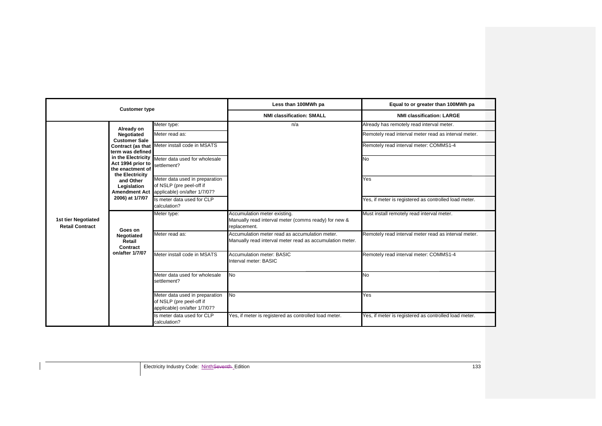| <b>Customer type</b>                          |                                                                                      | Less than 100MWh pa                                                                                      | Equal to or greater than 100MWh pa                                                                         |                                                       |
|-----------------------------------------------|--------------------------------------------------------------------------------------|----------------------------------------------------------------------------------------------------------|------------------------------------------------------------------------------------------------------------|-------------------------------------------------------|
|                                               |                                                                                      | <b>NMI classification: SMALL</b>                                                                         | <b>NMI classification: LARGE</b>                                                                           |                                                       |
|                                               | Already on                                                                           | Meter type:                                                                                              | n/a                                                                                                        | Already has remotely read interval meter.             |
|                                               | Negotiated<br><b>Customer Sale</b>                                                   | Meter read as:                                                                                           |                                                                                                            | Remotely read interval meter read as interval meter.  |
|                                               | term was defined                                                                     | Contract (as that Meter install code in MSATS                                                            |                                                                                                            | Remotely read interval meter: COMMS1-4                |
|                                               | Act 1994 prior to<br>the enactment of<br>the Electricity<br>and Other<br>Legislation | in the Electricity Meter data used for wholesale<br>settlement?                                          |                                                                                                            | No                                                    |
|                                               |                                                                                      | Meter data used in preparation<br>of NSLP (pre peel-off if<br>Amendment Act applicable) on/after 1/7/07? |                                                                                                            | <b>Yes</b>                                            |
|                                               | 2006) at 1/7/07                                                                      | Is meter data used for CLP<br>calculation?                                                               |                                                                                                            | Yes, if meter is registered as controlled load meter. |
| 1st tier Negotiated<br><b>Retail Contract</b> | Goes on                                                                              | Meter type:                                                                                              | Accumulation meter existing.<br>Manually read interval meter (comms ready) for new &<br>replacement.       | Must install remotely read interval meter.            |
|                                               | Negotiated<br>Retail<br>Contract<br>on/after 1/7/07                                  | Meter read as:                                                                                           | Accumulation meter read as accumulation meter.<br>Manually read interval meter read as accumulation meter. | Remotely read interval meter read as interval meter.  |
|                                               |                                                                                      | Meter install code in MSATS                                                                              | Accumulation meter: BASIC<br>Interval meter: BASIC                                                         | Remotely read interval meter: COMMS1-4                |
|                                               |                                                                                      | Meter data used for wholesale<br>settlement?                                                             | <b>No</b>                                                                                                  | N <sub>o</sub>                                        |
|                                               |                                                                                      | Meter data used in preparation<br>of NSLP (pre peel-off if<br>applicable) on/after 1/7/07?               | No                                                                                                         | Yes                                                   |
|                                               |                                                                                      | Is meter data used for CLP<br>calculation?                                                               | Yes, if meter is registered as controlled load meter.                                                      | Yes, if meter is registered as controlled load meter. |

Electricity Industry Code: NinthSeventh-Edition 133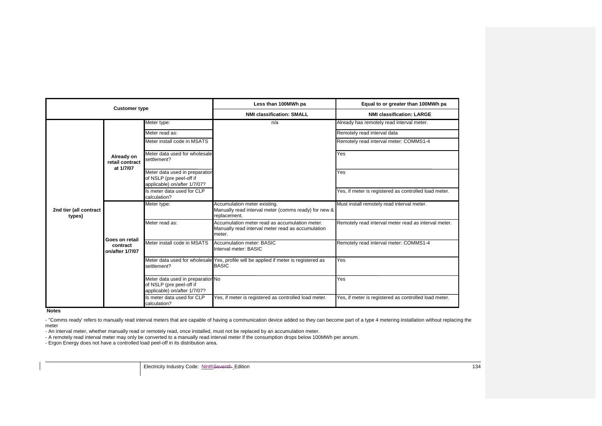| <b>Customer type</b>             |                                               | Less than 100MWh pa                                                                           | Equal to or greater than 100MWh pa                                                                            |                                                       |
|----------------------------------|-----------------------------------------------|-----------------------------------------------------------------------------------------------|---------------------------------------------------------------------------------------------------------------|-------------------------------------------------------|
|                                  |                                               | <b>NMI classification: SMALL</b>                                                              | <b>NMI classification: LARGE</b>                                                                              |                                                       |
|                                  | Already on<br>retail contract                 | Meter type:                                                                                   | n/a                                                                                                           | Already has remotely read interval meter.             |
|                                  |                                               | Meter read as:                                                                                |                                                                                                               | Remotely read interval data                           |
|                                  |                                               | Meter install code in MSATS                                                                   |                                                                                                               | Remotely read interval meter: COMMS1-4                |
|                                  |                                               | Meter data used for wholesale<br>settlement?                                                  |                                                                                                               | Yes                                                   |
|                                  | at 1/7/07                                     | Meter data used in preparation<br>of NSLP (pre peel-off if<br>applicable) on/after 1/7/07?    |                                                                                                               | Yes                                                   |
|                                  |                                               | Is meter data used for CLP<br>calculation?                                                    |                                                                                                               | Yes, if meter is registered as controlled load meter. |
| 2nd tier (all contract<br>types) | Goes on retail<br>contract<br>on/after 1/7/07 | Meter type:                                                                                   | Accumulation meter existing.<br>Manually read interval meter (comms ready) for new &<br>replacement.          | Must install remotely read interval meter.            |
|                                  |                                               | Meter read as:                                                                                | Accumulation meter read as accumulation meter.<br>Manually read interval meter read as accumulation<br>meter. | Remotely read interval meter read as interval meter.  |
|                                  |                                               | Meter install code in MSATS                                                                   | <b>Accumulation meter: BASIC</b><br>Interval meter: BASIC                                                     | Remotely read interval meter: COMMS1-4                |
|                                  |                                               | settlement?                                                                                   | Meter data used for wholesale Yes, profile will be applied if meter is registered as<br><b>BASIC</b>          | Yes                                                   |
|                                  |                                               | Meter data used in preparation No<br>of NSLP (pre peel-off if<br>applicable) on/after 1/7/07? |                                                                                                               | Yes                                                   |
|                                  |                                               | Is meter data used for CLP<br>calculation?                                                    | Yes, if meter is registered as controlled load meter.                                                         | es, if meter is registered as controlled load meter.  |

**Notes**

- "Comms ready' refers to manually read interval meters that are capable of having a communication device added so they can become part of a type 4 metering installation without replacing the meter

- An interval meter, whether manually read or remotely read, once installed, must not be replaced by an accumulation meter.

- A remotely read interval meter may only be converted to a manually read interval meter if the consumption drops below 100MWh per annum.

- Ergon Energy does not have a controlled load peel-off in its distribution area.

Electricity Industry Code: NinthSeventh Edition 134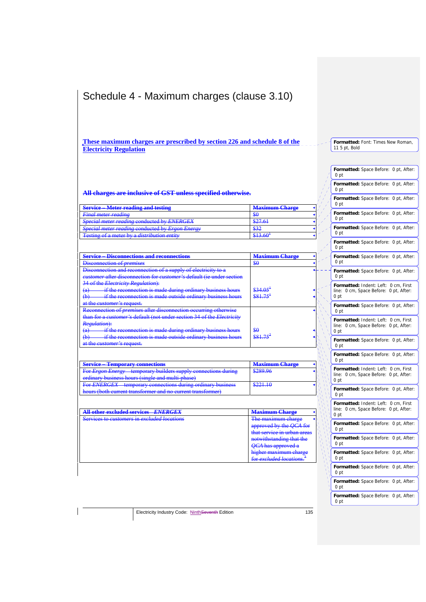# Schedule 4 - Maximum charges (clause 3.10)

**These maximum charges are prescribed by section 226 and schedule 8 of the Electricity Regulation**

**All charges are inclusive of GST unless specified otherwise.**

| <b>Service</b> Meter reading and testing                                                          | Mavimum Charge<br><b>BALLARDILLI LA STILLE CO</b> |
|---------------------------------------------------------------------------------------------------|---------------------------------------------------|
| Final motor reading<br><del>r mar mener reaam.</del>                                              | \$0                                               |
| Special meter reading conducted by ENERGEY<br><del>echn meier reuume conqueted by EiverCrex</del> | 82761<br><b>DZ7.01</b>                            |
| <b>Special meter reading conducted by Ergon Energy</b>                                            | \$32                                              |
| Testing of a meter by a <i>distribution entity</i>                                                |                                                   |

| Disconnections and reconnections<br>Service                                                            | <del>Maximum Charge</del>          |
|--------------------------------------------------------------------------------------------------------|------------------------------------|
| Disconnection of <i>premises</i>                                                                       | \$0                                |
| Disconnection and reconnection of a supply of electricity to a                                         |                                    |
| eustomer after disconnection for customer's default (ie under section                                  |                                    |
| 34 of the Electricity Regulation):                                                                     |                                    |
| if the reconnection is made during ordinary business hours<br>(a)                                      |                                    |
| if the reconnection is made outside ordinary business hours<br>ሌነ<br>۳                                 |                                    |
| <del>at the <i>customer's</i> request.</del>                                                           |                                    |
| Reconnection of <i>premises</i> after disconnection occurring otherwise                                |                                    |
| than for a customer's default (not under section 34 of the Electricity                                 |                                    |
| Regulation):                                                                                           |                                    |
| if the reconnection is made during ordinary business hours<br>$\bullet$<br><del>ta 1</del>             | 80                                 |
| ሌነ<br>if the reconnection is made outside ordinary business hours<br>त्ण                               |                                    |
| at the <i>customer's</i> request.                                                                      |                                    |
|                                                                                                        |                                    |
|                                                                                                        |                                    |
| <del>– Temporary connections</del><br>Service                                                          | <b>Maximum Charge</b>              |
| temporary builders supply connections during<br>For Fraga Frovan<br><del>roi <i>ergon energ</i>y</del> | ደንዩዐ ዐሬ<br><b>NUMBER OF STREET</b> |
| ordinary business hours (single and multi-phase)                                                       |                                    |

| $\sim$ Arginary nucingee noure feingle and multi-nnaequ<br><u> Urunius – Uudhitodo huuno phiraly unu munto yhudy j</u>                     |                         |
|--------------------------------------------------------------------------------------------------------------------------------------------|-------------------------|
| For <i>EMERCEY</i> temporary connections during ordinary business<br><u>PUT ERTEROEX – temporal y connections during ordinary business</u> | 022110<br>$\frac{1}{2}$ |
| hours (both current transformer and no current transformer)                                                                                |                         |
|                                                                                                                                            |                         |

| All other evoluded services ENERCEY<br>$\frac{1}{2}$ , $\frac{1}{2}$ , $\frac{1}{2}$ , $\frac{1}{2}$ , $\frac{1}{2}$ , $\frac{1}{2}$ , $\frac{1}{2}$ , $\frac{1}{2}$ , $\frac{1}{2}$ , $\frac{1}{2}$ , $\frac{1}{2}$ , $\frac{1}{2}$ , $\frac{1}{2}$ , $\frac{1}{2}$ , $\frac{1}{2}$ , $\frac{1}{2}$ , $\frac{1}{2}$ , $\frac{1}{2}$ , $\frac{1$ | <b>Maximum Charge</b>                                                            |
|--------------------------------------------------------------------------------------------------------------------------------------------------------------------------------------------------------------------------------------------------------------------------------------------------------------------------------------------------|----------------------------------------------------------------------------------|
| Services to <i>customers</i> in excluded locations                                                                                                                                                                                                                                                                                               | The maximum charge                                                               |
|                                                                                                                                                                                                                                                                                                                                                  | approved by the <i>QCA</i> for                                                   |
|                                                                                                                                                                                                                                                                                                                                                  | that service in urban areas                                                      |
|                                                                                                                                                                                                                                                                                                                                                  | notwithstanding that the                                                         |
|                                                                                                                                                                                                                                                                                                                                                  | $\Omega C\Lambda$ has annouad a<br><del>QUA has approved a</del>                 |
|                                                                                                                                                                                                                                                                                                                                                  | higher maximum charge<br><b>IIII≫IIV) w III(WYIIIIIIII W YI({I<del>Z</del>^V</b> |
|                                                                                                                                                                                                                                                                                                                                                  | for excluded locations.                                                          |
|                                                                                                                                                                                                                                                                                                                                                  |                                                                                  |

| Formatted: Font: Times New Roman,<br>11 5 pt, Bold                                     |
|----------------------------------------------------------------------------------------|
|                                                                                        |
| Formatted: Space Before: 0 pt, After:<br>0 pt                                          |
| Formatted: Space Before:<br>0 pt, After:<br>0 pt                                       |
| Formatted: Space Before:<br>0 pt, After:<br>0 pt                                       |
| Formatted: Space Before:<br>0 pt, After:<br>0 pt                                       |
| Formatted: Space Before: 0 pt, After:<br>0 pt                                          |
| Formatted: Space Before: 0 pt, After:<br>0 pt                                          |
| Formatted: Space Before: 0 pt, After:<br>0 pt                                          |
| Formatted: Space Before: 0 pt, After:<br>0 pt                                          |
| Formatted: Indent: Left: 0 cm, First<br>line: 0 cm, Space Before: 0 pt, After:<br>0 pt |
| Formatted: Space Before: 0 pt, After:<br>0 pt                                          |
| Formatted: Indent: Left: 0 cm, First<br>line: 0 cm, Space Before: 0 pt, After:<br>0 pt |
| Formatted: Space Before: 0 pt, After:<br>0 pt                                          |
| Formatted: Space Before: 0 pt, After:<br>0 pt                                          |
| Formatted: Indent: Left: 0 cm, First<br>line: 0 cm, Space Before: 0 pt, After:<br>0 pt |
| Formatted: Space Before: 0 pt, After:<br>0 pt                                          |
| Formatted: Indent: Left: 0 cm, First<br>line: 0 cm, Space Before: 0 pt, After:<br>0 pt |
| Formatted: Space Before: 0 pt, After:<br>0 pt                                          |
| Formatted: Space Before: 0 pt, After:<br>0 pt                                          |
| Formatted: Space Before: 0 pt, After:<br>0 pt                                          |
| Formatted: Space Before: 0 pt, After:<br>0 pt                                          |
| Formatted: Space Before: 0 pt, After:<br>0 pt                                          |
| Formatted: Space Before: 0 pt, After:<br>0 pt                                          |
|                                                                                        |

Electricity Industry Code: NinthSeventh Edition 135